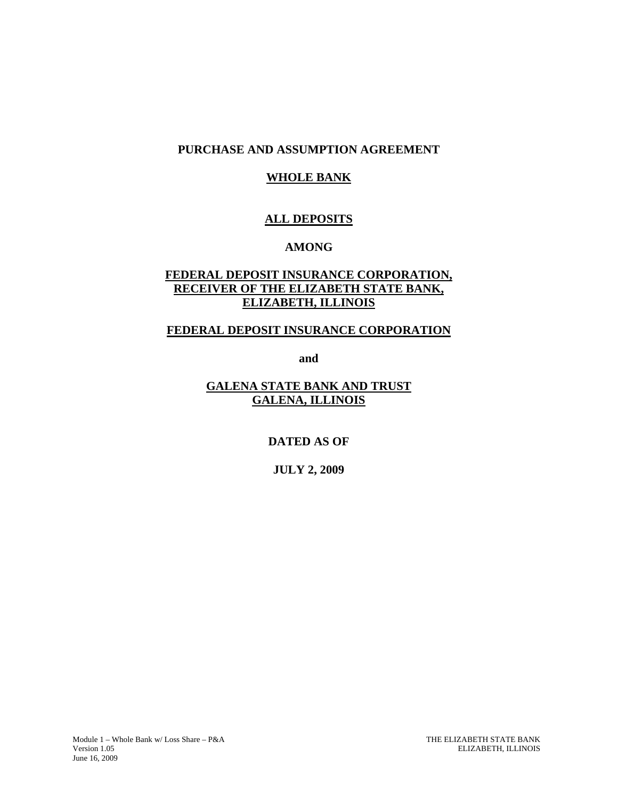#### **PURCHASE AND ASSUMPTION AGREEMENT**

#### **WHOLE BANK**

#### **ALL DEPOSITS**

#### **AMONG**

#### **FEDERAL DEPOSIT INSURANCE CORPORATION, RECEIVER OF THE ELIZABETH STATE BANK, ELIZABETH, ILLINOIS**

#### **FEDERAL DEPOSIT INSURANCE CORPORATION**

**and and and** 

**GALENA STATE BANK AND TRUST GALENA, ILLINOIS**

**DATED AS OF**

**JULY 2, 2009**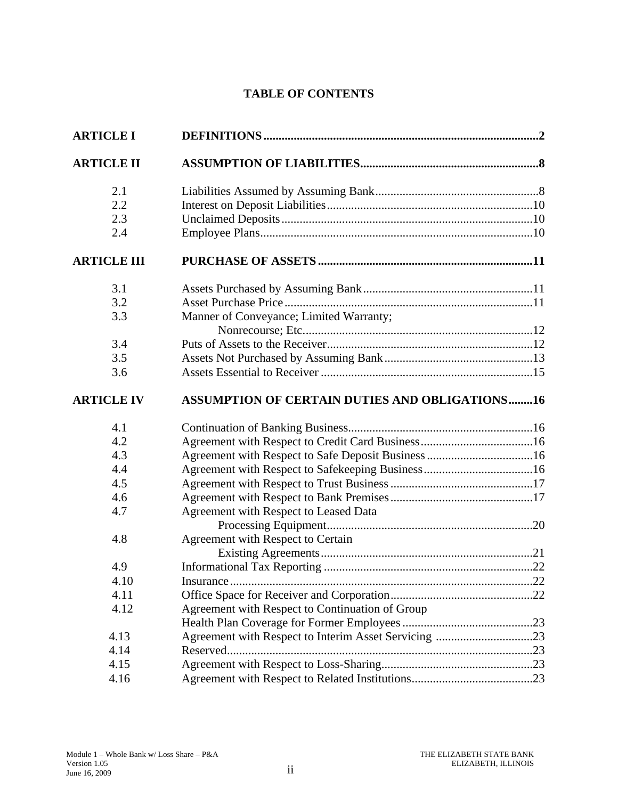## **TABLE OF CONTENTS**

| <b>ARTICLE I</b>   |                                                       |  |
|--------------------|-------------------------------------------------------|--|
| <b>ARTICLE II</b>  |                                                       |  |
| 2.1                |                                                       |  |
| 2.2                |                                                       |  |
| 2.3                |                                                       |  |
| 2.4                |                                                       |  |
| <b>ARTICLE III</b> |                                                       |  |
| 3.1                |                                                       |  |
| 3.2                |                                                       |  |
| 3.3                | Manner of Conveyance; Limited Warranty;               |  |
|                    |                                                       |  |
| 3.4                |                                                       |  |
| 3.5                |                                                       |  |
| 3.6                |                                                       |  |
| <b>ARTICLE IV</b>  | <b>ASSUMPTION OF CERTAIN DUTIES AND OBLIGATIONS16</b> |  |
| 4.1                |                                                       |  |
| 4.2                |                                                       |  |
| 4.3                |                                                       |  |
| 4.4                |                                                       |  |
| 4.5                |                                                       |  |
| 4.6                |                                                       |  |
| 4.7                | Agreement with Respect to Leased Data                 |  |
|                    |                                                       |  |
| 4.8                | Agreement with Respect to Certain                     |  |
|                    |                                                       |  |
| 4.9                |                                                       |  |
| 4.10               |                                                       |  |
| 4.11               |                                                       |  |
| 4.12               | Agreement with Respect to Continuation of Group       |  |
|                    |                                                       |  |
| 4.13               | Agreement with Respect to Interim Asset Servicing 23  |  |
| 4.14               |                                                       |  |
| 4.15               |                                                       |  |
| 4.16               |                                                       |  |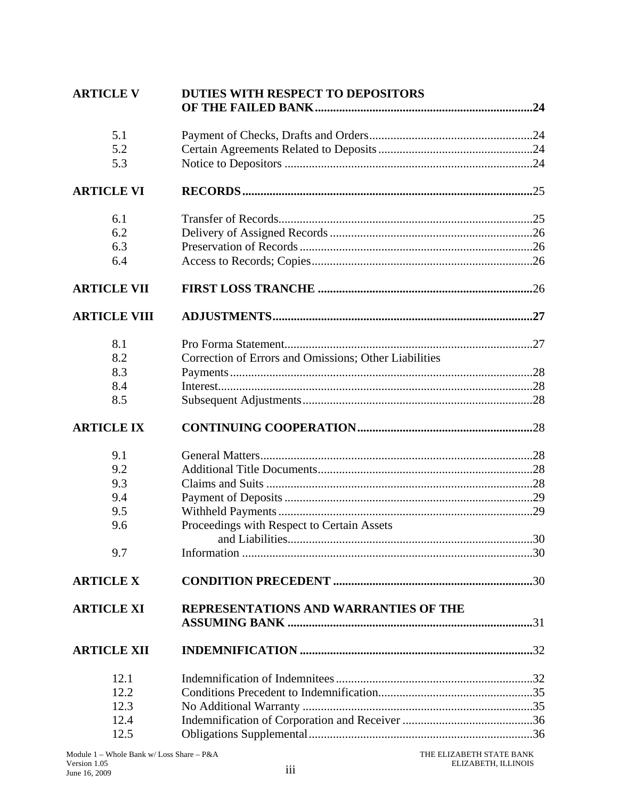| <b>ARTICLE V</b>    | DUTIES WITH RESPECT TO DEPOSITORS                     |  |
|---------------------|-------------------------------------------------------|--|
|                     |                                                       |  |
| 5.1                 |                                                       |  |
| 5.2                 |                                                       |  |
| 5.3                 |                                                       |  |
| <b>ARTICLE VI</b>   |                                                       |  |
| 6.1                 |                                                       |  |
| 6.2                 |                                                       |  |
| 6.3                 |                                                       |  |
| 6.4                 |                                                       |  |
| <b>ARTICLE VII</b>  |                                                       |  |
| <b>ARTICLE VIII</b> |                                                       |  |
| 8.1                 |                                                       |  |
| 8.2                 | Correction of Errors and Omissions; Other Liabilities |  |
| 8.3                 |                                                       |  |
| 8.4                 |                                                       |  |
| 8.5                 |                                                       |  |
| <b>ARTICLE IX</b>   |                                                       |  |
| 9.1                 |                                                       |  |
| 9.2                 |                                                       |  |
| 9.3                 |                                                       |  |
| 9.4                 |                                                       |  |
| 9.5                 |                                                       |  |
| 9.6                 | Proceedings with Respect to Certain Assets            |  |
|                     |                                                       |  |
| 9.7                 |                                                       |  |
| <b>ARTICLE X</b>    |                                                       |  |
| <b>ARTICLE XI</b>   | <b>REPRESENTATIONS AND WARRANTIES OF THE</b>          |  |
| <b>ARTICLE XII</b>  |                                                       |  |
| 12.1                |                                                       |  |
| 12.2                |                                                       |  |
| 12.3                |                                                       |  |
| 12.4                |                                                       |  |
| 12.5                |                                                       |  |
|                     |                                                       |  |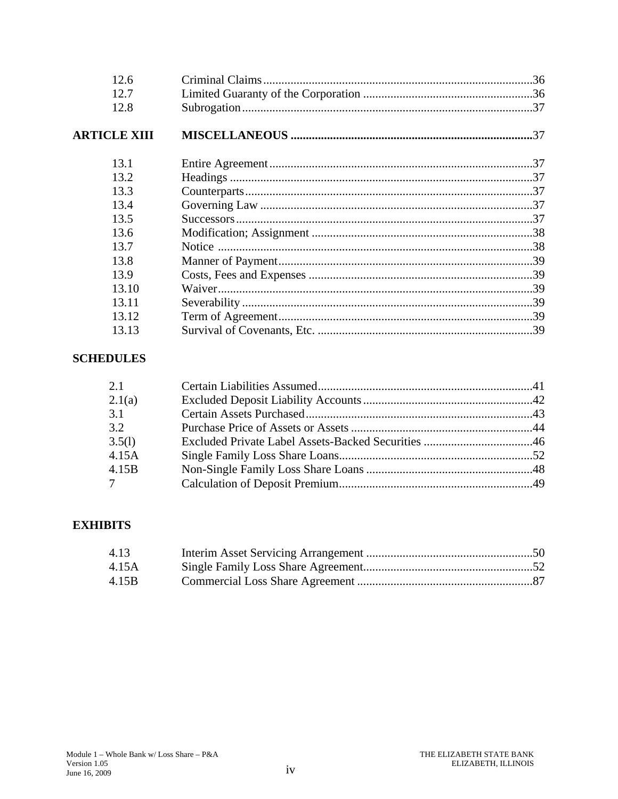| 12.6<br>12.7        |  |
|---------------------|--|
| 12.8                |  |
| <b>ARTICLE XIII</b> |  |
| 13.1                |  |
| 13.2                |  |
| 13.3                |  |
| 13.4                |  |
| 13.5                |  |
| 13.6                |  |
| 13.7                |  |
| 13.8                |  |
| 13.9                |  |
| 13.10               |  |
| 13.11               |  |
| 13.12               |  |
| 13.13               |  |

## **SCHEDULES**

| 2.1    |  |
|--------|--|
| 2.1(a) |  |
| 3.1    |  |
| 3.2    |  |
| 3.5(l) |  |
| 4.15A  |  |
| 4.15B  |  |
| 7      |  |

## **EXHIBITS**

| 4.13  |  |
|-------|--|
| 4.15A |  |
| 4.15B |  |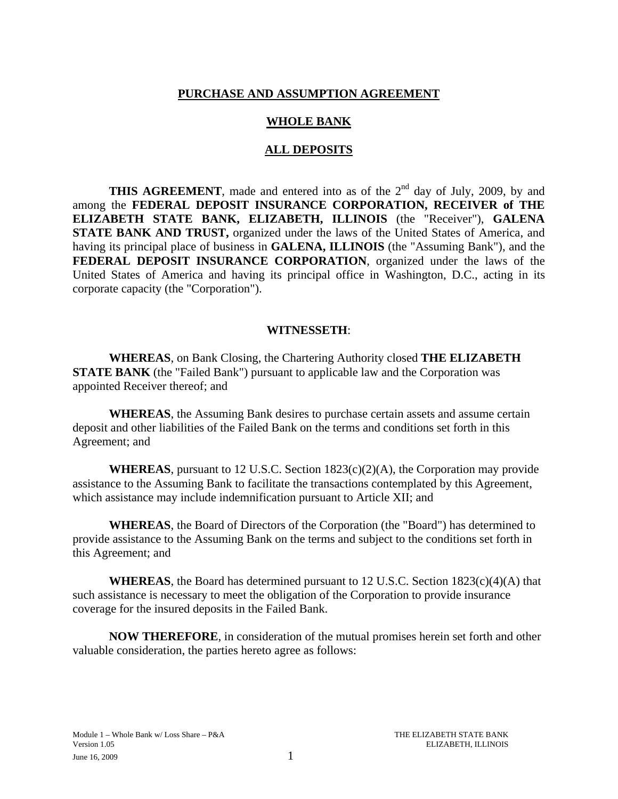#### **PURCHASE AND ASSUMPTION AGREEMENT**

#### **WHOLE BANK**

#### **ALL DEPOSITS**

**THIS AGREEMENT**, made and entered into as of the 2<sup>nd</sup> day of July, 2009, by and among the **FEDERAL DEPOSIT INSURANCE CORPORATION, RECEIVER of THE ELIZABETH STATE BANK, ELIZABETH, ILLINOIS** (the "Receiver"), **GALENA STATE BANK AND TRUST,** organized under the laws of the United States of America, and having its principal place of business in **GALENA, ILLINOIS** (the "Assuming Bank"), and the **FEDERAL DEPOSIT INSURANCE CORPORATION**, organized under the laws of the United States of America and having its principal office in Washington, D.C., acting in its corporate capacity (the "Corporation").

#### **WITNESSETH**:

**WHEREAS**, on Bank Closing, the Chartering Authority closed **THE ELIZABETH STATE BANK** (the "Failed Bank") pursuant to applicable law and the Corporation was appointed Receiver thereof; and

**WHEREAS**, the Assuming Bank desires to purchase certain assets and assume certain deposit and other liabilities of the Failed Bank on the terms and conditions set forth in this Agreement; and

**WHEREAS**, pursuant to 12 U.S.C. Section 1823(c)(2)(A), the Corporation may provide assistance to the Assuming Bank to facilitate the transactions contemplated by this Agreement, which assistance may include indemnification pursuant to Article XII; and

**WHEREAS**, the Board of Directors of the Corporation (the "Board") has determined to provide assistance to the Assuming Bank on the terms and subject to the conditions set forth in this Agreement; and

**WHEREAS**, the Board has determined pursuant to 12 U.S.C. Section 1823(c)(4)(A) that such assistance is necessary to meet the obligation of the Corporation to provide insurance coverage for the insured deposits in the Failed Bank.

 **NOW THEREFORE**, in consideration of the mutual promises herein set forth and other valuable consideration, the parties hereto agree as follows: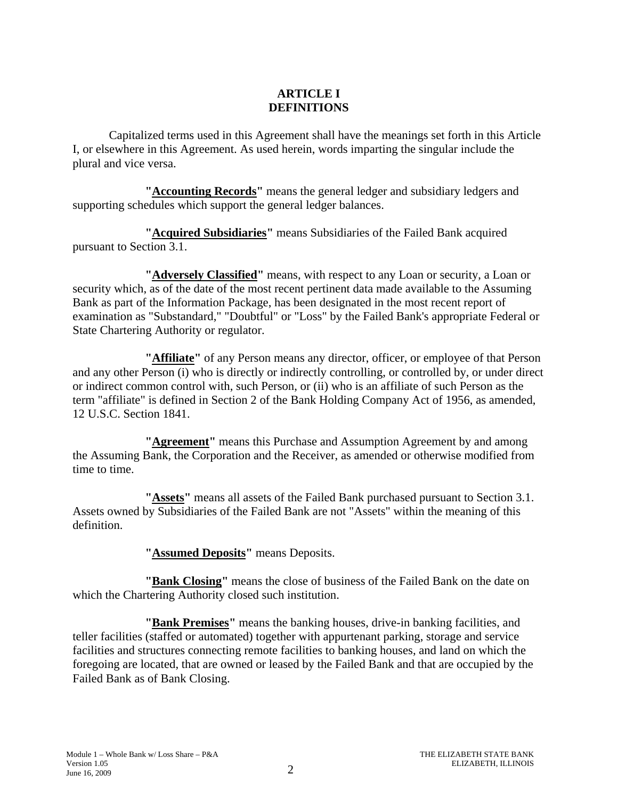### **ARTICLE I DEFINITIONS**

<span id="page-5-1"></span><span id="page-5-0"></span>Capitalized terms used in this Agreement shall have the meanings set forth in this Article I, or elsewhere in this Agreement. As used herein, words imparting the singular include the plural and vice versa.

**"Accounting Records"** means the general ledger and subsidiary ledgers and supporting schedules which support the general ledger balances.

**"Acquired Subsidiaries"** means Subsidiaries of the Failed Bank acquired pursuant to Section 3.1.

**"Adversely Classified"** means, with respect to any Loan or security, a Loan or security which, as of the date of the most recent pertinent data made available to the Assuming Bank as part of the Information Package, has been designated in the most recent report of examination as "Substandard," "Doubtful" or "Loss" by the Failed Bank's appropriate Federal or State Chartering Authority or regulator.

**"Affiliate"** of any Person means any director, officer, or employee of that Person and any other Person (i) who is directly or indirectly controlling, or controlled by, or under direct or indirect common control with, such Person, or (ii) who is an affiliate of such Person as the term "affiliate" is defined in Section 2 of the Bank Holding Company Act of 1956, as amended, 12 U.S.C. Section 1841.

**"Agreement"** means this Purchase and Assumption Agreement by and among the Assuming Bank, the Corporation and the Receiver, as amended or otherwise modified from time to time.

**"Assets"** means all assets of the Failed Bank purchased pursuant to Section 3.1. Assets owned by Subsidiaries of the Failed Bank are not "Assets" within the meaning of this definition.

**"Assumed Deposits"** means Deposits.

**"Bank Closing"** means the close of business of the Failed Bank on the date on which the Chartering Authority closed such institution.

**"Bank Premises"** means the banking houses, drive-in banking facilities, and teller facilities (staffed or automated) together with appurtenant parking, storage and service facilities and structures connecting remote facilities to banking houses, and land on which the foregoing are located, that are owned or leased by the Failed Bank and that are occupied by the Failed Bank as of Bank Closing.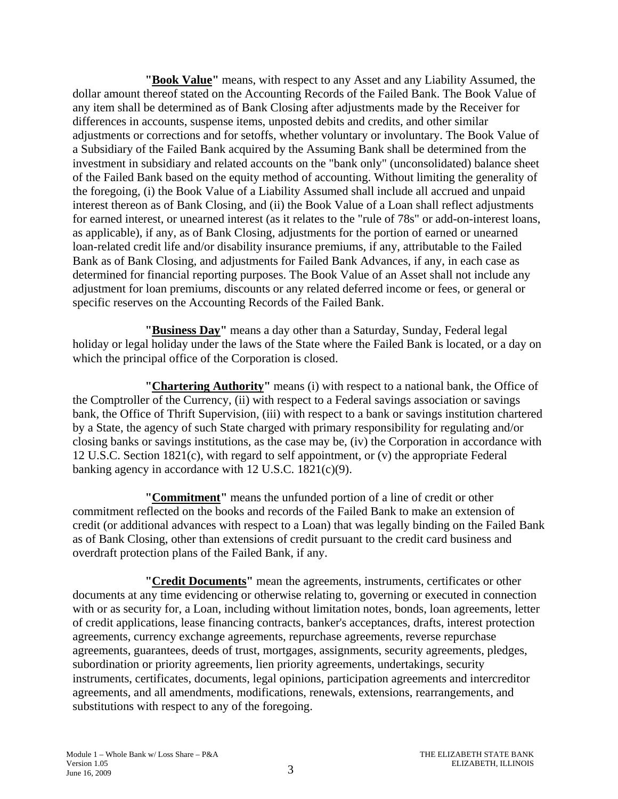<span id="page-6-0"></span> **"Book Value"** means, with respect to any Asset and any Liability Assumed, the dollar amount thereof stated on the Accounting Records of the Failed Bank. The Book Value of any item shall be determined as of Bank Closing after adjustments made by the Receiver for differences in accounts, suspense items, unposted debits and credits, and other similar adjustments or corrections and for setoffs, whether voluntary or involuntary. The Book Value of a Subsidiary of the Failed Bank acquired by the Assuming Bank shall be determined from the investment in subsidiary and related accounts on the "bank only" (unconsolidated) balance sheet of the Failed Bank based on the equity method of accounting. Without limiting the generality of the foregoing, (i) the Book Value of a Liability Assumed shall include all accrued and unpaid interest thereon as of Bank Closing, and (ii) the Book Value of a Loan shall reflect adjustments for earned interest, or unearned interest (as it relates to the "rule of 78s" or add-on-interest loans, as applicable), if any, as of Bank Closing, adjustments for the portion of earned or unearned loan-related credit life and/or disability insurance premiums, if any, attributable to the Failed Bank as of Bank Closing, and adjustments for Failed Bank Advances, if any, in each case as determined for financial reporting purposes. The Book Value of an Asset shall not include any adjustment for loan premiums, discounts or any related deferred income or fees, or general or specific reserves on the Accounting Records of the Failed Bank.

**"Business Day"** means a day other than a Saturday, Sunday, Federal legal holiday or legal holiday under the laws of the State where the Failed Bank is located, or a day on which the principal office of the Corporation is closed.

**"Chartering Authority"** means (i) with respect to a national bank, the Office of the Comptroller of the Currency, (ii) with respect to a Federal savings association or savings bank, the Office of Thrift Supervision, (iii) with respect to a bank or savings institution chartered by a State, the agency of such State charged with primary responsibility for regulating and/or closing banks or savings institutions, as the case may be, (iv) the Corporation in accordance with 12 U.S.C. Section 1821(c), with regard to self appointment, or (v) the appropriate Federal banking agency in accordance with 12 U.S.C. 1821(c)(9).

**"Commitment"** means the unfunded portion of a line of credit or other commitment reflected on the books and records of the Failed Bank to make an extension of credit (or additional advances with respect to a Loan) that was legally binding on the Failed Bank as of Bank Closing, other than extensions of credit pursuant to the credit card business and overdraft protection plans of the Failed Bank, if any.

**"Credit Documents"** mean the agreements, instruments, certificates or other documents at any time evidencing or otherwise relating to, governing or executed in connection with or as security for, a Loan, including without limitation notes, bonds, loan agreements, letter of credit applications, lease financing contracts, banker's acceptances, drafts, interest protection agreements, currency exchange agreements, repurchase agreements, reverse repurchase agreements, guarantees, deeds of trust, mortgages, assignments, security agreements, pledges, subordination or priority agreements, lien priority agreements, undertakings, security instruments, certificates, documents, legal opinions, participation agreements and intercreditor agreements, and all amendments, modifications, renewals, extensions, rearrangements, and substitutions with respect to any of the foregoing.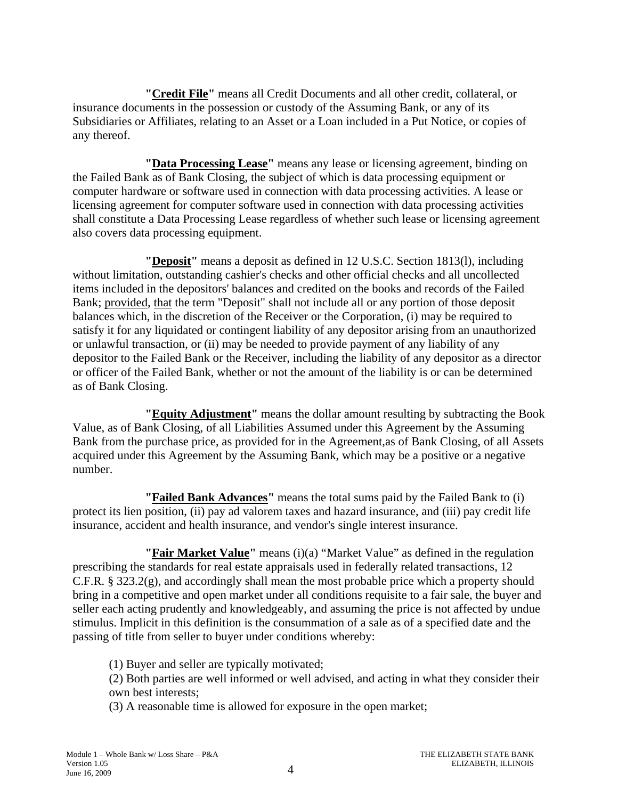**"Credit File"** means all Credit Documents and all other credit, collateral, or insurance documents in the possession or custody of the Assuming Bank, or any of its Subsidiaries or Affiliates, relating to an Asset or a Loan included in a Put Notice, or copies of any thereof.

**"Data Processing Lease"** means any lease or licensing agreement, binding on the Failed Bank as of Bank Closing, the subject of which is data processing equipment or computer hardware or software used in connection with data processing activities. A lease or licensing agreement for computer software used in connection with data processing activities shall constitute a Data Processing Lease regardless of whether such lease or licensing agreement also covers data processing equipment.

**"Deposit"** means a deposit as defined in 12 U.S.C. Section 1813(l), including without limitation, outstanding cashier's checks and other official checks and all uncollected items included in the depositors' balances and credited on the books and records of the Failed Bank; provided, that the term "Deposit" shall not include all or any portion of those deposit balances which, in the discretion of the Receiver or the Corporation, (i) may be required to satisfy it for any liquidated or contingent liability of any depositor arising from an unauthorized or unlawful transaction, or (ii) may be needed to provide payment of any liability of any depositor to the Failed Bank or the Receiver, including the liability of any depositor as a director or officer of the Failed Bank, whether or not the amount of the liability is or can be determined as of Bank Closing.

**"Equity Adjustment"** means the dollar amount resulting by subtracting the Book Value, as of Bank Closing, of all Liabilities Assumed under this Agreement by the Assuming Bank from the purchase price, as provided for in the Agreement,as of Bank Closing, of all Assets acquired under this Agreement by the Assuming Bank, which may be a positive or a negative number.

**"Failed Bank Advances"** means the total sums paid by the Failed Bank to (i) protect its lien position, (ii) pay ad valorem taxes and hazard insurance, and (iii) pay credit life insurance, accident and health insurance, and vendor's single interest insurance.

**"Fair Market Value"** means (i)(a) "Market Value" as defined in the regulation prescribing the standards for real estate appraisals used in federally related transactions, 12 C.F.R. § 323.2(g), and accordingly shall mean the most probable price which a property should bring in a competitive and open market under all conditions requisite to a fair sale, the buyer and seller each acting prudently and knowledgeably, and assuming the price is not affected by undue stimulus. Implicit in this definition is the consummation of a sale as of a specified date and the passing of title from seller to buyer under conditions whereby:

(1) Buyer and seller are typically motivated;

(2) Both parties are well informed or well advised, and acting in what they consider their own best interests;

(3) A reasonable time is allowed for exposure in the open market;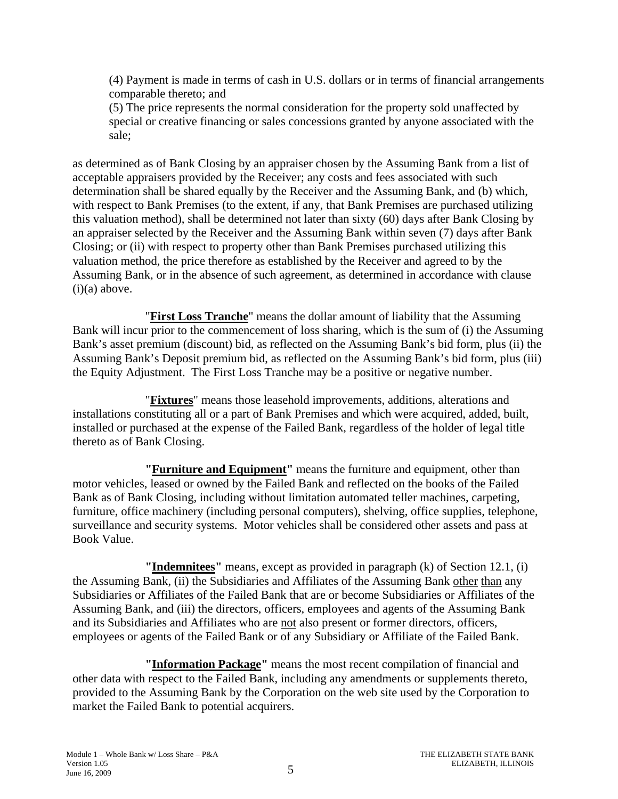(4) Payment is made in terms of cash in U.S. dollars or in terms of financial arrangements comparable thereto; and

(5) The price represents the normal consideration for the property sold unaffected by special or creative financing or sales concessions granted by anyone associated with the sale;

as determined as of Bank Closing by an appraiser chosen by the Assuming Bank from a list of acceptable appraisers provided by the Receiver; any costs and fees associated with such determination shall be shared equally by the Receiver and the Assuming Bank, and (b) which, with respect to Bank Premises (to the extent, if any, that Bank Premises are purchased utilizing this valuation method), shall be determined not later than sixty (60) days after Bank Closing by an appraiser selected by the Receiver and the Assuming Bank within seven (7) days after Bank Closing; or (ii) with respect to property other than Bank Premises purchased utilizing this valuation method, the price therefore as established by the Receiver and agreed to by the Assuming Bank, or in the absence of such agreement, as determined in accordance with clause  $(i)(a)$  above.

"**First Loss Tranche**" means the dollar amount of liability that the Assuming Bank will incur prior to the commencement of loss sharing, which is the sum of (i) the Assuming Bank's asset premium (discount) bid, as reflected on the Assuming Bank's bid form, plus (ii) the Assuming Bank's Deposit premium bid, as reflected on the Assuming Bank's bid form, plus (iii) the Equity Adjustment. The First Loss Tranche may be a positive or negative number.

"**Fixtures**" means those leasehold improvements, additions, alterations and installations constituting all or a part of Bank Premises and which were acquired, added, built, installed or purchased at the expense of the Failed Bank, regardless of the holder of legal title thereto as of Bank Closing.

**"Furniture and Equipment"** means the furniture and equipment, other than motor vehicles, leased or owned by the Failed Bank and reflected on the books of the Failed Bank as of Bank Closing, including without limitation automated teller machines, carpeting, furniture, office machinery (including personal computers), shelving, office supplies, telephone, surveillance and security systems. Motor vehicles shall be considered other assets and pass at Book Value.

**"Indemnitees"** means, except as provided in paragraph (k) of Section 12.1, (i) the Assuming Bank, (ii) the Subsidiaries and Affiliates of the Assuming Bank other than any Subsidiaries or Affiliates of the Failed Bank that are or become Subsidiaries or Affiliates of the Assuming Bank, and (iii) the directors, officers, employees and agents of the Assuming Bank and its Subsidiaries and Affiliates who are not also present or former directors, officers, employees or agents of the Failed Bank or of any Subsidiary or Affiliate of the Failed Bank.

**"Information Package"** means the most recent compilation of financial and other data with respect to the Failed Bank, including any amendments or supplements thereto, provided to the Assuming Bank by the Corporation on the web site used by the Corporation to market the Failed Bank to potential acquirers.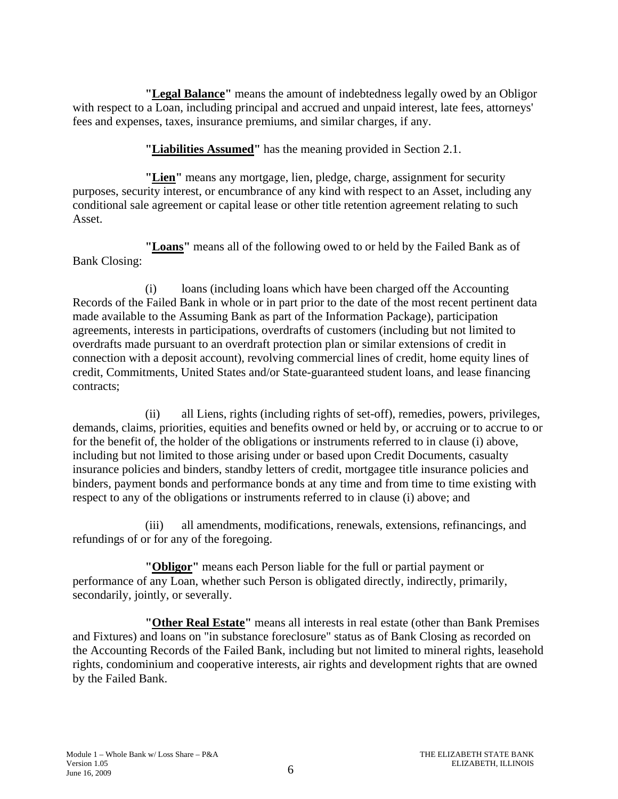**"Legal Balance"** means the amount of indebtedness legally owed by an Obligor with respect to a Loan, including principal and accrued and unpaid interest, late fees, attorneys' fees and expenses, taxes, insurance premiums, and similar charges, if any.

**"Liabilities Assumed"** has the meaning provided in Section 2.1.

**"Lien"** means any mortgage, lien, pledge, charge, assignment for security purposes, security interest, or encumbrance of any kind with respect to an Asset, including any conditional sale agreement or capital lease or other title retention agreement relating to such Asset.

**"Loans"** means all of the following owed to or held by the Failed Bank as of Bank Closing:

(i) loans (including loans which have been charged off the Accounting Records of the Failed Bank in whole or in part prior to the date of the most recent pertinent data made available to the Assuming Bank as part of the Information Package), participation agreements, interests in participations, overdrafts of customers (including but not limited to overdrafts made pursuant to an overdraft protection plan or similar extensions of credit in connection with a deposit account), revolving commercial lines of credit, home equity lines of credit, Commitments, United States and/or State-guaranteed student loans, and lease financing contracts;

(ii) all Liens, rights (including rights of set-off), remedies, powers, privileges, demands, claims, priorities, equities and benefits owned or held by, or accruing or to accrue to or for the benefit of, the holder of the obligations or instruments referred to in clause (i) above, including but not limited to those arising under or based upon Credit Documents, casualty insurance policies and binders, standby letters of credit, mortgagee title insurance policies and binders, payment bonds and performance bonds at any time and from time to time existing with respect to any of the obligations or instruments referred to in clause (i) above; and

(iii) all amendments, modifications, renewals, extensions, refinancings, and refundings of or for any of the foregoing.

**"Obligor"** means each Person liable for the full or partial payment or performance of any Loan, whether such Person is obligated directly, indirectly, primarily, secondarily, jointly, or severally.

**"Other Real Estate"** means all interests in real estate (other than Bank Premises and Fixtures) and loans on "in substance foreclosure" status as of Bank Closing as recorded on the Accounting Records of the Failed Bank, including but not limited to mineral rights, leasehold rights, condominium and cooperative interests, air rights and development rights that are owned by the Failed Bank.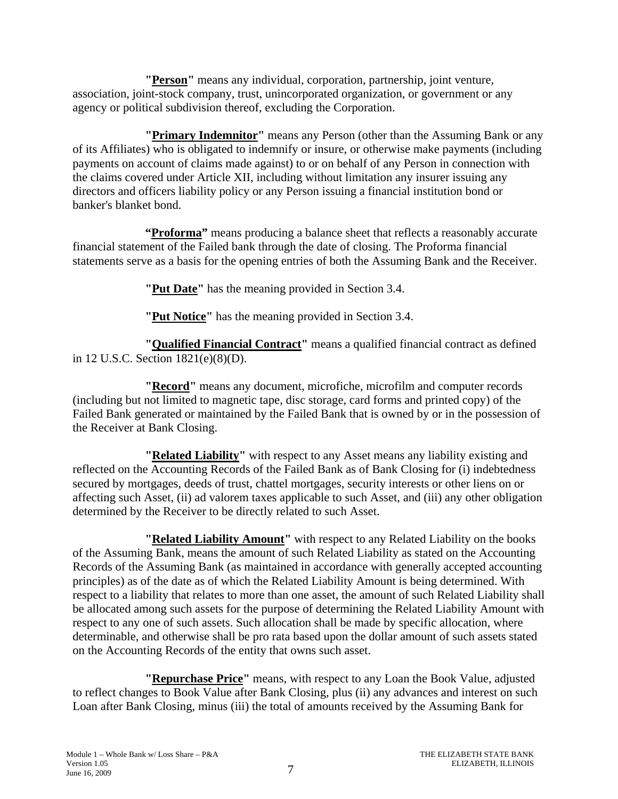**"Person"** means any individual, corporation, partnership, joint venture, association, joint-stock company, trust, unincorporated organization, or government or any agency or political subdivision thereof, excluding the Corporation.

**"Primary Indemnitor"** means any Person (other than the Assuming Bank or any of its Affiliates) who is obligated to indemnify or insure, or otherwise make payments (including payments on account of claims made against) to or on behalf of any Person in connection with the claims covered under Article XII, including without limitation any insurer issuing any directors and officers liability policy or any Person issuing a financial institution bond or banker's blanket bond.

**"Proforma"** means producing a balance sheet that reflects a reasonably accurate financial statement of the Failed bank through the date of closing. The Proforma financial statements serve as a basis for the opening entries of both the Assuming Bank and the Receiver.

**"Put Date"** has the meaning provided in Section 3.4.

**"Put Notice"** has the meaning provided in Section 3.4.

**"Qualified Financial Contract"** means a qualified financial contract as defined in 12 U.S.C. Section 1821(e)(8)(D).

**"Record"** means any document, microfiche, microfilm and computer records (including but not limited to magnetic tape, disc storage, card forms and printed copy) of the Failed Bank generated or maintained by the Failed Bank that is owned by or in the possession of the Receiver at Bank Closing.

**"Related Liability"** with respect to any Asset means any liability existing and reflected on the Accounting Records of the Failed Bank as of Bank Closing for (i) indebtedness secured by mortgages, deeds of trust, chattel mortgages, security interests or other liens on or affecting such Asset, (ii) ad valorem taxes applicable to such Asset, and (iii) any other obligation determined by the Receiver to be directly related to such Asset.

**"Related Liability Amount"** with respect to any Related Liability on the books of the Assuming Bank, means the amount of such Related Liability as stated on the Accounting Records of the Assuming Bank (as maintained in accordance with generally accepted accounting principles) as of the date as of which the Related Liability Amount is being determined. With respect to a liability that relates to more than one asset, the amount of such Related Liability shall be allocated among such assets for the purpose of determining the Related Liability Amount with respect to any one of such assets. Such allocation shall be made by specific allocation, where determinable, and otherwise shall be pro rata based upon the dollar amount of such assets stated on the Accounting Records of the entity that owns such asset.

 **"Repurchase Price"** means, with respect to any Loan the Book Value, adjusted to reflect changes to Book Value after Bank Closing, plus (ii) any advances and interest on such Loan after Bank Closing, minus (iii) the total of amounts received by the Assuming Bank for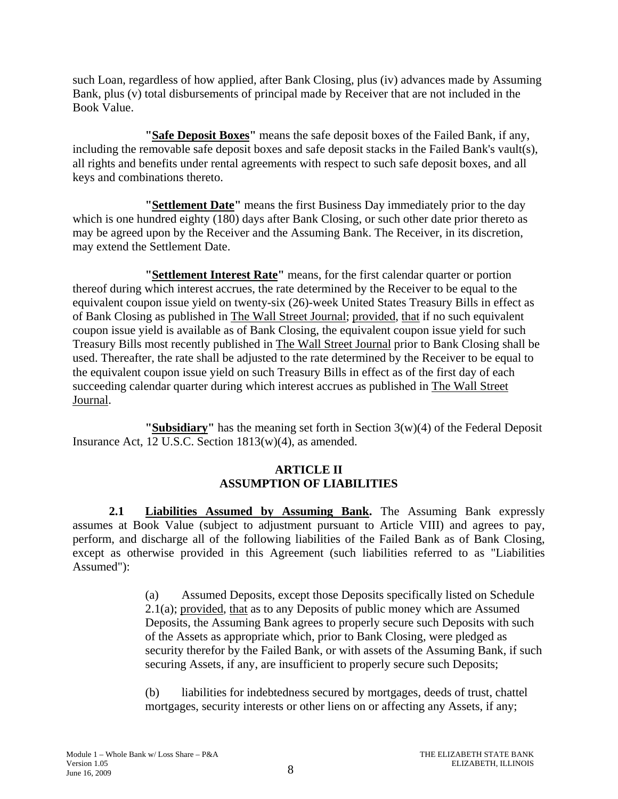such Loan, regardless of how applied, after Bank Closing, plus (iv) advances made by Assuming Bank, plus (v) total disbursements of principal made by Receiver that are not included in the Book Value.

**"Safe Deposit Boxes"** means the safe deposit boxes of the Failed Bank, if any, including the removable safe deposit boxes and safe deposit stacks in the Failed Bank's vault(s), all rights and benefits under rental agreements with respect to such safe deposit boxes, and all keys and combinations thereto.

**"Settlement Date"** means the first Business Day immediately prior to the day which is one hundred eighty (180) days after Bank Closing, or such other date prior thereto as may be agreed upon by the Receiver and the Assuming Bank. The Receiver, in its discretion, may extend the Settlement Date.

**"Settlement Interest Rate"** means, for the first calendar quarter or portion thereof during which interest accrues, the rate determined by the Receiver to be equal to the equivalent coupon issue yield on twenty-six (26)-week United States Treasury Bills in effect as of Bank Closing as published in The Wall Street Journal; provided, that if no such equivalent coupon issue yield is available as of Bank Closing, the equivalent coupon issue yield for such Treasury Bills most recently published in The Wall Street Journal prior to Bank Closing shall be used. Thereafter, the rate shall be adjusted to the rate determined by the Receiver to be equal to the equivalent coupon issue yield on such Treasury Bills in effect as of the first day of each succeeding calendar quarter during which interest accrues as published in The Wall Street Journal.

**"Subsidiary"** has the meaning set forth in Section 3(w)(4) of the Federal Deposit Insurance Act, 12 U.S.C. Section 1813(w)(4), as amended.

#### **ARTICLE II ASSUMPTION OF LIABILITIES**

<span id="page-11-1"></span><span id="page-11-0"></span> **2.1 Liabilities Assumed by Assuming Bank.** The Assuming Bank expressly assumes at Book Value (subject to adjustment pursuant to Article VIII) and agrees to pay, perform, and discharge all of the following liabilities of the Failed Bank as of Bank Closing, except as otherwise provided in this Agreement (such liabilities referred to as "Liabilities Assumed"):

> (a) Assumed Deposits, except those Deposits specifically listed on Schedule 2.1(a); provided, that as to any Deposits of public money which are Assumed Deposits, the Assuming Bank agrees to properly secure such Deposits with such of the Assets as appropriate which, prior to Bank Closing, were pledged as security therefor by the Failed Bank, or with assets of the Assuming Bank, if such securing Assets, if any, are insufficient to properly secure such Deposits;

(b) liabilities for indebtedness secured by mortgages, deeds of trust, chattel mortgages, security interests or other liens on or affecting any Assets, if any;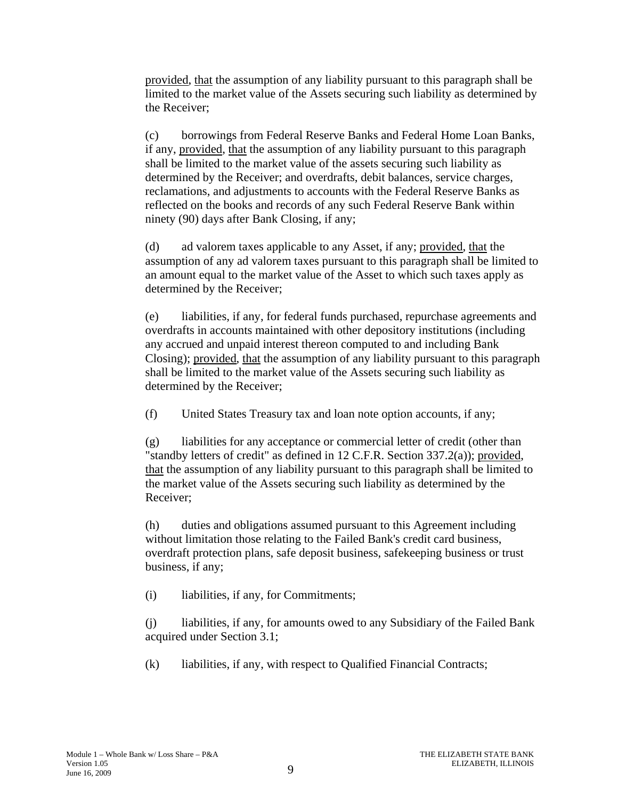provided, that the assumption of any liability pursuant to this paragraph shall be limited to the market value of the Assets securing such liability as determined by the Receiver;

(c) borrowings from Federal Reserve Banks and Federal Home Loan Banks, if any, provided, that the assumption of any liability pursuant to this paragraph shall be limited to the market value of the assets securing such liability as determined by the Receiver; and overdrafts, debit balances, service charges, reclamations, and adjustments to accounts with the Federal Reserve Banks as reflected on the books and records of any such Federal Reserve Bank within ninety (90) days after Bank Closing, if any;

(d) ad valorem taxes applicable to any Asset, if any; provided, that the assumption of any ad valorem taxes pursuant to this paragraph shall be limited to an amount equal to the market value of the Asset to which such taxes apply as determined by the Receiver;

(e) liabilities, if any, for federal funds purchased, repurchase agreements and overdrafts in accounts maintained with other depository institutions (including any accrued and unpaid interest thereon computed to and including Bank Closing); provided, that the assumption of any liability pursuant to this paragraph shall be limited to the market value of the Assets securing such liability as determined by the Receiver;

(f) United States Treasury tax and loan note option accounts, if any;

(g) liabilities for any acceptance or commercial letter of credit (other than "standby letters of credit" as defined in 12 C.F.R. Section 337.2(a)); provided, that the assumption of any liability pursuant to this paragraph shall be limited to the market value of the Assets securing such liability as determined by the Receiver;

(h) duties and obligations assumed pursuant to this Agreement including without limitation those relating to the Failed Bank's credit card business, overdraft protection plans, safe deposit business, safekeeping business or trust business, if any;

(i) liabilities, if any, for Commitments;

(j) liabilities, if any, for amounts owed to any Subsidiary of the Failed Bank acquired under Section 3.1;

(k) liabilities, if any, with respect to Qualified Financial Contracts;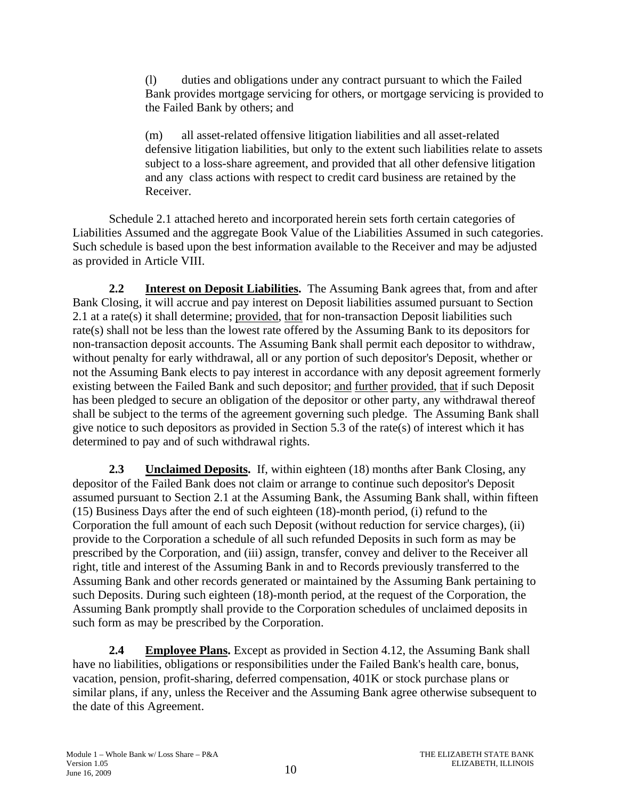(l) duties and obligations under any contract pursuant to which the Failed Bank provides mortgage servicing for others, or mortgage servicing is provided to the Failed Bank by others; and

(m) all asset-related offensive litigation liabilities and all asset-related defensive litigation liabilities, but only to the extent such liabilities relate to assets subject to a loss-share agreement, and provided that all other defensive litigation and any class actions with respect to credit card business are retained by the Receiver.

Schedule 2.1 attached hereto and incorporated herein sets forth certain categories of Liabilities Assumed and the aggregate Book Value of the Liabilities Assumed in such categories. Such schedule is based upon the best information available to the Receiver and may be adjusted as provided in Article VIII.

<span id="page-13-0"></span>**2.2 Interest on Deposit Liabilities.** The Assuming Bank agrees that, from and after Bank Closing, it will accrue and pay interest on Deposit liabilities assumed pursuant to Section 2.1 at a rate(s) it shall determine; provided, that for non-transaction Deposit liabilities such rate(s) shall not be less than the lowest rate offered by the Assuming Bank to its depositors for non-transaction deposit accounts. The Assuming Bank shall permit each depositor to withdraw, without penalty for early withdrawal, all or any portion of such depositor's Deposit, whether or not the Assuming Bank elects to pay interest in accordance with any deposit agreement formerly existing between the Failed Bank and such depositor; and further provided, that if such Deposit has been pledged to secure an obligation of the depositor or other party, any withdrawal thereof shall be subject to the terms of the agreement governing such pledge. The Assuming Bank shall give notice to such depositors as provided in Section 5.3 of the rate(s) of interest which it has determined to pay and of such withdrawal rights.

<span id="page-13-1"></span>**2.3 Unclaimed Deposits.** If, within eighteen (18) months after Bank Closing, any depositor of the Failed Bank does not claim or arrange to continue such depositor's Deposit assumed pursuant to Section 2.1 at the Assuming Bank, the Assuming Bank shall, within fifteen (15) Business Days after the end of such eighteen (18)-month period, (i) refund to the Corporation the full amount of each such Deposit (without reduction for service charges), (ii) provide to the Corporation a schedule of all such refunded Deposits in such form as may be prescribed by the Corporation, and (iii) assign, transfer, convey and deliver to the Receiver all right, title and interest of the Assuming Bank in and to Records previously transferred to the Assuming Bank and other records generated or maintained by the Assuming Bank pertaining to such Deposits. During such eighteen (18)-month period, at the request of the Corporation, the Assuming Bank promptly shall provide to the Corporation schedules of unclaimed deposits in such form as may be prescribed by the Corporation.

<span id="page-13-2"></span>**2.4 Employee Plans.** Except as provided in Section 4.12, the Assuming Bank shall have no liabilities, obligations or responsibilities under the Failed Bank's health care, bonus, vacation, pension, profit-sharing, deferred compensation, 401K or stock purchase plans or similar plans, if any, unless the Receiver and the Assuming Bank agree otherwise subsequent to the date of this Agreement.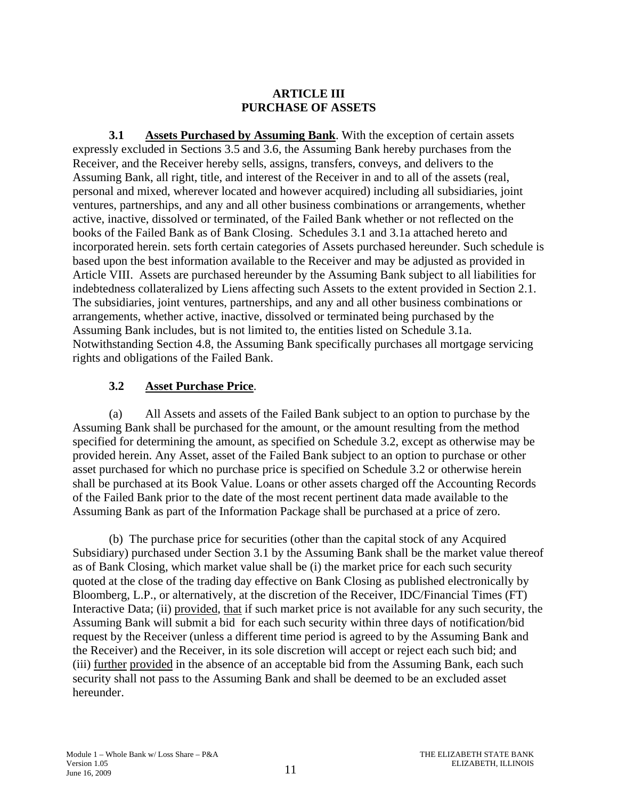#### **ARTICLE III PURCHASE OF ASSETS**

<span id="page-14-1"></span><span id="page-14-0"></span>Assuming Bank includes, but is not limited to, the entities listed on Schedule 3.1a.  **3.1 Assets Purchased by Assuming Bank**. With the exception of certain assets expressly excluded in Sections 3.5 and 3.6, the Assuming Bank hereby purchases from the Receiver, and the Receiver hereby sells, assigns, transfers, conveys, and delivers to the Assuming Bank, all right, title, and interest of the Receiver in and to all of the assets (real, personal and mixed, wherever located and however acquired) including all subsidiaries, joint ventures, partnerships, and any and all other business combinations or arrangements, whether active, inactive, dissolved or terminated, of the Failed Bank whether or not reflected on the books of the Failed Bank as of Bank Closing. Schedules 3.1 and 3.1a attached hereto and incorporated herein. sets forth certain categories of Assets purchased hereunder. Such schedule is based upon the best information available to the Receiver and may be adjusted as provided in Article VIII. Assets are purchased hereunder by the Assuming Bank subject to all liabilities for indebtedness collateralized by Liens affecting such Assets to the extent provided in Section 2.1. The subsidiaries, joint ventures, partnerships, and any and all other business combinations or arrangements, whether active, inactive, dissolved or terminated being purchased by the Notwithstanding Section 4.8, the Assuming Bank specifically purchases all mortgage servicing rights and obligations of the Failed Bank.

### **3.2 Asset Purchase Price**.

<span id="page-14-2"></span>(a) All Assets and assets of the Failed Bank subject to an option to purchase by the Assuming Bank shall be purchased for the amount, or the amount resulting from the method specified for determining the amount, as specified on Schedule 3.2, except as otherwise may be provided herein. Any Asset, asset of the Failed Bank subject to an option to purchase or other asset purchased for which no purchase price is specified on Schedule 3.2 or otherwise herein shall be purchased at its Book Value. Loans or other assets charged off the Accounting Records of the Failed Bank prior to the date of the most recent pertinent data made available to the Assuming Bank as part of the Information Package shall be purchased at a price of zero.

(b) The purchase price for securities (other than the capital stock of any Acquired Subsidiary) purchased under Section 3.1 by the Assuming Bank shall be the market value thereof as of Bank Closing, which market value shall be (i) the market price for each such security quoted at the close of the trading day effective on Bank Closing as published electronically by Bloomberg, L.P., or alternatively, at the discretion of the Receiver, IDC/Financial Times (FT) Interactive Data; (ii) provided, that if such market price is not available for any such security, the Assuming Bank will submit a bid for each such security within three days of notification/bid request by the Receiver (unless a different time period is agreed to by the Assuming Bank and the Receiver) and the Receiver, in its sole discretion will accept or reject each such bid; and (iii) further provided in the absence of an acceptable bid from the Assuming Bank, each such security shall not pass to the Assuming Bank and shall be deemed to be an excluded asset hereunder.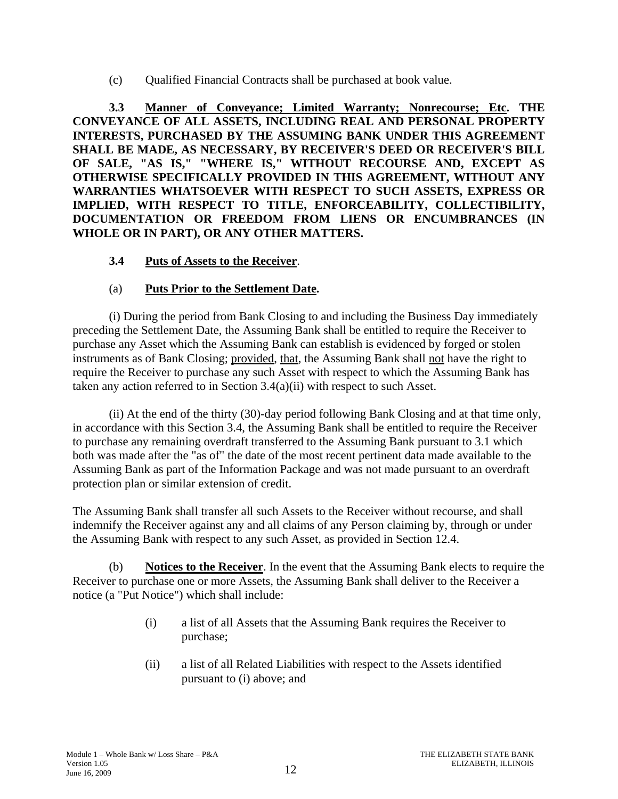(c) Qualified Financial Contracts shall be purchased at book value.

<span id="page-15-0"></span>**3.3 Manner of Conveyance; Limited Warranty; Nonrecourse; Etc. THE CONVEYANCE OF ALL ASSETS, INCLUDING REAL AND PERSONAL PROPERTY INTERESTS, PURCHASED BY THE ASSUMING BANK UNDER THIS AGREEMENT SHALL BE MADE, AS NECESSARY, BY RECEIVER'S DEED OR RECEIVER'S BILL OF SALE, "AS IS," "WHERE IS," WITHOUT RECOURSE AND, EXCEPT AS OTHERWISE SPECIFICALLY PROVIDED IN THIS AGREEMENT, WITHOUT ANY WARRANTIES WHATSOEVER WITH RESPECT TO SUCH ASSETS, EXPRESS OR IMPLIED, WITH RESPECT TO TITLE, ENFORCEABILITY, COLLECTIBILITY, DOCUMENTATION OR FREEDOM FROM LIENS OR ENCUMBRANCES (IN WHOLE OR IN PART), OR ANY OTHER MATTERS.** 

## **3.4 Puts of Assets to the Receiver**.

## (a) **Puts Prior to the Settlement Date.**

<span id="page-15-1"></span>(i) During the period from Bank Closing to and including the Business Day immediately preceding the Settlement Date, the Assuming Bank shall be entitled to require the Receiver to purchase any Asset which the Assuming Bank can establish is evidenced by forged or stolen instruments as of Bank Closing; provided, that, the Assuming Bank shall not have the right to require the Receiver to purchase any such Asset with respect to which the Assuming Bank has taken any action referred to in Section 3.4(a)(ii) with respect to such Asset.

(ii) At the end of the thirty (30)-day period following Bank Closing and at that time only, in accordance with this Section 3.4, the Assuming Bank shall be entitled to require the Receiver to purchase any remaining overdraft transferred to the Assuming Bank pursuant to 3.1 which both was made after the "as of" the date of the most recent pertinent data made available to the Assuming Bank as part of the Information Package and was not made pursuant to an overdraft protection plan or similar extension of credit.

The Assuming Bank shall transfer all such Assets to the Receiver without recourse, and shall indemnify the Receiver against any and all claims of any Person claiming by, through or under the Assuming Bank with respect to any such Asset, as provided in Section 12.4.

(b) **Notices to the Receiver**. In the event that the Assuming Bank elects to require the Receiver to purchase one or more Assets, the Assuming Bank shall deliver to the Receiver a notice (a "Put Notice") which shall include:

- (i) a list of all Assets that the Assuming Bank requires the Receiver to purchase;
- (ii) a list of all Related Liabilities with respect to the Assets identified pursuant to (i) above; and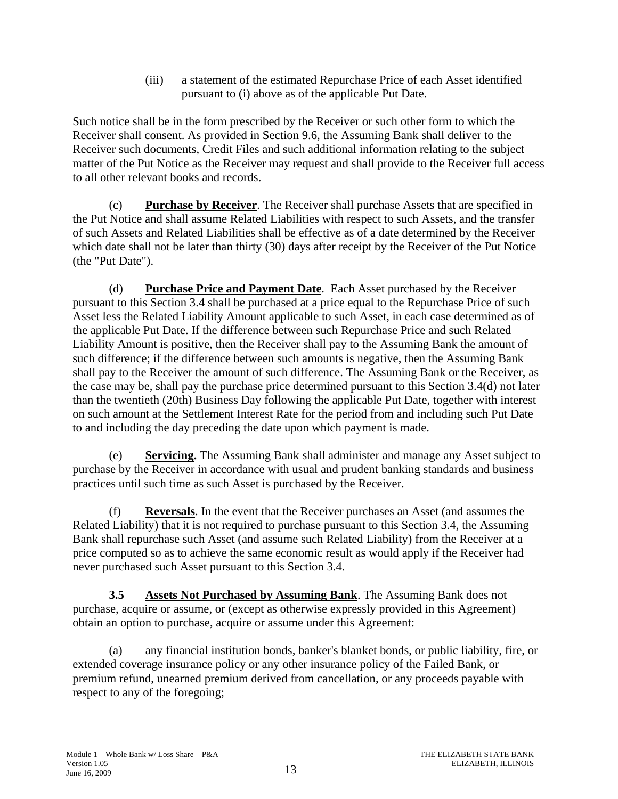(iii) a statement of the estimated Repurchase Price of each Asset identified pursuant to (i) above as of the applicable Put Date.

Such notice shall be in the form prescribed by the Receiver or such other form to which the Receiver shall consent. As provided in Section 9.6, the Assuming Bank shall deliver to the Receiver such documents, Credit Files and such additional information relating to the subject matter of the Put Notice as the Receiver may request and shall provide to the Receiver full access to all other relevant books and records.

(c) **Purchase by Receiver**. The Receiver shall purchase Assets that are specified in the Put Notice and shall assume Related Liabilities with respect to such Assets, and the transfer of such Assets and Related Liabilities shall be effective as of a date determined by the Receiver which date shall not be later than thirty (30) days after receipt by the Receiver of the Put Notice (the "Put Date").

(d) **Purchase Price and Payment Date**. Each Asset purchased by the Receiver pursuant to this Section 3.4 shall be purchased at a price equal to the Repurchase Price of such Asset less the Related Liability Amount applicable to such Asset, in each case determined as of the applicable Put Date. If the difference between such Repurchase Price and such Related Liability Amount is positive, then the Receiver shall pay to the Assuming Bank the amount of such difference; if the difference between such amounts is negative, then the Assuming Bank shall pay to the Receiver the amount of such difference. The Assuming Bank or the Receiver, as the case may be, shall pay the purchase price determined pursuant to this Section 3.4(d) not later than the twentieth (20th) Business Day following the applicable Put Date, together with interest on such amount at the Settlement Interest Rate for the period from and including such Put Date to and including the day preceding the date upon which payment is made.

(e) **Servicing.** The Assuming Bank shall administer and manage any Asset subject to purchase by the Receiver in accordance with usual and prudent banking standards and business practices until such time as such Asset is purchased by the Receiver.

(f) **Reversals**. In the event that the Receiver purchases an Asset (and assumes the Related Liability) that it is not required to purchase pursuant to this Section 3.4, the Assuming Bank shall repurchase such Asset (and assume such Related Liability) from the Receiver at a price computed so as to achieve the same economic result as would apply if the Receiver had never purchased such Asset pursuant to this Section 3.4.

<span id="page-16-0"></span>**3.5 Assets Not Purchased by Assuming Bank**. The Assuming Bank does not purchase, acquire or assume, or (except as otherwise expressly provided in this Agreement) obtain an option to purchase, acquire or assume under this Agreement:

(a) any financial institution bonds, banker's blanket bonds, or public liability, fire, or extended coverage insurance policy or any other insurance policy of the Failed Bank, or premium refund, unearned premium derived from cancellation, or any proceeds payable with respect to any of the foregoing;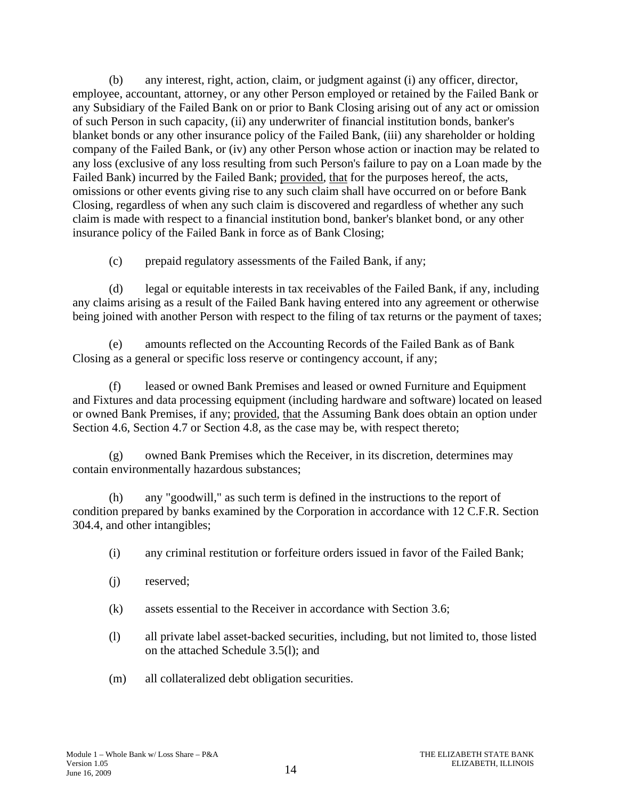(b) any interest, right, action, claim, or judgment against (i) any officer, director, employee, accountant, attorney, or any other Person employed or retained by the Failed Bank or any Subsidiary of the Failed Bank on or prior to Bank Closing arising out of any act or omission of such Person in such capacity, (ii) any underwriter of financial institution bonds, banker's blanket bonds or any other insurance policy of the Failed Bank, (iii) any shareholder or holding company of the Failed Bank, or (iv) any other Person whose action or inaction may be related to any loss (exclusive of any loss resulting from such Person's failure to pay on a Loan made by the Failed Bank) incurred by the Failed Bank; provided, that for the purposes hereof, the acts, omissions or other events giving rise to any such claim shall have occurred on or before Bank Closing, regardless of when any such claim is discovered and regardless of whether any such claim is made with respect to a financial institution bond, banker's blanket bond, or any other insurance policy of the Failed Bank in force as of Bank Closing;

(c) prepaid regulatory assessments of the Failed Bank, if any;

(d) legal or equitable interests in tax receivables of the Failed Bank, if any, including any claims arising as a result of the Failed Bank having entered into any agreement or otherwise being joined with another Person with respect to the filing of tax returns or the payment of taxes;

(e) amounts reflected on the Accounting Records of the Failed Bank as of Bank Closing as a general or specific loss reserve or contingency account, if any;

(f) leased or owned Bank Premises and leased or owned Furniture and Equipment and Fixtures and data processing equipment (including hardware and software) located on leased or owned Bank Premises, if any; provided, that the Assuming Bank does obtain an option under Section 4.6, Section 4.7 or Section 4.8, as the case may be, with respect thereto;

(g) owned Bank Premises which the Receiver, in its discretion, determines may contain environmentally hazardous substances;

(h) any "goodwill," as such term is defined in the instructions to the report of condition prepared by banks examined by the Corporation in accordance with 12 C.F.R. Section 304.4, and other intangibles;

- (i) any criminal restitution or forfeiture orders issued in favor of the Failed Bank;
- (j) reserved;
- (k) assets essential to the Receiver in accordance with Section 3.6;
- (l) all private label asset-backed securities, including, but not limited to, those listed on the attached Schedule 3.5(l); and
- (m) all collateralized debt obligation securities.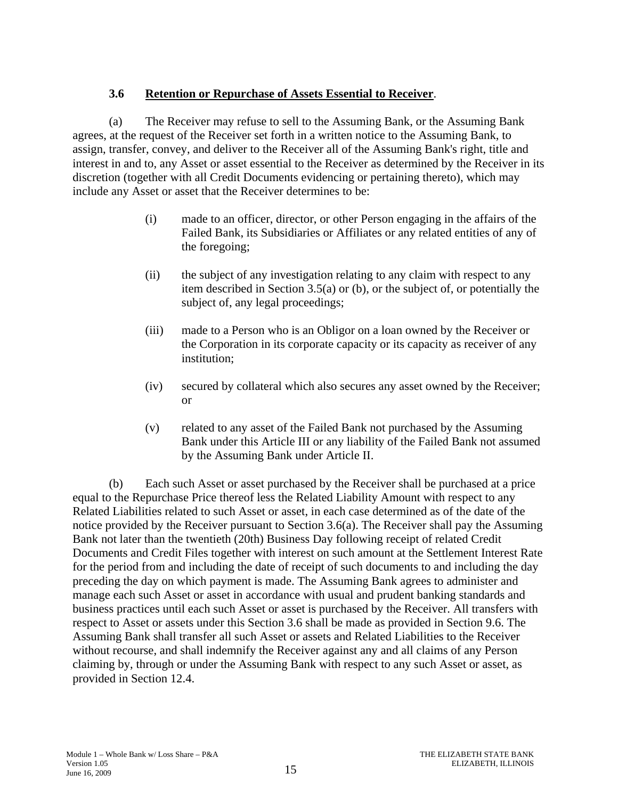## **3.6 Retention or Repurchase of Assets Essential to Receiver**.

<span id="page-18-0"></span>(a) The Receiver may refuse to sell to the Assuming Bank, or the Assuming Bank agrees, at the request of the Receiver set forth in a written notice to the Assuming Bank, to assign, transfer, convey, and deliver to the Receiver all of the Assuming Bank's right, title and interest in and to, any Asset or asset essential to the Receiver as determined by the Receiver in its discretion (together with all Credit Documents evidencing or pertaining thereto), which may include any Asset or asset that the Receiver determines to be:

- (i) made to an officer, director, or other Person engaging in the affairs of the Failed Bank, its Subsidiaries or Affiliates or any related entities of any of the foregoing;
- (ii) the subject of any investigation relating to any claim with respect to any item described in Section 3.5(a) or (b), or the subject of, or potentially the subject of, any legal proceedings;
- (iii) made to a Person who is an Obligor on a loan owned by the Receiver or the Corporation in its corporate capacity or its capacity as receiver of any institution;
- (iv) secured by collateral which also secures any asset owned by the Receiver; or
- (v) related to any asset of the Failed Bank not purchased by the Assuming Bank under this Article III or any liability of the Failed Bank not assumed by the Assuming Bank under Article II.

(b) Each such Asset or asset purchased by the Receiver shall be purchased at a price equal to the Repurchase Price thereof less the Related Liability Amount with respect to any Related Liabilities related to such Asset or asset, in each case determined as of the date of the notice provided by the Receiver pursuant to Section 3.6(a). The Receiver shall pay the Assuming Bank not later than the twentieth (20th) Business Day following receipt of related Credit Documents and Credit Files together with interest on such amount at the Settlement Interest Rate for the period from and including the date of receipt of such documents to and including the day preceding the day on which payment is made. The Assuming Bank agrees to administer and manage each such Asset or asset in accordance with usual and prudent banking standards and business practices until each such Asset or asset is purchased by the Receiver. All transfers with respect to Asset or assets under this Section 3.6 shall be made as provided in Section 9.6. The Assuming Bank shall transfer all such Asset or assets and Related Liabilities to the Receiver without recourse, and shall indemnify the Receiver against any and all claims of any Person claiming by, through or under the Assuming Bank with respect to any such Asset or asset, as provided in Section 12.4.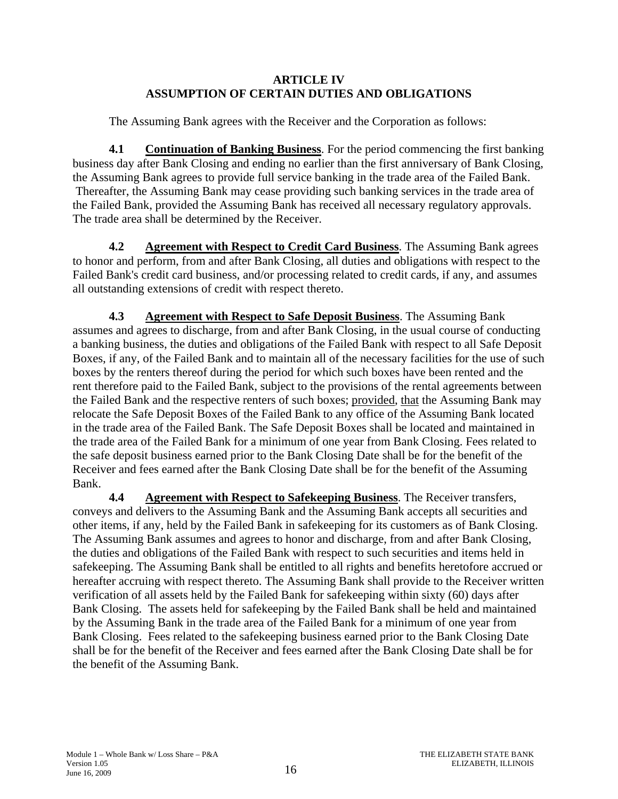#### **ARTICLE IV ASSUMPTION OF CERTAIN DUTIES AND OBLIGATIONS**

The Assuming Bank agrees with the Receiver and the Corporation as follows:

<span id="page-19-1"></span><span id="page-19-0"></span>**4.1** Continuation of Banking Business. For the period commencing the first banking business day after Bank Closing and ending no earlier than the first anniversary of Bank Closing, the Assuming Bank agrees to provide full service banking in the trade area of the Failed Bank. Thereafter, the Assuming Bank may cease providing such banking services in the trade area of the Failed Bank, provided the Assuming Bank has received all necessary regulatory approvals. The trade area shall be determined by the Receiver.

<span id="page-19-2"></span>**4.2 Agreement with Respect to Credit Card Business**. The Assuming Bank agrees to honor and perform, from and after Bank Closing, all duties and obligations with respect to the Failed Bank's credit card business, and/or processing related to credit cards, if any, and assumes all outstanding extensions of credit with respect thereto.

**4.3** Agreement with Respect to Safe Deposit Business. The Assuming Bank assumes and agrees to discharge, from and after Bank Closing, in the usual course of conducting a banking business, the duties and obligations of the Failed Bank with respect to all Safe Deposit Boxes, if any, of the Failed Bank and to maintain all of the necessary facilities for the use of such boxes by the renters thereof during the period for which such boxes have been rented and the rent therefore paid to the Failed Bank, subject to the provisions of the rental agreements between the Failed Bank and the respective renters of such boxes; provided, that the Assuming Bank may relocate the Safe Deposit Boxes of the Failed Bank to any office of the Assuming Bank located in the trade area of the Failed Bank. The Safe Deposit Boxes shall be located and maintained in the trade area of the Failed Bank for a minimum of one year from Bank Closing. Fees related to the safe deposit business earned prior to the Bank Closing Date shall be for the benefit of the Receiver and fees earned after the Bank Closing Date shall be for the benefit of the Assuming Bank.

<span id="page-19-3"></span>**4.4 Agreement with Respect to Safekeeping Business**. The Receiver transfers, conveys and delivers to the Assuming Bank and the Assuming Bank accepts all securities and other items, if any, held by the Failed Bank in safekeeping for its customers as of Bank Closing. The Assuming Bank assumes and agrees to honor and discharge, from and after Bank Closing, the duties and obligations of the Failed Bank with respect to such securities and items held in safekeeping. The Assuming Bank shall be entitled to all rights and benefits heretofore accrued or hereafter accruing with respect thereto. The Assuming Bank shall provide to the Receiver written verification of all assets held by the Failed Bank for safekeeping within sixty (60) days after Bank Closing. The assets held for safekeeping by the Failed Bank shall be held and maintained by the Assuming Bank in the trade area of the Failed Bank for a minimum of one year from Bank Closing. Fees related to the safekeeping business earned prior to the Bank Closing Date shall be for the benefit of the Receiver and fees earned after the Bank Closing Date shall be for the benefit of the Assuming Bank.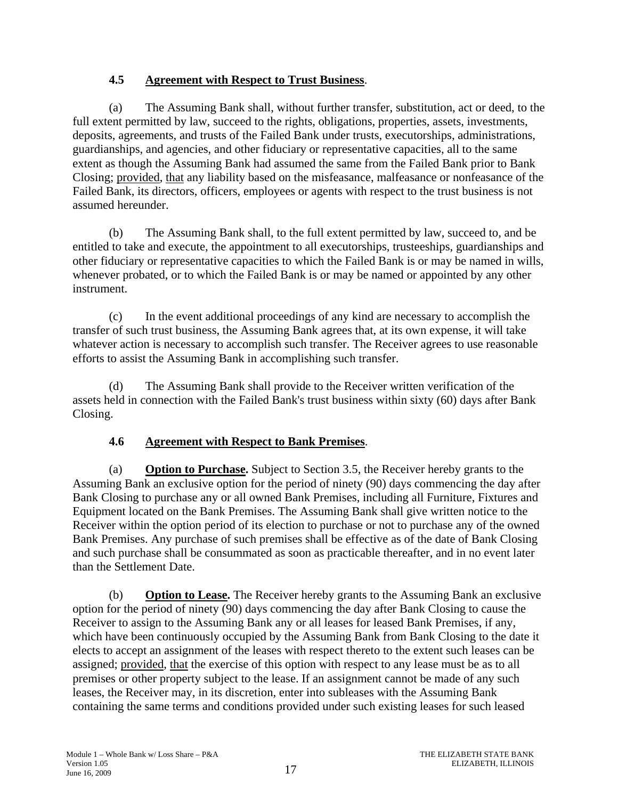## **4.5 Agreement with Respect to Trust Business**.

<span id="page-20-0"></span>(a) The Assuming Bank shall, without further transfer, substitution, act or deed, to the full extent permitted by law, succeed to the rights, obligations, properties, assets, investments, deposits, agreements, and trusts of the Failed Bank under trusts, executorships, administrations, guardianships, and agencies, and other fiduciary or representative capacities, all to the same extent as though the Assuming Bank had assumed the same from the Failed Bank prior to Bank Closing; provided, that any liability based on the misfeasance, malfeasance or nonfeasance of the Failed Bank, its directors, officers, employees or agents with respect to the trust business is not assumed hereunder.

(b) The Assuming Bank shall, to the full extent permitted by law, succeed to, and be entitled to take and execute, the appointment to all executorships, trusteeships, guardianships and other fiduciary or representative capacities to which the Failed Bank is or may be named in wills, whenever probated, or to which the Failed Bank is or may be named or appointed by any other instrument.

(c) In the event additional proceedings of any kind are necessary to accomplish the transfer of such trust business, the Assuming Bank agrees that, at its own expense, it will take whatever action is necessary to accomplish such transfer. The Receiver agrees to use reasonable efforts to assist the Assuming Bank in accomplishing such transfer.

(d) The Assuming Bank shall provide to the Receiver written verification of the assets held in connection with the Failed Bank's trust business within sixty (60) days after Bank Closing.

# **4.6 Agreement with Respect to Bank Premises**.

<span id="page-20-1"></span>(a) **Option to Purchase.** Subject to Section 3.5, the Receiver hereby grants to the Assuming Bank an exclusive option for the period of ninety (90) days commencing the day after Bank Closing to purchase any or all owned Bank Premises, including all Furniture, Fixtures and Equipment located on the Bank Premises. The Assuming Bank shall give written notice to the Receiver within the option period of its election to purchase or not to purchase any of the owned Bank Premises. Any purchase of such premises shall be effective as of the date of Bank Closing and such purchase shall be consummated as soon as practicable thereafter, and in no event later than the Settlement Date.

(b) **Option to Lease.** The Receiver hereby grants to the Assuming Bank an exclusive option for the period of ninety (90) days commencing the day after Bank Closing to cause the Receiver to assign to the Assuming Bank any or all leases for leased Bank Premises, if any, which have been continuously occupied by the Assuming Bank from Bank Closing to the date it elects to accept an assignment of the leases with respect thereto to the extent such leases can be assigned; provided, that the exercise of this option with respect to any lease must be as to all premises or other property subject to the lease. If an assignment cannot be made of any such leases, the Receiver may, in its discretion, enter into subleases with the Assuming Bank containing the same terms and conditions provided under such existing leases for such leased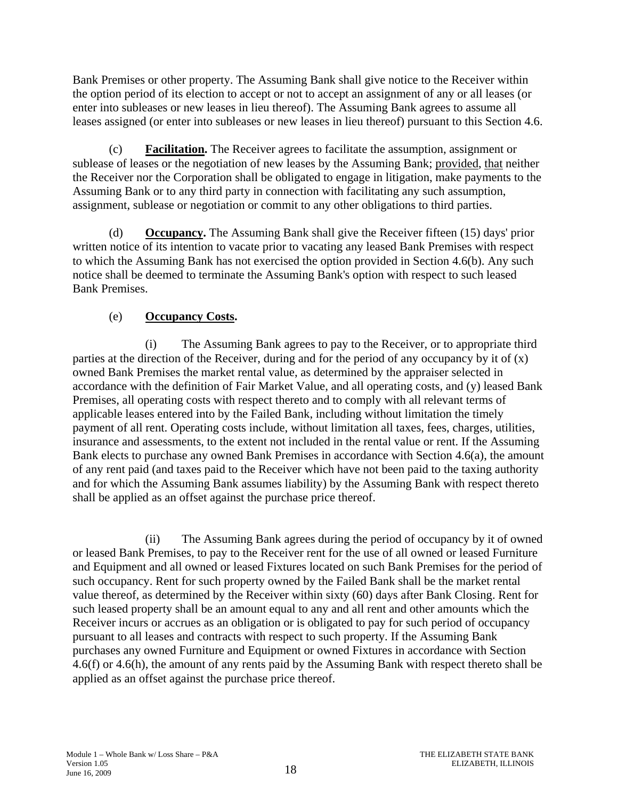Bank Premises or other property. The Assuming Bank shall give notice to the Receiver within the option period of its election to accept or not to accept an assignment of any or all leases (or enter into subleases or new leases in lieu thereof). The Assuming Bank agrees to assume all leases assigned (or enter into subleases or new leases in lieu thereof) pursuant to this Section 4.6.

(c) **Facilitation.** The Receiver agrees to facilitate the assumption, assignment or sublease of leases or the negotiation of new leases by the Assuming Bank; provided, that neither the Receiver nor the Corporation shall be obligated to engage in litigation, make payments to the Assuming Bank or to any third party in connection with facilitating any such assumption, assignment, sublease or negotiation or commit to any other obligations to third parties.

(d) **Occupancy.** The Assuming Bank shall give the Receiver fifteen (15) days' prior written notice of its intention to vacate prior to vacating any leased Bank Premises with respect to which the Assuming Bank has not exercised the option provided in Section 4.6(b). Any such notice shall be deemed to terminate the Assuming Bank's option with respect to such leased Bank Premises.

## (e) **Occupancy Costs.**

(i) The Assuming Bank agrees to pay to the Receiver, or to appropriate third parties at the direction of the Receiver, during and for the period of any occupancy by it of (x) owned Bank Premises the market rental value, as determined by the appraiser selected in accordance with the definition of Fair Market Value, and all operating costs, and (y) leased Bank Premises, all operating costs with respect thereto and to comply with all relevant terms of applicable leases entered into by the Failed Bank, including without limitation the timely payment of all rent. Operating costs include, without limitation all taxes, fees, charges, utilities, insurance and assessments, to the extent not included in the rental value or rent. If the Assuming Bank elects to purchase any owned Bank Premises in accordance with Section 4.6(a), the amount of any rent paid (and taxes paid to the Receiver which have not been paid to the taxing authority and for which the Assuming Bank assumes liability) by the Assuming Bank with respect thereto shall be applied as an offset against the purchase price thereof.

(ii) The Assuming Bank agrees during the period of occupancy by it of owned or leased Bank Premises, to pay to the Receiver rent for the use of all owned or leased Furniture and Equipment and all owned or leased Fixtures located on such Bank Premises for the period of such occupancy. Rent for such property owned by the Failed Bank shall be the market rental value thereof, as determined by the Receiver within sixty (60) days after Bank Closing. Rent for such leased property shall be an amount equal to any and all rent and other amounts which the Receiver incurs or accrues as an obligation or is obligated to pay for such period of occupancy pursuant to all leases and contracts with respect to such property. If the Assuming Bank purchases any owned Furniture and Equipment or owned Fixtures in accordance with Section 4.6(f) or 4.6(h), the amount of any rents paid by the Assuming Bank with respect thereto shall be applied as an offset against the purchase price thereof.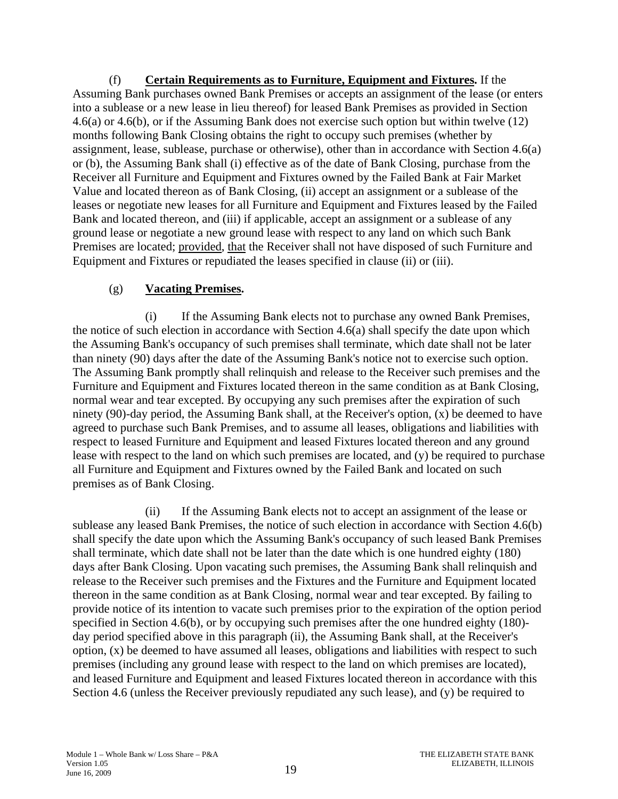(f) **Certain Requirements as to Furniture, Equipment and Fixtures.** If the Assuming Bank purchases owned Bank Premises or accepts an assignment of the lease (or enters into a sublease or a new lease in lieu thereof) for leased Bank Premises as provided in Section 4.6(a) or 4.6(b), or if the Assuming Bank does not exercise such option but within twelve (12) months following Bank Closing obtains the right to occupy such premises (whether by assignment, lease, sublease, purchase or otherwise), other than in accordance with Section 4.6(a) or (b), the Assuming Bank shall (i) effective as of the date of Bank Closing, purchase from the Receiver all Furniture and Equipment and Fixtures owned by the Failed Bank at Fair Market Value and located thereon as of Bank Closing, (ii) accept an assignment or a sublease of the leases or negotiate new leases for all Furniture and Equipment and Fixtures leased by the Failed Bank and located thereon, and (iii) if applicable, accept an assignment or a sublease of any ground lease or negotiate a new ground lease with respect to any land on which such Bank Premises are located; provided, that the Receiver shall not have disposed of such Furniture and Equipment and Fixtures or repudiated the leases specified in clause (ii) or (iii).

## (g) **Vacating Premises.**

(i) If the Assuming Bank elects not to purchase any owned Bank Premises, the notice of such election in accordance with Section 4.6(a) shall specify the date upon which the Assuming Bank's occupancy of such premises shall terminate, which date shall not be later than ninety (90) days after the date of the Assuming Bank's notice not to exercise such option. The Assuming Bank promptly shall relinquish and release to the Receiver such premises and the Furniture and Equipment and Fixtures located thereon in the same condition as at Bank Closing, normal wear and tear excepted. By occupying any such premises after the expiration of such ninety (90)-day period, the Assuming Bank shall, at the Receiver's option, (x) be deemed to have agreed to purchase such Bank Premises, and to assume all leases, obligations and liabilities with respect to leased Furniture and Equipment and leased Fixtures located thereon and any ground lease with respect to the land on which such premises are located, and (y) be required to purchase all Furniture and Equipment and Fixtures owned by the Failed Bank and located on such premises as of Bank Closing.

(ii) If the Assuming Bank elects not to accept an assignment of the lease or sublease any leased Bank Premises, the notice of such election in accordance with Section 4.6(b) shall specify the date upon which the Assuming Bank's occupancy of such leased Bank Premises shall terminate, which date shall not be later than the date which is one hundred eighty (180) days after Bank Closing. Upon vacating such premises, the Assuming Bank shall relinquish and release to the Receiver such premises and the Fixtures and the Furniture and Equipment located thereon in the same condition as at Bank Closing, normal wear and tear excepted. By failing to provide notice of its intention to vacate such premises prior to the expiration of the option period specified in Section 4.6(b), or by occupying such premises after the one hundred eighty (180) day period specified above in this paragraph (ii), the Assuming Bank shall, at the Receiver's option, (x) be deemed to have assumed all leases, obligations and liabilities with respect to such premises (including any ground lease with respect to the land on which premises are located), and leased Furniture and Equipment and leased Fixtures located thereon in accordance with this Section 4.6 (unless the Receiver previously repudiated any such lease), and (y) be required to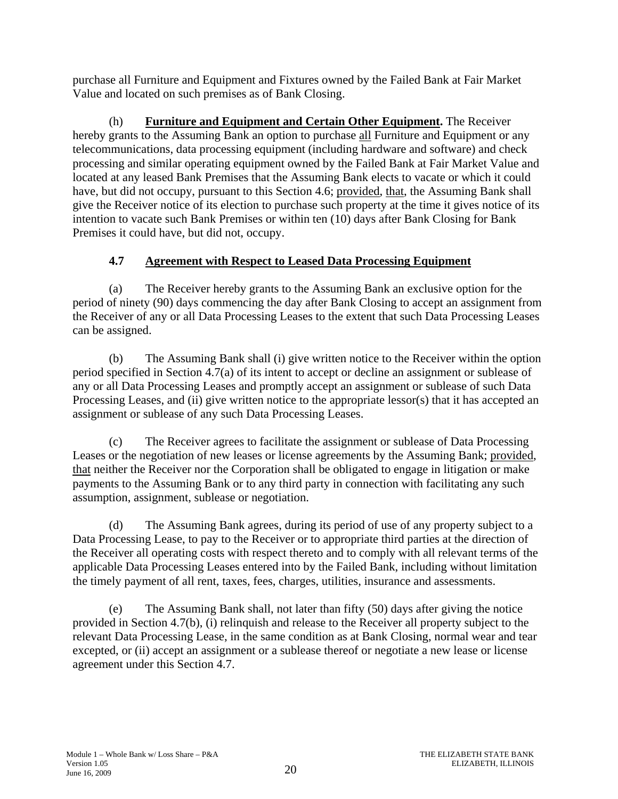purchase all Furniture and Equipment and Fixtures owned by the Failed Bank at Fair Market Value and located on such premises as of Bank Closing.

(h) **Furniture and Equipment and Certain Other Equipment.** The Receiver hereby grants to the Assuming Bank an option to purchase all Furniture and Equipment or any telecommunications, data processing equipment (including hardware and software) and check processing and similar operating equipment owned by the Failed Bank at Fair Market Value and located at any leased Bank Premises that the Assuming Bank elects to vacate or which it could have, but did not occupy, pursuant to this Section 4.6; provided, that, the Assuming Bank shall give the Receiver notice of its election to purchase such property at the time it gives notice of its intention to vacate such Bank Premises or within ten (10) days after Bank Closing for Bank Premises it could have, but did not, occupy.

# **4.7 Agreement with Respect to Leased Data Processing Equipment**

<span id="page-23-0"></span>(a) The Receiver hereby grants to the Assuming Bank an exclusive option for the period of ninety (90) days commencing the day after Bank Closing to accept an assignment from the Receiver of any or all Data Processing Leases to the extent that such Data Processing Leases can be assigned.

(b) The Assuming Bank shall (i) give written notice to the Receiver within the option period specified in Section 4.7(a) of its intent to accept or decline an assignment or sublease of any or all Data Processing Leases and promptly accept an assignment or sublease of such Data Processing Leases, and (ii) give written notice to the appropriate lessor(s) that it has accepted an assignment or sublease of any such Data Processing Leases.

(c) The Receiver agrees to facilitate the assignment or sublease of Data Processing Leases or the negotiation of new leases or license agreements by the Assuming Bank; provided, that neither the Receiver nor the Corporation shall be obligated to engage in litigation or make payments to the Assuming Bank or to any third party in connection with facilitating any such assumption, assignment, sublease or negotiation.

(d) The Assuming Bank agrees, during its period of use of any property subject to a Data Processing Lease, to pay to the Receiver or to appropriate third parties at the direction of the Receiver all operating costs with respect thereto and to comply with all relevant terms of the applicable Data Processing Leases entered into by the Failed Bank, including without limitation the timely payment of all rent, taxes, fees, charges, utilities, insurance and assessments.

(e) The Assuming Bank shall, not later than fifty (50) days after giving the notice provided in Section 4.7(b), (i) relinquish and release to the Receiver all property subject to the relevant Data Processing Lease, in the same condition as at Bank Closing, normal wear and tear excepted, or (ii) accept an assignment or a sublease thereof or negotiate a new lease or license agreement under this Section 4.7.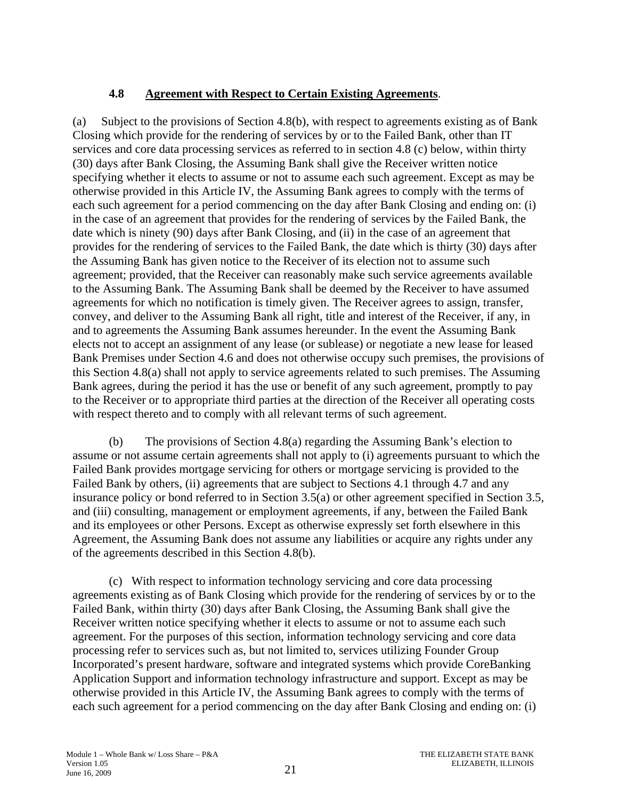## **4.8 Agreement with Respect to Certain Existing Agreements**.

<span id="page-24-0"></span>(a) Subject to the provisions of Section 4.8(b), with respect to agreements existing as of Bank Closing which provide for the rendering of services by or to the Failed Bank, other than IT services and core data processing services as referred to in section 4.8 (c) below, within thirty (30) days after Bank Closing, the Assuming Bank shall give the Receiver written notice specifying whether it elects to assume or not to assume each such agreement. Except as may be otherwise provided in this Article IV, the Assuming Bank agrees to comply with the terms of each such agreement for a period commencing on the day after Bank Closing and ending on: (i) in the case of an agreement that provides for the rendering of services by the Failed Bank, the date which is ninety (90) days after Bank Closing, and (ii) in the case of an agreement that provides for the rendering of services to the Failed Bank, the date which is thirty (30) days after the Assuming Bank has given notice to the Receiver of its election not to assume such agreement; provided, that the Receiver can reasonably make such service agreements available to the Assuming Bank. The Assuming Bank shall be deemed by the Receiver to have assumed agreements for which no notification is timely given. The Receiver agrees to assign, transfer, convey, and deliver to the Assuming Bank all right, title and interest of the Receiver, if any, in and to agreements the Assuming Bank assumes hereunder. In the event the Assuming Bank elects not to accept an assignment of any lease (or sublease) or negotiate a new lease for leased Bank Premises under Section 4.6 and does not otherwise occupy such premises, the provisions of this Section 4.8(a) shall not apply to service agreements related to such premises. The Assuming Bank agrees, during the period it has the use or benefit of any such agreement, promptly to pay to the Receiver or to appropriate third parties at the direction of the Receiver all operating costs with respect thereto and to comply with all relevant terms of such agreement.

(b) The provisions of Section 4.8(a) regarding the Assuming Bank's election to assume or not assume certain agreements shall not apply to (i) agreements pursuant to which the Failed Bank provides mortgage servicing for others or mortgage servicing is provided to the Failed Bank by others, (ii) agreements that are subject to Sections 4.1 through 4.7 and any insurance policy or bond referred to in Section 3.5(a) or other agreement specified in Section 3.5, and (iii) consulting, management or employment agreements, if any, between the Failed Bank and its employees or other Persons. Except as otherwise expressly set forth elsewhere in this Agreement, the Assuming Bank does not assume any liabilities or acquire any rights under any of the agreements described in this Section 4.8(b).

(c) With respect to information technology servicing and core data processing agreements existing as of Bank Closing which provide for the rendering of services by or to the Failed Bank, within thirty (30) days after Bank Closing, the Assuming Bank shall give the Receiver written notice specifying whether it elects to assume or not to assume each such agreement. For the purposes of this section, information technology servicing and core data processing refer to services such as, but not limited to, services utilizing Founder Group Incorporated's present hardware, software and integrated systems which provide CoreBanking Application Support and information technology infrastructure and support. Except as may be otherwise provided in this Article IV, the Assuming Bank agrees to comply with the terms of each such agreement for a period commencing on the day after Bank Closing and ending on: (i)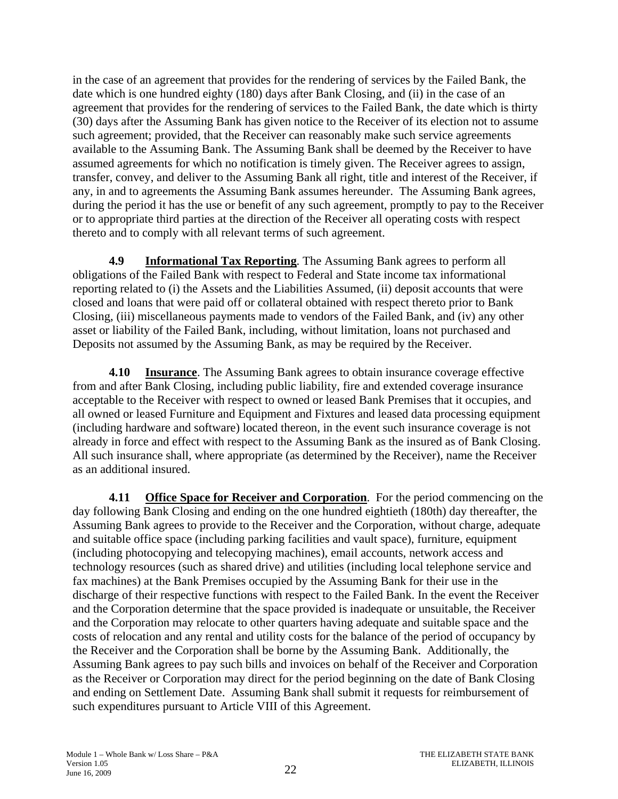in the case of an agreement that provides for the rendering of services by the Failed Bank, the date which is one hundred eighty (180) days after Bank Closing, and (ii) in the case of an agreement that provides for the rendering of services to the Failed Bank, the date which is thirty (30) days after the Assuming Bank has given notice to the Receiver of its election not to assume such agreement; provided, that the Receiver can reasonably make such service agreements available to the Assuming Bank. The Assuming Bank shall be deemed by the Receiver to have assumed agreements for which no notification is timely given. The Receiver agrees to assign, transfer, convey, and deliver to the Assuming Bank all right, title and interest of the Receiver, if any, in and to agreements the Assuming Bank assumes hereunder. The Assuming Bank agrees, during the period it has the use or benefit of any such agreement, promptly to pay to the Receiver or to appropriate third parties at the direction of the Receiver all operating costs with respect thereto and to comply with all relevant terms of such agreement.

<span id="page-25-0"></span>**4.9** Informational Tax Reporting. The Assuming Bank agrees to perform all obligations of the Failed Bank with respect to Federal and State income tax informational reporting related to (i) the Assets and the Liabilities Assumed, (ii) deposit accounts that were closed and loans that were paid off or collateral obtained with respect thereto prior to Bank Closing, (iii) miscellaneous payments made to vendors of the Failed Bank, and (iv) any other asset or liability of the Failed Bank, including, without limitation, loans not purchased and Deposits not assumed by the Assuming Bank, as may be required by the Receiver.

<span id="page-25-1"></span>**4.10 Insurance**. The Assuming Bank agrees to obtain insurance coverage effective from and after Bank Closing, including public liability, fire and extended coverage insurance acceptable to the Receiver with respect to owned or leased Bank Premises that it occupies, and all owned or leased Furniture and Equipment and Fixtures and leased data processing equipment (including hardware and software) located thereon, in the event such insurance coverage is not already in force and effect with respect to the Assuming Bank as the insured as of Bank Closing. All such insurance shall, where appropriate (as determined by the Receiver), name the Receiver as an additional insured.

<span id="page-25-2"></span>**4.11 Office Space for Receiver and Corporation**. For the period commencing on the day following Bank Closing and ending on the one hundred eightieth (180th) day thereafter, the Assuming Bank agrees to provide to the Receiver and the Corporation, without charge, adequate and suitable office space (including parking facilities and vault space), furniture, equipment (including photocopying and telecopying machines), email accounts, network access and technology resources (such as shared drive) and utilities (including local telephone service and fax machines) at the Bank Premises occupied by the Assuming Bank for their use in the discharge of their respective functions with respect to the Failed Bank. In the event the Receiver and the Corporation determine that the space provided is inadequate or unsuitable, the Receiver and the Corporation may relocate to other quarters having adequate and suitable space and the costs of relocation and any rental and utility costs for the balance of the period of occupancy by the Receiver and the Corporation shall be borne by the Assuming Bank. Additionally, the Assuming Bank agrees to pay such bills and invoices on behalf of the Receiver and Corporation as the Receiver or Corporation may direct for the period beginning on the date of Bank Closing and ending on Settlement Date. Assuming Bank shall submit it requests for reimbursement of such expenditures pursuant to Article VIII of this Agreement.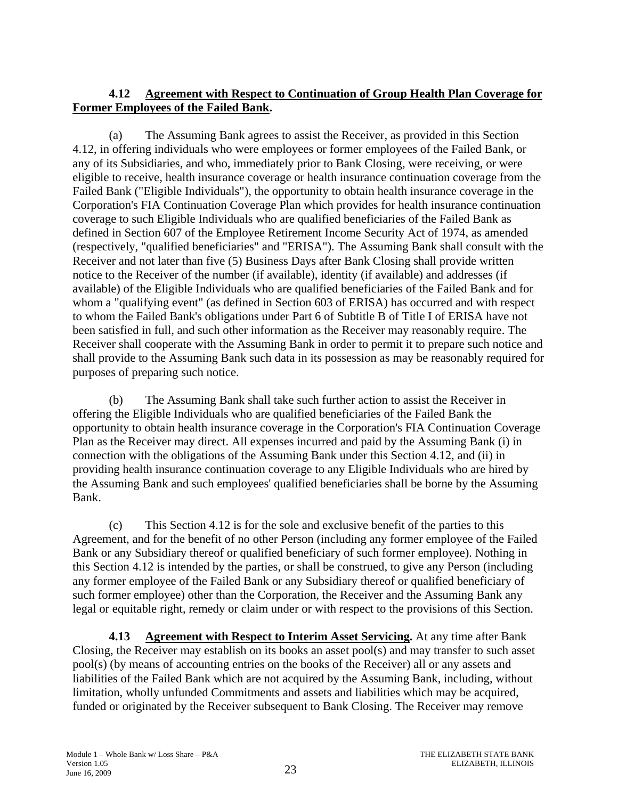## <span id="page-26-0"></span> **4.12 Agreement with Respect to Continuation of Group Health Plan Coverage for Former Employees of the Failed Bank.**

(a) The Assuming Bank agrees to assist the Receiver, as provided in this Section 4.12, in offering individuals who were employees or former employees of the Failed Bank, or any of its Subsidiaries, and who, immediately prior to Bank Closing, were receiving, or were eligible to receive, health insurance coverage or health insurance continuation coverage from the Failed Bank ("Eligible Individuals"), the opportunity to obtain health insurance coverage in the Corporation's FIA Continuation Coverage Plan which provides for health insurance continuation coverage to such Eligible Individuals who are qualified beneficiaries of the Failed Bank as defined in Section 607 of the Employee Retirement Income Security Act of 1974, as amended (respectively, "qualified beneficiaries" and "ERISA"). The Assuming Bank shall consult with the Receiver and not later than five (5) Business Days after Bank Closing shall provide written notice to the Receiver of the number (if available), identity (if available) and addresses (if available) of the Eligible Individuals who are qualified beneficiaries of the Failed Bank and for whom a "qualifying event" (as defined in Section 603 of ERISA) has occurred and with respect to whom the Failed Bank's obligations under Part 6 of Subtitle B of Title I of ERISA have not been satisfied in full, and such other information as the Receiver may reasonably require. The Receiver shall cooperate with the Assuming Bank in order to permit it to prepare such notice and shall provide to the Assuming Bank such data in its possession as may be reasonably required for purposes of preparing such notice.

(b) The Assuming Bank shall take such further action to assist the Receiver in offering the Eligible Individuals who are qualified beneficiaries of the Failed Bank the opportunity to obtain health insurance coverage in the Corporation's FIA Continuation Coverage Plan as the Receiver may direct. All expenses incurred and paid by the Assuming Bank (i) in connection with the obligations of the Assuming Bank under this Section 4.12, and (ii) in providing health insurance continuation coverage to any Eligible Individuals who are hired by the Assuming Bank and such employees' qualified beneficiaries shall be borne by the Assuming Bank.

(c) This Section 4.12 is for the sole and exclusive benefit of the parties to this Agreement, and for the benefit of no other Person (including any former employee of the Failed Bank or any Subsidiary thereof or qualified beneficiary of such former employee). Nothing in this Section 4.12 is intended by the parties, or shall be construed, to give any Person (including any former employee of the Failed Bank or any Subsidiary thereof or qualified beneficiary of such former employee) other than the Corporation, the Receiver and the Assuming Bank any legal or equitable right, remedy or claim under or with respect to the provisions of this Section.

<span id="page-26-1"></span>**4.13 Agreement with Respect to Interim Asset Servicing.** At any time after Bank Closing, the Receiver may establish on its books an asset pool(s) and may transfer to such asset pool(s) (by means of accounting entries on the books of the Receiver) all or any assets and liabilities of the Failed Bank which are not acquired by the Assuming Bank, including, without limitation, wholly unfunded Commitments and assets and liabilities which may be acquired, funded or originated by the Receiver subsequent to Bank Closing. The Receiver may remove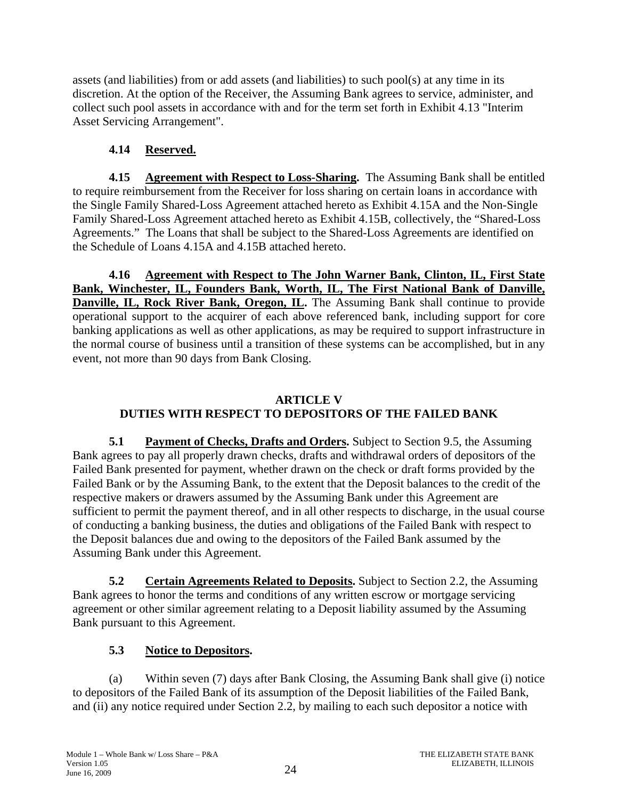assets (and liabilities) from or add assets (and liabilities) to such pool(s) at any time in its discretion. At the option of the Receiver, the Assuming Bank agrees to service, administer, and collect such pool assets in accordance with and for the term set forth in Exhibit 4.13 "Interim Asset Servicing Arrangement".

# **4.14 Reserved.**

**4.15 Agreement with Respect to Loss-Sharing.** The Assuming Bank shall be entitled to require reimbursement from the Receiver for loss sharing on certain loans in accordance with the Single Family Shared-Loss Agreement attached hereto as Exhibit 4.15A and the Non-Single Family Shared-Loss Agreement attached hereto as Exhibit 4.15B, collectively, the "Shared-Loss Agreements." The Loans that shall be subject to the Shared-Loss Agreements are identified on the Schedule of Loans 4.15A and 4.15B attached hereto.

**4.16 Agreement with Respect to The John Warner Bank, Clinton, IL, First State Bank, Winchester, IL, Founders Bank, Worth, IL, The First National Bank of Danville, Danville, IL, Rock River Bank, Oregon, IL.** The Assuming Bank shall continue to provide operational support to the acquirer of each above referenced bank, including support for core banking applications as well as other applications, as may be required to support infrastructure in the normal course of business until a transition of these systems can be accomplished, but in any event, not more than 90 days from Bank Closing.

## **ARTICLE V DUTIES WITH RESPECT TO DEPOSITORS OF THE FAILED BANK**

<span id="page-27-1"></span><span id="page-27-0"></span>**5.1 Payment of Checks, Drafts and Orders.** Subject to Section 9.5, the Assuming Bank agrees to pay all properly drawn checks, drafts and withdrawal orders of depositors of the Failed Bank presented for payment, whether drawn on the check or draft forms provided by the Failed Bank or by the Assuming Bank, to the extent that the Deposit balances to the credit of the respective makers or drawers assumed by the Assuming Bank under this Agreement are sufficient to permit the payment thereof, and in all other respects to discharge, in the usual course of conducting a banking business, the duties and obligations of the Failed Bank with respect to the Deposit balances due and owing to the depositors of the Failed Bank assumed by the Assuming Bank under this Agreement.

<span id="page-27-2"></span>**5.2** Certain Agreements Related to Deposits. Subject to Section 2.2, the Assuming Bank agrees to honor the terms and conditions of any written escrow or mortgage servicing agreement or other similar agreement relating to a Deposit liability assumed by the Assuming Bank pursuant to this Agreement.

# **5.3 Notice to Depositors.**

<span id="page-27-3"></span>(a) Within seven (7) days after Bank Closing, the Assuming Bank shall give (i) notice to depositors of the Failed Bank of its assumption of the Deposit liabilities of the Failed Bank, and (ii) any notice required under Section 2.2, by mailing to each such depositor a notice with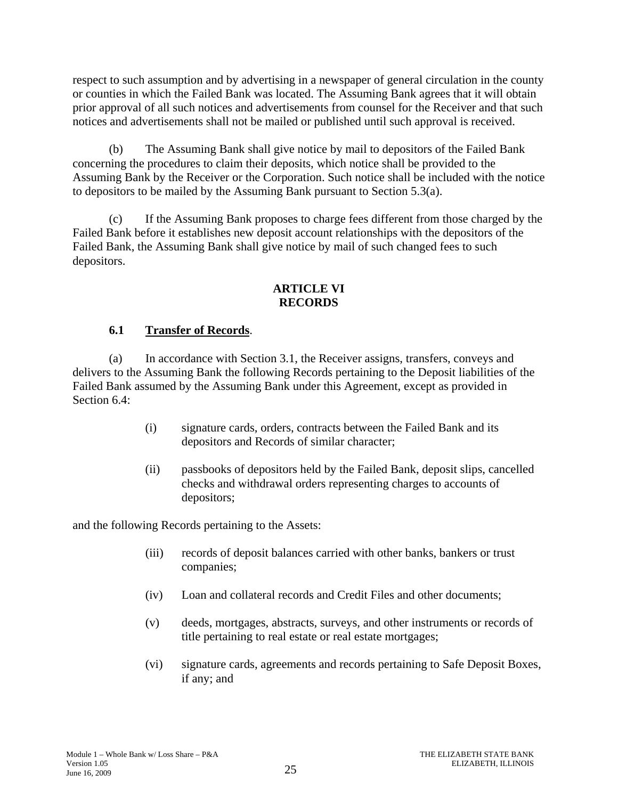respect to such assumption and by advertising in a newspaper of general circulation in the county or counties in which the Failed Bank was located. The Assuming Bank agrees that it will obtain prior approval of all such notices and advertisements from counsel for the Receiver and that such notices and advertisements shall not be mailed or published until such approval is received.

(b) The Assuming Bank shall give notice by mail to depositors of the Failed Bank concerning the procedures to claim their deposits, which notice shall be provided to the Assuming Bank by the Receiver or the Corporation. Such notice shall be included with the notice to depositors to be mailed by the Assuming Bank pursuant to Section 5.3(a).

(c) If the Assuming Bank proposes to charge fees different from those charged by the Failed Bank before it establishes new deposit account relationships with the depositors of the Failed Bank, the Assuming Bank shall give notice by mail of such changed fees to such depositors.

#### **ARTICLE VI RECORDS**

## **6.1 Transfer of Records**.

<span id="page-28-1"></span><span id="page-28-0"></span>(a) In accordance with Section 3.1, the Receiver assigns, transfers, conveys and delivers to the Assuming Bank the following Records pertaining to the Deposit liabilities of the Failed Bank assumed by the Assuming Bank under this Agreement, except as provided in Section 6.4:

- (i) signature cards, orders, contracts between the Failed Bank and its depositors and Records of similar character;
- (ii) passbooks of depositors held by the Failed Bank, deposit slips, cancelled checks and withdrawal orders representing charges to accounts of depositors;

and the following Records pertaining to the Assets:

- (iii) records of deposit balances carried with other banks, bankers or trust companies;
- (iv) Loan and collateral records and Credit Files and other documents;
- (v) deeds, mortgages, abstracts, surveys, and other instruments or records of title pertaining to real estate or real estate mortgages;
- (vi) signature cards, agreements and records pertaining to Safe Deposit Boxes, if any; and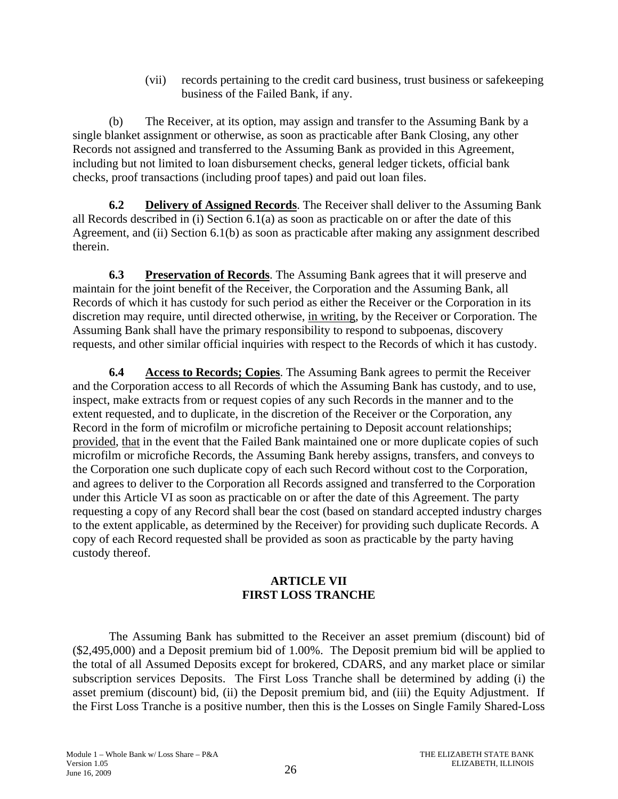(vii) records pertaining to the credit card business, trust business or safekeeping business of the Failed Bank, if any.

(b) The Receiver, at its option, may assign and transfer to the Assuming Bank by a single blanket assignment or otherwise, as soon as practicable after Bank Closing, any other Records not assigned and transferred to the Assuming Bank as provided in this Agreement, including but not limited to loan disbursement checks, general ledger tickets, official bank checks, proof transactions (including proof tapes) and paid out loan files.

<span id="page-29-0"></span>**6.2 Delivery of Assigned Records**. The Receiver shall deliver to the Assuming Bank all Records described in (i) Section 6.1(a) as soon as practicable on or after the date of this Agreement, and (ii) Section 6.1(b) as soon as practicable after making any assignment described therein.

<span id="page-29-1"></span>**6.3 Preservation of Records**. The Assuming Bank agrees that it will preserve and maintain for the joint benefit of the Receiver, the Corporation and the Assuming Bank, all Records of which it has custody for such period as either the Receiver or the Corporation in its discretion may require, until directed otherwise, in writing, by the Receiver or Corporation. The Assuming Bank shall have the primary responsibility to respond to subpoenas, discovery requests, and other similar official inquiries with respect to the Records of which it has custody.

**6.4 Access to Records; Copies**. The Assuming Bank agrees to permit the Receiver and the Corporation access to all Records of which the Assuming Bank has custody, and to use, inspect, make extracts from or request copies of any such Records in the manner and to the extent requested, and to duplicate, in the discretion of the Receiver or the Corporation, any Record in the form of microfilm or microfiche pertaining to Deposit account relationships; provided, that in the event that the Failed Bank maintained one or more duplicate copies of such microfilm or microfiche Records, the Assuming Bank hereby assigns, transfers, and conveys to the Corporation one such duplicate copy of each such Record without cost to the Corporation, and agrees to deliver to the Corporation all Records assigned and transferred to the Corporation under this Article VI as soon as practicable on or after the date of this Agreement. The party requesting a copy of any Record shall bear the cost (based on standard accepted industry charges to the extent applicable, as determined by the Receiver) for providing such duplicate Records. A copy of each Record requested shall be provided as soon as practicable by the party having custody thereof.

### **ARTICLE VII FIRST LOSS TRANCHE**

 The Assuming Bank has submitted to the Receiver an asset premium (discount) bid of (\$2,495,000) and a Deposit premium bid of 1.00%. The Deposit premium bid will be applied to the total of all Assumed Deposits except for brokered, CDARS, and any market place or similar subscription services Deposits. The First Loss Tranche shall be determined by adding (i) the asset premium (discount) bid, (ii) the Deposit premium bid, and (iii) the Equity Adjustment. If the First Loss Tranche is a positive number, then this is the Losses on Single Family Shared-Loss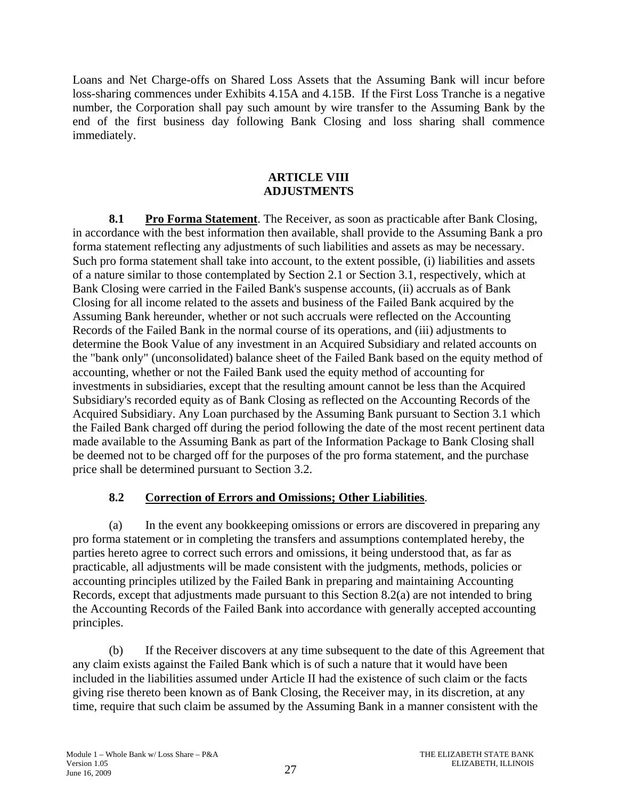Loans and Net Charge-offs on Shared Loss Assets that the Assuming Bank will incur before loss-sharing commences under Exhibits 4.15A and 4.15B. If the First Loss Tranche is a negative number, the Corporation shall pay such amount by wire transfer to the Assuming Bank by the end of the first business day following Bank Closing and loss sharing shall commence immediately.

#### **ARTICLE VIII ADJUSTMENTS**

<span id="page-30-1"></span><span id="page-30-0"></span>**8.1** Pro Forma Statement. The Receiver, as soon as practicable after Bank Closing, in accordance with the best information then available, shall provide to the Assuming Bank a pro forma statement reflecting any adjustments of such liabilities and assets as may be necessary. Such pro forma statement shall take into account, to the extent possible, (i) liabilities and assets of a nature similar to those contemplated by Section 2.1 or Section 3.1, respectively, which at Bank Closing were carried in the Failed Bank's suspense accounts, (ii) accruals as of Bank Closing for all income related to the assets and business of the Failed Bank acquired by the Assuming Bank hereunder, whether or not such accruals were reflected on the Accounting Records of the Failed Bank in the normal course of its operations, and (iii) adjustments to determine the Book Value of any investment in an Acquired Subsidiary and related accounts on the "bank only" (unconsolidated) balance sheet of the Failed Bank based on the equity method of accounting, whether or not the Failed Bank used the equity method of accounting for investments in subsidiaries, except that the resulting amount cannot be less than the Acquired Subsidiary's recorded equity as of Bank Closing as reflected on the Accounting Records of the Acquired Subsidiary. Any Loan purchased by the Assuming Bank pursuant to Section 3.1 which the Failed Bank charged off during the period following the date of the most recent pertinent data made available to the Assuming Bank as part of the Information Package to Bank Closing shall be deemed not to be charged off for the purposes of the pro forma statement, and the purchase price shall be determined pursuant to Section 3.2.

## **8.2 Correction of Errors and Omissions; Other Liabilities**.

(a) In the event any bookkeeping omissions or errors are discovered in preparing any pro forma statement or in completing the transfers and assumptions contemplated hereby, the parties hereto agree to correct such errors and omissions, it being understood that, as far as practicable, all adjustments will be made consistent with the judgments, methods, policies or accounting principles utilized by the Failed Bank in preparing and maintaining Accounting Records, except that adjustments made pursuant to this Section 8.2(a) are not intended to bring the Accounting Records of the Failed Bank into accordance with generally accepted accounting principles.

(b) If the Receiver discovers at any time subsequent to the date of this Agreement that any claim exists against the Failed Bank which is of such a nature that it would have been included in the liabilities assumed under Article II had the existence of such claim or the facts giving rise thereto been known as of Bank Closing, the Receiver may, in its discretion, at any time, require that such claim be assumed by the Assuming Bank in a manner consistent with the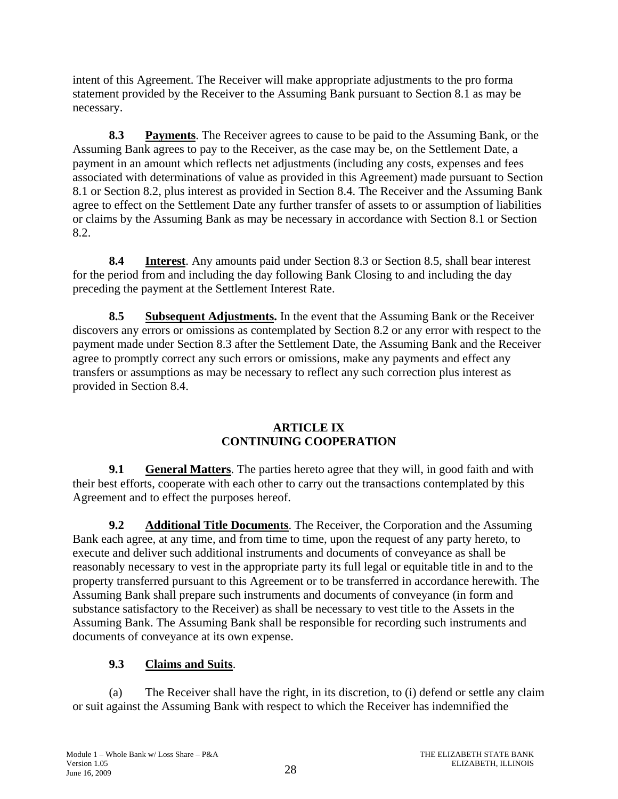intent of this Agreement. The Receiver will make appropriate adjustments to the pro forma statement provided by the Receiver to the Assuming Bank pursuant to Section 8.1 as may be necessary.

<span id="page-31-0"></span>**8.3 Payments**. The Receiver agrees to cause to be paid to the Assuming Bank, or the Assuming Bank agrees to pay to the Receiver, as the case may be, on the Settlement Date, a payment in an amount which reflects net adjustments (including any costs, expenses and fees associated with determinations of value as provided in this Agreement) made pursuant to Section 8.1 or Section 8.2, plus interest as provided in Section 8.4. The Receiver and the Assuming Bank agree to effect on the Settlement Date any further transfer of assets to or assumption of liabilities or claims by the Assuming Bank as may be necessary in accordance with Section 8.1 or Section 8.2.

<span id="page-31-1"></span>**8.4 Interest**. Any amounts paid under Section 8.3 or Section 8.5, shall bear interest for the period from and including the day following Bank Closing to and including the day preceding the payment at the Settlement Interest Rate.

<span id="page-31-2"></span>**8.5 Subsequent Adjustments.** In the event that the Assuming Bank or the Receiver discovers any errors or omissions as contemplated by Section 8.2 or any error with respect to the payment made under Section 8.3 after the Settlement Date, the Assuming Bank and the Receiver agree to promptly correct any such errors or omissions, make any payments and effect any transfers or assumptions as may be necessary to reflect any such correction plus interest as provided in Section 8.4.

## **ARTICLE IX CONTINUING COOPERATION**

<span id="page-31-4"></span><span id="page-31-3"></span>**9.1** General Matters. The parties hereto agree that they will, in good faith and with their best efforts, cooperate with each other to carry out the transactions contemplated by this Agreement and to effect the purposes hereof.

<span id="page-31-5"></span>**9.2 Additional Title Documents**. The Receiver, the Corporation and the Assuming Bank each agree, at any time, and from time to time, upon the request of any party hereto, to execute and deliver such additional instruments and documents of conveyance as shall be reasonably necessary to vest in the appropriate party its full legal or equitable title in and to the property transferred pursuant to this Agreement or to be transferred in accordance herewith. The Assuming Bank shall prepare such instruments and documents of conveyance (in form and substance satisfactory to the Receiver) as shall be necessary to vest title to the Assets in the Assuming Bank. The Assuming Bank shall be responsible for recording such instruments and documents of conveyance at its own expense.

# **9.3 Claims and Suits**.

<span id="page-31-6"></span>(a) The Receiver shall have the right, in its discretion, to (i) defend or settle any claim or suit against the Assuming Bank with respect to which the Receiver has indemnified the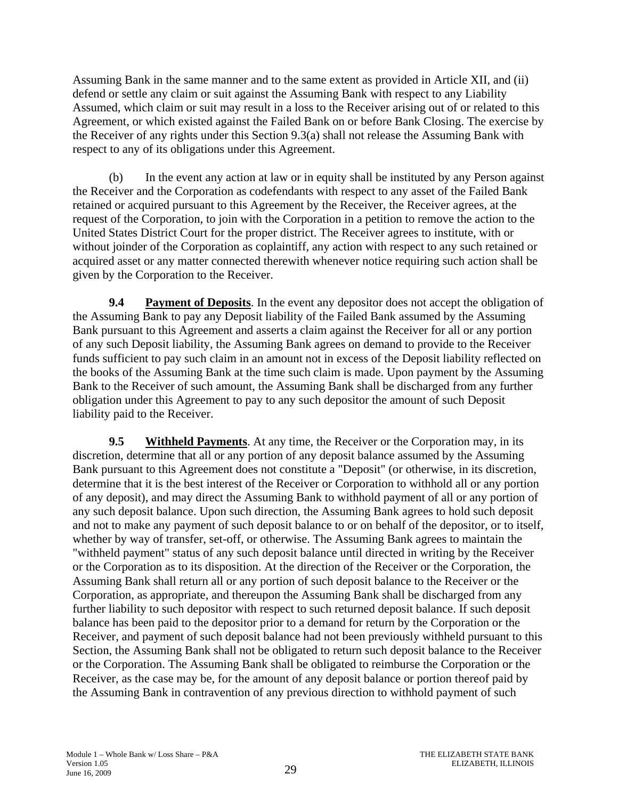Assuming Bank in the same manner and to the same extent as provided in Article XII, and (ii) defend or settle any claim or suit against the Assuming Bank with respect to any Liability Assumed, which claim or suit may result in a loss to the Receiver arising out of or related to this Agreement, or which existed against the Failed Bank on or before Bank Closing. The exercise by the Receiver of any rights under this Section 9.3(a) shall not release the Assuming Bank with respect to any of its obligations under this Agreement.

(b) In the event any action at law or in equity shall be instituted by any Person against the Receiver and the Corporation as codefendants with respect to any asset of the Failed Bank retained or acquired pursuant to this Agreement by the Receiver, the Receiver agrees, at the request of the Corporation, to join with the Corporation in a petition to remove the action to the United States District Court for the proper district. The Receiver agrees to institute, with or without joinder of the Corporation as coplaintiff, any action with respect to any such retained or acquired asset or any matter connected therewith whenever notice requiring such action shall be given by the Corporation to the Receiver.

<span id="page-32-0"></span>**9.4** Payment of Deposits. In the event any depositor does not accept the obligation of the Assuming Bank to pay any Deposit liability of the Failed Bank assumed by the Assuming Bank pursuant to this Agreement and asserts a claim against the Receiver for all or any portion of any such Deposit liability, the Assuming Bank agrees on demand to provide to the Receiver funds sufficient to pay such claim in an amount not in excess of the Deposit liability reflected on the books of the Assuming Bank at the time such claim is made. Upon payment by the Assuming Bank to the Receiver of such amount, the Assuming Bank shall be discharged from any further obligation under this Agreement to pay to any such depositor the amount of such Deposit liability paid to the Receiver.

<span id="page-32-1"></span>**9.5 Withheld Payments**. At any time, the Receiver or the Corporation may, in its discretion, determine that all or any portion of any deposit balance assumed by the Assuming Bank pursuant to this Agreement does not constitute a "Deposit" (or otherwise, in its discretion, determine that it is the best interest of the Receiver or Corporation to withhold all or any portion of any deposit), and may direct the Assuming Bank to withhold payment of all or any portion of any such deposit balance. Upon such direction, the Assuming Bank agrees to hold such deposit and not to make any payment of such deposit balance to or on behalf of the depositor, or to itself, whether by way of transfer, set-off, or otherwise. The Assuming Bank agrees to maintain the "withheld payment" status of any such deposit balance until directed in writing by the Receiver or the Corporation as to its disposition. At the direction of the Receiver or the Corporation, the Assuming Bank shall return all or any portion of such deposit balance to the Receiver or the Corporation, as appropriate, and thereupon the Assuming Bank shall be discharged from any further liability to such depositor with respect to such returned deposit balance. If such deposit balance has been paid to the depositor prior to a demand for return by the Corporation or the Receiver, and payment of such deposit balance had not been previously withheld pursuant to this Section, the Assuming Bank shall not be obligated to return such deposit balance to the Receiver or the Corporation. The Assuming Bank shall be obligated to reimburse the Corporation or the Receiver, as the case may be, for the amount of any deposit balance or portion thereof paid by the Assuming Bank in contravention of any previous direction to withhold payment of such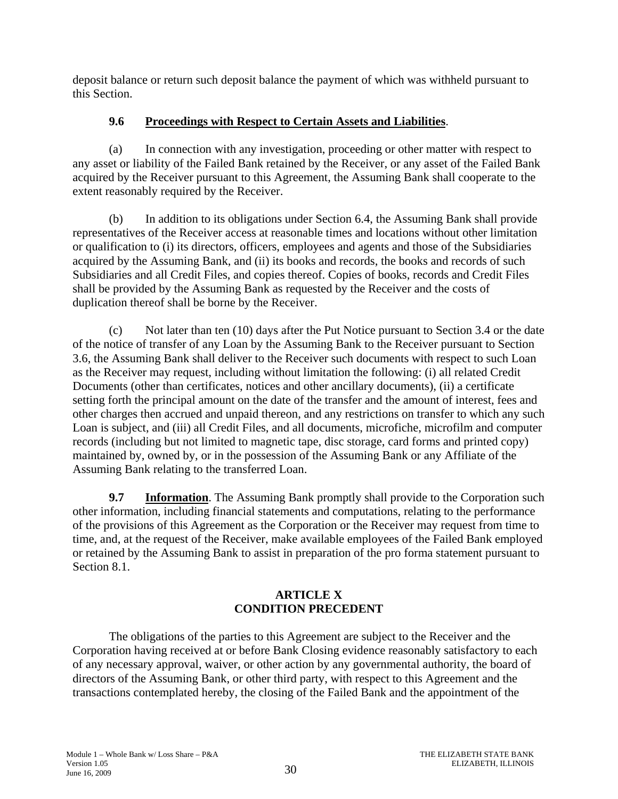deposit balance or return such deposit balance the payment of which was withheld pursuant to this Section.

# **9.6 Proceedings with Respect to Certain Assets and Liabilities**.

<span id="page-33-0"></span>(a) In connection with any investigation, proceeding or other matter with respect to any asset or liability of the Failed Bank retained by the Receiver, or any asset of the Failed Bank acquired by the Receiver pursuant to this Agreement, the Assuming Bank shall cooperate to the extent reasonably required by the Receiver.

(b) In addition to its obligations under Section 6.4, the Assuming Bank shall provide representatives of the Receiver access at reasonable times and locations without other limitation or qualification to (i) its directors, officers, employees and agents and those of the Subsidiaries acquired by the Assuming Bank, and (ii) its books and records, the books and records of such Subsidiaries and all Credit Files, and copies thereof. Copies of books, records and Credit Files shall be provided by the Assuming Bank as requested by the Receiver and the costs of duplication thereof shall be borne by the Receiver.

(c) Not later than ten (10) days after the Put Notice pursuant to Section 3.4 or the date of the notice of transfer of any Loan by the Assuming Bank to the Receiver pursuant to Section 3.6, the Assuming Bank shall deliver to the Receiver such documents with respect to such Loan as the Receiver may request, including without limitation the following: (i) all related Credit Documents (other than certificates, notices and other ancillary documents), (ii) a certificate setting forth the principal amount on the date of the transfer and the amount of interest, fees and other charges then accrued and unpaid thereon, and any restrictions on transfer to which any such Loan is subject, and (iii) all Credit Files, and all documents, microfiche, microfilm and computer records (including but not limited to magnetic tape, disc storage, card forms and printed copy) maintained by, owned by, or in the possession of the Assuming Bank or any Affiliate of the Assuming Bank relating to the transferred Loan.

<span id="page-33-1"></span>**9.7** Information. The Assuming Bank promptly shall provide to the Corporation such other information, including financial statements and computations, relating to the performance of the provisions of this Agreement as the Corporation or the Receiver may request from time to time, and, at the request of the Receiver, make available employees of the Failed Bank employed or retained by the Assuming Bank to assist in preparation of the pro forma statement pursuant to Section 8.1.

### **ARTICLE X CONDITION PRECEDENT**

<span id="page-33-2"></span>The obligations of the parties to this Agreement are subject to the Receiver and the Corporation having received at or before Bank Closing evidence reasonably satisfactory to each of any necessary approval, waiver, or other action by any governmental authority, the board of directors of the Assuming Bank, or other third party, with respect to this Agreement and the transactions contemplated hereby, the closing of the Failed Bank and the appointment of the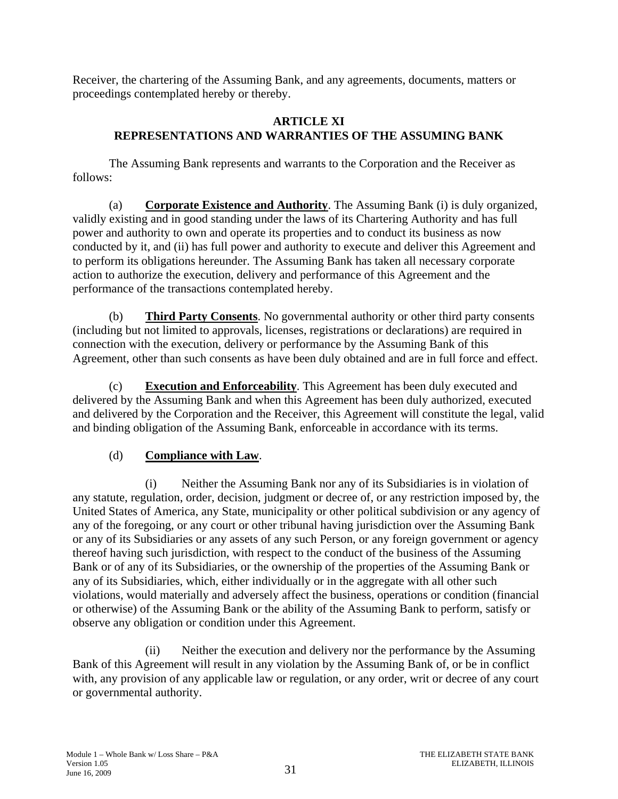Receiver, the chartering of the Assuming Bank, and any agreements, documents, matters or proceedings contemplated hereby or thereby.

#### **ARTICLE XI REPRESENTATIONS AND WARRANTIES OF THE ASSUMING BANK**

<span id="page-34-0"></span>The Assuming Bank represents and warrants to the Corporation and the Receiver as follows:

(a) **Corporate Existence and Authority**. The Assuming Bank (i) is duly organized, validly existing and in good standing under the laws of its Chartering Authority and has full power and authority to own and operate its properties and to conduct its business as now conducted by it, and (ii) has full power and authority to execute and deliver this Agreement and to perform its obligations hereunder. The Assuming Bank has taken all necessary corporate action to authorize the execution, delivery and performance of this Agreement and the performance of the transactions contemplated hereby.

(b) **Third Party Consents**. No governmental authority or other third party consents (including but not limited to approvals, licenses, registrations or declarations) are required in connection with the execution, delivery or performance by the Assuming Bank of this Agreement, other than such consents as have been duly obtained and are in full force and effect.

(c) **Execution and Enforceability**. This Agreement has been duly executed and delivered by the Assuming Bank and when this Agreement has been duly authorized, executed and delivered by the Corporation and the Receiver, this Agreement will constitute the legal, valid and binding obligation of the Assuming Bank, enforceable in accordance with its terms.

## (d) **Compliance with Law**.

(i) Neither the Assuming Bank nor any of its Subsidiaries is in violation of any statute, regulation, order, decision, judgment or decree of, or any restriction imposed by, the United States of America, any State, municipality or other political subdivision or any agency of any of the foregoing, or any court or other tribunal having jurisdiction over the Assuming Bank or any of its Subsidiaries or any assets of any such Person, or any foreign government or agency thereof having such jurisdiction, with respect to the conduct of the business of the Assuming Bank or of any of its Subsidiaries, or the ownership of the properties of the Assuming Bank or any of its Subsidiaries, which, either individually or in the aggregate with all other such violations, would materially and adversely affect the business, operations or condition (financial or otherwise) of the Assuming Bank or the ability of the Assuming Bank to perform, satisfy or observe any obligation or condition under this Agreement.

(ii) Neither the execution and delivery nor the performance by the Assuming Bank of this Agreement will result in any violation by the Assuming Bank of, or be in conflict with, any provision of any applicable law or regulation, or any order, writ or decree of any court or governmental authority.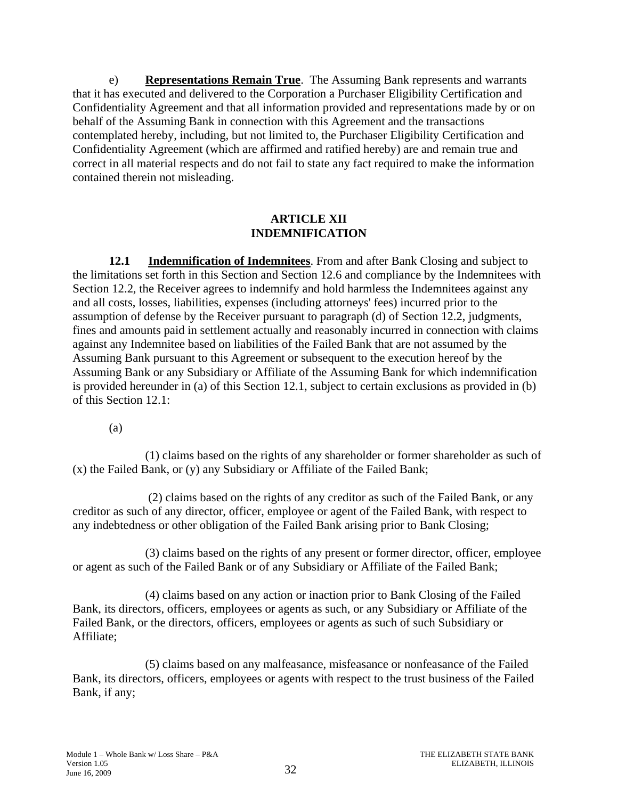e) **Representations Remain True**. The Assuming Bank represents and warrants that it has executed and delivered to the Corporation a Purchaser Eligibility Certification and Confidentiality Agreement and that all information provided and representations made by or on behalf of the Assuming Bank in connection with this Agreement and the transactions contemplated hereby, including, but not limited to, the Purchaser Eligibility Certification and Confidentiality Agreement (which are affirmed and ratified hereby) are and remain true and correct in all material respects and do not fail to state any fact required to make the information contained therein not misleading.

#### **ARTICLE XII INDEMNIFICATION**

<span id="page-35-0"></span>**12.1** Indemnification of Indemnitees. From and after Bank Closing and subject to the limitations set forth in this Section and Section 12.6 and compliance by the Indemnitees with Section 12.2, the Receiver agrees to indemnify and hold harmless the Indemnitees against any and all costs, losses, liabilities, expenses (including attorneys' fees) incurred prior to the assumption of defense by the Receiver pursuant to paragraph (d) of Section 12.2, judgments, fines and amounts paid in settlement actually and reasonably incurred in connection with claims against any Indemnitee based on liabilities of the Failed Bank that are not assumed by the Assuming Bank pursuant to this Agreement or subsequent to the execution hereof by the Assuming Bank or any Subsidiary or Affiliate of the Assuming Bank for which indemnification is provided hereunder in (a) of this Section 12.1, subject to certain exclusions as provided in (b) of this Section 12.1:

(a)

(1) claims based on the rights of any shareholder or former shareholder as such of (x) the Failed Bank, or (y) any Subsidiary or Affiliate of the Failed Bank;

(2) claims based on the rights of any creditor as such of the Failed Bank, or any creditor as such of any director, officer, employee or agent of the Failed Bank, with respect to any indebtedness or other obligation of the Failed Bank arising prior to Bank Closing;

(3) claims based on the rights of any present or former director, officer, employee or agent as such of the Failed Bank or of any Subsidiary or Affiliate of the Failed Bank;

(4) claims based on any action or inaction prior to Bank Closing of the Failed Bank, its directors, officers, employees or agents as such, or any Subsidiary or Affiliate of the Failed Bank, or the directors, officers, employees or agents as such of such Subsidiary or Affiliate;

(5) claims based on any malfeasance, misfeasance or nonfeasance of the Failed Bank, its directors, officers, employees or agents with respect to the trust business of the Failed Bank, if any;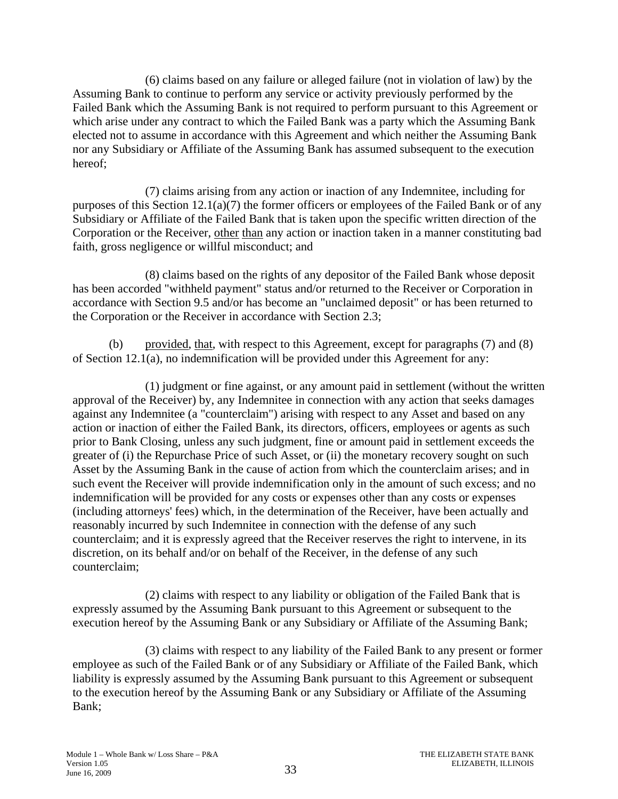(6) claims based on any failure or alleged failure (not in violation of law) by the Assuming Bank to continue to perform any service or activity previously performed by the Failed Bank which the Assuming Bank is not required to perform pursuant to this Agreement or which arise under any contract to which the Failed Bank was a party which the Assuming Bank elected not to assume in accordance with this Agreement and which neither the Assuming Bank nor any Subsidiary or Affiliate of the Assuming Bank has assumed subsequent to the execution hereof;

(7) claims arising from any action or inaction of any Indemnitee, including for purposes of this Section 12.1(a)(7) the former officers or employees of the Failed Bank or of any Subsidiary or Affiliate of the Failed Bank that is taken upon the specific written direction of the Corporation or the Receiver, other than any action or inaction taken in a manner constituting bad faith, gross negligence or willful misconduct; and

(8) claims based on the rights of any depositor of the Failed Bank whose deposit has been accorded "withheld payment" status and/or returned to the Receiver or Corporation in accordance with Section 9.5 and/or has become an "unclaimed deposit" or has been returned to the Corporation or the Receiver in accordance with Section 2.3;

(b) provided, that, with respect to this Agreement, except for paragraphs (7) and (8) of Section 12.1(a), no indemnification will be provided under this Agreement for any:

(1) judgment or fine against, or any amount paid in settlement (without the written approval of the Receiver) by, any Indemnitee in connection with any action that seeks damages against any Indemnitee (a "counterclaim") arising with respect to any Asset and based on any action or inaction of either the Failed Bank, its directors, officers, employees or agents as such prior to Bank Closing, unless any such judgment, fine or amount paid in settlement exceeds the greater of (i) the Repurchase Price of such Asset, or (ii) the monetary recovery sought on such Asset by the Assuming Bank in the cause of action from which the counterclaim arises; and in such event the Receiver will provide indemnification only in the amount of such excess; and no indemnification will be provided for any costs or expenses other than any costs or expenses (including attorneys' fees) which, in the determination of the Receiver, have been actually and reasonably incurred by such Indemnitee in connection with the defense of any such counterclaim; and it is expressly agreed that the Receiver reserves the right to intervene, in its discretion, on its behalf and/or on behalf of the Receiver, in the defense of any such counterclaim;

(2) claims with respect to any liability or obligation of the Failed Bank that is expressly assumed by the Assuming Bank pursuant to this Agreement or subsequent to the execution hereof by the Assuming Bank or any Subsidiary or Affiliate of the Assuming Bank;

(3) claims with respect to any liability of the Failed Bank to any present or former employee as such of the Failed Bank or of any Subsidiary or Affiliate of the Failed Bank, which liability is expressly assumed by the Assuming Bank pursuant to this Agreement or subsequent to the execution hereof by the Assuming Bank or any Subsidiary or Affiliate of the Assuming Bank;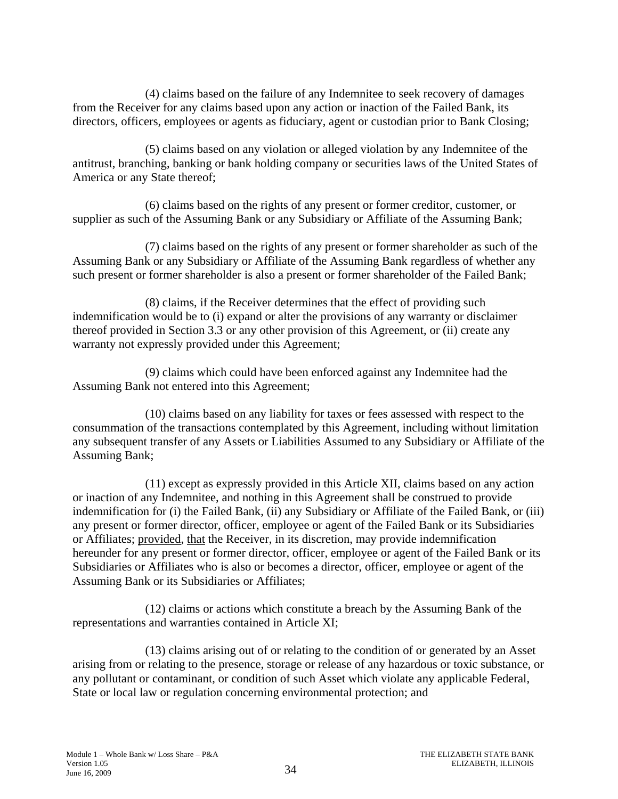(4) claims based on the failure of any Indemnitee to seek recovery of damages from the Receiver for any claims based upon any action or inaction of the Failed Bank, its directors, officers, employees or agents as fiduciary, agent or custodian prior to Bank Closing;

(5) claims based on any violation or alleged violation by any Indemnitee of the antitrust, branching, banking or bank holding company or securities laws of the United States of America or any State thereof;

(6) claims based on the rights of any present or former creditor, customer, or supplier as such of the Assuming Bank or any Subsidiary or Affiliate of the Assuming Bank;

(7) claims based on the rights of any present or former shareholder as such of the Assuming Bank or any Subsidiary or Affiliate of the Assuming Bank regardless of whether any such present or former shareholder is also a present or former shareholder of the Failed Bank;

(8) claims, if the Receiver determines that the effect of providing such indemnification would be to (i) expand or alter the provisions of any warranty or disclaimer thereof provided in Section 3.3 or any other provision of this Agreement, or (ii) create any warranty not expressly provided under this Agreement;

(9) claims which could have been enforced against any Indemnitee had the Assuming Bank not entered into this Agreement;

(10) claims based on any liability for taxes or fees assessed with respect to the consummation of the transactions contemplated by this Agreement, including without limitation any subsequent transfer of any Assets or Liabilities Assumed to any Subsidiary or Affiliate of the Assuming Bank;

(11) except as expressly provided in this Article XII, claims based on any action or inaction of any Indemnitee, and nothing in this Agreement shall be construed to provide indemnification for (i) the Failed Bank, (ii) any Subsidiary or Affiliate of the Failed Bank, or (iii) any present or former director, officer, employee or agent of the Failed Bank or its Subsidiaries or Affiliates; provided, that the Receiver, in its discretion, may provide indemnification hereunder for any present or former director, officer, employee or agent of the Failed Bank or its Subsidiaries or Affiliates who is also or becomes a director, officer, employee or agent of the Assuming Bank or its Subsidiaries or Affiliates;

(12) claims or actions which constitute a breach by the Assuming Bank of the representations and warranties contained in Article XI;

(13) claims arising out of or relating to the condition of or generated by an Asset arising from or relating to the presence, storage or release of any hazardous or toxic substance, or any pollutant or contaminant, or condition of such Asset which violate any applicable Federal, State or local law or regulation concerning environmental protection; and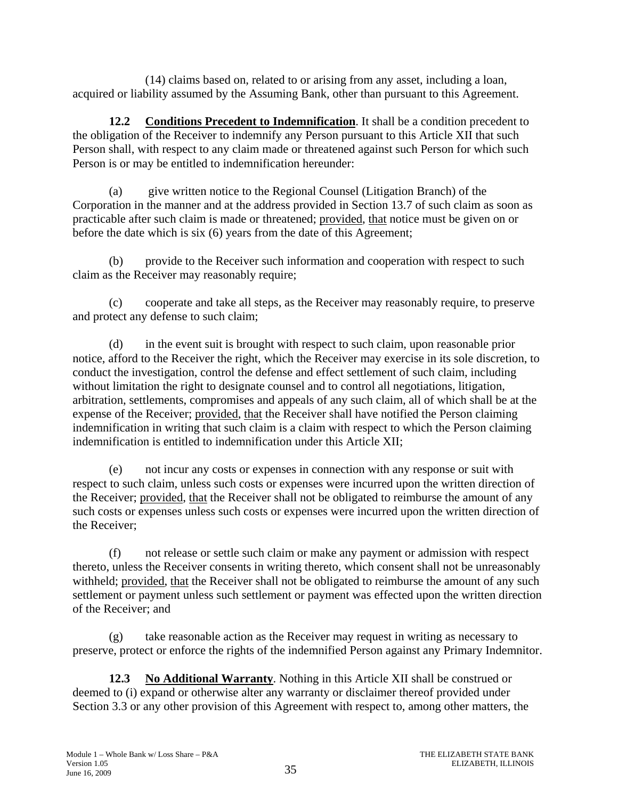(14) claims based on, related to or arising from any asset, including a loan, acquired or liability assumed by the Assuming Bank, other than pursuant to this Agreement.

**12.2 Conditions Precedent to Indemnification**. It shall be a condition precedent to the obligation of the Receiver to indemnify any Person pursuant to this Article XII that such Person shall, with respect to any claim made or threatened against such Person for which such Person is or may be entitled to indemnification hereunder:

(a) give written notice to the Regional Counsel (Litigation Branch) of the Corporation in the manner and at the address provided in Section 13.7 of such claim as soon as practicable after such claim is made or threatened; provided, that notice must be given on or before the date which is six (6) years from the date of this Agreement;

(b) provide to the Receiver such information and cooperation with respect to such claim as the Receiver may reasonably require;

(c) cooperate and take all steps, as the Receiver may reasonably require, to preserve and protect any defense to such claim;

(d) in the event suit is brought with respect to such claim, upon reasonable prior notice, afford to the Receiver the right, which the Receiver may exercise in its sole discretion, to conduct the investigation, control the defense and effect settlement of such claim, including without limitation the right to designate counsel and to control all negotiations, litigation, arbitration, settlements, compromises and appeals of any such claim, all of which shall be at the expense of the Receiver; provided, that the Receiver shall have notified the Person claiming indemnification in writing that such claim is a claim with respect to which the Person claiming indemnification is entitled to indemnification under this Article XII;

(e) not incur any costs or expenses in connection with any response or suit with respect to such claim, unless such costs or expenses were incurred upon the written direction of the Receiver; provided, that the Receiver shall not be obligated to reimburse the amount of any such costs or expenses unless such costs or expenses were incurred upon the written direction of the Receiver;

(f) not release or settle such claim or make any payment or admission with respect thereto, unless the Receiver consents in writing thereto, which consent shall not be unreasonably withheld; provided, that the Receiver shall not be obligated to reimburse the amount of any such settlement or payment unless such settlement or payment was effected upon the written direction of the Receiver; and

(g) take reasonable action as the Receiver may request in writing as necessary to preserve, protect or enforce the rights of the indemnified Person against any Primary Indemnitor.

**12.3 No Additional Warranty**. Nothing in this Article XII shall be construed or deemed to (i) expand or otherwise alter any warranty or disclaimer thereof provided under Section 3.3 or any other provision of this Agreement with respect to, among other matters, the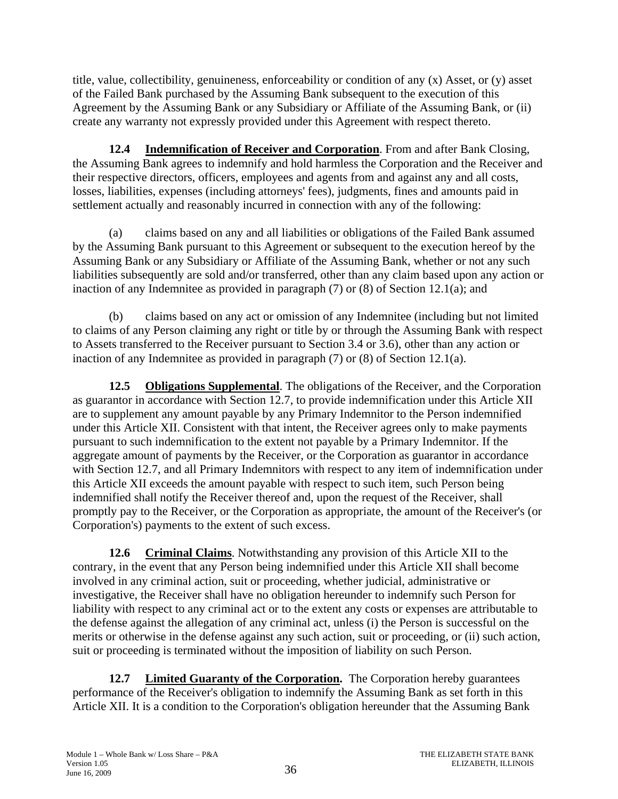title, value, collectibility, genuineness, enforceability or condition of any (x) Asset, or (y) asset of the Failed Bank purchased by the Assuming Bank subsequent to the execution of this Agreement by the Assuming Bank or any Subsidiary or Affiliate of the Assuming Bank, or (ii) create any warranty not expressly provided under this Agreement with respect thereto.

**12.4 Indemnification of Receiver and Corporation**. From and after Bank Closing, the Assuming Bank agrees to indemnify and hold harmless the Corporation and the Receiver and their respective directors, officers, employees and agents from and against any and all costs, losses, liabilities, expenses (including attorneys' fees), judgments, fines and amounts paid in settlement actually and reasonably incurred in connection with any of the following:

(a) claims based on any and all liabilities or obligations of the Failed Bank assumed by the Assuming Bank pursuant to this Agreement or subsequent to the execution hereof by the Assuming Bank or any Subsidiary or Affiliate of the Assuming Bank, whether or not any such liabilities subsequently are sold and/or transferred, other than any claim based upon any action or inaction of any Indemnitee as provided in paragraph (7) or (8) of Section 12.1(a); and

(b) claims based on any act or omission of any Indemnitee (including but not limited to claims of any Person claiming any right or title by or through the Assuming Bank with respect to Assets transferred to the Receiver pursuant to Section 3.4 or 3.6), other than any action or inaction of any Indemnitee as provided in paragraph (7) or (8) of Section 12.1(a).

**12.5 Obligations Supplemental**. The obligations of the Receiver, and the Corporation as guarantor in accordance with Section 12.7, to provide indemnification under this Article XII are to supplement any amount payable by any Primary Indemnitor to the Person indemnified under this Article XII. Consistent with that intent, the Receiver agrees only to make payments pursuant to such indemnification to the extent not payable by a Primary Indemnitor. If the aggregate amount of payments by the Receiver, or the Corporation as guarantor in accordance with Section 12.7, and all Primary Indemnitors with respect to any item of indemnification under this Article XII exceeds the amount payable with respect to such item, such Person being indemnified shall notify the Receiver thereof and, upon the request of the Receiver, shall promptly pay to the Receiver, or the Corporation as appropriate, the amount of the Receiver's (or Corporation's) payments to the extent of such excess.

**12.6 Criminal Claims**. Notwithstanding any provision of this Article XII to the contrary, in the event that any Person being indemnified under this Article XII shall become involved in any criminal action, suit or proceeding, whether judicial, administrative or investigative, the Receiver shall have no obligation hereunder to indemnify such Person for liability with respect to any criminal act or to the extent any costs or expenses are attributable to the defense against the allegation of any criminal act, unless (i) the Person is successful on the merits or otherwise in the defense against any such action, suit or proceeding, or (ii) such action, suit or proceeding is terminated without the imposition of liability on such Person.

**12.7** Limited Guaranty of the Corporation. The Corporation hereby guarantees performance of the Receiver's obligation to indemnify the Assuming Bank as set forth in this Article XII. It is a condition to the Corporation's obligation hereunder that the Assuming Bank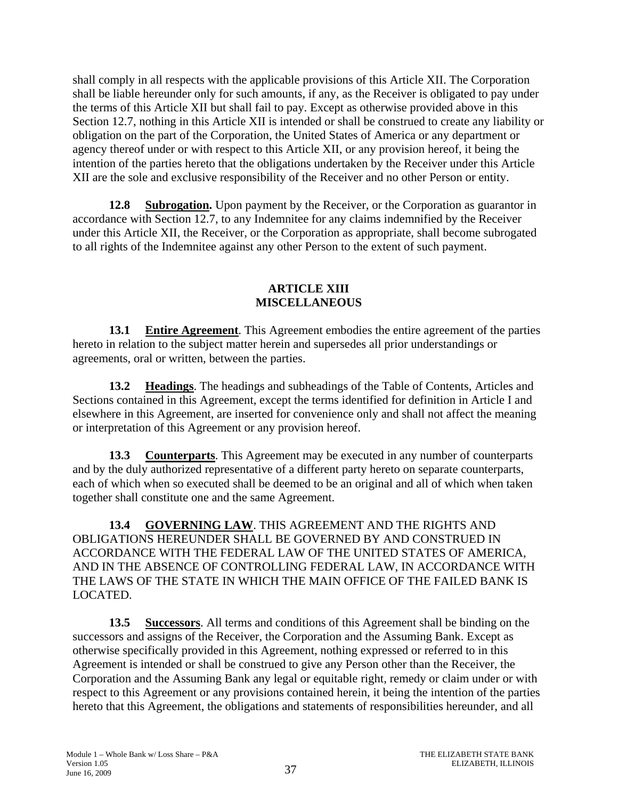shall comply in all respects with the applicable provisions of this Article XII. The Corporation shall be liable hereunder only for such amounts, if any, as the Receiver is obligated to pay under the terms of this Article XII but shall fail to pay. Except as otherwise provided above in this Section 12.7, nothing in this Article XII is intended or shall be construed to create any liability or obligation on the part of the Corporation, the United States of America or any department or agency thereof under or with respect to this Article XII, or any provision hereof, it being the intention of the parties hereto that the obligations undertaken by the Receiver under this Article XII are the sole and exclusive responsibility of the Receiver and no other Person or entity.

**12.8 Subrogation.** Upon payment by the Receiver, or the Corporation as guarantor in accordance with Section 12.7, to any Indemnitee for any claims indemnified by the Receiver under this Article XII, the Receiver, or the Corporation as appropriate, shall become subrogated to all rights of the Indemnitee against any other Person to the extent of such payment.

### **ARTICLE XIII MISCELLANEOUS**

**13.1 Entire Agreement**. This Agreement embodies the entire agreement of the parties hereto in relation to the subject matter herein and supersedes all prior understandings or agreements, oral or written, between the parties.

**13.2 Headings**. The headings and subheadings of the Table of Contents, Articles and Sections contained in this Agreement, except the terms identified for definition in Article I and elsewhere in this Agreement, are inserted for convenience only and shall not affect the meaning or interpretation of this Agreement or any provision hereof.

**13.3 Counterparts**. This Agreement may be executed in any number of counterparts and by the duly authorized representative of a different party hereto on separate counterparts, each of which when so executed shall be deemed to be an original and all of which when taken together shall constitute one and the same Agreement.

**13.4 GOVERNING LAW**. THIS AGREEMENT AND THE RIGHTS AND OBLIGATIONS HEREUNDER SHALL BE GOVERNED BY AND CONSTRUED IN ACCORDANCE WITH THE FEDERAL LAW OF THE UNITED STATES OF AMERICA, AND IN THE ABSENCE OF CONTROLLING FEDERAL LAW, IN ACCORDANCE WITH THE LAWS OF THE STATE IN WHICH THE MAIN OFFICE OF THE FAILED BANK IS LOCATED.

 **13.5 Successors**. All terms and conditions of this Agreement shall be binding on the successors and assigns of the Receiver, the Corporation and the Assuming Bank. Except as otherwise specifically provided in this Agreement, nothing expressed or referred to in this Agreement is intended or shall be construed to give any Person other than the Receiver, the Corporation and the Assuming Bank any legal or equitable right, remedy or claim under or with respect to this Agreement or any provisions contained herein, it being the intention of the parties hereto that this Agreement, the obligations and statements of responsibilities hereunder, and all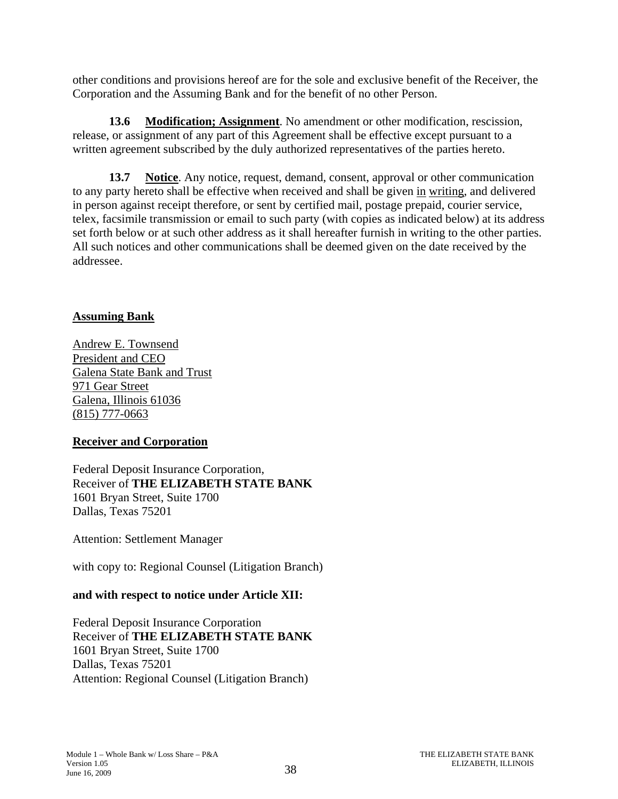other conditions and provisions hereof are for the sole and exclusive benefit of the Receiver, the Corporation and the Assuming Bank and for the benefit of no other Person.

**13.6 Modification; Assignment**. No amendment or other modification, rescission, release, or assignment of any part of this Agreement shall be effective except pursuant to a written agreement subscribed by the duly authorized representatives of the parties hereto.

**13.7** Notice. Any notice, request, demand, consent, approval or other communication to any party hereto shall be effective when received and shall be given in writing, and delivered in person against receipt therefore, or sent by certified mail, postage prepaid, courier service, telex, facsimile transmission or email to such party (with copies as indicated below) at its address set forth below or at such other address as it shall hereafter furnish in writing to the other parties. All such notices and other communications shall be deemed given on the date received by the addressee.

### **Assuming Bank**

Andrew E. Townsend President and CEO Galena State Bank and Trust 971 Gear Street Galena, Illinois 61036 (815) 777-0663

## **Receiver and Corporation**

Federal Deposit Insurance Corporation, Receiver of **THE ELIZABETH STATE BANK**  1601 Bryan Street, Suite 1700 Dallas, Texas 75201

Attention: Settlement Manager

with copy to: Regional Counsel (Litigation Branch)

## **and with respect to notice under Article XII:**

Federal Deposit Insurance Corporation Receiver of **THE ELIZABETH STATE BANK**  1601 Bryan Street, Suite 1700 Dallas, Texas 75201 Attention: Regional Counsel (Litigation Branch)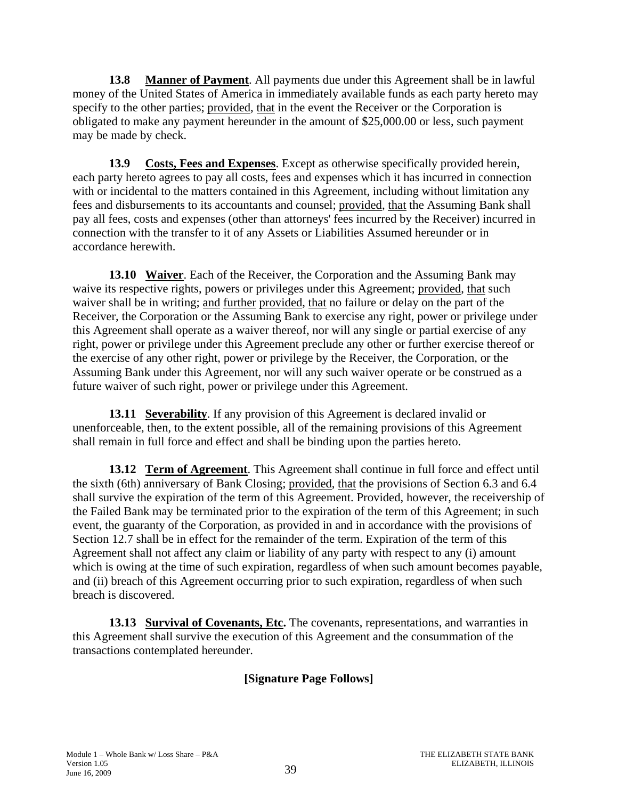**13.8 Manner of Payment**. All payments due under this Agreement shall be in lawful money of the United States of America in immediately available funds as each party hereto may specify to the other parties; provided, that in the event the Receiver or the Corporation is obligated to make any payment hereunder in the amount of \$25,000.00 or less, such payment may be made by check.

**13.9 Costs, Fees and Expenses**. Except as otherwise specifically provided herein, each party hereto agrees to pay all costs, fees and expenses which it has incurred in connection with or incidental to the matters contained in this Agreement, including without limitation any fees and disbursements to its accountants and counsel; provided, that the Assuming Bank shall pay all fees, costs and expenses (other than attorneys' fees incurred by the Receiver) incurred in connection with the transfer to it of any Assets or Liabilities Assumed hereunder or in accordance herewith.

**13.10 Waiver**. Each of the Receiver, the Corporation and the Assuming Bank may waive its respective rights, powers or privileges under this Agreement; provided, that such waiver shall be in writing; and further provided, that no failure or delay on the part of the Receiver, the Corporation or the Assuming Bank to exercise any right, power or privilege under this Agreement shall operate as a waiver thereof, nor will any single or partial exercise of any right, power or privilege under this Agreement preclude any other or further exercise thereof or the exercise of any other right, power or privilege by the Receiver, the Corporation, or the Assuming Bank under this Agreement, nor will any such waiver operate or be construed as a future waiver of such right, power or privilege under this Agreement.

**13.11 Severability**. If any provision of this Agreement is declared invalid or unenforceable, then, to the extent possible, all of the remaining provisions of this Agreement shall remain in full force and effect and shall be binding upon the parties hereto.

**13.12 Term of Agreement**. This Agreement shall continue in full force and effect until the sixth (6th) anniversary of Bank Closing; provided, that the provisions of Section 6.3 and 6.4 shall survive the expiration of the term of this Agreement. Provided, however, the receivership of the Failed Bank may be terminated prior to the expiration of the term of this Agreement; in such event, the guaranty of the Corporation, as provided in and in accordance with the provisions of Section 12.7 shall be in effect for the remainder of the term. Expiration of the term of this Agreement shall not affect any claim or liability of any party with respect to any (i) amount which is owing at the time of such expiration, regardless of when such amount becomes payable, and (ii) breach of this Agreement occurring prior to such expiration, regardless of when such breach is discovered.

**13.13 Survival of Covenants, Etc.** The covenants, representations, and warranties in this Agreement shall survive the execution of this Agreement and the consummation of the transactions contemplated hereunder.

## **[Signature Page Follows]**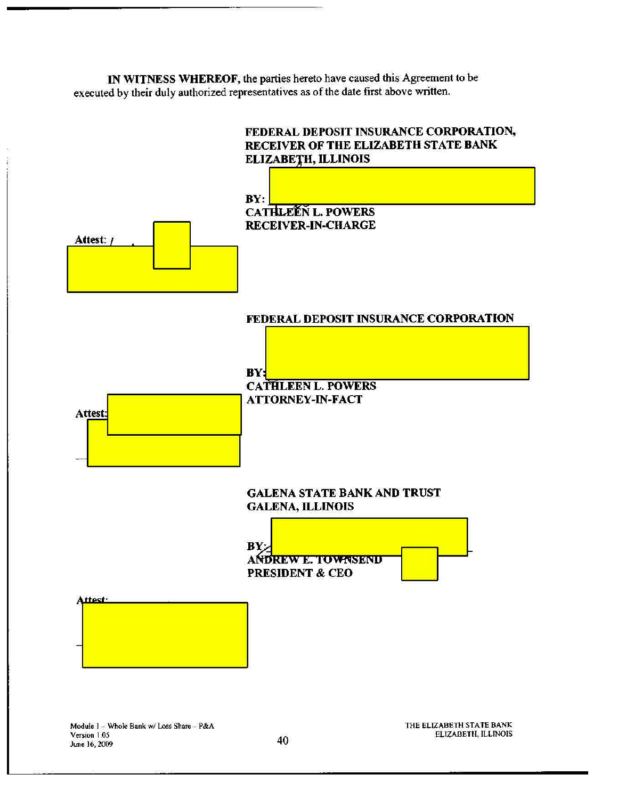IN WITNESS WHEREOF, the parties hereto have caused this Agreement to be executed by their duly authorized representatives as of the date first above written.

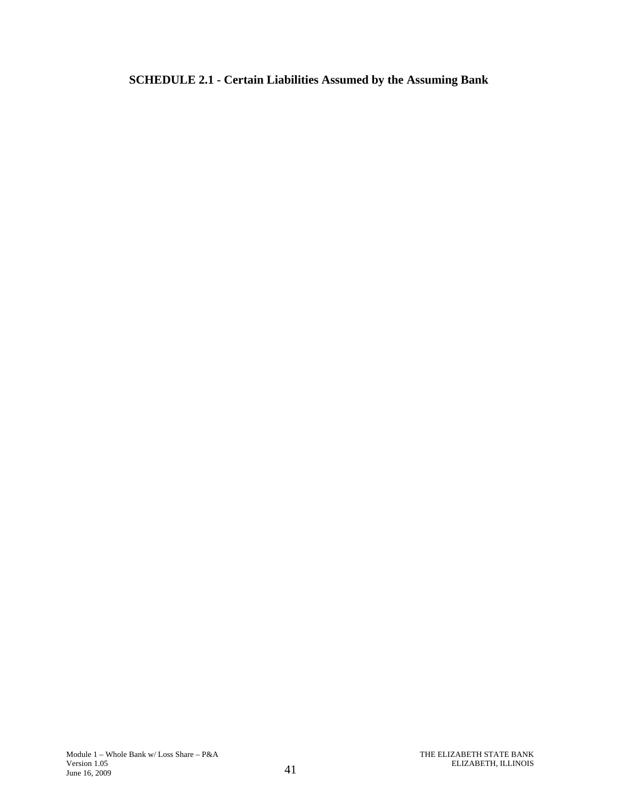**SCHEDULE 2.1 - Certain Liabilities Assumed by the Assuming Bank**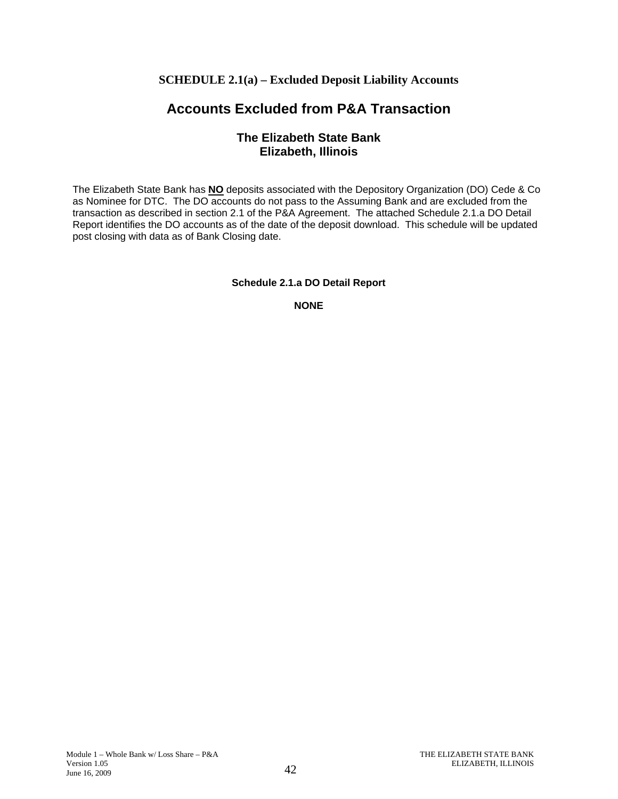**SCHEDULE 2.1(a) – Excluded Deposit Liability Accounts** 

# **Accounts Excluded from P&A Transaction**

### **The Elizabeth State Bank Elizabeth, Illinois**

The Elizabeth State Bank has **NO** deposits associated with the Depository Organization (DO) Cede & Co as Nominee for DTC. The DO accounts do not pass to the Assuming Bank and are excluded from the transaction as described in section 2.1 of the P&A Agreement. The attached Schedule 2.1.a DO Detail Report identifies the DO accounts as of the date of the deposit download. This schedule will be updated post closing with data as of Bank Closing date.

**Schedule 2.1.a DO Detail Report** 

**NONE**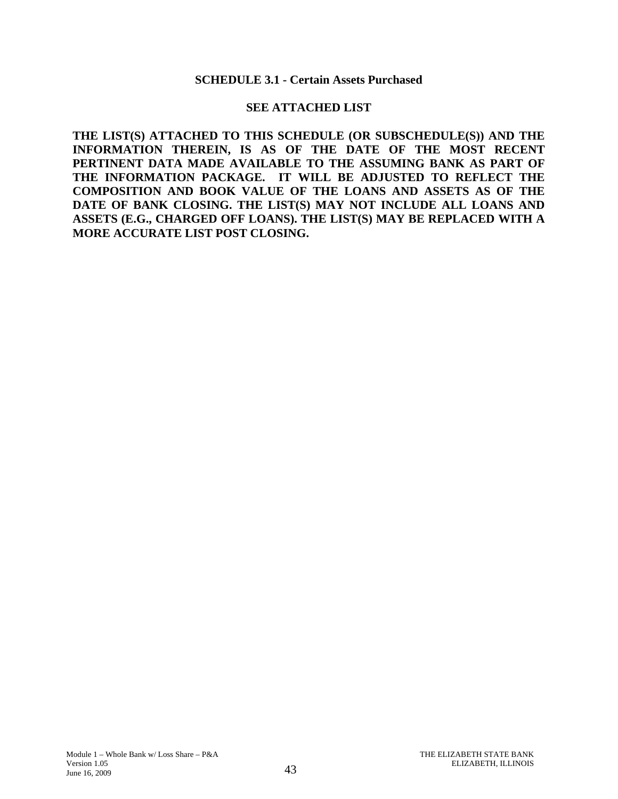#### **SCHEDULE 3.1 - Certain Assets Purchased**

#### **SEE ATTACHED LIST**

THE LIST(S) ATTACHED TO THIS SCHEDULE (OR SUBSCHEDULE(S)) AND THE **INFORMATION THEREIN, IS AS OF THE DATE OF THE MOST RECENT PERTINENT DATA MADE AVAILABLE TO THE ASSUMING BANK AS PART OF THE INFORMATION PACKAGE. IT WILL BE ADJUSTED TO REFLECT THE COMPOSITION AND BOOK VALUE OF THE LOANS AND ASSETS AS OF THE DATE OF BANK CLOSING. THE LIST(S) MAY NOT INCLUDE ALL LOANS AND ASSETS (E.G., CHARGED OFF LOANS). THE LIST(S) MAY BE REPLACED WITH A MORE ACCURATE LIST POST CLOSING.**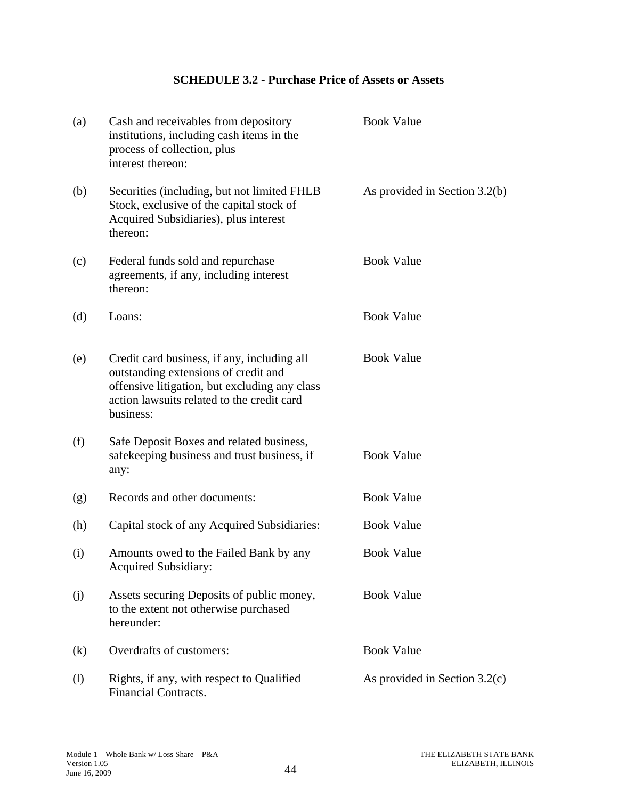## **SCHEDULE 3.2 - Purchase Price of Assets or Assets**

| (a) | Cash and receivables from depository<br>institutions, including cash items in the<br>process of collection, plus<br>interest thereon:                                                           | <b>Book Value</b>               |
|-----|-------------------------------------------------------------------------------------------------------------------------------------------------------------------------------------------------|---------------------------------|
| (b) | Securities (including, but not limited FHLB<br>Stock, exclusive of the capital stock of<br>Acquired Subsidiaries), plus interest<br>thereon:                                                    | As provided in Section $3.2(b)$ |
| (c) | Federal funds sold and repurchase<br>agreements, if any, including interest<br>thereon:                                                                                                         | <b>Book Value</b>               |
| (d) | Loans:                                                                                                                                                                                          | <b>Book Value</b>               |
| (e) | Credit card business, if any, including all<br>outstanding extensions of credit and<br>offensive litigation, but excluding any class<br>action lawsuits related to the credit card<br>business: | <b>Book Value</b>               |
| (f) | Safe Deposit Boxes and related business,<br>safekeeping business and trust business, if<br>any:                                                                                                 | <b>Book Value</b>               |
| (g) | Records and other documents:                                                                                                                                                                    | <b>Book Value</b>               |
| (h) | Capital stock of any Acquired Subsidiaries:                                                                                                                                                     | <b>Book Value</b>               |
| (i) | Amounts owed to the Failed Bank by any<br><b>Acquired Subsidiary:</b>                                                                                                                           | <b>Book Value</b>               |
| (j) | Assets securing Deposits of public money,<br>to the extent not otherwise purchased<br>hereunder:                                                                                                | <b>Book Value</b>               |
| (k) | Overdrafts of customers:                                                                                                                                                                        | <b>Book Value</b>               |
| (1) | Rights, if any, with respect to Qualified<br><b>Financial Contracts.</b>                                                                                                                        | As provided in Section $3.2(c)$ |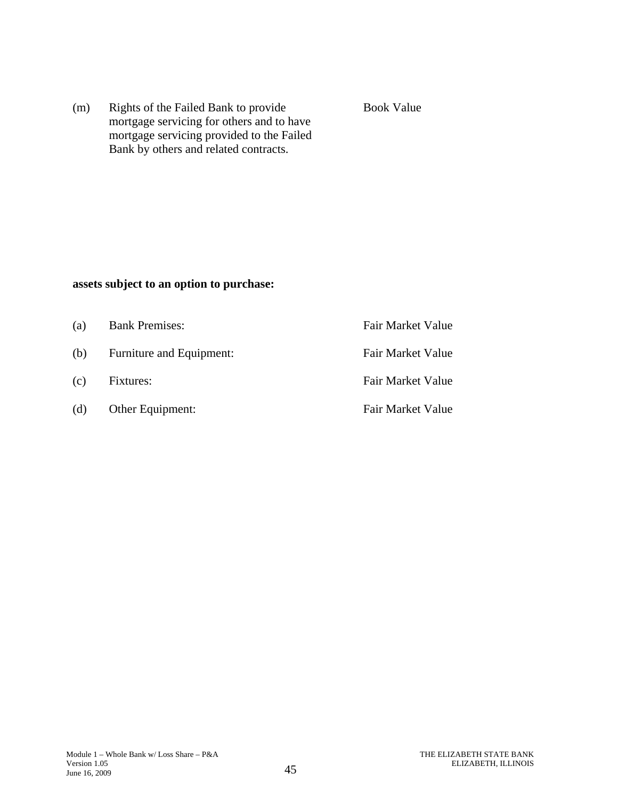(m) Rights of the Failed Bank to provide Book Value mortgage servicing for others and to have mortgage servicing provided to the Failed Bank by others and related contracts.

### **assets subject to an option to purchase:**

| (a) | <b>Bank Premises:</b>    | Fair Market Value |
|-----|--------------------------|-------------------|
| (b) | Furniture and Equipment: | Fair Market Value |
| (c) | Fixtures:                | Fair Market Value |
| (d) | Other Equipment:         | Fair Market Value |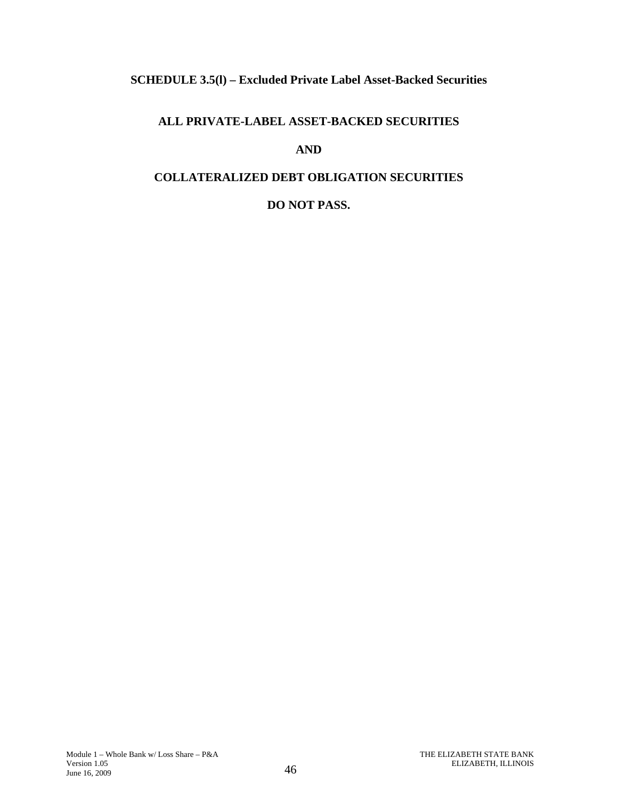## **SCHEDULE 3.5(l) – Excluded Private Label Asset-Backed Securities**

### **ALL PRIVATE-LABEL ASSET-BACKED SECURITIES**

### **AND**

# **COLLATERALIZED DEBT OBLIGATION SECURITIES**

## **DO NOT PASS.**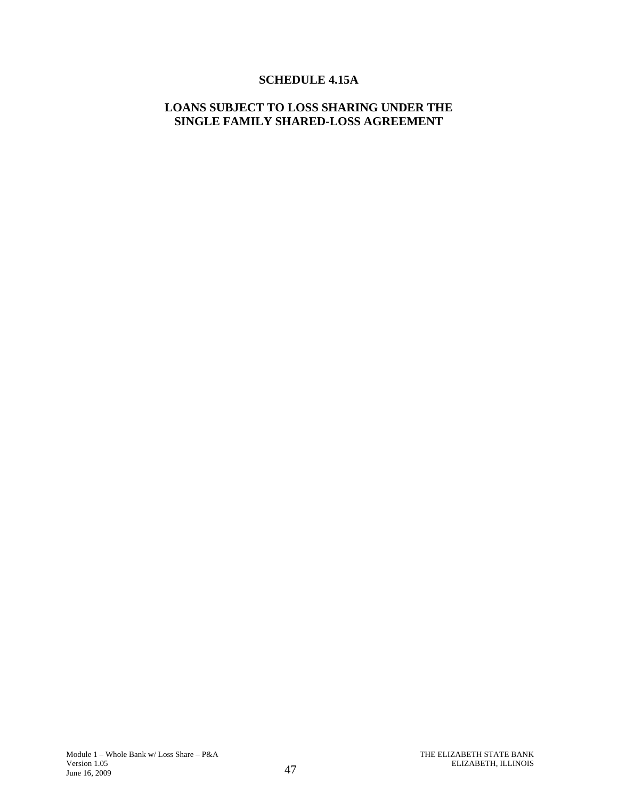### **SCHEDULE 4.15A**

### **LOANS SUBJECT TO LOSS SHARING UNDER THE SINGLE FAMILY SHARED-LOSS AGREEMENT**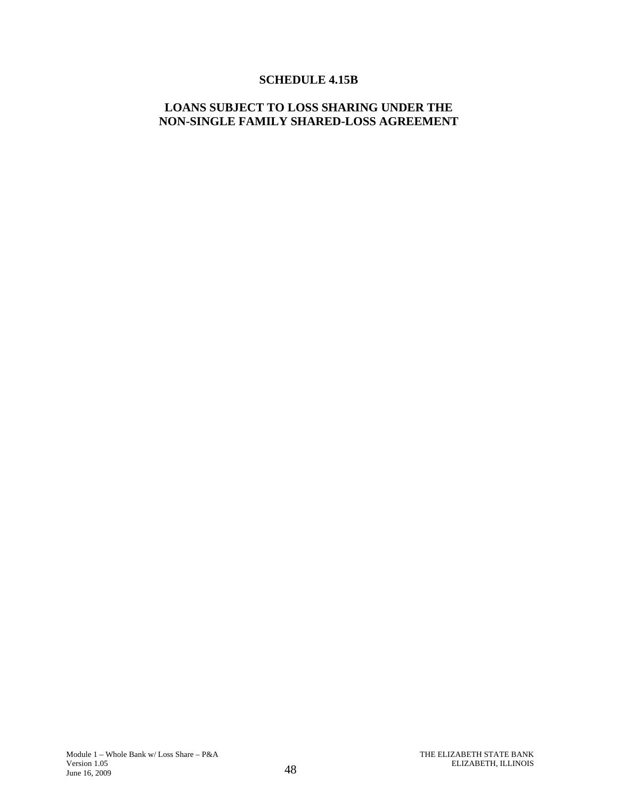### **SCHEDULE 4.15B**

### **LOANS SUBJECT TO LOSS SHARING UNDER THE NON-SINGLE FAMILY SHARED-LOSS AGREEMENT**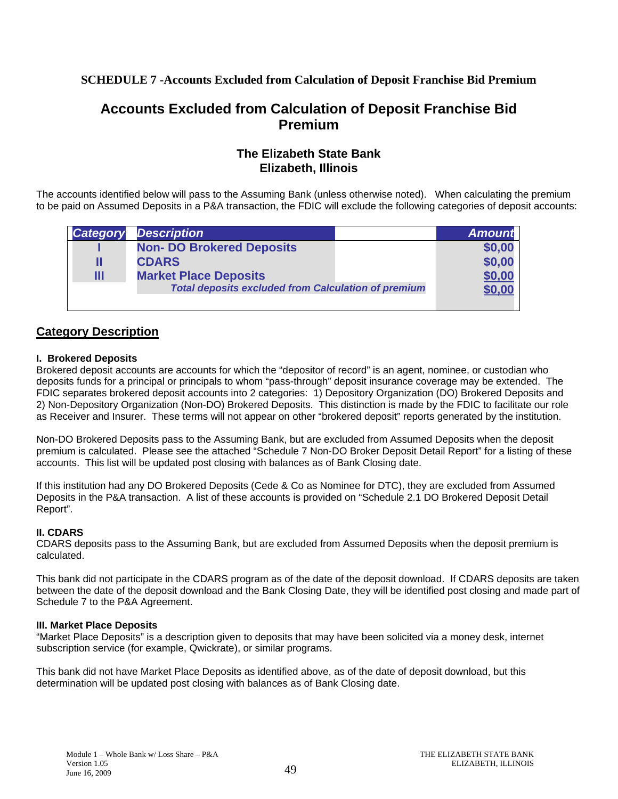**SCHEDULE 7 -Accounts Excluded from Calculation of Deposit Franchise Bid Premium** 

# **Premium Accounts Excluded from Calculation of Deposit Franchise Bid**

## **The Elizabeth State Bank Elizabeth, Illinois**

The accounts identified below will pass to the Assuming Bank (unless otherwise noted). When calculating the premium to be paid on Assumed Deposits in a P&A transaction, the FDIC will exclude the following categories of deposit accounts:

| <b>Category</b> | <b>Description</b>                                         | <b>Amount</b> |
|-----------------|------------------------------------------------------------|---------------|
|                 | <b>Non-DO Brokered Deposits</b>                            | \$0,00        |
| П               | <b>CDARS</b>                                               | \$0,00        |
| Ш               | <b>Market Place Deposits</b>                               | \$0,00        |
|                 | <b>Total deposits excluded from Calculation of premium</b> | \$0,00        |
|                 |                                                            |               |

## **Category Description**

#### **I. Brokered Deposits**

Brokered deposit accounts are accounts for which the "depositor of record" is an agent, nominee, or custodian who deposits funds for a principal or principals to whom "pass-through" deposit insurance coverage may be extended. The FDIC separates brokered deposit accounts into 2 categories: 1) Depository Organization (DO) Brokered Deposits and 2) Non-Depository Organization (Non-DO) Brokered Deposits. This distinction is made by the FDIC to facilitate our role as Receiver and Insurer. These terms will not appear on other "brokered deposit" reports generated by the institution.

Non-DO Brokered Deposits pass to the Assuming Bank, but are excluded from Assumed Deposits when the deposit premium is calculated. Please see the attached "Schedule 7 Non-DO Broker Deposit Detail Report" for a listing of these accounts. This list will be updated post closing with balances as of Bank Closing date.

If this institution had any DO Brokered Deposits (Cede & Co as Nominee for DTC), they are excluded from Assumed Deposits in the P&A transaction. A list of these accounts is provided on "Schedule 2.1 DO Brokered Deposit Detail Report".

#### **II. CDARS**

CDARS deposits pass to the Assuming Bank, but are excluded from Assumed Deposits when the deposit premium is calculated.

This bank did not participate in the CDARS program as of the date of the deposit download. If CDARS deposits are taken between the date of the deposit download and the Bank Closing Date, they will be identified post closing and made part of Schedule 7 to the P&A Agreement.

#### **III. Market Place Deposits**

"Market Place Deposits" is a description given to deposits that may have been solicited via a money desk, internet subscription service (for example, Qwickrate), or similar programs.

This bank did not have Market Place Deposits as identified above, as of the date of deposit download, but this determination will be updated post closing with balances as of Bank Closing date.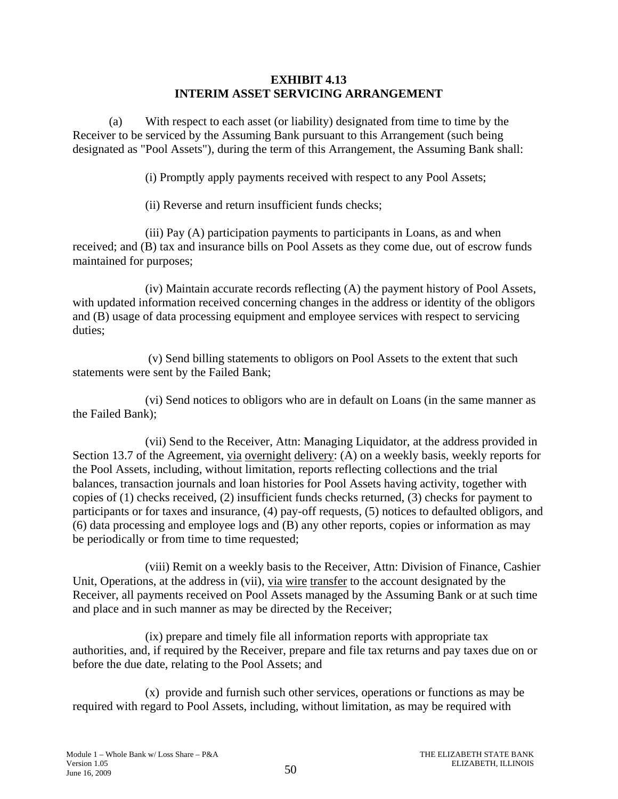### **EXHIBIT 4.13 INTERIM ASSET SERVICING ARRANGEMENT**

(a) With respect to each asset (or liability) designated from time to time by the Receiver to be serviced by the Assuming Bank pursuant to this Arrangement (such being designated as "Pool Assets"), during the term of this Arrangement, the Assuming Bank shall:

(i) Promptly apply payments received with respect to any Pool Assets;

(ii) Reverse and return insufficient funds checks;

(iii) Pay (A) participation payments to participants in Loans, as and when received; and (B) tax and insurance bills on Pool Assets as they come due, out of escrow funds maintained for purposes;

(iv) Maintain accurate records reflecting (A) the payment history of Pool Assets, with updated information received concerning changes in the address or identity of the obligors and (B) usage of data processing equipment and employee services with respect to servicing duties;

 (v) Send billing statements to obligors on Pool Assets to the extent that such statements were sent by the Failed Bank;

(vi) Send notices to obligors who are in default on Loans (in the same manner as the Failed Bank);

(vii) Send to the Receiver, Attn: Managing Liquidator, at the address provided in Section 13.7 of the Agreement, via overnight delivery: (A) on a weekly basis, weekly reports for the Pool Assets, including, without limitation, reports reflecting collections and the trial balances, transaction journals and loan histories for Pool Assets having activity, together with copies of (1) checks received, (2) insufficient funds checks returned, (3) checks for payment to participants or for taxes and insurance, (4) pay-off requests, (5) notices to defaulted obligors, and (6) data processing and employee logs and (B) any other reports, copies or information as may be periodically or from time to time requested;

(viii) Remit on a weekly basis to the Receiver, Attn: Division of Finance, Cashier Unit, Operations, at the address in (vii), via wire transfer to the account designated by the Receiver, all payments received on Pool Assets managed by the Assuming Bank or at such time and place and in such manner as may be directed by the Receiver;

(ix) prepare and timely file all information reports with appropriate tax authorities, and, if required by the Receiver, prepare and file tax returns and pay taxes due on or before the due date, relating to the Pool Assets; and

(x) provide and furnish such other services, operations or functions as may be required with regard to Pool Assets, including, without limitation, as may be required with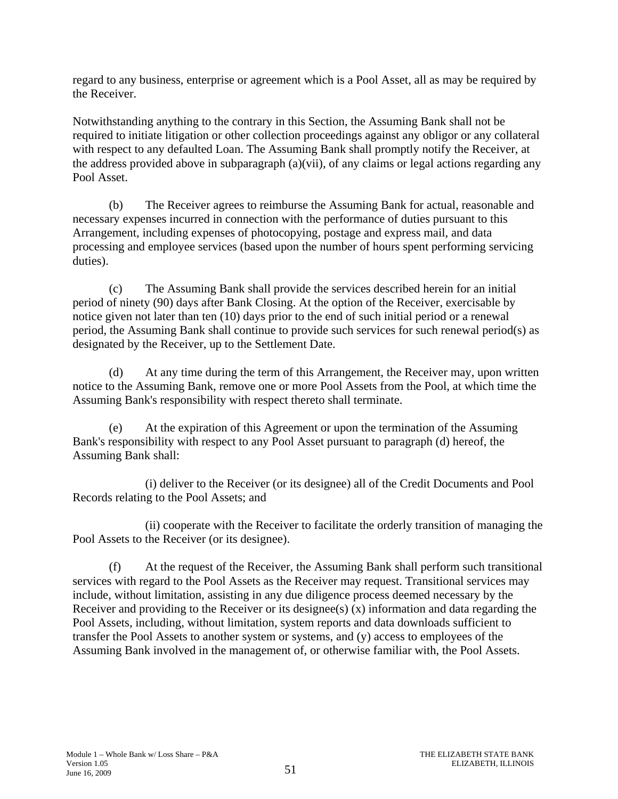regard to any business, enterprise or agreement which is a Pool Asset, all as may be required by the Receiver.

Notwithstanding anything to the contrary in this Section, the Assuming Bank shall not be required to initiate litigation or other collection proceedings against any obligor or any collateral with respect to any defaulted Loan. The Assuming Bank shall promptly notify the Receiver, at the address provided above in subparagraph (a)(vii), of any claims or legal actions regarding any Pool Asset.

(b) The Receiver agrees to reimburse the Assuming Bank for actual, reasonable and necessary expenses incurred in connection with the performance of duties pursuant to this Arrangement, including expenses of photocopying, postage and express mail, and data processing and employee services (based upon the number of hours spent performing servicing duties).

(c) The Assuming Bank shall provide the services described herein for an initial period of ninety (90) days after Bank Closing. At the option of the Receiver, exercisable by notice given not later than ten (10) days prior to the end of such initial period or a renewal period, the Assuming Bank shall continue to provide such services for such renewal period(s) as designated by the Receiver, up to the Settlement Date.

(d) At any time during the term of this Arrangement, the Receiver may, upon written notice to the Assuming Bank, remove one or more Pool Assets from the Pool, at which time the Assuming Bank's responsibility with respect thereto shall terminate.

(e) At the expiration of this Agreement or upon the termination of the Assuming Bank's responsibility with respect to any Pool Asset pursuant to paragraph (d) hereof, the Assuming Bank shall:

(i) deliver to the Receiver (or its designee) all of the Credit Documents and Pool Records relating to the Pool Assets; and

(ii) cooperate with the Receiver to facilitate the orderly transition of managing the Pool Assets to the Receiver (or its designee).

(f) At the request of the Receiver, the Assuming Bank shall perform such transitional services with regard to the Pool Assets as the Receiver may request. Transitional services may include, without limitation, assisting in any due diligence process deemed necessary by the Receiver and providing to the Receiver or its designee(s) (x) information and data regarding the Pool Assets, including, without limitation, system reports and data downloads sufficient to transfer the Pool Assets to another system or systems, and (y) access to employees of the Assuming Bank involved in the management of, or otherwise familiar with, the Pool Assets.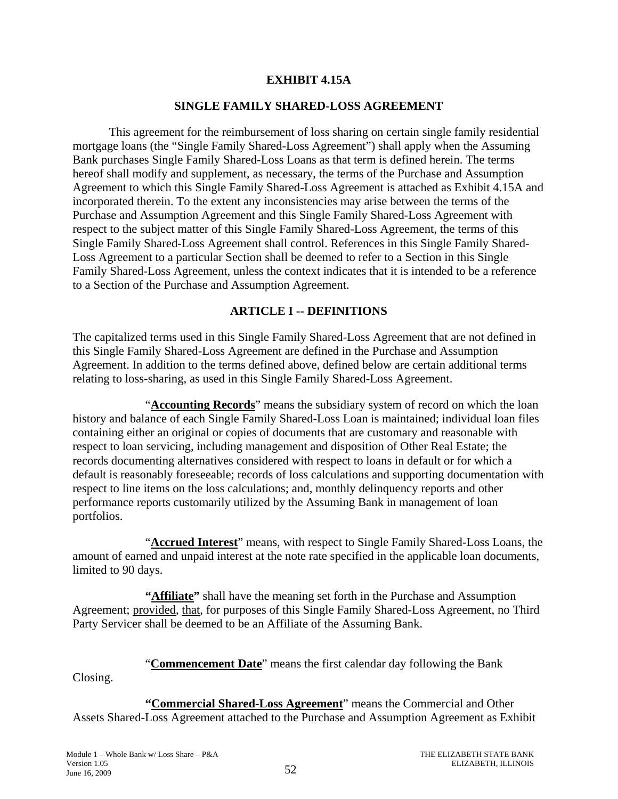### **EXHIBIT 4.15A**

#### **SINGLE FAMILY SHARED-LOSS AGREEMENT**

This agreement for the reimbursement of loss sharing on certain single family residential mortgage loans (the "Single Family Shared-Loss Agreement") shall apply when the Assuming Bank purchases Single Family Shared-Loss Loans as that term is defined herein. The terms hereof shall modify and supplement, as necessary, the terms of the Purchase and Assumption Agreement to which this Single Family Shared-Loss Agreement is attached as Exhibit 4.15A and incorporated therein. To the extent any inconsistencies may arise between the terms of the Purchase and Assumption Agreement and this Single Family Shared-Loss Agreement with respect to the subject matter of this Single Family Shared-Loss Agreement, the terms of this Single Family Shared-Loss Agreement shall control. References in this Single Family Shared-Loss Agreement to a particular Section shall be deemed to refer to a Section in this Single Family Shared-Loss Agreement, unless the context indicates that it is intended to be a reference to a Section of the Purchase and Assumption Agreement.

### **ARTICLE I -- DEFINITIONS**

The capitalized terms used in this Single Family Shared-Loss Agreement that are not defined in this Single Family Shared-Loss Agreement are defined in the Purchase and Assumption Agreement. In addition to the terms defined above, defined below are certain additional terms relating to loss-sharing, as used in this Single Family Shared-Loss Agreement.

"**Accounting Records**" means the subsidiary system of record on which the loan history and balance of each Single Family Shared-Loss Loan is maintained; individual loan files containing either an original or copies of documents that are customary and reasonable with respect to loan servicing, including management and disposition of Other Real Estate; the records documenting alternatives considered with respect to loans in default or for which a default is reasonably foreseeable; records of loss calculations and supporting documentation with respect to line items on the loss calculations; and, monthly delinquency reports and other performance reports customarily utilized by the Assuming Bank in management of loan portfolios.

"**Accrued Interest**" means, with respect to Single Family Shared-Loss Loans, the amount of earned and unpaid interest at the note rate specified in the applicable loan documents, limited to 90 days.

**"Affiliate"** shall have the meaning set forth in the Purchase and Assumption Agreement; provided, that, for purposes of this Single Family Shared-Loss Agreement, no Third Party Servicer shall be deemed to be an Affiliate of the Assuming Bank.

"**Commencement Date**" means the first calendar day following the Bank

Closing.

**"Commercial Shared-Loss Agreement**" means the Commercial and Other Assets Shared-Loss Agreement attached to the Purchase and Assumption Agreement as Exhibit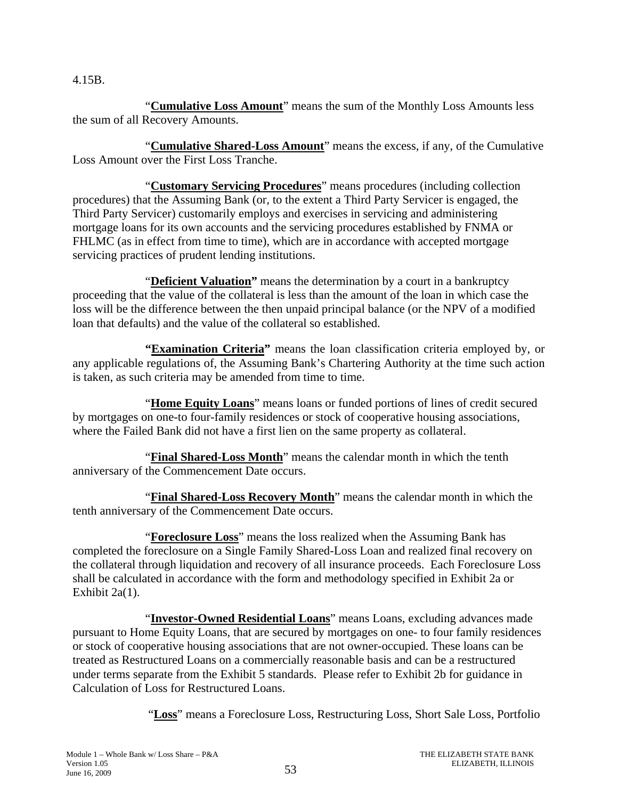4.15B.

"**Cumulative Loss Amount**" means the sum of the Monthly Loss Amounts less the sum of all Recovery Amounts.

"**Cumulative Shared-Loss Amount**" means the excess, if any, of the Cumulative Loss Amount over the First Loss Tranche.

"**Customary Servicing Procedures**" means procedures (including collection procedures) that the Assuming Bank (or, to the extent a Third Party Servicer is engaged, the Third Party Servicer) customarily employs and exercises in servicing and administering mortgage loans for its own accounts and the servicing procedures established by FNMA or FHLMC (as in effect from time to time), which are in accordance with accepted mortgage servicing practices of prudent lending institutions.

"**Deficient Valuation"** means the determination by a court in a bankruptcy proceeding that the value of the collateral is less than the amount of the loan in which case the loss will be the difference between the then unpaid principal balance (or the NPV of a modified loan that defaults) and the value of the collateral so established.

**"Examination Criteria"** means the loan classification criteria employed by, or any applicable regulations of, the Assuming Bank's Chartering Authority at the time such action is taken, as such criteria may be amended from time to time.

"**Home Equity Loans**" means loans or funded portions of lines of credit secured by mortgages on one-to four-family residences or stock of cooperative housing associations, where the Failed Bank did not have a first lien on the same property as collateral.

"**Final Shared-Loss Month**" means the calendar month in which the tenth anniversary of the Commencement Date occurs.

"**Final Shared-Loss Recovery Month**" means the calendar month in which the tenth anniversary of the Commencement Date occurs.

"**Foreclosure Loss**" means the loss realized when the Assuming Bank has completed the foreclosure on a Single Family Shared-Loss Loan and realized final recovery on the collateral through liquidation and recovery of all insurance proceeds. Each Foreclosure Loss shall be calculated in accordance with the form and methodology specified in Exhibit 2a or Exhibit 2a(1).

"**Investor-Owned Residential Loans**" means Loans, excluding advances made pursuant to Home Equity Loans, that are secured by mortgages on one- to four family residences or stock of cooperative housing associations that are not owner-occupied. These loans can be treated as Restructured Loans on a commercially reasonable basis and can be a restructured under terms separate from the Exhibit 5 standards. Please refer to Exhibit 2b for guidance in Calculation of Loss for Restructured Loans.

"**Loss**" means a Foreclosure Loss, Restructuring Loss, Short Sale Loss, Portfolio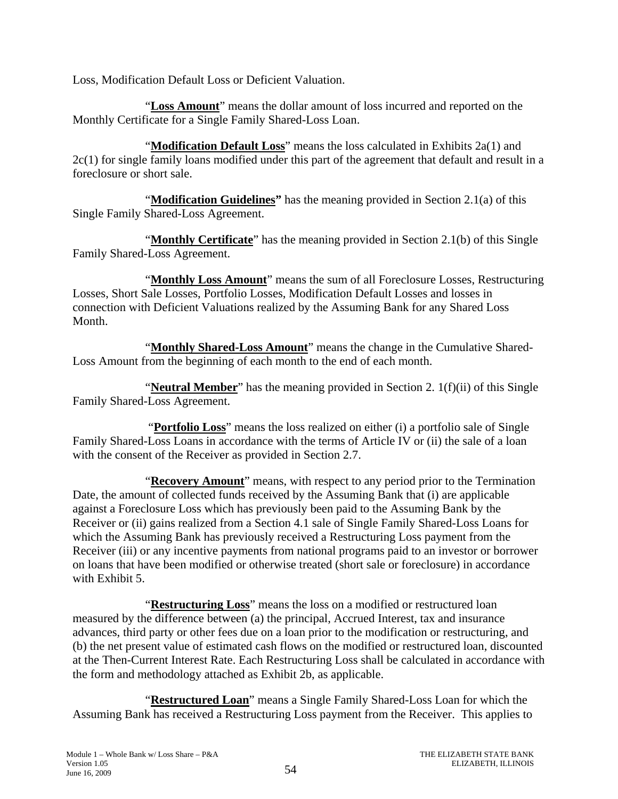Loss, Modification Default Loss or Deficient Valuation.

"**Loss Amount**" means the dollar amount of loss incurred and reported on the Monthly Certificate for a Single Family Shared-Loss Loan.

"**Modification Default Loss**" means the loss calculated in Exhibits 2a(1) and 2c(1) for single family loans modified under this part of the agreement that default and result in a foreclosure or short sale.

"**Modification Guidelines**" has the meaning provided in Section 2.1(a) of this Single Family Shared-Loss Agreement.

"**Monthly Certificate**" has the meaning provided in Section 2.1(b) of this Single Family Shared-Loss Agreement.

"**Monthly Loss Amount**" means the sum of all Foreclosure Losses, Restructuring Losses, Short Sale Losses, Portfolio Losses, Modification Default Losses and losses in connection with Deficient Valuations realized by the Assuming Bank for any Shared Loss Month.

"**Monthly Shared-Loss Amount**" means the change in the Cumulative Shared-Loss Amount from the beginning of each month to the end of each month.

**"Neutral Member**" has the meaning provided in Section 2. 1(f)(ii) of this Single Family Shared-Loss Agreement.

"**Portfolio Loss**" means the loss realized on either (i) a portfolio sale of Single Family Shared-Loss Loans in accordance with the terms of Article IV or (ii) the sale of a loan with the consent of the Receiver as provided in Section 2.7.

"**Recovery Amount**" means, with respect to any period prior to the Termination Date, the amount of collected funds received by the Assuming Bank that (i) are applicable against a Foreclosure Loss which has previously been paid to the Assuming Bank by the Receiver or (ii) gains realized from a Section 4.1 sale of Single Family Shared-Loss Loans for which the Assuming Bank has previously received a Restructuring Loss payment from the Receiver (iii) or any incentive payments from national programs paid to an investor or borrower on loans that have been modified or otherwise treated (short sale or foreclosure) in accordance with Exhibit 5.

"**Restructuring Loss**" means the loss on a modified or restructured loan measured by the difference between (a) the principal, Accrued Interest, tax and insurance advances, third party or other fees due on a loan prior to the modification or restructuring, and (b) the net present value of estimated cash flows on the modified or restructured loan, discounted at the Then-Current Interest Rate. Each Restructuring Loss shall be calculated in accordance with the form and methodology attached as Exhibit 2b, as applicable.

"**Restructured Loan**" means a Single Family Shared-Loss Loan for which the Assuming Bank has received a Restructuring Loss payment from the Receiver. This applies to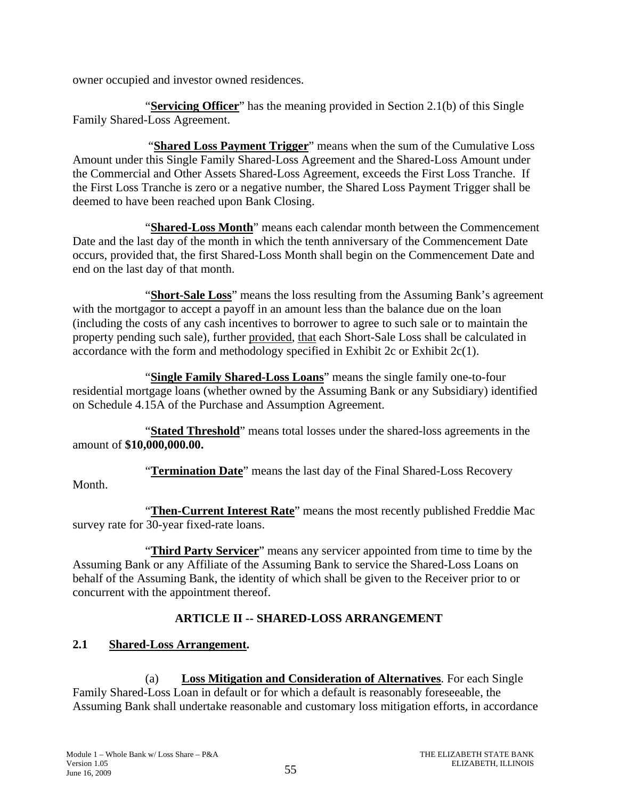owner occupied and investor owned residences.

**"Servicing Officer**" has the meaning provided in Section 2.1(b) of this Single Family Shared-Loss Agreement.

"**Shared Loss Payment Trigger**" means when the sum of the Cumulative Loss Amount under this Single Family Shared-Loss Agreement and the Shared-Loss Amount under the Commercial and Other Assets Shared-Loss Agreement, exceeds the First Loss Tranche. If the First Loss Tranche is zero or a negative number, the Shared Loss Payment Trigger shall be deemed to have been reached upon Bank Closing.

"**Shared-Loss Month**" means each calendar month between the Commencement Date and the last day of the month in which the tenth anniversary of the Commencement Date occurs, provided that, the first Shared-Loss Month shall begin on the Commencement Date and end on the last day of that month.

"**Short-Sale Loss**" means the loss resulting from the Assuming Bank's agreement with the mortgagor to accept a payoff in an amount less than the balance due on the loan (including the costs of any cash incentives to borrower to agree to such sale or to maintain the property pending such sale), further provided, that each Short-Sale Loss shall be calculated in accordance with the form and methodology specified in Exhibit 2c or Exhibit  $2c(1)$ .

"**Single Family Shared-Loss Loans**" means the single family one-to-four residential mortgage loans (whether owned by the Assuming Bank or any Subsidiary) identified on Schedule 4.15A of the Purchase and Assumption Agreement.

"**Stated Threshold**" means total losses under the shared-loss agreements in the amount of **\$10,000,000.00.** 

"**Termination Date**" means the last day of the Final Shared-Loss Recovery Month.

"**Then-Current Interest Rate**" means the most recently published Freddie Mac survey rate for 30-year fixed-rate loans.

"**Third Party Servicer**" means any servicer appointed from time to time by the Assuming Bank or any Affiliate of the Assuming Bank to service the Shared-Loss Loans on behalf of the Assuming Bank, the identity of which shall be given to the Receiver prior to or concurrent with the appointment thereof.

## **ARTICLE II -- SHARED-LOSS ARRANGEMENT**

## **2.1 Shared-Loss Arrangement.**

(a) **Loss Mitigation and Consideration of Alternatives**. For each Single Family Shared-Loss Loan in default or for which a default is reasonably foreseeable, the Assuming Bank shall undertake reasonable and customary loss mitigation efforts, in accordance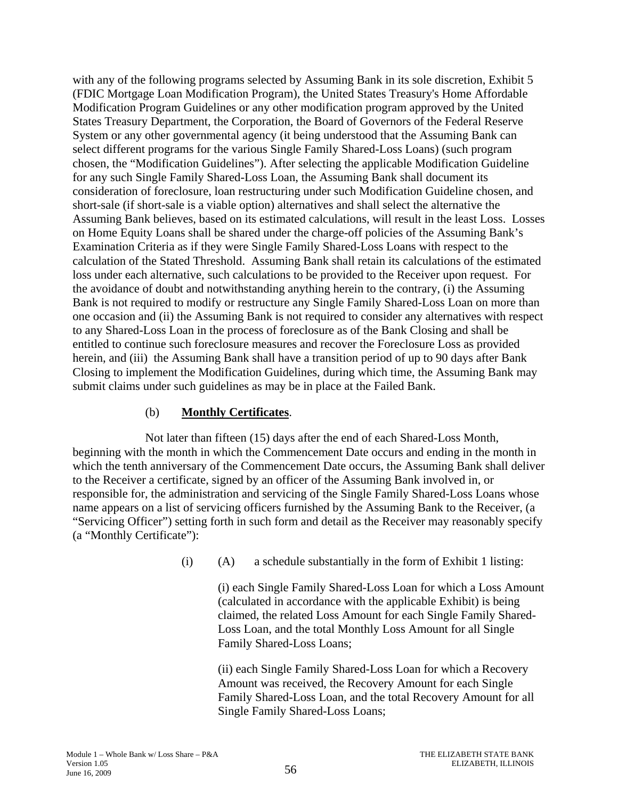with any of the following programs selected by Assuming Bank in its sole discretion, Exhibit 5 (FDIC Mortgage Loan Modification Program), the United States Treasury's Home Affordable Modification Program Guidelines or any other modification program approved by the United States Treasury Department, the Corporation, the Board of Governors of the Federal Reserve System or any other governmental agency (it being understood that the Assuming Bank can select different programs for the various Single Family Shared-Loss Loans) (such program chosen, the "Modification Guidelines"). After selecting the applicable Modification Guideline for any such Single Family Shared-Loss Loan, the Assuming Bank shall document its consideration of foreclosure, loan restructuring under such Modification Guideline chosen, and short-sale (if short-sale is a viable option) alternatives and shall select the alternative the Assuming Bank believes, based on its estimated calculations, will result in the least Loss. Losses on Home Equity Loans shall be shared under the charge-off policies of the Assuming Bank's Examination Criteria as if they were Single Family Shared-Loss Loans with respect to the calculation of the Stated Threshold. Assuming Bank shall retain its calculations of the estimated loss under each alternative, such calculations to be provided to the Receiver upon request. For the avoidance of doubt and notwithstanding anything herein to the contrary, (i) the Assuming Bank is not required to modify or restructure any Single Family Shared-Loss Loan on more than one occasion and (ii) the Assuming Bank is not required to consider any alternatives with respect to any Shared-Loss Loan in the process of foreclosure as of the Bank Closing and shall be entitled to continue such foreclosure measures and recover the Foreclosure Loss as provided herein, and (iii) the Assuming Bank shall have a transition period of up to 90 days after Bank Closing to implement the Modification Guidelines, during which time, the Assuming Bank may submit claims under such guidelines as may be in place at the Failed Bank.

### (b) **Monthly Certificates**.

Not later than fifteen (15) days after the end of each Shared-Loss Month, beginning with the month in which the Commencement Date occurs and ending in the month in which the tenth anniversary of the Commencement Date occurs, the Assuming Bank shall deliver to the Receiver a certificate, signed by an officer of the Assuming Bank involved in, or responsible for, the administration and servicing of the Single Family Shared-Loss Loans whose name appears on a list of servicing officers furnished by the Assuming Bank to the Receiver, (a "Servicing Officer") setting forth in such form and detail as the Receiver may reasonably specify (a "Monthly Certificate"):

(i) (A) a schedule substantially in the form of Exhibit 1 listing:

(i) each Single Family Shared-Loss Loan for which a Loss Amount (calculated in accordance with the applicable Exhibit) is being claimed, the related Loss Amount for each Single Family Shared-Loss Loan, and the total Monthly Loss Amount for all Single Family Shared-Loss Loans;

(ii) each Single Family Shared-Loss Loan for which a Recovery Amount was received, the Recovery Amount for each Single Family Shared-Loss Loan, and the total Recovery Amount for all Single Family Shared-Loss Loans;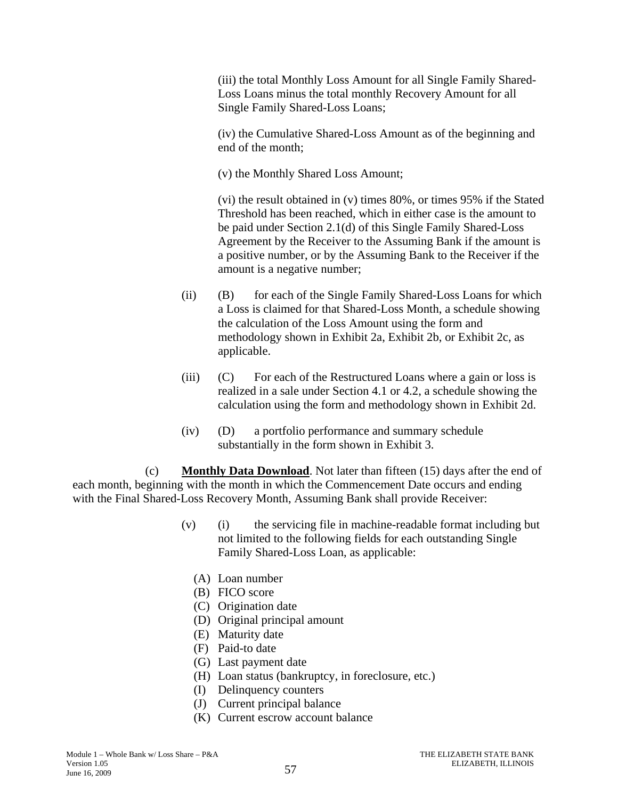(iii) the total Monthly Loss Amount for all Single Family Shared-Loss Loans minus the total monthly Recovery Amount for all Single Family Shared-Loss Loans;

(iv) the Cumulative Shared-Loss Amount as of the beginning and end of the month;

(v) the Monthly Shared Loss Amount;

(vi) the result obtained in (v) times 80%, or times 95% if the Stated Threshold has been reached, which in either case is the amount to be paid under Section 2.1(d) of this Single Family Shared-Loss Agreement by the Receiver to the Assuming Bank if the amount is a positive number, or by the Assuming Bank to the Receiver if the amount is a negative number;

- (ii) (B) for each of the Single Family Shared-Loss Loans for which a Loss is claimed for that Shared-Loss Month, a schedule showing the calculation of the Loss Amount using the form and methodology shown in Exhibit 2a, Exhibit 2b, or Exhibit 2c, as applicable.
- (iii) (C) For each of the Restructured Loans where a gain or loss is realized in a sale under Section 4.1 or 4.2, a schedule showing the calculation using the form and methodology shown in Exhibit 2d.
- (iv) (D) a portfolio performance and summary schedule substantially in the form shown in Exhibit 3.

(c) **Monthly Data Download**. Not later than fifteen (15) days after the end of each month, beginning with the month in which the Commencement Date occurs and ending with the Final Shared-Loss Recovery Month, Assuming Bank shall provide Receiver:

- $(v)$  (i) the servicing file in machine-readable format including but not limited to the following fields for each outstanding Single Family Shared-Loss Loan, as applicable:
	- (A) Loan number
	- (B) FICO score
	- (C) Origination date
	- (D) Original principal amount
	- (E) Maturity date
	- (F) Paid-to date
	- (G) Last payment date
	- (H) Loan status (bankruptcy, in foreclosure, etc.)
	- (I) Delinquency counters
	- (J) Current principal balance
	- (K) Current escrow account balance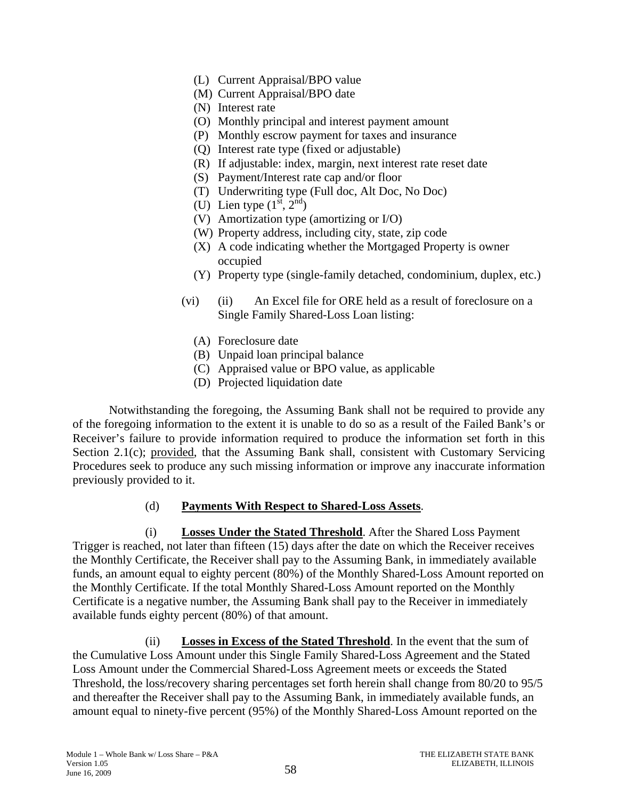- (L) Current Appraisal/BPO value
- (M) Current Appraisal/BPO date
- (N) Interest rate
- (O) Monthly principal and interest payment amount
- (P) Monthly escrow payment for taxes and insurance
- (Q) Interest rate type (fixed or adjustable)
- (R) If adjustable: index, margin, next interest rate reset date
- (S) Payment/Interest rate cap and/or floor
- (T) Underwriting type (Full doc, Alt Doc, No Doc)
- (U) Lien type  $(1<sup>st</sup>, 2<sup>nd</sup>)$
- (V) Amortization type (amortizing or I/O)
- (W) Property address, including city, state, zip code
- (X) A code indicating whether the Mortgaged Property is owner occupied
- (Y) Property type (single-family detached, condominium, duplex, etc.)
- (vi) (ii) An Excel file for ORE held as a result of foreclosure on a Single Family Shared-Loss Loan listing:
	- (A) Foreclosure date
	- (B) Unpaid loan principal balance
	- (C) Appraised value or BPO value, as applicable
	- (D) Projected liquidation date

Notwithstanding the foregoing, the Assuming Bank shall not be required to provide any of the foregoing information to the extent it is unable to do so as a result of the Failed Bank's or Receiver's failure to provide information required to produce the information set forth in this Section 2.1(c); provided, that the Assuming Bank shall, consistent with Customary Servicing Procedures seek to produce any such missing information or improve any inaccurate information previously provided to it.

### (d) **Payments With Respect to Shared-Loss Assets**.

(i) **Losses Under the Stated Threshold**. After the Shared Loss Payment Trigger is reached, not later than fifteen (15) days after the date on which the Receiver receives the Monthly Certificate, the Receiver shall pay to the Assuming Bank, in immediately available funds, an amount equal to eighty percent (80%) of the Monthly Shared-Loss Amount reported on the Monthly Certificate. If the total Monthly Shared-Loss Amount reported on the Monthly Certificate is a negative number, the Assuming Bank shall pay to the Receiver in immediately available funds eighty percent (80%) of that amount.

(ii) **Losses in Excess of the Stated Threshold**. In the event that the sum of the Cumulative Loss Amount under this Single Family Shared-Loss Agreement and the Stated Loss Amount under the Commercial Shared-Loss Agreement meets or exceeds the Stated Threshold, the loss/recovery sharing percentages set forth herein shall change from 80/20 to 95/5 and thereafter the Receiver shall pay to the Assuming Bank, in immediately available funds, an amount equal to ninety-five percent (95%) of the Monthly Shared-Loss Amount reported on the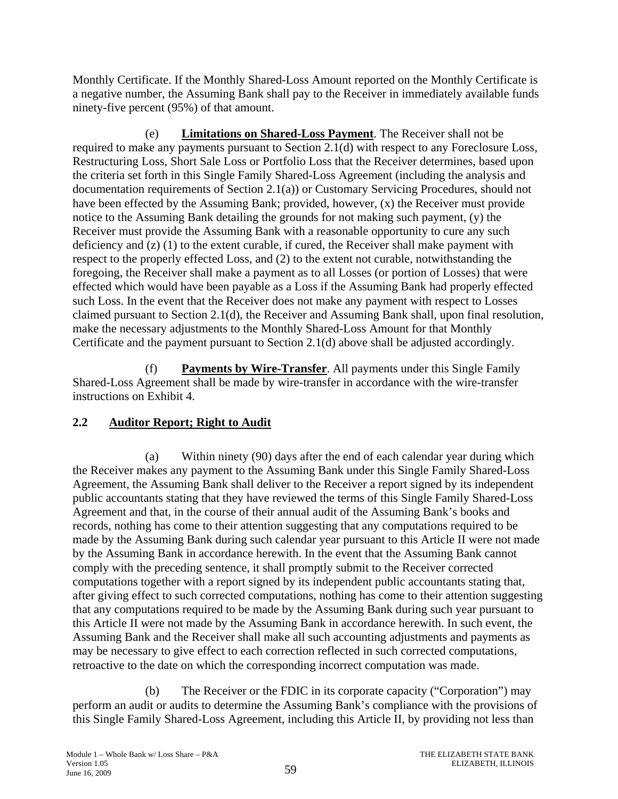Monthly Certificate. If the Monthly Shared-Loss Amount reported on the Monthly Certificate is a negative number, the Assuming Bank shall pay to the Receiver in immediately available funds ninety-five percent (95%) of that amount.

(e) **Limitations on Shared-Loss Payment**. The Receiver shall not be required to make any payments pursuant to Section 2.1(d) with respect to any Foreclosure Loss, Restructuring Loss, Short Sale Loss or Portfolio Loss that the Receiver determines, based upon the criteria set forth in this Single Family Shared-Loss Agreement (including the analysis and documentation requirements of Section 2.1(a)) or Customary Servicing Procedures, should not have been effected by the Assuming Bank; provided, however, (x) the Receiver must provide notice to the Assuming Bank detailing the grounds for not making such payment, (y) the Receiver must provide the Assuming Bank with a reasonable opportunity to cure any such deficiency and (z) (1) to the extent curable, if cured, the Receiver shall make payment with respect to the properly effected Loss, and (2) to the extent not curable, notwithstanding the foregoing, the Receiver shall make a payment as to all Losses (or portion of Losses) that were effected which would have been payable as a Loss if the Assuming Bank had properly effected such Loss. In the event that the Receiver does not make any payment with respect to Losses claimed pursuant to Section 2.1(d), the Receiver and Assuming Bank shall, upon final resolution, make the necessary adjustments to the Monthly Shared-Loss Amount for that Monthly Certificate and the payment pursuant to Section 2.1(d) above shall be adjusted accordingly.

(f) **Payments by Wire-Transfer**. All payments under this Single Family Shared-Loss Agreement shall be made by wire-transfer in accordance with the wire-transfer instructions on Exhibit 4.

## **2.2 Auditor Report; Right to Audit**

(a) Within ninety (90) days after the end of each calendar year during which the Receiver makes any payment to the Assuming Bank under this Single Family Shared-Loss Agreement, the Assuming Bank shall deliver to the Receiver a report signed by its independent public accountants stating that they have reviewed the terms of this Single Family Shared-Loss Agreement and that, in the course of their annual audit of the Assuming Bank's books and records, nothing has come to their attention suggesting that any computations required to be made by the Assuming Bank during such calendar year pursuant to this Article II were not made by the Assuming Bank in accordance herewith. In the event that the Assuming Bank cannot comply with the preceding sentence, it shall promptly submit to the Receiver corrected computations together with a report signed by its independent public accountants stating that, after giving effect to such corrected computations, nothing has come to their attention suggesting that any computations required to be made by the Assuming Bank during such year pursuant to this Article II were not made by the Assuming Bank in accordance herewith. In such event, the Assuming Bank and the Receiver shall make all such accounting adjustments and payments as may be necessary to give effect to each correction reflected in such corrected computations, retroactive to the date on which the corresponding incorrect computation was made.

(b) The Receiver or the FDIC in its corporate capacity ("Corporation") may perform an audit or audits to determine the Assuming Bank's compliance with the provisions of this Single Family Shared-Loss Agreement, including this Article II, by providing not less than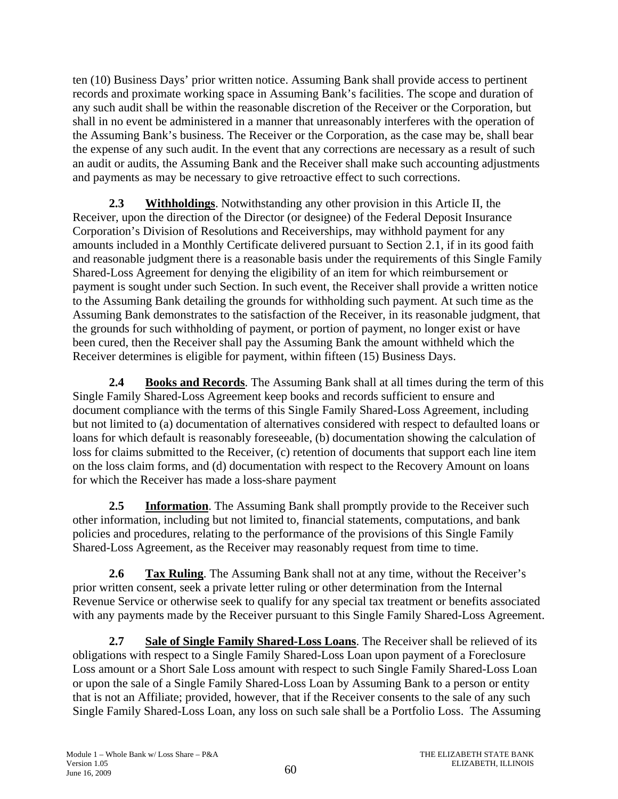ten (10) Business Days' prior written notice. Assuming Bank shall provide access to pertinent records and proximate working space in Assuming Bank's facilities. The scope and duration of any such audit shall be within the reasonable discretion of the Receiver or the Corporation, but shall in no event be administered in a manner that unreasonably interferes with the operation of the Assuming Bank's business. The Receiver or the Corporation, as the case may be, shall bear the expense of any such audit. In the event that any corrections are necessary as a result of such an audit or audits, the Assuming Bank and the Receiver shall make such accounting adjustments and payments as may be necessary to give retroactive effect to such corrections.

**2.3 Withholdings**. Notwithstanding any other provision in this Article II, the Receiver, upon the direction of the Director (or designee) of the Federal Deposit Insurance Corporation's Division of Resolutions and Receiverships, may withhold payment for any amounts included in a Monthly Certificate delivered pursuant to Section 2.1, if in its good faith and reasonable judgment there is a reasonable basis under the requirements of this Single Family Shared-Loss Agreement for denying the eligibility of an item for which reimbursement or payment is sought under such Section. In such event, the Receiver shall provide a written notice to the Assuming Bank detailing the grounds for withholding such payment. At such time as the Assuming Bank demonstrates to the satisfaction of the Receiver, in its reasonable judgment, that the grounds for such withholding of payment, or portion of payment, no longer exist or have been cured, then the Receiver shall pay the Assuming Bank the amount withheld which the Receiver determines is eligible for payment, within fifteen (15) Business Days.

**2.4 Books and Records**. The Assuming Bank shall at all times during the term of this Single Family Shared-Loss Agreement keep books and records sufficient to ensure and document compliance with the terms of this Single Family Shared-Loss Agreement, including but not limited to (a) documentation of alternatives considered with respect to defaulted loans or loans for which default is reasonably foreseeable, (b) documentation showing the calculation of loss for claims submitted to the Receiver, (c) retention of documents that support each line item on the loss claim forms, and (d) documentation with respect to the Recovery Amount on loans for which the Receiver has made a loss-share payment

**2.5 Information**. The Assuming Bank shall promptly provide to the Receiver such other information, including but not limited to, financial statements, computations, and bank policies and procedures, relating to the performance of the provisions of this Single Family Shared-Loss Agreement, as the Receiver may reasonably request from time to time.

**2.6 Tax Ruling**. The Assuming Bank shall not at any time, without the Receiver's prior written consent, seek a private letter ruling or other determination from the Internal Revenue Service or otherwise seek to qualify for any special tax treatment or benefits associated with any payments made by the Receiver pursuant to this Single Family Shared-Loss Agreement.

**2.7 Sale of Single Family Shared-Loss Loans**. The Receiver shall be relieved of its obligations with respect to a Single Family Shared-Loss Loan upon payment of a Foreclosure Loss amount or a Short Sale Loss amount with respect to such Single Family Shared-Loss Loan or upon the sale of a Single Family Shared-Loss Loan by Assuming Bank to a person or entity that is not an Affiliate; provided, however, that if the Receiver consents to the sale of any such Single Family Shared-Loss Loan, any loss on such sale shall be a Portfolio Loss. The Assuming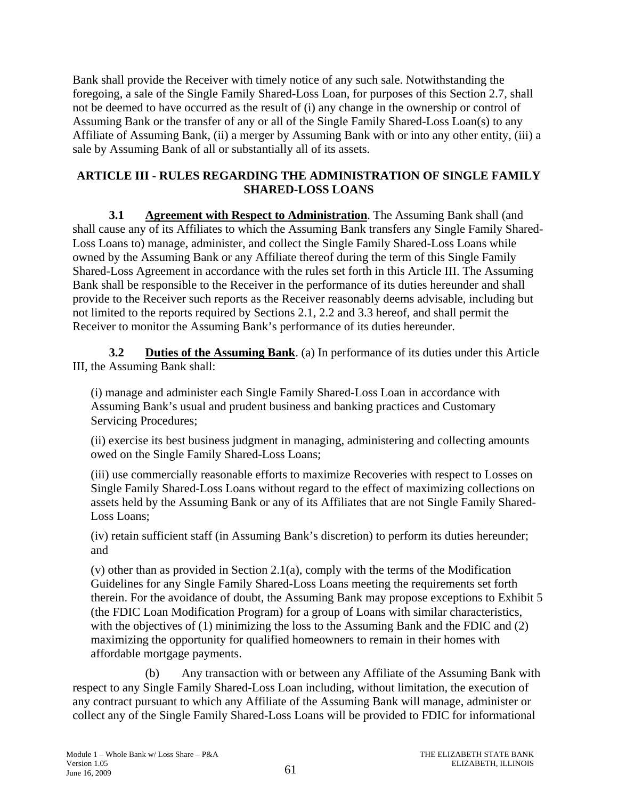Bank shall provide the Receiver with timely notice of any such sale. Notwithstanding the foregoing, a sale of the Single Family Shared-Loss Loan, for purposes of this Section 2.7, shall not be deemed to have occurred as the result of (i) any change in the ownership or control of Assuming Bank or the transfer of any or all of the Single Family Shared-Loss Loan(s) to any Affiliate of Assuming Bank, (ii) a merger by Assuming Bank with or into any other entity, (iii) a sale by Assuming Bank of all or substantially all of its assets.

## **ARTICLE III - RULES REGARDING THE ADMINISTRATION OF SINGLE FAMILY SHARED-LOSS LOANS**

**3.1 Agreement with Respect to Administration**. The Assuming Bank shall (and shall cause any of its Affiliates to which the Assuming Bank transfers any Single Family Shared-Loss Loans to) manage, administer, and collect the Single Family Shared-Loss Loans while owned by the Assuming Bank or any Affiliate thereof during the term of this Single Family Shared-Loss Agreement in accordance with the rules set forth in this Article III. The Assuming Bank shall be responsible to the Receiver in the performance of its duties hereunder and shall provide to the Receiver such reports as the Receiver reasonably deems advisable, including but not limited to the reports required by Sections 2.1, 2.2 and 3.3 hereof, and shall permit the Receiver to monitor the Assuming Bank's performance of its duties hereunder.

**3.2 Duties of the Assuming Bank**. (a) In performance of its duties under this Article III, the Assuming Bank shall:

(i) manage and administer each Single Family Shared-Loss Loan in accordance with Assuming Bank's usual and prudent business and banking practices and Customary Servicing Procedures;

(ii) exercise its best business judgment in managing, administering and collecting amounts owed on the Single Family Shared-Loss Loans;

(iii) use commercially reasonable efforts to maximize Recoveries with respect to Losses on Single Family Shared-Loss Loans without regard to the effect of maximizing collections on assets held by the Assuming Bank or any of its Affiliates that are not Single Family Shared-Loss Loans;

(iv) retain sufficient staff (in Assuming Bank's discretion) to perform its duties hereunder; and

(v) other than as provided in Section 2.1(a), comply with the terms of the Modification Guidelines for any Single Family Shared-Loss Loans meeting the requirements set forth therein. For the avoidance of doubt, the Assuming Bank may propose exceptions to Exhibit 5 (the FDIC Loan Modification Program) for a group of Loans with similar characteristics, with the objectives of (1) minimizing the loss to the Assuming Bank and the FDIC and (2) maximizing the opportunity for qualified homeowners to remain in their homes with affordable mortgage payments.

(b) Any transaction with or between any Affiliate of the Assuming Bank with respect to any Single Family Shared-Loss Loan including, without limitation, the execution of any contract pursuant to which any Affiliate of the Assuming Bank will manage, administer or collect any of the Single Family Shared-Loss Loans will be provided to FDIC for informational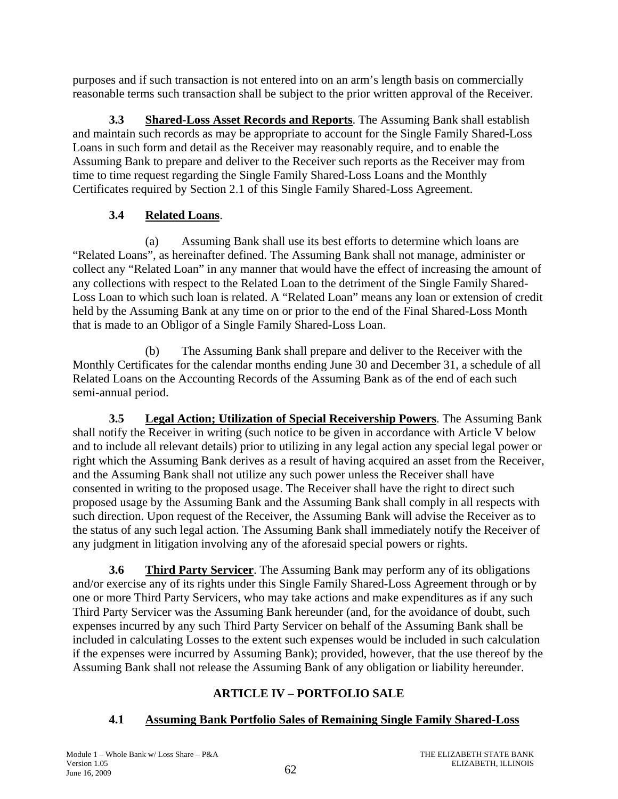purposes and if such transaction is not entered into on an arm's length basis on commercially reasonable terms such transaction shall be subject to the prior written approval of the Receiver.

**3.3 Shared-Loss Asset Records and Reports**. The Assuming Bank shall establish and maintain such records as may be appropriate to account for the Single Family Shared-Loss Loans in such form and detail as the Receiver may reasonably require, and to enable the Assuming Bank to prepare and deliver to the Receiver such reports as the Receiver may from time to time request regarding the Single Family Shared-Loss Loans and the Monthly Certificates required by Section 2.1 of this Single Family Shared-Loss Agreement.

# **3.4 Related Loans**.

(a) Assuming Bank shall use its best efforts to determine which loans are "Related Loans", as hereinafter defined. The Assuming Bank shall not manage, administer or collect any "Related Loan" in any manner that would have the effect of increasing the amount of any collections with respect to the Related Loan to the detriment of the Single Family Shared-Loss Loan to which such loan is related. A "Related Loan" means any loan or extension of credit held by the Assuming Bank at any time on or prior to the end of the Final Shared-Loss Month that is made to an Obligor of a Single Family Shared-Loss Loan.

(b) The Assuming Bank shall prepare and deliver to the Receiver with the Monthly Certificates for the calendar months ending June 30 and December 31, a schedule of all Related Loans on the Accounting Records of the Assuming Bank as of the end of each such semi-annual period.

**3.5 Legal Action; Utilization of Special Receivership Powers**. The Assuming Bank shall notify the Receiver in writing (such notice to be given in accordance with Article V below and to include all relevant details) prior to utilizing in any legal action any special legal power or right which the Assuming Bank derives as a result of having acquired an asset from the Receiver, and the Assuming Bank shall not utilize any such power unless the Receiver shall have consented in writing to the proposed usage. The Receiver shall have the right to direct such proposed usage by the Assuming Bank and the Assuming Bank shall comply in all respects with such direction. Upon request of the Receiver, the Assuming Bank will advise the Receiver as to the status of any such legal action. The Assuming Bank shall immediately notify the Receiver of any judgment in litigation involving any of the aforesaid special powers or rights.

**3.6** Third Party Servicer. The Assuming Bank may perform any of its obligations and/or exercise any of its rights under this Single Family Shared-Loss Agreement through or by one or more Third Party Servicers, who may take actions and make expenditures as if any such Third Party Servicer was the Assuming Bank hereunder (and, for the avoidance of doubt, such expenses incurred by any such Third Party Servicer on behalf of the Assuming Bank shall be included in calculating Losses to the extent such expenses would be included in such calculation if the expenses were incurred by Assuming Bank); provided, however, that the use thereof by the Assuming Bank shall not release the Assuming Bank of any obligation or liability hereunder.

# **ARTICLE IV – PORTFOLIO SALE**

# **4.1 Assuming Bank Portfolio Sales of Remaining Single Family Shared-Loss**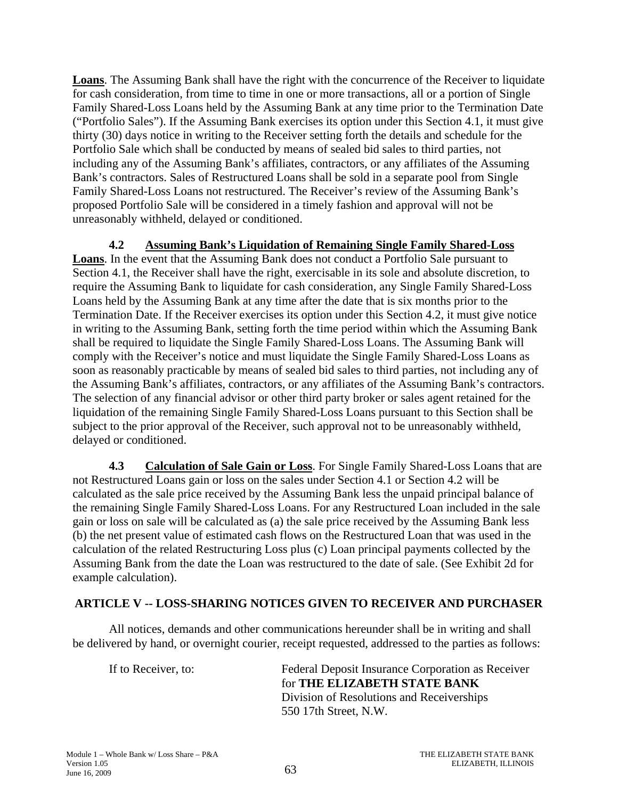**Loans**. The Assuming Bank shall have the right with the concurrence of the Receiver to liquidate for cash consideration, from time to time in one or more transactions, all or a portion of Single Family Shared-Loss Loans held by the Assuming Bank at any time prior to the Termination Date ("Portfolio Sales"). If the Assuming Bank exercises its option under this Section 4.1, it must give thirty (30) days notice in writing to the Receiver setting forth the details and schedule for the Portfolio Sale which shall be conducted by means of sealed bid sales to third parties, not including any of the Assuming Bank's affiliates, contractors, or any affiliates of the Assuming Bank's contractors. Sales of Restructured Loans shall be sold in a separate pool from Single Family Shared-Loss Loans not restructured. The Receiver's review of the Assuming Bank's proposed Portfolio Sale will be considered in a timely fashion and approval will not be unreasonably withheld, delayed or conditioned.

## **4.2 Assuming Bank's Liquidation of Remaining Single Family Shared-Loss**

**Loans**. In the event that the Assuming Bank does not conduct a Portfolio Sale pursuant to Section 4.1, the Receiver shall have the right, exercisable in its sole and absolute discretion, to require the Assuming Bank to liquidate for cash consideration, any Single Family Shared-Loss Loans held by the Assuming Bank at any time after the date that is six months prior to the Termination Date. If the Receiver exercises its option under this Section 4.2, it must give notice in writing to the Assuming Bank, setting forth the time period within which the Assuming Bank shall be required to liquidate the Single Family Shared-Loss Loans. The Assuming Bank will comply with the Receiver's notice and must liquidate the Single Family Shared-Loss Loans as soon as reasonably practicable by means of sealed bid sales to third parties, not including any of the Assuming Bank's affiliates, contractors, or any affiliates of the Assuming Bank's contractors. The selection of any financial advisor or other third party broker or sales agent retained for the liquidation of the remaining Single Family Shared-Loss Loans pursuant to this Section shall be subject to the prior approval of the Receiver, such approval not to be unreasonably withheld, delayed or conditioned.

**4.3 Calculation of Sale Gain or Loss**. For Single Family Shared-Loss Loans that are not Restructured Loans gain or loss on the sales under Section 4.1 or Section 4.2 will be calculated as the sale price received by the Assuming Bank less the unpaid principal balance of the remaining Single Family Shared-Loss Loans. For any Restructured Loan included in the sale gain or loss on sale will be calculated as (a) the sale price received by the Assuming Bank less (b) the net present value of estimated cash flows on the Restructured Loan that was used in the calculation of the related Restructuring Loss plus (c) Loan principal payments collected by the Assuming Bank from the date the Loan was restructured to the date of sale. (See Exhibit 2d for example calculation).

### **ARTICLE V -- LOSS-SHARING NOTICES GIVEN TO RECEIVER AND PURCHASER**

All notices, demands and other communications hereunder shall be in writing and shall be delivered by hand, or overnight courier, receipt requested, addressed to the parties as follows:

If to Receiver, to: Federal Deposit Insurance Corporation as Receiver for **THE ELIZABETH STATE BANK**  Division of Resolutions and Receiverships 550 17th Street, N.W.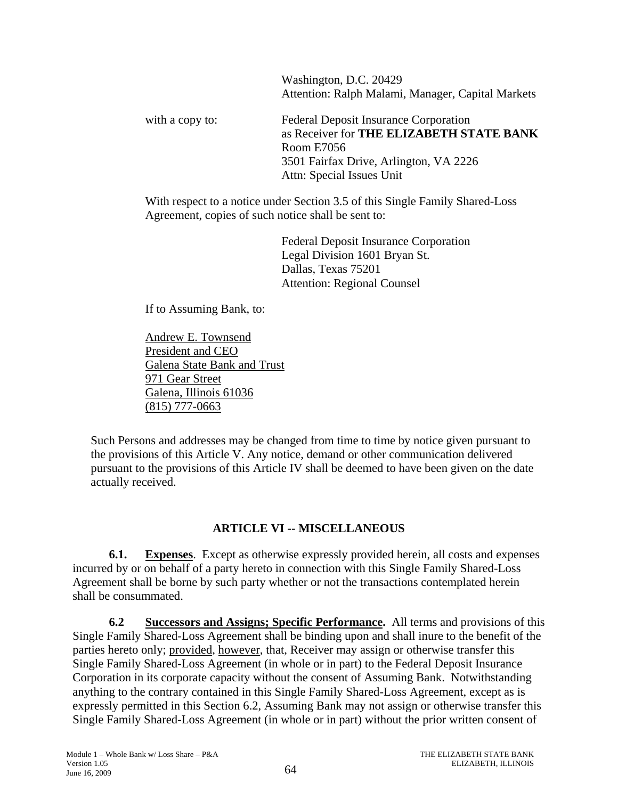Washington, D.C. 20429 Attention: Ralph Malami, Manager, Capital Markets with a copy to: Federal Deposit Insurance Corporation

as Receiver for **THE ELIZABETH STATE BANK**  Room E7056 3501 Fairfax Drive, Arlington, VA 2226 Attn: Special Issues Unit

With respect to a notice under Section 3.5 of this Single Family Shared-Loss Agreement, copies of such notice shall be sent to:

> Federal Deposit Insurance Corporation Legal Division 1601 Bryan St. Dallas, Texas 75201 Attention: Regional Counsel

If to Assuming Bank, to:

Andrew E. Townsend President and CEO Galena State Bank and Trust 971 Gear Street Galena, Illinois 61036 (815) 777-0663

Such Persons and addresses may be changed from time to time by notice given pursuant to the provisions of this Article V. Any notice, demand or other communication delivered pursuant to the provisions of this Article IV shall be deemed to have been given on the date actually received.

## **ARTICLE VI -- MISCELLANEOUS**

**6.1. Expenses**. Except as otherwise expressly provided herein, all costs and expenses incurred by or on behalf of a party hereto in connection with this Single Family Shared-Loss Agreement shall be borne by such party whether or not the transactions contemplated herein shall be consummated.

**6.2 Successors and Assigns; Specific Performance.** All terms and provisions of this Single Family Shared-Loss Agreement shall be binding upon and shall inure to the benefit of the parties hereto only; provided, however, that, Receiver may assign or otherwise transfer this Single Family Shared-Loss Agreement (in whole or in part) to the Federal Deposit Insurance Corporation in its corporate capacity without the consent of Assuming Bank. Notwithstanding anything to the contrary contained in this Single Family Shared-Loss Agreement, except as is expressly permitted in this Section 6.2, Assuming Bank may not assign or otherwise transfer this Single Family Shared-Loss Agreement (in whole or in part) without the prior written consent of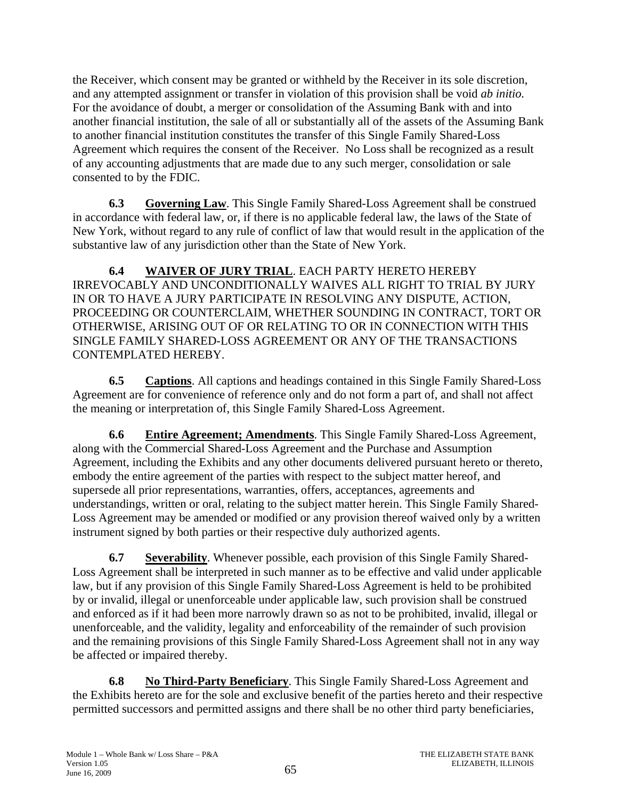the Receiver, which consent may be granted or withheld by the Receiver in its sole discretion, and any attempted assignment or transfer in violation of this provision shall be void *ab initio.*  For the avoidance of doubt, a merger or consolidation of the Assuming Bank with and into another financial institution, the sale of all or substantially all of the assets of the Assuming Bank to another financial institution constitutes the transfer of this Single Family Shared-Loss Agreement which requires the consent of the Receiver. No Loss shall be recognized as a result of any accounting adjustments that are made due to any such merger, consolidation or sale consented to by the FDIC.

**6.3** Governing Law. This Single Family Shared-Loss Agreement shall be construed in accordance with federal law, or, if there is no applicable federal law, the laws of the State of New York, without regard to any rule of conflict of law that would result in the application of the substantive law of any jurisdiction other than the State of New York.

**6.4 WAIVER OF JURY TRIAL**. EACH PARTY HERETO HEREBY IRREVOCABLY AND UNCONDITIONALLY WAIVES ALL RIGHT TO TRIAL BY JURY IN OR TO HAVE A JURY PARTICIPATE IN RESOLVING ANY DISPUTE, ACTION, PROCEEDING OR COUNTERCLAIM, WHETHER SOUNDING IN CONTRACT, TORT OR OTHERWISE, ARISING OUT OF OR RELATING TO OR IN CONNECTION WITH THIS SINGLE FAMILY SHARED-LOSS AGREEMENT OR ANY OF THE TRANSACTIONS CONTEMPLATED HEREBY.

**6.5 Captions**. All captions and headings contained in this Single Family Shared-Loss Agreement are for convenience of reference only and do not form a part of, and shall not affect the meaning or interpretation of, this Single Family Shared-Loss Agreement.

**6.6 Entire Agreement; Amendments**. This Single Family Shared-Loss Agreement, along with the Commercial Shared-Loss Agreement and the Purchase and Assumption Agreement, including the Exhibits and any other documents delivered pursuant hereto or thereto, embody the entire agreement of the parties with respect to the subject matter hereof, and supersede all prior representations, warranties, offers, acceptances, agreements and understandings, written or oral, relating to the subject matter herein. This Single Family Shared-Loss Agreement may be amended or modified or any provision thereof waived only by a written instrument signed by both parties or their respective duly authorized agents.

**6.7 Severability**. Whenever possible, each provision of this Single Family Shared-Loss Agreement shall be interpreted in such manner as to be effective and valid under applicable law, but if any provision of this Single Family Shared-Loss Agreement is held to be prohibited by or invalid, illegal or unenforceable under applicable law, such provision shall be construed and enforced as if it had been more narrowly drawn so as not to be prohibited, invalid, illegal or unenforceable, and the validity, legality and enforceability of the remainder of such provision and the remaining provisions of this Single Family Shared-Loss Agreement shall not in any way be affected or impaired thereby.

**6.8 No Third-Party Beneficiary.** This Single Family Shared-Loss Agreement and the Exhibits hereto are for the sole and exclusive benefit of the parties hereto and their respective permitted successors and permitted assigns and there shall be no other third party beneficiaries,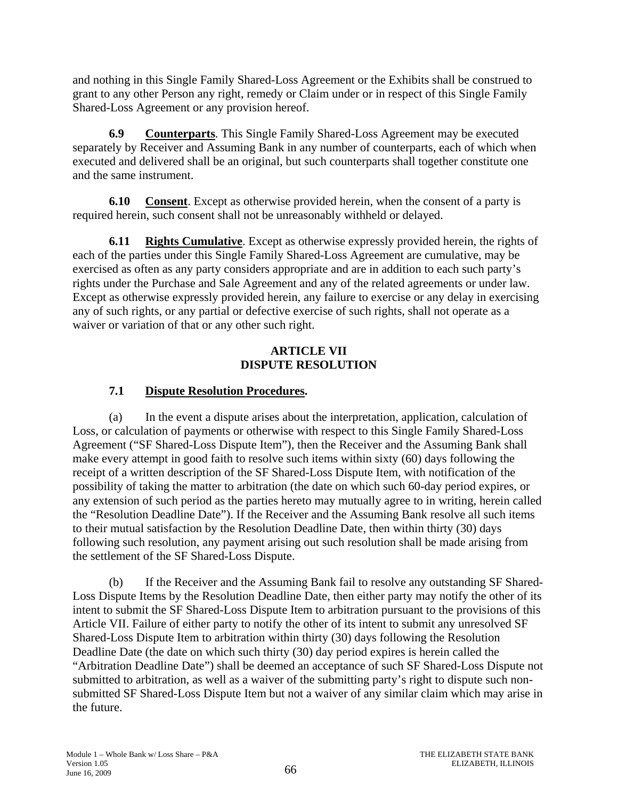and nothing in this Single Family Shared-Loss Agreement or the Exhibits shall be construed to grant to any other Person any right, remedy or Claim under or in respect of this Single Family Shared-Loss Agreement or any provision hereof.

**6.9 Counterparts**. This Single Family Shared-Loss Agreement may be executed separately by Receiver and Assuming Bank in any number of counterparts, each of which when executed and delivered shall be an original, but such counterparts shall together constitute one and the same instrument.

**6.10 Consent**. Except as otherwise provided herein, when the consent of a party is required herein, such consent shall not be unreasonably withheld or delayed.

**6.11 Rights Cumulative**. Except as otherwise expressly provided herein, the rights of each of the parties under this Single Family Shared-Loss Agreement are cumulative, may be exercised as often as any party considers appropriate and are in addition to each such party's rights under the Purchase and Sale Agreement and any of the related agreements or under law. Except as otherwise expressly provided herein, any failure to exercise or any delay in exercising any of such rights, or any partial or defective exercise of such rights, shall not operate as a waiver or variation of that or any other such right.

## **ARTICLE VII DISPUTE RESOLUTION**

# **7.1 Dispute Resolution Procedures.**

(a) In the event a dispute arises about the interpretation, application, calculation of Loss, or calculation of payments or otherwise with respect to this Single Family Shared-Loss Agreement ("SF Shared-Loss Dispute Item"), then the Receiver and the Assuming Bank shall make every attempt in good faith to resolve such items within sixty (60) days following the receipt of a written description of the SF Shared-Loss Dispute Item, with notification of the possibility of taking the matter to arbitration (the date on which such 60-day period expires, or any extension of such period as the parties hereto may mutually agree to in writing, herein called the "Resolution Deadline Date"). If the Receiver and the Assuming Bank resolve all such items to their mutual satisfaction by the Resolution Deadline Date, then within thirty (30) days following such resolution, any payment arising out such resolution shall be made arising from the settlement of the SF Shared-Loss Dispute.

(b) If the Receiver and the Assuming Bank fail to resolve any outstanding SF Shared-Loss Dispute Items by the Resolution Deadline Date, then either party may notify the other of its intent to submit the SF Shared-Loss Dispute Item to arbitration pursuant to the provisions of this Article VII. Failure of either party to notify the other of its intent to submit any unresolved SF Shared-Loss Dispute Item to arbitration within thirty (30) days following the Resolution Deadline Date (the date on which such thirty (30) day period expires is herein called the "Arbitration Deadline Date") shall be deemed an acceptance of such SF Shared-Loss Dispute not submitted to arbitration, as well as a waiver of the submitting party's right to dispute such nonsubmitted SF Shared-Loss Dispute Item but not a waiver of any similar claim which may arise in the future.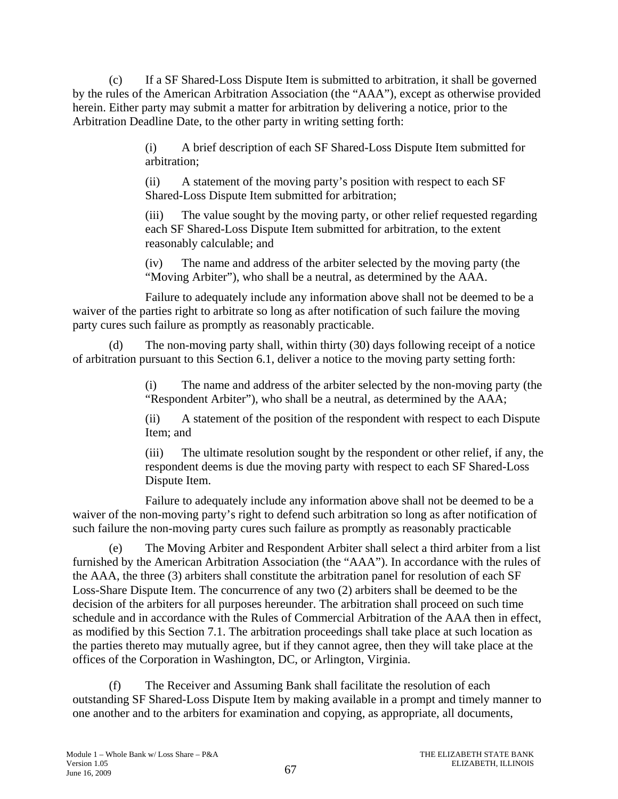(c) If a SF Shared-Loss Dispute Item is submitted to arbitration, it shall be governed by the rules of the American Arbitration Association (the "AAA"), except as otherwise provided herein. Either party may submit a matter for arbitration by delivering a notice, prior to the Arbitration Deadline Date, to the other party in writing setting forth:

> (i) A brief description of each SF Shared-Loss Dispute Item submitted for arbitration;

(ii) A statement of the moving party's position with respect to each SF Shared-Loss Dispute Item submitted for arbitration;

(iii) The value sought by the moving party, or other relief requested regarding each SF Shared-Loss Dispute Item submitted for arbitration, to the extent reasonably calculable; and

(iv) The name and address of the arbiter selected by the moving party (the "Moving Arbiter"), who shall be a neutral, as determined by the AAA.

Failure to adequately include any information above shall not be deemed to be a waiver of the parties right to arbitrate so long as after notification of such failure the moving party cures such failure as promptly as reasonably practicable.

(d) The non-moving party shall, within thirty (30) days following receipt of a notice of arbitration pursuant to this Section 6.1, deliver a notice to the moving party setting forth:

> (i) The name and address of the arbiter selected by the non-moving party (the "Respondent Arbiter"), who shall be a neutral, as determined by the AAA;

> (ii) A statement of the position of the respondent with respect to each Dispute Item; and

> (iii) The ultimate resolution sought by the respondent or other relief, if any, the respondent deems is due the moving party with respect to each SF Shared-Loss Dispute Item.

Failure to adequately include any information above shall not be deemed to be a waiver of the non-moving party's right to defend such arbitration so long as after notification of such failure the non-moving party cures such failure as promptly as reasonably practicable

The Moving Arbiter and Respondent Arbiter shall select a third arbiter from a list furnished by the American Arbitration Association (the "AAA"). In accordance with the rules of the AAA, the three (3) arbiters shall constitute the arbitration panel for resolution of each SF Loss-Share Dispute Item. The concurrence of any two (2) arbiters shall be deemed to be the decision of the arbiters for all purposes hereunder. The arbitration shall proceed on such time schedule and in accordance with the Rules of Commercial Arbitration of the AAA then in effect, as modified by this Section 7.1. The arbitration proceedings shall take place at such location as the parties thereto may mutually agree, but if they cannot agree, then they will take place at the offices of the Corporation in Washington, DC, or Arlington, Virginia.

(f) The Receiver and Assuming Bank shall facilitate the resolution of each outstanding SF Shared-Loss Dispute Item by making available in a prompt and timely manner to one another and to the arbiters for examination and copying, as appropriate, all documents,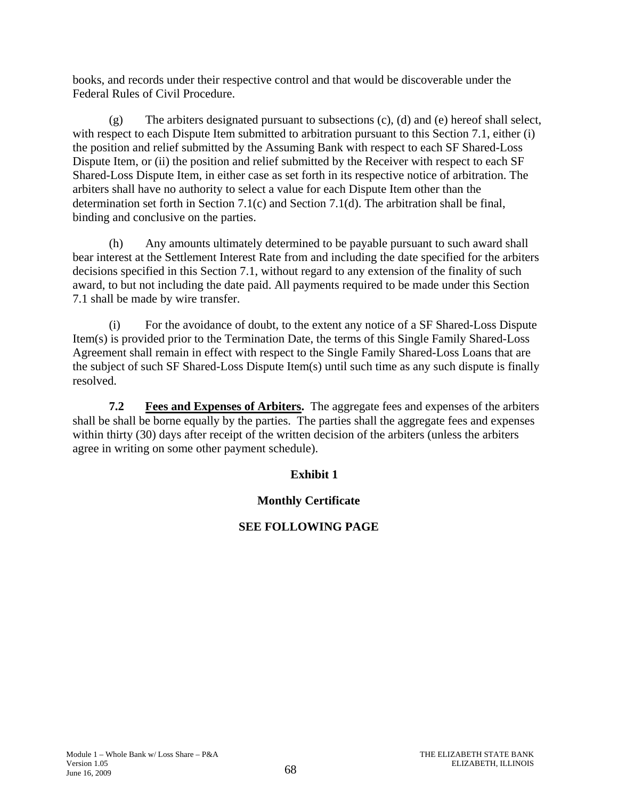books, and records under their respective control and that would be discoverable under the Federal Rules of Civil Procedure.

(g) The arbiters designated pursuant to subsections (c), (d) and (e) hereof shall select, with respect to each Dispute Item submitted to arbitration pursuant to this Section 7.1, either (i) the position and relief submitted by the Assuming Bank with respect to each SF Shared-Loss Dispute Item, or (ii) the position and relief submitted by the Receiver with respect to each SF Shared-Loss Dispute Item, in either case as set forth in its respective notice of arbitration. The arbiters shall have no authority to select a value for each Dispute Item other than the determination set forth in Section 7.1(c) and Section 7.1(d). The arbitration shall be final, binding and conclusive on the parties.

(h) Any amounts ultimately determined to be payable pursuant to such award shall bear interest at the Settlement Interest Rate from and including the date specified for the arbiters decisions specified in this Section 7.1, without regard to any extension of the finality of such award, to but not including the date paid. All payments required to be made under this Section 7.1 shall be made by wire transfer.

(i) For the avoidance of doubt, to the extent any notice of a SF Shared-Loss Dispute Item(s) is provided prior to the Termination Date, the terms of this Single Family Shared-Loss Agreement shall remain in effect with respect to the Single Family Shared-Loss Loans that are the subject of such SF Shared-Loss Dispute Item(s) until such time as any such dispute is finally resolved.

**7.2 Fees and Expenses of Arbiters.** The aggregate fees and expenses of the arbiters shall be shall be borne equally by the parties. The parties shall the aggregate fees and expenses within thirty (30) days after receipt of the written decision of the arbiters (unless the arbiters agree in writing on some other payment schedule).

## **Exhibit 1**

## **Monthly Certificate**

## **SEE FOLLOWING PAGE**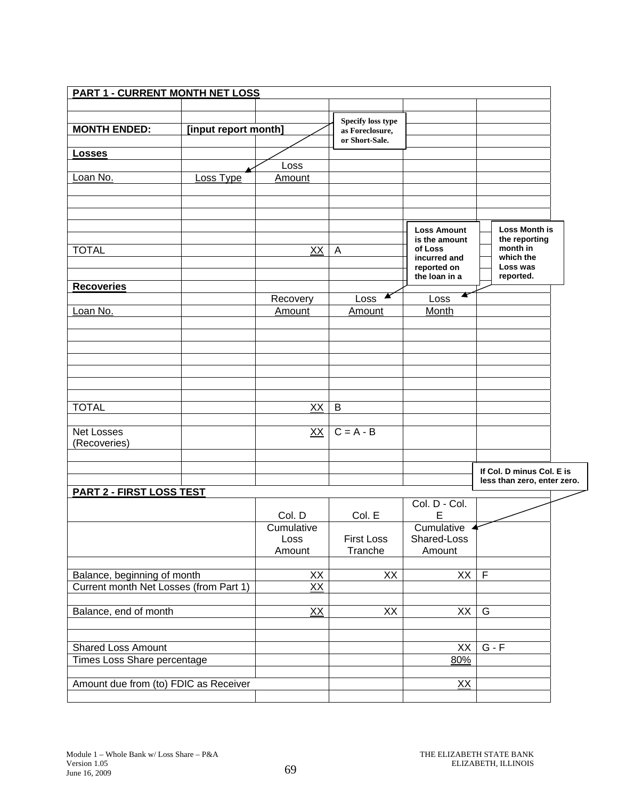| <b>PART 1 - CURRENT MONTH NET LOSS</b>                                |                      |            |                                   |                          |                                                          |
|-----------------------------------------------------------------------|----------------------|------------|-----------------------------------|--------------------------|----------------------------------------------------------|
|                                                                       |                      |            |                                   |                          |                                                          |
|                                                                       |                      |            | <b>Specify loss type</b>          |                          |                                                          |
| <b>MONTH ENDED:</b>                                                   | [input report month] |            | as Foreclosure,<br>or Short-Sale. |                          |                                                          |
| <b>Losses</b>                                                         |                      |            |                                   |                          |                                                          |
|                                                                       |                      | Loss       |                                   |                          |                                                          |
| Loan No.                                                              | Loss Type            | Amount     |                                   |                          |                                                          |
|                                                                       |                      |            |                                   |                          |                                                          |
|                                                                       |                      |            |                                   |                          |                                                          |
|                                                                       |                      |            |                                   |                          |                                                          |
|                                                                       |                      |            |                                   | <b>Loss Amount</b>       | <b>Loss Month is</b>                                     |
|                                                                       |                      |            |                                   | is the amount<br>of Loss | the reporting<br>month in                                |
| <b>TOTAL</b>                                                          |                      | XX         | A                                 | incurred and             | which the                                                |
|                                                                       |                      |            |                                   | reported on              | Loss was                                                 |
| <b>Recoveries</b>                                                     |                      |            |                                   | the loan in a            | reported.                                                |
|                                                                       |                      | Recovery   | $Loss^{\mathbf{Z}}$               | ×<br>Loss                |                                                          |
| Loan No.                                                              |                      | Amount     | Amount                            | Month                    |                                                          |
|                                                                       |                      |            |                                   |                          |                                                          |
|                                                                       |                      |            |                                   |                          |                                                          |
|                                                                       |                      |            |                                   |                          |                                                          |
|                                                                       |                      |            |                                   |                          |                                                          |
|                                                                       |                      |            |                                   |                          |                                                          |
|                                                                       |                      |            |                                   |                          |                                                          |
|                                                                       |                      |            |                                   |                          |                                                          |
| <b>TOTAL</b>                                                          |                      | XX         | $\mathsf B$                       |                          |                                                          |
| <b>Net Losses</b>                                                     |                      |            | $C = A - B$                       |                          |                                                          |
| (Recoveries)                                                          |                      | XX         |                                   |                          |                                                          |
|                                                                       |                      |            |                                   |                          |                                                          |
|                                                                       |                      |            |                                   |                          |                                                          |
|                                                                       |                      |            |                                   |                          | If Col. D minus Col. E is<br>less than zero, enter zero. |
| <b>PART 2 - FIRST LOSS TEST</b>                                       |                      |            |                                   |                          |                                                          |
|                                                                       |                      |            |                                   | Col. D - Col.            |                                                          |
|                                                                       |                      | Col. D     | Col. E                            | Е                        |                                                          |
|                                                                       |                      | Cumulative |                                   | Cumulative               |                                                          |
|                                                                       |                      | Loss       | <b>First Loss</b>                 | Shared-Loss              |                                                          |
|                                                                       |                      | Amount     | Tranche                           | Amount                   |                                                          |
|                                                                       |                      | XX         | XX                                | XX                       | $\mathsf F$                                              |
| Balance, beginning of month<br>Current month Net Losses (from Part 1) |                      | XX         |                                   |                          |                                                          |
|                                                                       |                      |            |                                   |                          |                                                          |
| Balance, end of month                                                 |                      | XX         | XX                                | XX                       | G                                                        |
|                                                                       |                      |            |                                   |                          |                                                          |
|                                                                       |                      |            |                                   |                          |                                                          |
| <b>Shared Loss Amount</b>                                             |                      |            |                                   | XX                       | $G - F$                                                  |
| Times Loss Share percentage                                           |                      |            |                                   | 80%                      |                                                          |
|                                                                       |                      |            |                                   |                          |                                                          |
| Amount due from (to) FDIC as Receiver                                 |                      |            |                                   | XX                       |                                                          |
|                                                                       |                      |            |                                   |                          |                                                          |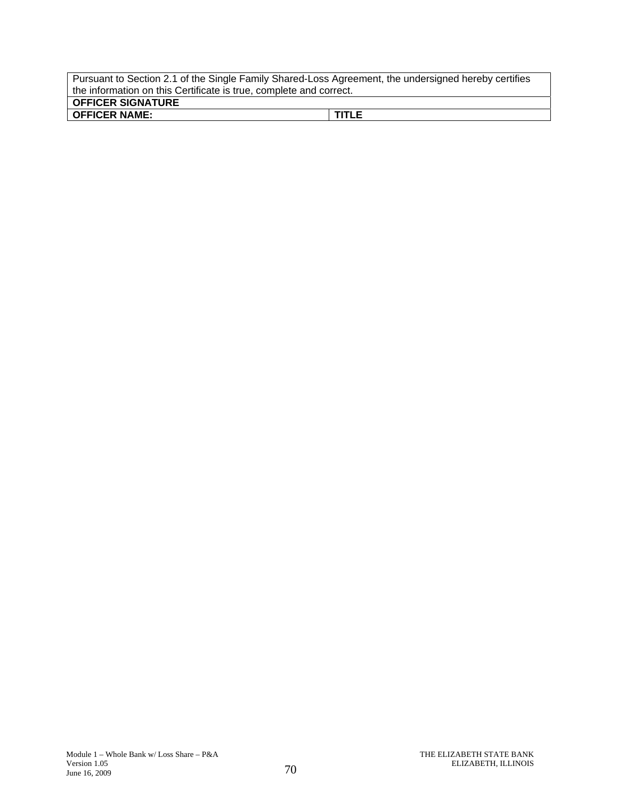| Pursuant to Section 2.1 of the Single Family Shared-Loss Agreement, the undersigned hereby certifies |  |  |  |
|------------------------------------------------------------------------------------------------------|--|--|--|
| the information on this Certificate is true, complete and correct.                                   |  |  |  |
| <b>OFFICER SIGNATURE</b>                                                                             |  |  |  |
| <b>TITLE</b><br><b>OFFICER NAME:</b>                                                                 |  |  |  |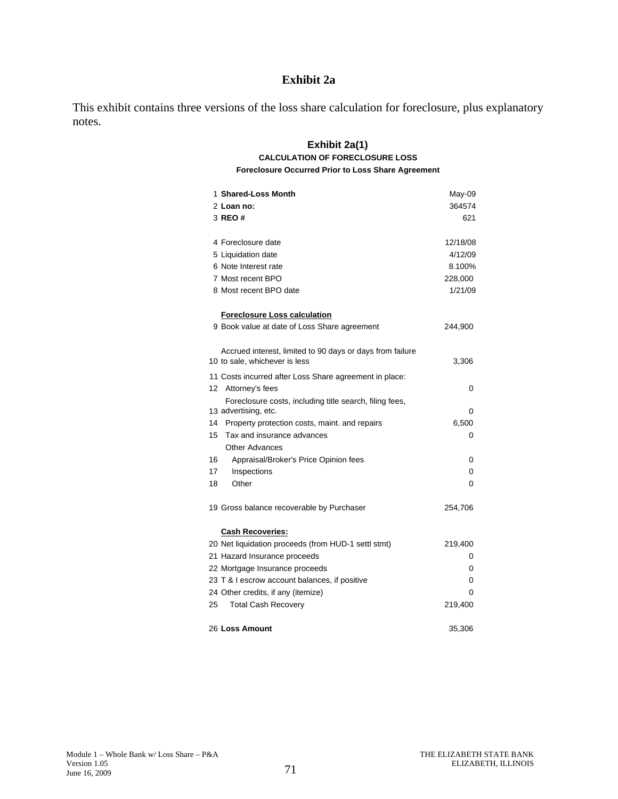### **Exhibit 2a**

This exhibit contains three versions of the loss share calculation for foreclosure, plus explanatory notes.

#### **Exhibit 2a(1) CALCULATION OF FORECLOSURE LOSS Foreclosure Occurred Prior to Loss Share Agreement**

|    | 1 Shared-Loss Month<br>2 Loan no:<br>3 REO #              | May-09<br>364574<br>621 |
|----|-----------------------------------------------------------|-------------------------|
|    | 4 Foreclosure date                                        | 12/18/08                |
|    | 5 Liquidation date                                        | 4/12/09                 |
|    | 6 Note Interest rate                                      | 8.100%                  |
|    | 7 Most recent BPO                                         | 228,000                 |
|    | 8 Most recent BPO date                                    | 1/21/09                 |
|    | <b>Foreclosure Loss calculation</b>                       |                         |
|    | 9 Book value at date of Loss Share agreement              | 244,900                 |
|    | Accrued interest, limited to 90 days or days from failure |                         |
|    | 10 to sale, whichever is less                             | 3,306                   |
|    | 11 Costs incurred after Loss Share agreement in place:    |                         |
| 12 | Attorney's fees                                           | 0                       |
|    | Foreclosure costs, including title search, filing fees,   |                         |
|    | 13 advertising, etc.                                      | 0                       |
| 14 | Property protection costs, maint. and repairs             | 6,500                   |
| 15 | Tax and insurance advances                                | 0                       |
|    | <b>Other Advances</b>                                     |                         |
| 16 | Appraisal/Broker's Price Opinion fees                     | 0                       |
| 17 | Inspections                                               | 0                       |
| 18 | Other                                                     | 0                       |
|    | 19 Gross balance recoverable by Purchaser                 | 254,706                 |
|    | <b>Cash Recoveries:</b>                                   |                         |
|    | 20 Net liquidation proceeds (from HUD-1 settl stmt)       | 219,400                 |
|    | 21 Hazard Insurance proceeds                              | 0                       |
|    | 22 Mortgage Insurance proceeds                            | 0                       |
|    | 23 T & I escrow account balances, if positive             | 0                       |
|    | 24 Other credits, if any (itemize)                        | 0                       |
| 25 | <b>Total Cash Recovery</b>                                | 219,400                 |
|    | 26 Loss Amount                                            | 35,306                  |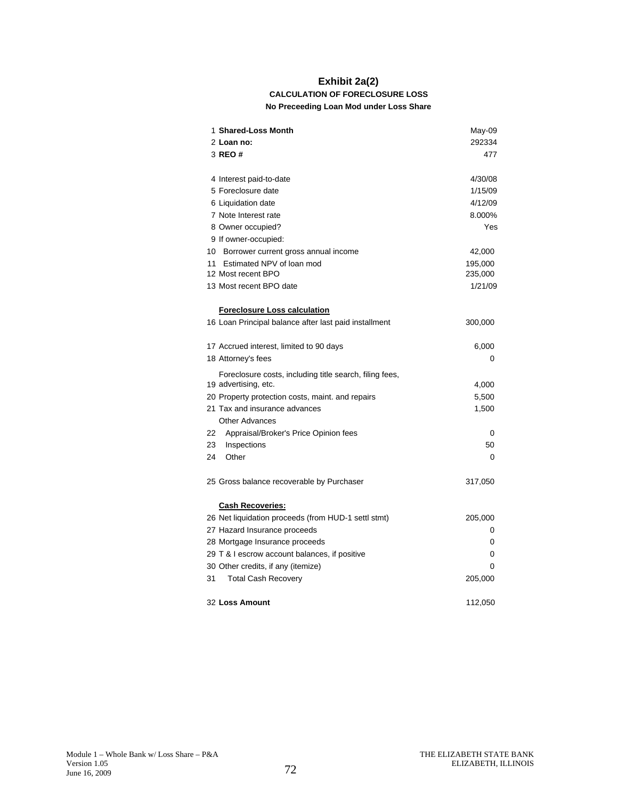#### **Exhibit 2a(2)**

#### **CALCULATION OF FORECLOSURE LOSS**

#### **No Preceeding Loan Mod under Loss Share**

| 1 Shared-Loss Month                                                             | May-09  |
|---------------------------------------------------------------------------------|---------|
| 2 Loan no:                                                                      | 292334  |
| 3 REO #                                                                         | 477     |
| 4 Interest paid-to-date                                                         | 4/30/08 |
| 5 Foreclosure date                                                              | 1/15/09 |
| 6 Liquidation date                                                              | 4/12/09 |
| 7 Note Interest rate                                                            | 8.000%  |
| 8 Owner occupied?                                                               | Yes     |
| 9 If owner-occupied:                                                            |         |
| 10<br>Borrower current gross annual income                                      | 42,000  |
| Estimated NPV of loan mod<br>11                                                 | 195,000 |
| 12 Most recent BPO                                                              | 235,000 |
| 13 Most recent BPO date                                                         | 1/21/09 |
| <b>Foreclosure Loss calculation</b>                                             |         |
| 16 Loan Principal balance after last paid installment                           | 300,000 |
| 17 Accrued interest, limited to 90 days                                         | 6,000   |
| 18 Attorney's fees                                                              | 0       |
| Foreclosure costs, including title search, filing fees,<br>19 advertising, etc. | 4,000   |
| 20 Property protection costs, maint. and repairs                                | 5,500   |
| 21 Tax and insurance advances                                                   | 1,500   |
| <b>Other Advances</b>                                                           |         |
| 22<br>Appraisal/Broker's Price Opinion fees                                     | 0       |
| 23<br>Inspections                                                               | 50      |
| 24<br>Other                                                                     | 0       |
| 25 Gross balance recoverable by Purchaser                                       | 317,050 |
| <b>Cash Recoveries:</b>                                                         |         |
| 26 Net liquidation proceeds (from HUD-1 settl stmt)                             | 205,000 |
| 27 Hazard Insurance proceeds                                                    | 0       |
| 28 Mortgage Insurance proceeds                                                  | 0       |
| 29 T & I escrow account balances, if positive                                   | 0       |
| 30 Other credits, if any (itemize)                                              | 0       |
| 31<br><b>Total Cash Recovery</b>                                                | 205,000 |
| 32 Loss Amount                                                                  | 112,050 |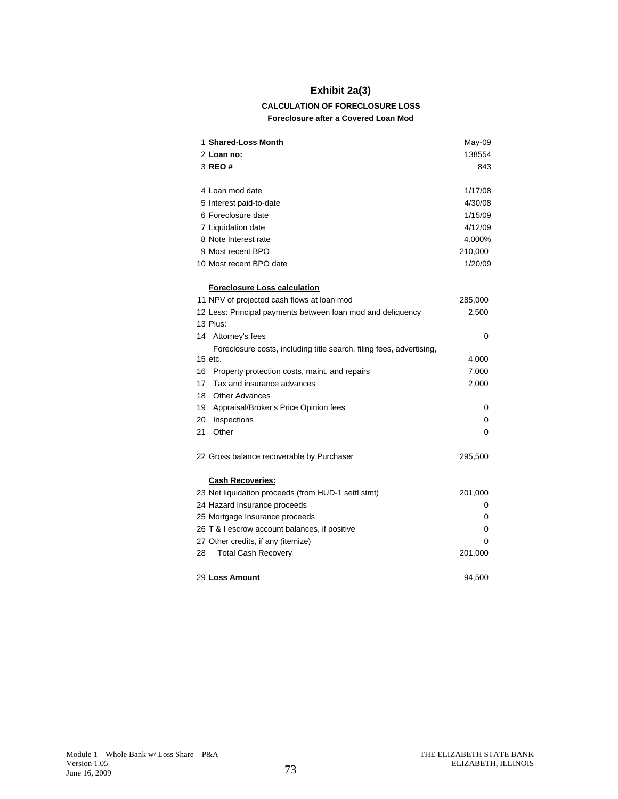## **Exhibit 2a(3)**

#### **CALCULATION OF FORECLOSURE LOSS Foreclosure after a Covered Loan Mod**

| 1 Shared-Loss Month                                                  | May-09   |
|----------------------------------------------------------------------|----------|
| 2 Loan no:                                                           | 138554   |
| 3 REO #                                                              | 843      |
|                                                                      |          |
| 4 Loan mod date                                                      | 1/17/08  |
| 5 Interest paid-to-date                                              | 4/30/08  |
| 6 Foreclosure date                                                   | 1/15/09  |
| 7 Liquidation date                                                   | 4/12/09  |
| 8 Note Interest rate                                                 | 4.000%   |
| 9 Most recent BPO                                                    | 210,000  |
| 10 Most recent BPO date                                              | 1/20/09  |
|                                                                      |          |
| <b>Foreclosure Loss calculation</b>                                  |          |
| 11 NPV of projected cash flows at loan mod                           | 285,000  |
| 12 Less: Principal payments between loan mod and deliquency          | 2,500    |
| 13 Plus:                                                             |          |
| 14<br>Attorney's fees                                                | 0        |
| Foreclosure costs, including title search, filing fees, advertising, |          |
| 15 etc.                                                              | 4,000    |
| 16<br>Property protection costs, maint. and repairs                  | 7,000    |
| 17<br>Tax and insurance advances                                     | 2,000    |
| <b>Other Advances</b><br>18                                          |          |
| 19 Appraisal/Broker's Price Opinion fees                             | 0        |
| 20<br>Inspections                                                    | 0        |
| 21<br>Other                                                          | $\Omega$ |
|                                                                      |          |
| 22 Gross balance recoverable by Purchaser                            | 295,500  |
|                                                                      |          |
| <b>Cash Recoveries:</b>                                              |          |
| 23 Net liquidation proceeds (from HUD-1 settl stmt)                  | 201,000  |
| 24 Hazard Insurance proceeds                                         | 0        |
| 25 Mortgage Insurance proceeds                                       | 0        |
| 26 T & I escrow account balances, if positive                        | 0        |
| 27 Other credits, if any (itemize)                                   | 0        |
| 28<br><b>Total Cash Recovery</b>                                     | 201,000  |
|                                                                      |          |
| 29 Loss Amount                                                       | 94,500   |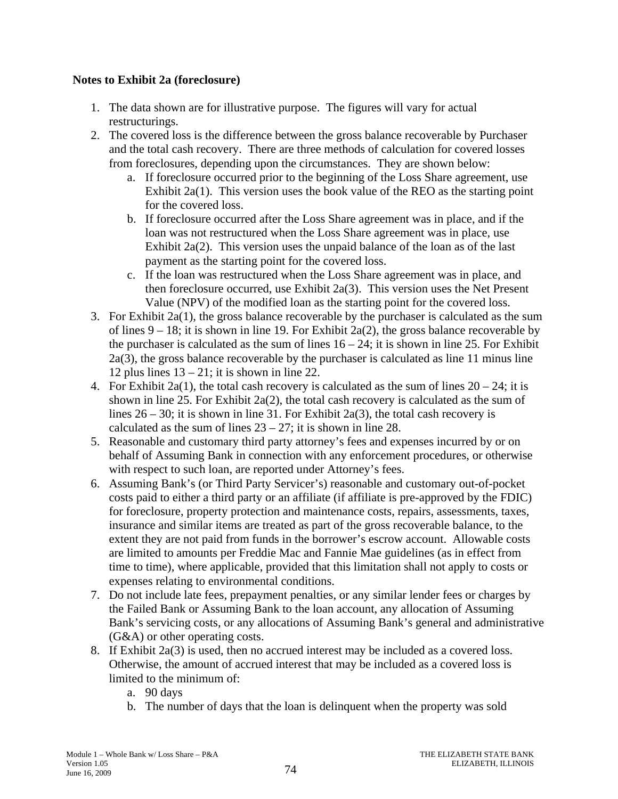## **Notes to Exhibit 2a (foreclosure)**

- 1. The data shown are for illustrative purpose. The figures will vary for actual restructurings.
- 2. The covered loss is the difference between the gross balance recoverable by Purchaser and the total cash recovery. There are three methods of calculation for covered losses from foreclosures, depending upon the circumstances. They are shown below:
	- a. If foreclosure occurred prior to the beginning of the Loss Share agreement, use Exhibit 2a(1). This version uses the book value of the REO as the starting point for the covered loss.
	- b. If foreclosure occurred after the Loss Share agreement was in place, and if the loan was not restructured when the Loss Share agreement was in place, use Exhibit 2a(2). This version uses the unpaid balance of the loan as of the last payment as the starting point for the covered loss.
	- c. If the loan was restructured when the Loss Share agreement was in place, and then foreclosure occurred, use Exhibit 2a(3). This version uses the Net Present Value (NPV) of the modified loan as the starting point for the covered loss.
- 3. For Exhibit  $2a(1)$ , the gross balance recoverable by the purchaser is calculated as the sum of lines  $9 - 18$ ; it is shown in line 19. For Exhibit 2a(2), the gross balance recoverable by the purchaser is calculated as the sum of lines  $16 - 24$ ; it is shown in line 25. For Exhibit 2a(3), the gross balance recoverable by the purchaser is calculated as line 11 minus line 12 plus lines  $13 - 21$ ; it is shown in line 22.
- 4. For Exhibit 2a(1), the total cash recovery is calculated as the sum of lines  $20 24$ ; it is shown in line 25. For Exhibit 2a(2), the total cash recovery is calculated as the sum of lines  $26 - 30$ ; it is shown in line 31. For Exhibit 2a(3), the total cash recovery is calculated as the sum of lines  $23 - 27$ ; it is shown in line 28.
- 5. Reasonable and customary third party attorney's fees and expenses incurred by or on behalf of Assuming Bank in connection with any enforcement procedures, or otherwise with respect to such loan, are reported under Attorney's fees.
- 6. Assuming Bank's (or Third Party Servicer's) reasonable and customary out-of-pocket costs paid to either a third party or an affiliate (if affiliate is pre-approved by the FDIC) for foreclosure, property protection and maintenance costs, repairs, assessments, taxes, insurance and similar items are treated as part of the gross recoverable balance, to the extent they are not paid from funds in the borrower's escrow account. Allowable costs are limited to amounts per Freddie Mac and Fannie Mae guidelines (as in effect from time to time), where applicable, provided that this limitation shall not apply to costs or expenses relating to environmental conditions.
- 7. Do not include late fees, prepayment penalties, or any similar lender fees or charges by the Failed Bank or Assuming Bank to the loan account, any allocation of Assuming Bank's servicing costs, or any allocations of Assuming Bank's general and administrative (G&A) or other operating costs.
- 8. If Exhibit  $2a(3)$  is used, then no accrued interest may be included as a covered loss. Otherwise, the amount of accrued interest that may be included as a covered loss is limited to the minimum of:
	- a. 90 days
	- b. The number of days that the loan is delinguent when the property was sold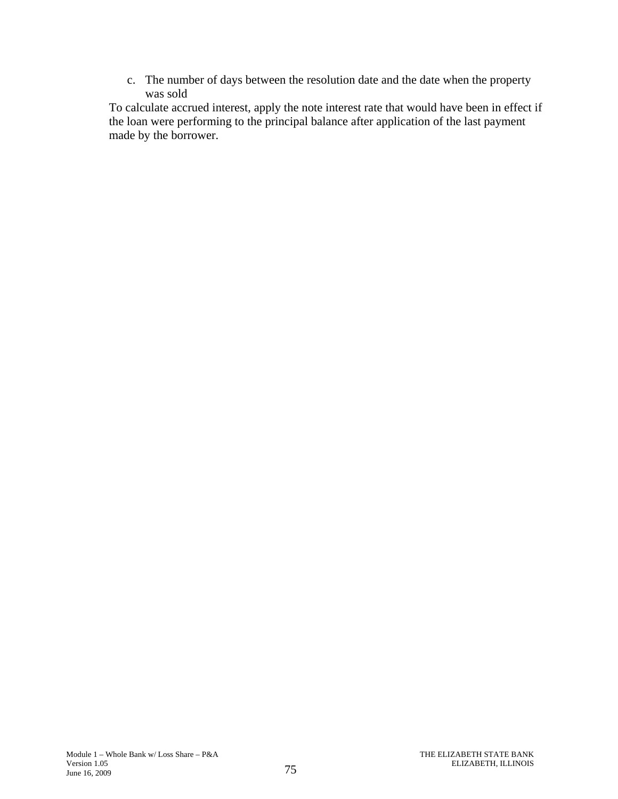c. The number of days between the resolution date and the date when the property was sold

To calculate accrued interest, apply the note interest rate that would have been in effect if the loan were performing to the principal balance after application of the last payment made by the borrower.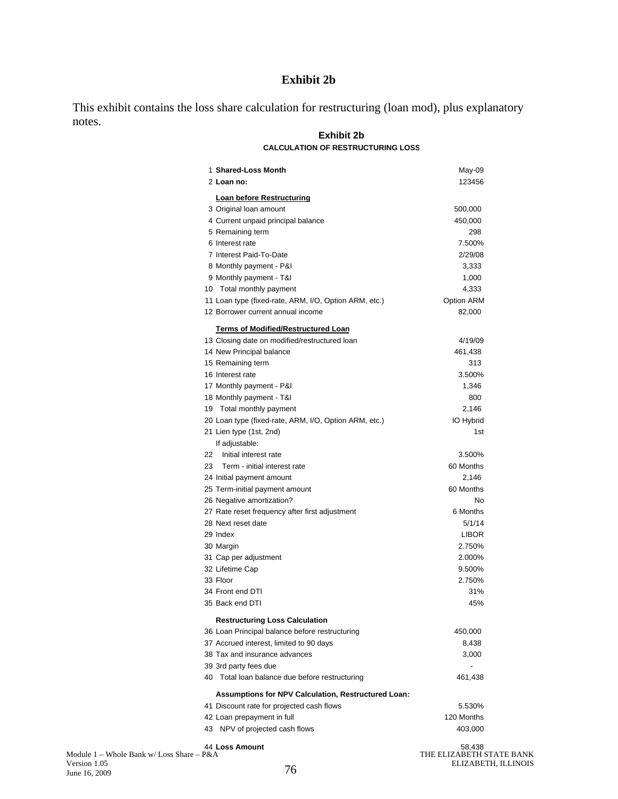# **Exhibit 2b**

This exhibit contains the loss share calculation for restructuring (loan mod), plus explanatory notes.

#### **Exhibit 2b CALCULATION OF RESTRUCTURING LOSS**

|                                           | 1 Shared-Loss Month                                   | May-09                             |
|-------------------------------------------|-------------------------------------------------------|------------------------------------|
|                                           | 2 Loan no:                                            | 123456                             |
|                                           | <b>Loan before Restructuring</b>                      |                                    |
|                                           | 3 Original loan amount                                | 500,000                            |
|                                           | 4 Current unpaid principal balance                    | 450,000                            |
|                                           | 5 Remaining term                                      | 298                                |
|                                           | 6 Interest rate                                       | 7.500%                             |
|                                           | 7 Interest Paid-To-Date                               | 2/29/08                            |
|                                           | 8 Monthly payment - P&I                               | 3,333                              |
|                                           | 9 Monthly payment - T&I                               | 1,000                              |
|                                           | 10 Total monthly payment                              | 4,333                              |
|                                           | 11 Loan type (fixed-rate, ARM, I/O, Option ARM, etc.) | <b>Option ARM</b>                  |
|                                           | 12 Borrower current annual income                     | 82,000                             |
|                                           | <b>Terms of Modified/Restructured Loan</b>            |                                    |
|                                           | 13 Closing date on modified/restructured loan         | 4/19/09                            |
|                                           | 14 New Principal balance                              | 461,438                            |
|                                           | 15 Remaining term                                     | 313                                |
|                                           | 16 Interest rate                                      | 3.500%                             |
|                                           | 17 Monthly payment - P&I                              | 1,346                              |
|                                           | 18 Monthly payment - T&I                              | 800                                |
|                                           | 19 Total monthly payment                              | 2,146                              |
|                                           | 20 Loan type (fixed-rate, ARM, I/O, Option ARM, etc.) | IO Hybrid                          |
|                                           | 21 Lien type (1st, 2nd)                               | 1st                                |
|                                           | If adjustable:                                        |                                    |
|                                           | 22 Initial interest rate                              | 3.500%                             |
| 23                                        | Term - initial interest rate                          | 60 Months                          |
|                                           | 24 Initial payment amount                             | 2,146                              |
|                                           | 25 Term-initial payment amount                        | 60 Months                          |
|                                           | 26 Negative amortization?                             | No                                 |
|                                           | 27 Rate reset frequency after first adjustment        | 6 Months                           |
|                                           | 28 Next reset date                                    | 5/1/14                             |
|                                           | 29 Index                                              | <b>LIBOR</b>                       |
|                                           | 30 Margin                                             | 2.750%                             |
|                                           | 31 Cap per adjustment                                 | 2.000%                             |
|                                           | 32 Lifetime Cap                                       | 9.500%                             |
|                                           | 33 Floor                                              | 2.750%                             |
|                                           | 34 Front end DTI                                      | 31%                                |
|                                           | 35 Back end DTI                                       | 45%                                |
|                                           | <b>Restructuring Loss Calculation</b>                 |                                    |
|                                           | 36 Loan Principal balance before restructuring        | 450,000                            |
|                                           | 37 Accrued interest, limited to 90 days               | 8,438                              |
|                                           | 38 Tax and insurance advances                         | 3,000                              |
|                                           | 39 3rd party fees due                                 |                                    |
|                                           | 40 Total loan balance due before restructuring        | 461,438                            |
|                                           | Assumptions for NPV Calculation, Restructured Loan:   |                                    |
|                                           | 41 Discount rate for projected cash flows             | 5.530%                             |
|                                           | 42 Loan prepayment in full                            | 120 Months                         |
|                                           | 43 NPV of projected cash flows                        | 403,000                            |
| Module 1 – Whole Bank w/ Loss Share – P&A | 44 Loss Amount                                        | 58,438<br>THE ELIZABETH STATE BANK |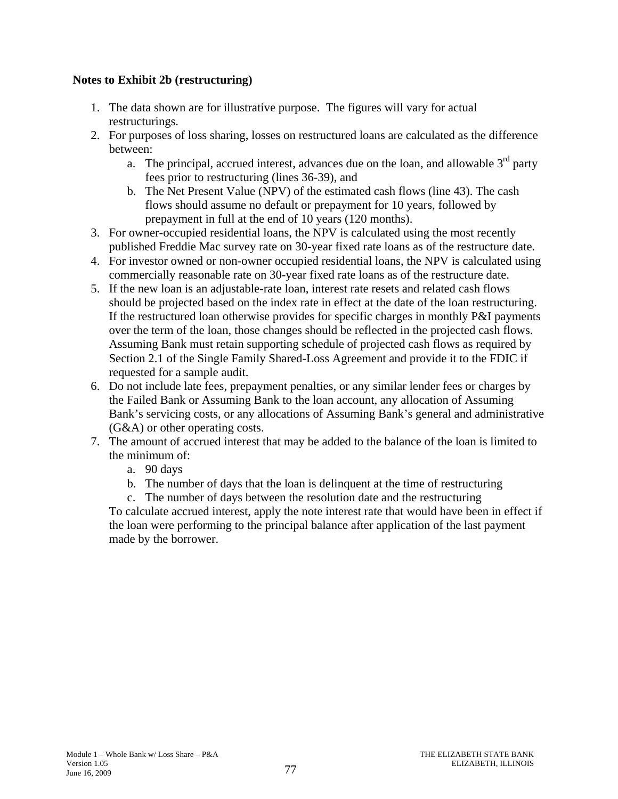## **Notes to Exhibit 2b (restructuring)**

- 1. The data shown are for illustrative purpose. The figures will vary for actual restructurings.
- 2. For purposes of loss sharing, losses on restructured loans are calculated as the difference between:
	- a. The principal, accrued interest, advances due on the loan, and allowable  $3<sup>rd</sup>$  party fees prior to restructuring (lines 36-39), and
	- b. The Net Present Value (NPV) of the estimated cash flows (line 43). The cash flows should assume no default or prepayment for 10 years, followed by prepayment in full at the end of 10 years (120 months).
- 3. For owner-occupied residential loans, the NPV is calculated using the most recently published Freddie Mac survey rate on 30-year fixed rate loans as of the restructure date.
- 4. For investor owned or non-owner occupied residential loans, the NPV is calculated using commercially reasonable rate on 30-year fixed rate loans as of the restructure date.
- 5. If the new loan is an adjustable-rate loan, interest rate resets and related cash flows should be projected based on the index rate in effect at the date of the loan restructuring. If the restructured loan otherwise provides for specific charges in monthly P&I payments over the term of the loan, those changes should be reflected in the projected cash flows. Assuming Bank must retain supporting schedule of projected cash flows as required by Section 2.1 of the Single Family Shared-Loss Agreement and provide it to the FDIC if requested for a sample audit.
- 6. Do not include late fees, prepayment penalties, or any similar lender fees or charges by the Failed Bank or Assuming Bank to the loan account, any allocation of Assuming Bank's servicing costs, or any allocations of Assuming Bank's general and administrative (G&A) or other operating costs.
- 7. The amount of accrued interest that may be added to the balance of the loan is limited to the minimum of:
	- a. 90 days
	- b. The number of days that the loan is delinquent at the time of restructuring

c. The number of days between the resolution date and the restructuring To calculate accrued interest, apply the note interest rate that would have been in effect if the loan were performing to the principal balance after application of the last payment made by the borrower.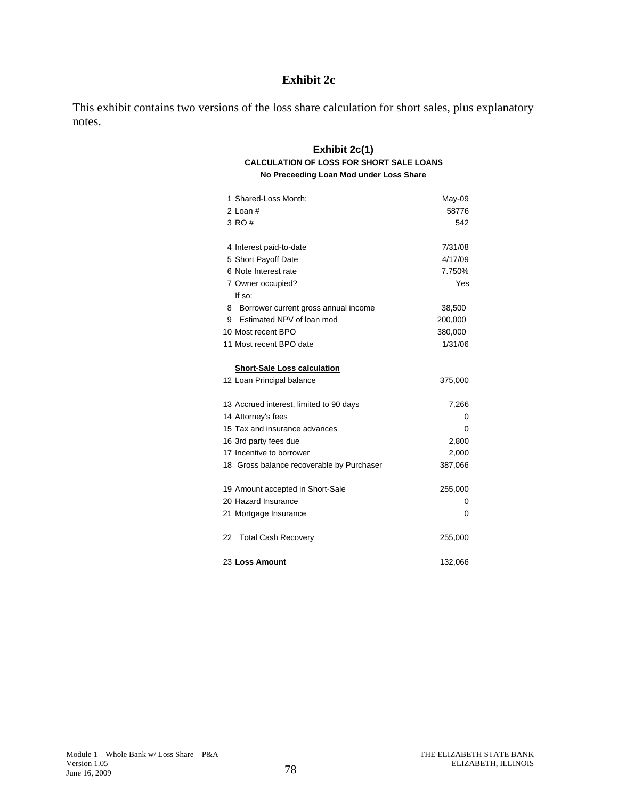## **Exhibit 2c**

This exhibit contains two versions of the loss share calculation for short sales, plus explanatory notes.

#### **Exhibit 2c(1) CALCULATION OF LOSS FOR SHORT SALE LOANS No Preceeding Loan Mod under Loss Share**

| 1 Shared-Loss Month:                      | May-09  |
|-------------------------------------------|---------|
| 2 Loan #                                  | 58776   |
| 3 RO #                                    | 542     |
|                                           |         |
| 4 Interest paid-to-date                   | 7/31/08 |
| 5 Short Payoff Date                       | 4/17/09 |
| 6 Note Interest rate                      | 7.750%  |
| 7 Owner occupied?                         | Yes     |
| If so:                                    |         |
| Borrower current gross annual income<br>8 | 38,500  |
| Estimated NPV of loan mod<br>9            | 200,000 |
| 10 Most recent BPO                        | 380,000 |
| 11 Most recent BPO date                   | 1/31/06 |
|                                           |         |
| <b>Short-Sale Loss calculation</b>        |         |
| 12 Loan Principal balance                 | 375,000 |
|                                           |         |
| 13 Accrued interest, limited to 90 days   | 7,266   |
| 14 Attorney's fees                        | 0       |
| 15 Tax and insurance advances             | 0       |
| 16 3rd party fees due                     | 2,800   |
| 17 Incentive to borrower                  | 2,000   |
| 18 Gross balance recoverable by Purchaser | 387,066 |
|                                           |         |
| 19 Amount accepted in Short-Sale          | 255,000 |
| 20 Hazard Insurance                       | 0       |
| 21 Mortgage Insurance                     | 0       |
|                                           |         |
| 22 Total Cash Recovery                    | 255,000 |
|                                           |         |
| 23 Loss Amount                            | 132,066 |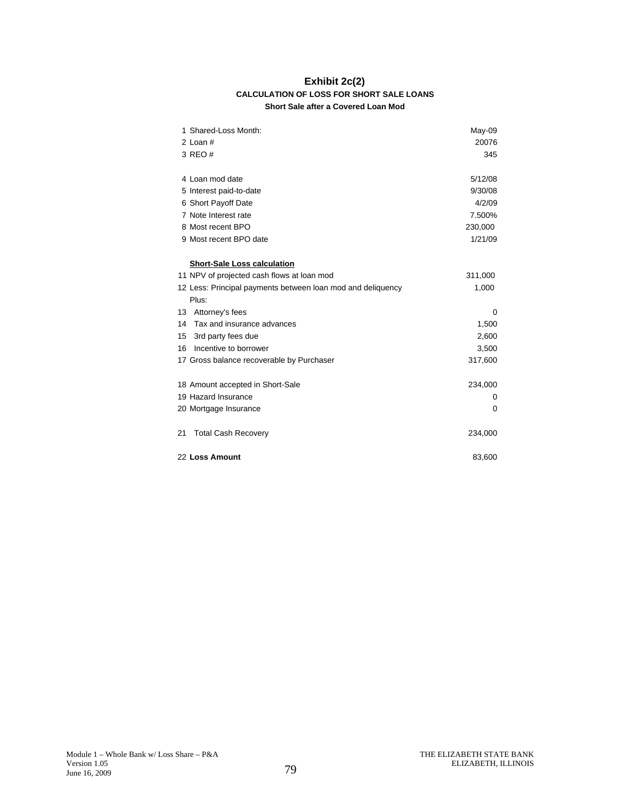#### **Exhibit 2c(2) CALCULATION OF LOSS FOR SHORT SALE LOANS Short Sale after a Covered Loan Mod**

| 1 Shared-Loss Month:                                        | May-09  |
|-------------------------------------------------------------|---------|
| 2 Loan $#$                                                  | 20076   |
| 3 REO #                                                     | 345     |
|                                                             |         |
| 4 Loan mod date                                             | 5/12/08 |
| 5 Interest paid-to-date                                     | 9/30/08 |
| 6 Short Payoff Date                                         | 4/2/09  |
| 7 Note Interest rate                                        | 7.500%  |
| 8 Most recent BPO                                           | 230,000 |
| 9 Most recent BPO date                                      | 1/21/09 |
|                                                             |         |
| <b>Short-Sale Loss calculation</b>                          |         |
| 11 NPV of projected cash flows at loan mod                  | 311,000 |
| 12 Less: Principal payments between loan mod and deliquency | 1,000   |
| Plus:                                                       |         |
| Attorney's fees<br>13                                       | 0       |
| Tax and insurance advances<br>14                            | 1,500   |
| 3rd party fees due<br>15                                    | 2,600   |
| 16<br>Incentive to borrower                                 | 3,500   |
| 17 Gross balance recoverable by Purchaser                   | 317,600 |
|                                                             |         |
| 18 Amount accepted in Short-Sale                            | 234,000 |
| 19 Hazard Insurance                                         | 0       |
| 20 Mortgage Insurance                                       | 0       |
|                                                             |         |
| <b>Total Cash Recovery</b><br>21                            | 234,000 |
|                                                             |         |
| 22 Loss Amount                                              | 83,600  |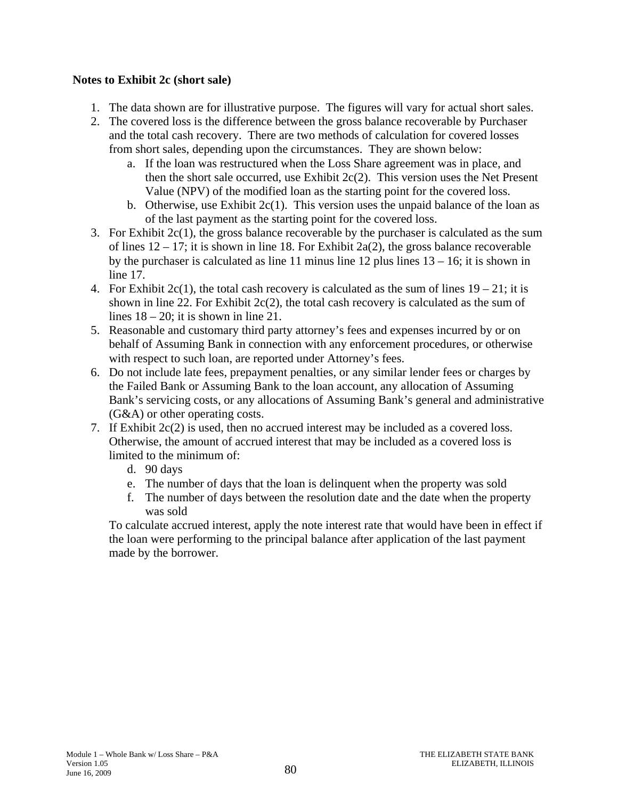## **Notes to Exhibit 2c (short sale)**

- 1. The data shown are for illustrative purpose. The figures will vary for actual short sales.
- 2. The covered loss is the difference between the gross balance recoverable by Purchaser and the total cash recovery. There are two methods of calculation for covered losses from short sales, depending upon the circumstances. They are shown below:
	- a. If the loan was restructured when the Loss Share agreement was in place, and then the short sale occurred, use Exhibit  $2c(2)$ . This version uses the Net Present Value (NPV) of the modified loan as the starting point for the covered loss.
	- b. Otherwise, use Exhibit  $2c(1)$ . This version uses the unpaid balance of the loan as of the last payment as the starting point for the covered loss.
- 3. For Exhibit  $2c(1)$ , the gross balance recoverable by the purchaser is calculated as the sum of lines  $12 - 17$ ; it is shown in line 18. For Exhibit 2a(2), the gross balance recoverable by the purchaser is calculated as line 11 minus line 12 plus lines 13 – 16; it is shown in line 17.
- 4. For Exhibit 2c(1), the total cash recovery is calculated as the sum of lines  $19 21$ ; it is shown in line 22. For Exhibit  $2c(2)$ , the total cash recovery is calculated as the sum of lines  $18 - 20$ ; it is shown in line 21.
- 5. Reasonable and customary third party attorney's fees and expenses incurred by or on behalf of Assuming Bank in connection with any enforcement procedures, or otherwise with respect to such loan, are reported under Attorney's fees.
- 6. Do not include late fees, prepayment penalties, or any similar lender fees or charges by the Failed Bank or Assuming Bank to the loan account, any allocation of Assuming Bank's servicing costs, or any allocations of Assuming Bank's general and administrative (G&A) or other operating costs.
- 7. If Exhibit  $2c(2)$  is used, then no accrued interest may be included as a covered loss. Otherwise, the amount of accrued interest that may be included as a covered loss is limited to the minimum of:
	- d. 90 days
	- e. The number of days that the loan is delinquent when the property was sold
	- f. The number of days between the resolution date and the date when the property was sold

To calculate accrued interest, apply the note interest rate that would have been in effect if the loan were performing to the principal balance after application of the last payment made by the borrower.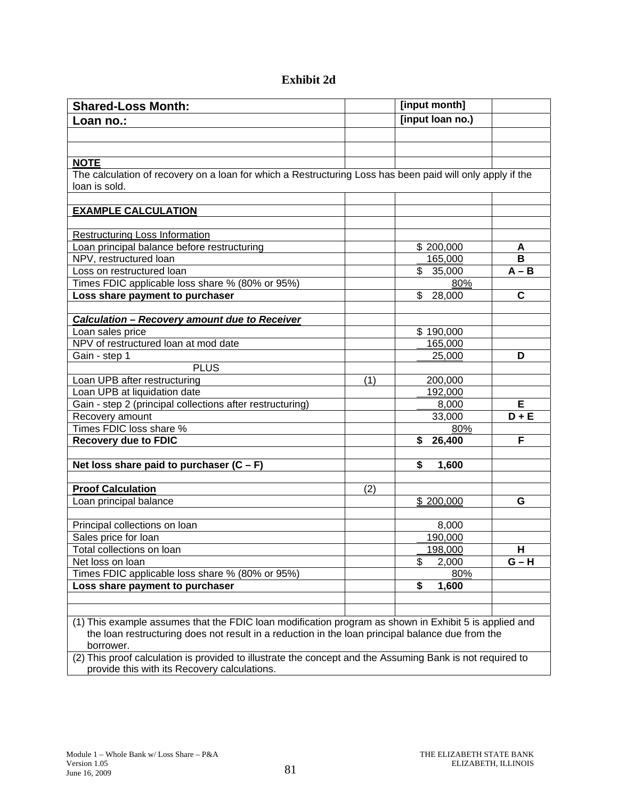# **Exhibit 2d**

| <b>Shared-Loss Month:</b>                                                                                              |     |                    |         |
|------------------------------------------------------------------------------------------------------------------------|-----|--------------------|---------|
| Loan no.:                                                                                                              |     | [input loan no.)   |         |
|                                                                                                                        |     |                    |         |
|                                                                                                                        |     |                    |         |
| <b>NOTE</b>                                                                                                            |     |                    |         |
| The calculation of recovery on a loan for which a Restructuring Loss has been paid will only apply if the              |     |                    |         |
| loan is sold.                                                                                                          |     |                    |         |
|                                                                                                                        |     |                    |         |
| <b>EXAMPLE CALCULATION</b>                                                                                             |     |                    |         |
|                                                                                                                        |     |                    |         |
| <b>Restructuring Loss Information</b>                                                                                  |     |                    |         |
| Loan principal balance before restructuring                                                                            |     | \$200,000          | A       |
| NPV, restructured loan                                                                                                 |     | 165,000            | в       |
| Loss on restructured loan                                                                                              |     | \$<br>35,000       | $A - B$ |
| Times FDIC applicable loss share % (80% or 95%)                                                                        |     | 80%                |         |
| Loss share payment to purchaser                                                                                        |     | \$28,000           | C       |
|                                                                                                                        |     |                    |         |
| Calculation - Recovery amount due to Receiver                                                                          |     |                    |         |
| Loan sales price                                                                                                       |     | \$190,000          |         |
| NPV of restructured loan at mod date                                                                                   |     | 165,000            |         |
| Gain - step 1                                                                                                          |     | 25,000             | D       |
| <b>PLUS</b>                                                                                                            |     |                    |         |
| Loan UPB after restructuring                                                                                           | (1) | 200,000<br>192,000 |         |
| Loan UPB at liquidation date<br>Gain - step 2 (principal collections after restructuring)                              |     | 8,000              | Е       |
| Recovery amount                                                                                                        |     | 33,000             | $D + E$ |
| Times FDIC loss share %                                                                                                |     | 80%                |         |
| <b>Recovery due to FDIC</b>                                                                                            |     | 26,400<br>\$       | F       |
|                                                                                                                        |     |                    |         |
| Net loss share paid to purchaser $(C - F)$                                                                             |     | 1,600<br>\$        |         |
|                                                                                                                        |     |                    |         |
| <b>Proof Calculation</b>                                                                                               | (2) |                    |         |
| Loan principal balance                                                                                                 |     | \$200,000          | G       |
|                                                                                                                        |     |                    |         |
| Principal collections on loan                                                                                          |     | 8,000              |         |
| Sales price for loan                                                                                                   |     | 190,000            |         |
| Total collections on loan                                                                                              |     | 198,000            | H       |
| Net loss on loan                                                                                                       |     | \$<br>2,000        | $G - H$ |
| Times FDIC applicable loss share % (80% or 95%)                                                                        |     | 80%                |         |
| Loss share payment to purchaser                                                                                        |     | 1,600<br>\$        |         |
|                                                                                                                        |     |                    |         |
|                                                                                                                        |     |                    |         |
| (1) This example assumes that the FDIC loan modification program as shown in Exhibit 5 is applied and                  |     |                    |         |
| the loan restructuring does not result in a reduction in the loan principal balance due from the                       |     |                    |         |
| borrower.<br>(2) This proof calculation is provided to illustrate the concept and the Assuming Bank is not required to |     |                    |         |
| provide this with its Recovery calculations.                                                                           |     |                    |         |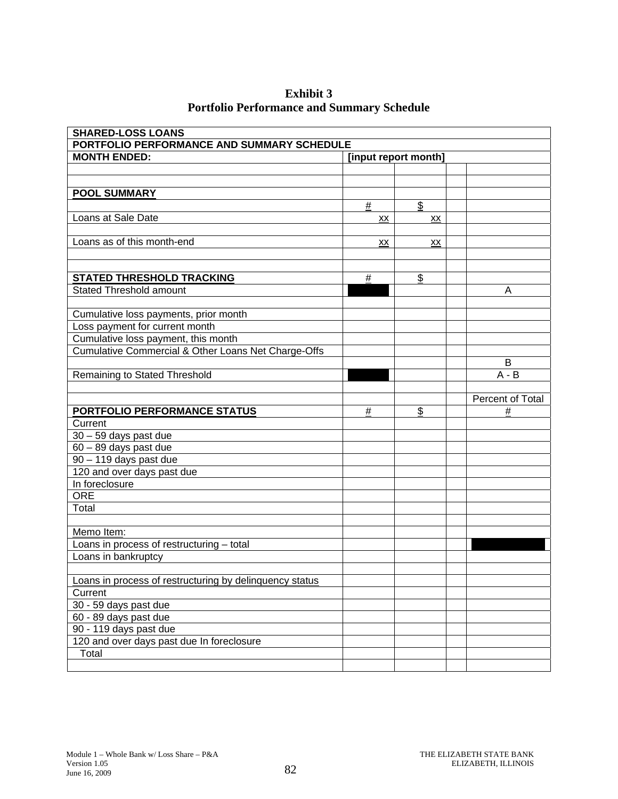| <b>SHARED-LOSS LOANS</b><br>PORTFOLIO PERFORMANCE AND SUMMARY SCHEDULE |      |    |                  |  |
|------------------------------------------------------------------------|------|----|------------------|--|
| <b>MONTH ENDED:</b><br>[input report month]                            |      |    |                  |  |
|                                                                        |      |    |                  |  |
|                                                                        |      |    |                  |  |
| <b>POOL SUMMARY</b>                                                    |      |    |                  |  |
|                                                                        | $\#$ | \$ |                  |  |
| Loans at Sale Date                                                     | XX   | XX |                  |  |
|                                                                        |      |    |                  |  |
| Loans as of this month-end                                             | XX   | XX |                  |  |
|                                                                        |      |    |                  |  |
| <b>STATED THRESHOLD TRACKING</b>                                       | $\#$ | \$ |                  |  |
| <b>Stated Threshold amount</b>                                         |      |    | A                |  |
|                                                                        |      |    |                  |  |
| Cumulative loss payments, prior month                                  |      |    |                  |  |
| Loss payment for current month                                         |      |    |                  |  |
| Cumulative loss payment, this month                                    |      |    |                  |  |
| Cumulative Commercial & Other Loans Net Charge-Offs                    |      |    |                  |  |
|                                                                        |      |    | B                |  |
| Remaining to Stated Threshold                                          |      |    | $A - B$          |  |
|                                                                        |      |    |                  |  |
|                                                                        |      |    | Percent of Total |  |
| <b>PORTFOLIO PERFORMANCE STATUS</b>                                    | $\#$ | \$ | $\#$             |  |
| Current                                                                |      |    |                  |  |
| $30 - 59$ days past due                                                |      |    |                  |  |
| $60 - 89$ days past due                                                |      |    |                  |  |
| $90 - 119$ days past due                                               |      |    |                  |  |
| 120 and over days past due                                             |      |    |                  |  |
| In foreclosure                                                         |      |    |                  |  |
| <b>ORE</b>                                                             |      |    |                  |  |
| Total                                                                  |      |    |                  |  |
|                                                                        |      |    |                  |  |
| Memo Item:                                                             |      |    |                  |  |
| Loans in process of restructuring - total                              |      |    |                  |  |
| Loans in bankruptcy                                                    |      |    |                  |  |
|                                                                        |      |    |                  |  |
| Loans in process of restructuring by delinquency status                |      |    |                  |  |
| Current                                                                |      |    |                  |  |
| 30 - 59 days past due                                                  |      |    |                  |  |
| 60 - 89 days past due                                                  |      |    |                  |  |
| 90 - 119 days past due                                                 |      |    |                  |  |
| 120 and over days past due In foreclosure<br>Total                     |      |    |                  |  |
|                                                                        |      |    |                  |  |

**Exhibit 3 Portfolio Performance and Summary Schedule**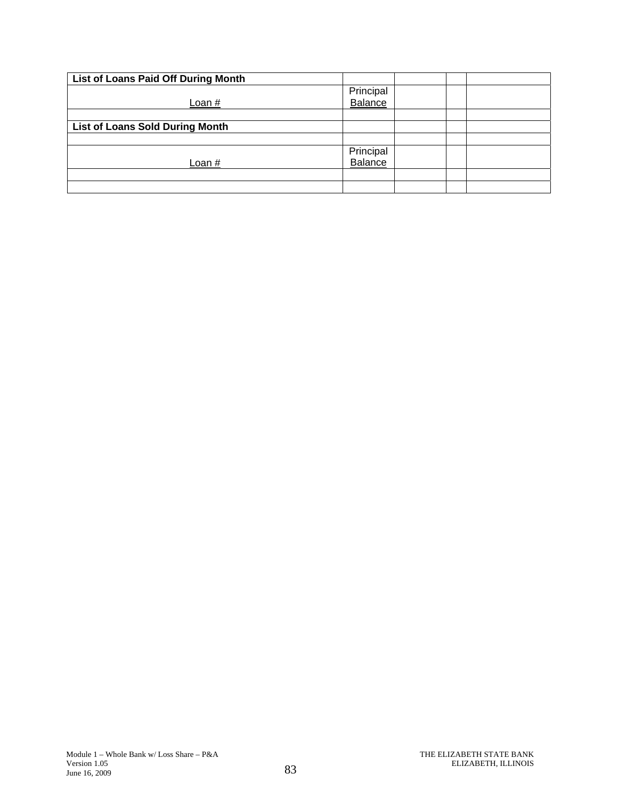| List of Loans Paid Off During Month    |                      |  |  |
|----------------------------------------|----------------------|--|--|
|                                        | Principal            |  |  |
| Loan #                                 | Balance              |  |  |
|                                        |                      |  |  |
| <b>List of Loans Sold During Month</b> |                      |  |  |
|                                        |                      |  |  |
|                                        | Principal<br>Balance |  |  |
| Loan #                                 |                      |  |  |
|                                        |                      |  |  |
|                                        |                      |  |  |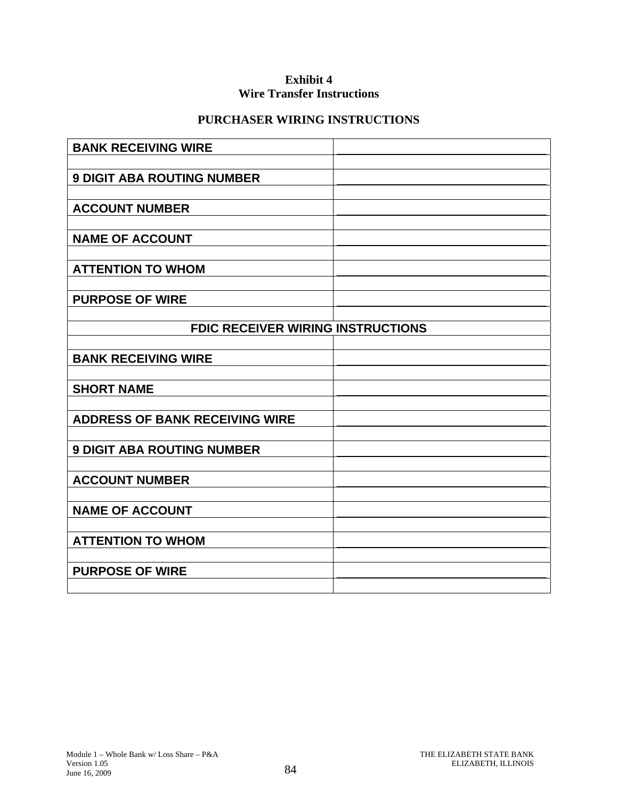## **Exhibit 4 Wire Transfer Instructions**

# **PURCHASER WIRING INSTRUCTIONS**

| <b>BANK RECEIVING WIRE</b>               |  |
|------------------------------------------|--|
|                                          |  |
| <b>9 DIGIT ABA ROUTING NUMBER</b>        |  |
|                                          |  |
| <b>ACCOUNT NUMBER</b>                    |  |
|                                          |  |
| <b>NAME OF ACCOUNT</b>                   |  |
|                                          |  |
| <b>ATTENTION TO WHOM</b>                 |  |
|                                          |  |
| <b>PURPOSE OF WIRE</b>                   |  |
| <b>FDIC RECEIVER WIRING INSTRUCTIONS</b> |  |
|                                          |  |
| <b>BANK RECEIVING WIRE</b>               |  |
|                                          |  |
| <b>SHORT NAME</b>                        |  |
|                                          |  |
| <b>ADDRESS OF BANK RECEIVING WIRE</b>    |  |
|                                          |  |
| <b>9 DIGIT ABA ROUTING NUMBER</b>        |  |
|                                          |  |
| <b>ACCOUNT NUMBER</b>                    |  |
|                                          |  |
| <b>NAME OF ACCOUNT</b>                   |  |
|                                          |  |
| <b>ATTENTION TO WHOM</b>                 |  |
|                                          |  |
| <b>PURPOSE OF WIRE</b>                   |  |
|                                          |  |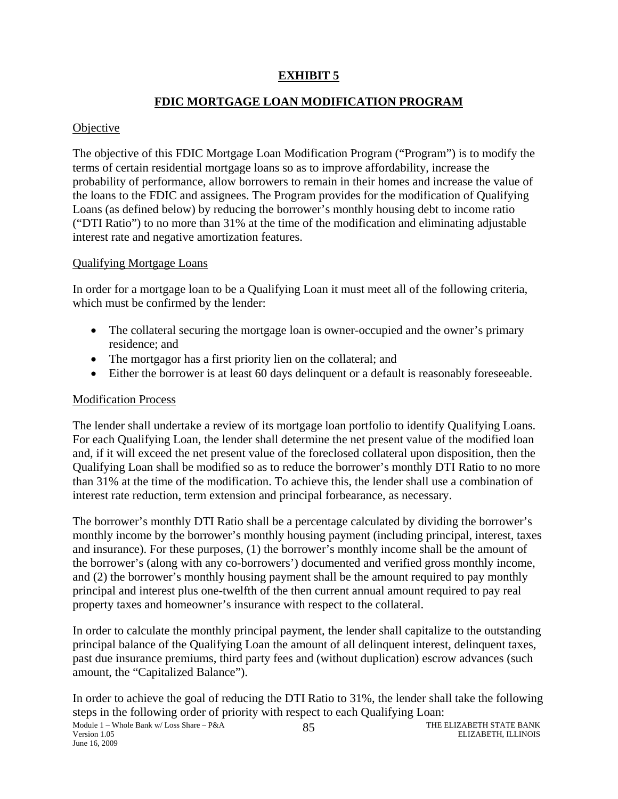# **EXHIBIT 5**

## **FDIC MORTGAGE LOAN MODIFICATION PROGRAM**

## **Objective**

The objective of this FDIC Mortgage Loan Modification Program ("Program") is to modify the terms of certain residential mortgage loans so as to improve affordability, increase the probability of performance, allow borrowers to remain in their homes and increase the value of the loans to the FDIC and assignees. The Program provides for the modification of Qualifying Loans (as defined below) by reducing the borrower's monthly housing debt to income ratio ("DTI Ratio") to no more than 31% at the time of the modification and eliminating adjustable interest rate and negative amortization features.

### Qualifying Mortgage Loans

In order for a mortgage loan to be a Qualifying Loan it must meet all of the following criteria, which must be confirmed by the lender:

- The collateral securing the mortgage loan is owner-occupied and the owner's primary residence; and
- The mortgagor has a first priority lien on the collateral; and
- Either the borrower is at least 60 days delinquent or a default is reasonably foreseeable.

## Modification Process

The lender shall undertake a review of its mortgage loan portfolio to identify Qualifying Loans. For each Qualifying Loan, the lender shall determine the net present value of the modified loan and, if it will exceed the net present value of the foreclosed collateral upon disposition, then the Qualifying Loan shall be modified so as to reduce the borrower's monthly DTI Ratio to no more than 31% at the time of the modification. To achieve this, the lender shall use a combination of interest rate reduction, term extension and principal forbearance, as necessary.

The borrower's monthly DTI Ratio shall be a percentage calculated by dividing the borrower's monthly income by the borrower's monthly housing payment (including principal, interest, taxes and insurance). For these purposes, (1) the borrower's monthly income shall be the amount of the borrower's (along with any co-borrowers') documented and verified gross monthly income, and (2) the borrower's monthly housing payment shall be the amount required to pay monthly principal and interest plus one-twelfth of the then current annual amount required to pay real property taxes and homeowner's insurance with respect to the collateral.

In order to calculate the monthly principal payment, the lender shall capitalize to the outstanding principal balance of the Qualifying Loan the amount of all delinquent interest, delinquent taxes, past due insurance premiums, third party fees and (without duplication) escrow advances (such amount, the "Capitalized Balance").

In order to achieve the goal of reducing the DTI Ratio to 31%, the lender shall take the following steps in the following order of priority with respect to each Qualifying Loan: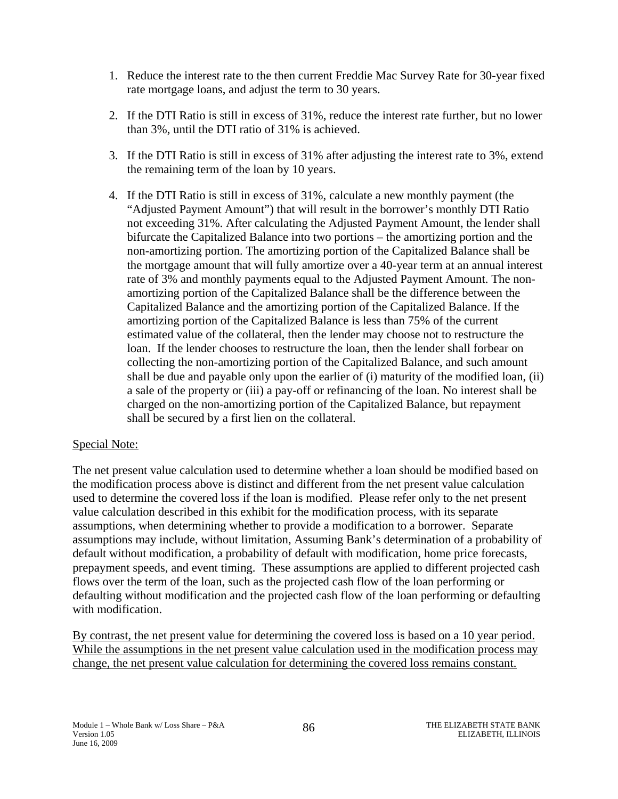- 1. Reduce the interest rate to the then current Freddie Mac Survey Rate for 30-year fixed rate mortgage loans, and adjust the term to 30 years.
- 2. If the DTI Ratio is still in excess of  $31\%$ , reduce the interest rate further, but no lower than 3%, until the DTI ratio of 31% is achieved.
- 3. If the DTI Ratio is still in excess of 31% after adjusting the interest rate to 3%, extend the remaining term of the loan by 10 years.
- 4. If the DTI Ratio is still in excess of 31%, calculate a new monthly payment (the "Adjusted Payment Amount") that will result in the borrower's monthly DTI Ratio not exceeding 31%. After calculating the Adjusted Payment Amount, the lender shall bifurcate the Capitalized Balance into two portions – the amortizing portion and the non-amortizing portion. The amortizing portion of the Capitalized Balance shall be the mortgage amount that will fully amortize over a 40-year term at an annual interest rate of 3% and monthly payments equal to the Adjusted Payment Amount. The nonamortizing portion of the Capitalized Balance shall be the difference between the Capitalized Balance and the amortizing portion of the Capitalized Balance. If the amortizing portion of the Capitalized Balance is less than 75% of the current estimated value of the collateral, then the lender may choose not to restructure the loan. If the lender chooses to restructure the loan, then the lender shall forbear on collecting the non-amortizing portion of the Capitalized Balance, and such amount shall be due and payable only upon the earlier of (i) maturity of the modified loan, (ii) a sale of the property or (iii) a pay-off or refinancing of the loan. No interest shall be charged on the non-amortizing portion of the Capitalized Balance, but repayment shall be secured by a first lien on the collateral.

## Special Note:

The net present value calculation used to determine whether a loan should be modified based on the modification process above is distinct and different from the net present value calculation used to determine the covered loss if the loan is modified. Please refer only to the net present value calculation described in this exhibit for the modification process, with its separate assumptions, when determining whether to provide a modification to a borrower. Separate assumptions may include, without limitation, Assuming Bank's determination of a probability of default without modification, a probability of default with modification, home price forecasts, prepayment speeds, and event timing. These assumptions are applied to different projected cash flows over the term of the loan, such as the projected cash flow of the loan performing or defaulting without modification and the projected cash flow of the loan performing or defaulting with modification.

change, the net present value calculation for determining the covered loss remains constant.<br>
Module 1 – Whole Bank w/ Loss Share – P&A 86 THE ELIZABETH STATE BANK ELIZABETH, ILLINOIS By contrast, the net present value for determining the covered loss is based on a 10 year period. While the assumptions in the net present value calculation used in the modification process may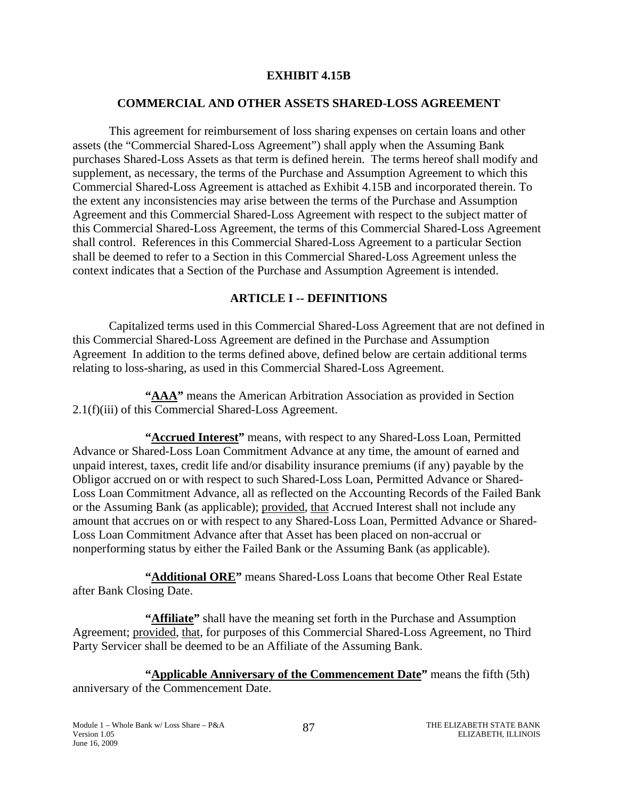### **EXHIBIT 4.15B**

#### **COMMERCIAL AND OTHER ASSETS SHARED-LOSS AGREEMENT**

This agreement for reimbursement of loss sharing expenses on certain loans and other assets (the "Commercial Shared-Loss Agreement") shall apply when the Assuming Bank purchases Shared-Loss Assets as that term is defined herein. The terms hereof shall modify and supplement, as necessary, the terms of the Purchase and Assumption Agreement to which this Commercial Shared-Loss Agreement is attached as Exhibit 4.15B and incorporated therein. To the extent any inconsistencies may arise between the terms of the Purchase and Assumption Agreement and this Commercial Shared-Loss Agreement with respect to the subject matter of this Commercial Shared-Loss Agreement, the terms of this Commercial Shared-Loss Agreement shall control. References in this Commercial Shared-Loss Agreement to a particular Section shall be deemed to refer to a Section in this Commercial Shared-Loss Agreement unless the context indicates that a Section of the Purchase and Assumption Agreement is intended.

### **ARTICLE I -- DEFINITIONS**

Capitalized terms used in this Commercial Shared-Loss Agreement that are not defined in this Commercial Shared-Loss Agreement are defined in the Purchase and Assumption Agreement In addition to the terms defined above, defined below are certain additional terms relating to loss-sharing, as used in this Commercial Shared-Loss Agreement.

**"AAA"** means the American Arbitration Association as provided in Section 2.1(f)(iii) of this Commercial Shared-Loss Agreement.

**"Accrued Interest"** means, with respect to any Shared-Loss Loan, Permitted Advance or Shared-Loss Loan Commitment Advance at any time, the amount of earned and unpaid interest, taxes, credit life and/or disability insurance premiums (if any) payable by the Obligor accrued on or with respect to such Shared-Loss Loan, Permitted Advance or Shared-Loss Loan Commitment Advance, all as reflected on the Accounting Records of the Failed Bank or the Assuming Bank (as applicable); provided, that Accrued Interest shall not include any amount that accrues on or with respect to any Shared-Loss Loan, Permitted Advance or Shared-Loss Loan Commitment Advance after that Asset has been placed on non-accrual or nonperforming status by either the Failed Bank or the Assuming Bank (as applicable).

**"Additional ORE"** means Shared-Loss Loans that become Other Real Estate after Bank Closing Date.

**"Affiliate"** shall have the meaning set forth in the Purchase and Assumption Agreement; provided, that, for purposes of this Commercial Shared-Loss Agreement, no Third Party Servicer shall be deemed to be an Affiliate of the Assuming Bank.

**Examplicable Anniversary of the Commencement Date"** means the fifth (5th) anniversary of the Commencement Date.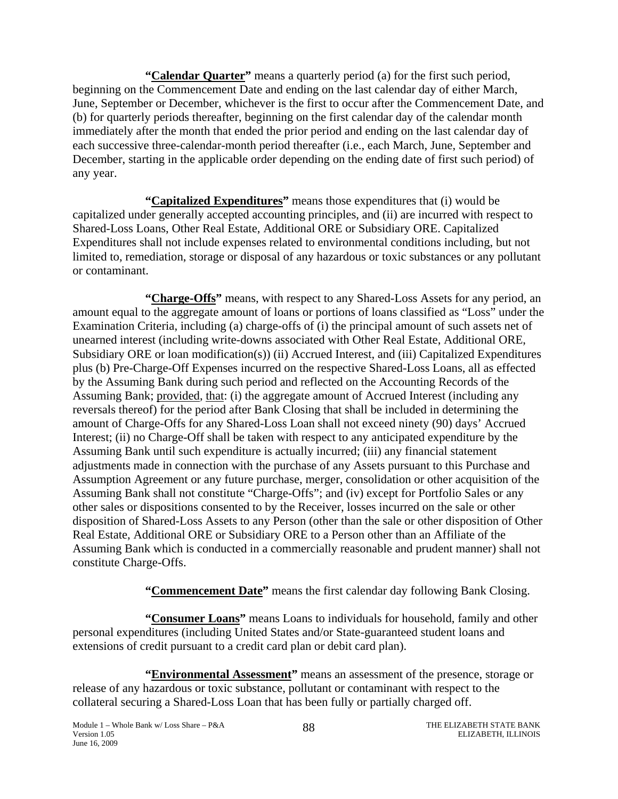**"Calendar Quarter"** means a quarterly period (a) for the first such period, beginning on the Commencement Date and ending on the last calendar day of either March, June, September or December, whichever is the first to occur after the Commencement Date, and (b) for quarterly periods thereafter, beginning on the first calendar day of the calendar month immediately after the month that ended the prior period and ending on the last calendar day of each successive three-calendar-month period thereafter (i.e., each March, June, September and December, starting in the applicable order depending on the ending date of first such period) of any year.

**"Capitalized Expenditures"** means those expenditures that (i) would be capitalized under generally accepted accounting principles, and (ii) are incurred with respect to Shared-Loss Loans, Other Real Estate, Additional ORE or Subsidiary ORE. Capitalized Expenditures shall not include expenses related to environmental conditions including, but not limited to, remediation, storage or disposal of any hazardous or toxic substances or any pollutant or contaminant.

**"Charge-Offs"** means, with respect to any Shared-Loss Assets for any period, an amount equal to the aggregate amount of loans or portions of loans classified as "Loss" under the Examination Criteria, including (a) charge-offs of (i) the principal amount of such assets net of unearned interest (including write-downs associated with Other Real Estate, Additional ORE, Subsidiary ORE or loan modification(s)) (ii) Accrued Interest, and (iii) Capitalized Expenditures plus (b) Pre-Charge-Off Expenses incurred on the respective Shared-Loss Loans, all as effected by the Assuming Bank during such period and reflected on the Accounting Records of the Assuming Bank; provided, that: (i) the aggregate amount of Accrued Interest (including any reversals thereof) for the period after Bank Closing that shall be included in determining the amount of Charge-Offs for any Shared-Loss Loan shall not exceed ninety (90) days' Accrued Interest; (ii) no Charge-Off shall be taken with respect to any anticipated expenditure by the Assuming Bank until such expenditure is actually incurred; (iii) any financial statement adjustments made in connection with the purchase of any Assets pursuant to this Purchase and Assumption Agreement or any future purchase, merger, consolidation or other acquisition of the Assuming Bank shall not constitute "Charge-Offs"; and (iv) except for Portfolio Sales or any other sales or dispositions consented to by the Receiver, losses incurred on the sale or other disposition of Shared-Loss Assets to any Person (other than the sale or other disposition of Other Real Estate, Additional ORE or Subsidiary ORE to a Person other than an Affiliate of the Assuming Bank which is conducted in a commercially reasonable and prudent manner) shall not constitute Charge-Offs.

**"Commencement Date"** means the first calendar day following Bank Closing.

**"Consumer Loans"** means Loans to individuals for household, family and other personal expenditures (including United States and/or State-guaranteed student loans and extensions of credit pursuant to a credit card plan or debit card plan).

**"Environmental Assessment"** means an assessment of the presence, storage or release of any hazardous or toxic substance, pollutant or contaminant with respect to the collateral securing a Shared-Loss Loan that has been fully or partially charged off.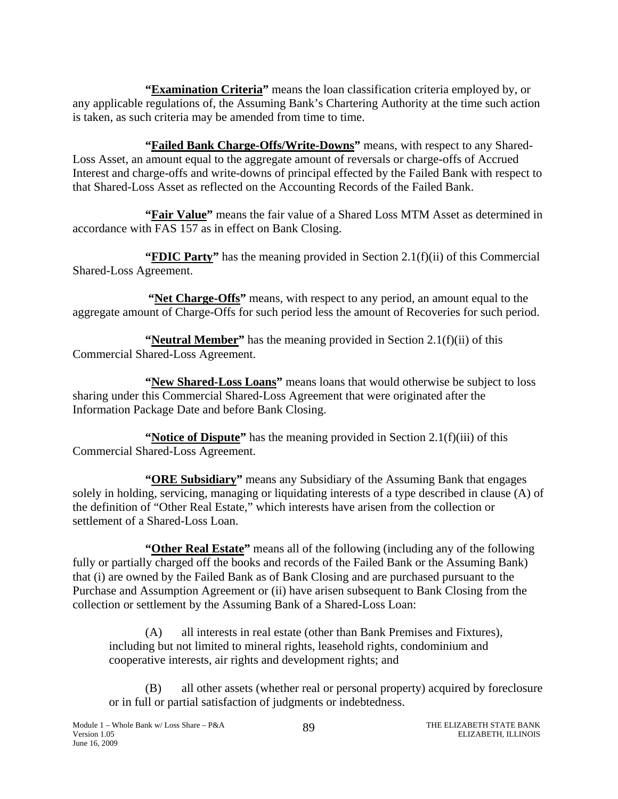**"Examination Criteria"** means the loan classification criteria employed by, or any applicable regulations of, the Assuming Bank's Chartering Authority at the time such action is taken, as such criteria may be amended from time to time.

**"Failed Bank Charge-Offs/Write-Downs"** means, with respect to any Shared-Loss Asset, an amount equal to the aggregate amount of reversals or charge-offs of Accrued Interest and charge-offs and write-downs of principal effected by the Failed Bank with respect to that Shared-Loss Asset as reflected on the Accounting Records of the Failed Bank.

**"Fair Value"** means the fair value of a Shared Loss MTM Asset as determined in accordance with FAS 157 as in effect on Bank Closing.

**"FDIC Party"** has the meaning provided in Section 2.1(f)(ii) of this Commercial Shared-Loss Agreement.

**"Net Charge-Offs"** means, with respect to any period, an amount equal to the aggregate amount of Charge-Offs for such period less the amount of Recoveries for such period.

 Commercial Shared-Loss Agreement. **"Neutral Member"** has the meaning provided in Section 2.1(f)(ii) of this

**"New Shared-Loss Loans"** means loans that would otherwise be subject to loss sharing under this Commercial Shared-Loss Agreement that were originated after the Information Package Date and before Bank Closing.

**"Notice of Dispute"** has the meaning provided in Section 2.1(f)(iii) of this Commercial Shared-Loss Agreement.

**"ORE Subsidiary"** means any Subsidiary of the Assuming Bank that engages solely in holding, servicing, managing or liquidating interests of a type described in clause (A) of the definition of "Other Real Estate," which interests have arisen from the collection or settlement of a Shared-Loss Loan.

**"Other Real Estate"** means all of the following (including any of the following fully or partially charged off the books and records of the Failed Bank or the Assuming Bank) that (i) are owned by the Failed Bank as of Bank Closing and are purchased pursuant to the Purchase and Assumption Agreement or (ii) have arisen subsequent to Bank Closing from the collection or settlement by the Assuming Bank of a Shared-Loss Loan:

(A) all interests in real estate (other than Bank Premises and Fixtures), including but not limited to mineral rights, leasehold rights, condominium and cooperative interests, air rights and development rights; and

(B) all other assets (whether real or personal property) acquired by foreclosure or in full or partial satisfaction of judgments or indebtedness.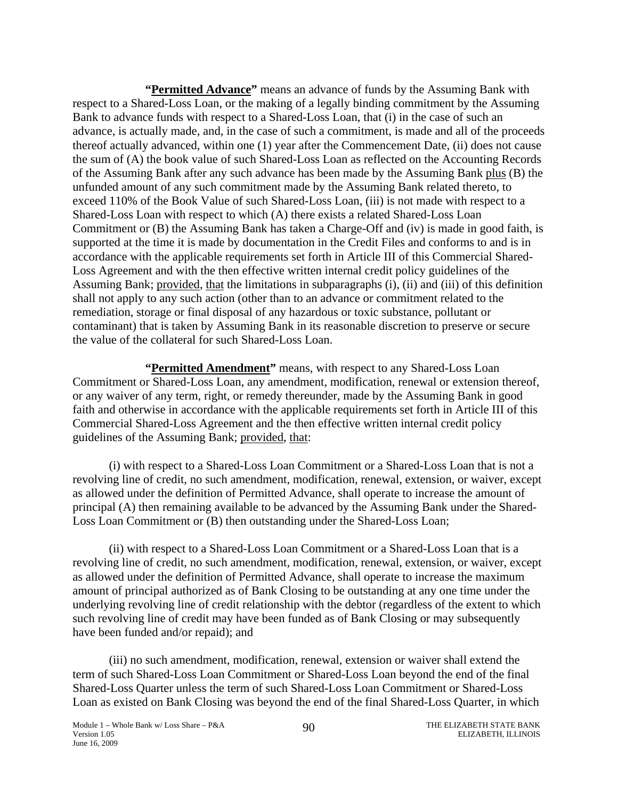**"Permitted Advance"** means an advance of funds by the Assuming Bank with respect to a Shared-Loss Loan, or the making of a legally binding commitment by the Assuming Bank to advance funds with respect to a Shared-Loss Loan, that (i) in the case of such an advance, is actually made, and, in the case of such a commitment, is made and all of the proceeds thereof actually advanced, within one (1) year after the Commencement Date, (ii) does not cause the sum of (A) the book value of such Shared-Loss Loan as reflected on the Accounting Records of the Assuming Bank after any such advance has been made by the Assuming Bank plus (B) the unfunded amount of any such commitment made by the Assuming Bank related thereto, to exceed 110% of the Book Value of such Shared-Loss Loan, (iii) is not made with respect to a Shared-Loss Loan with respect to which (A) there exists a related Shared-Loss Loan Commitment or (B) the Assuming Bank has taken a Charge-Off and (iv) is made in good faith, is supported at the time it is made by documentation in the Credit Files and conforms to and is in accordance with the applicable requirements set forth in Article III of this Commercial Shared-Loss Agreement and with the then effective written internal credit policy guidelines of the Assuming Bank; provided, that the limitations in subparagraphs (i), (ii) and (iii) of this definition shall not apply to any such action (other than to an advance or commitment related to the remediation, storage or final disposal of any hazardous or toxic substance, pollutant or contaminant) that is taken by Assuming Bank in its reasonable discretion to preserve or secure the value of the collateral for such Shared-Loss Loan.

**"Permitted Amendment"** means, with respect to any Shared-Loss Loan Commitment or Shared-Loss Loan, any amendment, modification, renewal or extension thereof, or any waiver of any term, right, or remedy thereunder, made by the Assuming Bank in good faith and otherwise in accordance with the applicable requirements set forth in Article III of this Commercial Shared-Loss Agreement and the then effective written internal credit policy guidelines of the Assuming Bank; provided, that:

(i) with respect to a Shared-Loss Loan Commitment or a Shared-Loss Loan that is not a revolving line of credit, no such amendment, modification, renewal, extension, or waiver, except as allowed under the definition of Permitted Advance, shall operate to increase the amount of principal (A) then remaining available to be advanced by the Assuming Bank under the Shared-Loss Loan Commitment or (B) then outstanding under the Shared-Loss Loan;

(ii) with respect to a Shared-Loss Loan Commitment or a Shared-Loss Loan that is a revolving line of credit, no such amendment, modification, renewal, extension, or waiver, except as allowed under the definition of Permitted Advance, shall operate to increase the maximum amount of principal authorized as of Bank Closing to be outstanding at any one time under the underlying revolving line of credit relationship with the debtor (regardless of the extent to which such revolving line of credit may have been funded as of Bank Closing or may subsequently have been funded and/or repaid); and

(iii) no such amendment, modification, renewal, extension or waiver shall extend the term of such Shared-Loss Loan Commitment or Shared-Loss Loan beyond the end of the final Shared-Loss Quarter unless the term of such Shared-Loss Loan Commitment or Shared-Loss Loan as existed on Bank Closing was beyond the end of the final Shared-Loss Quarter, in which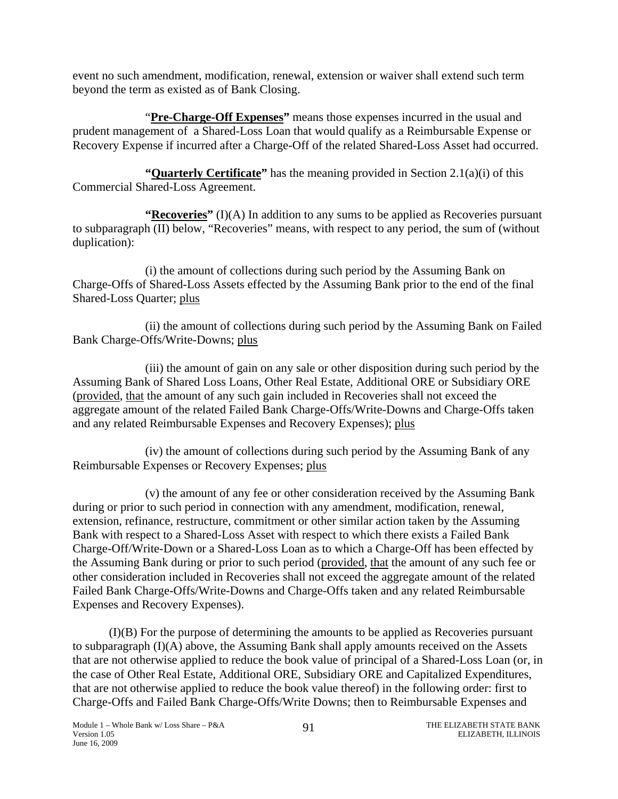event no such amendment, modification, renewal, extension or waiver shall extend such term beyond the term as existed as of Bank Closing.

"**Pre-Charge-Off Expenses"** means those expenses incurred in the usual and prudent management of a Shared-Loss Loan that would qualify as a Reimbursable Expense or Recovery Expense if incurred after a Charge-Off of the related Shared-Loss Asset had occurred.

**"Quarterly Certificate"** has the meaning provided in Section 2.1(a)(i) of this Commercial Shared-Loss Agreement.

**"Recoveries"** (I)(A) In addition to any sums to be applied as Recoveries pursuant to subparagraph (II) below, "Recoveries" means, with respect to any period, the sum of (without duplication):

Shared-Loss Quarter; plus (i) the amount of collections during such period by the Assuming Bank on Charge-Offs of Shared-Loss Assets effected by the Assuming Bank prior to the end of the final

(ii) the amount of collections during such period by the Assuming Bank on Failed Bank Charge-Offs/Write-Downs; plus

(iii) the amount of gain on any sale or other disposition during such period by the Assuming Bank of Shared Loss Loans, Other Real Estate, Additional ORE or Subsidiary ORE (provided, that the amount of any such gain included in Recoveries shall not exceed the aggregate amount of the related Failed Bank Charge-Offs/Write-Downs and Charge-Offs taken and any related Reimbursable Expenses and Recovery Expenses); plus

(iv) the amount of collections during such period by the Assuming Bank of any Reimbursable Expenses or Recovery Expenses; plus

(v) the amount of any fee or other consideration received by the Assuming Bank during or prior to such period in connection with any amendment, modification, renewal, extension, refinance, restructure, commitment or other similar action taken by the Assuming Bank with respect to a Shared-Loss Asset with respect to which there exists a Failed Bank Charge-Off/Write-Down or a Shared-Loss Loan as to which a Charge-Off has been effected by the Assuming Bank during or prior to such period (provided, that the amount of any such fee or other consideration included in Recoveries shall not exceed the aggregate amount of the related Failed Bank Charge-Offs/Write-Downs and Charge-Offs taken and any related Reimbursable Expenses and Recovery Expenses).

(I)(B) For the purpose of determining the amounts to be applied as Recoveries pursuant to subparagraph (I)(A) above, the Assuming Bank shall apply amounts received on the Assets that are not otherwise applied to reduce the book value of principal of a Shared-Loss Loan (or, in the case of Other Real Estate, Additional ORE, Subsidiary ORE and Capitalized Expenditures, that are not otherwise applied to reduce the book value thereof) in the following order: first to Charge-Offs and Failed Bank Charge-Offs/Write Downs; then to Reimbursable Expenses and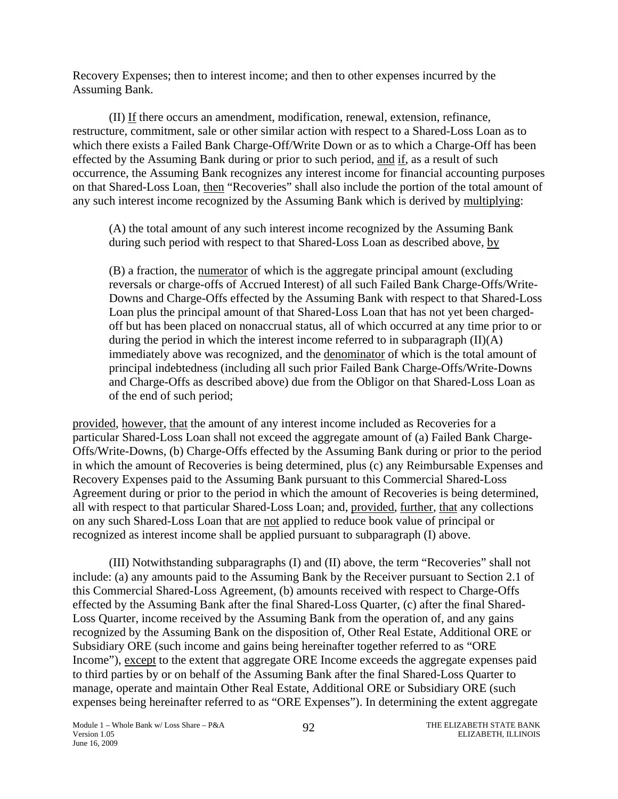Recovery Expenses; then to interest income; and then to other expenses incurred by the Assuming Bank.

(II) If there occurs an amendment, modification, renewal, extension, refinance, restructure, commitment, sale or other similar action with respect to a Shared-Loss Loan as to which there exists a Failed Bank Charge-Off/Write Down or as to which a Charge-Off has been effected by the Assuming Bank during or prior to such period, and if, as a result of such occurrence, the Assuming Bank recognizes any interest income for financial accounting purposes on that Shared-Loss Loan, then "Recoveries" shall also include the portion of the total amount of any such interest income recognized by the Assuming Bank which is derived by multiplying:

(A) the total amount of any such interest income recognized by the Assuming Bank during such period with respect to that Shared-Loss Loan as described above, by

(B) a fraction, the numerator of which is the aggregate principal amount (excluding reversals or charge-offs of Accrued Interest) of all such Failed Bank Charge-Offs/Write-Downs and Charge-Offs effected by the Assuming Bank with respect to that Shared-Loss Loan plus the principal amount of that Shared-Loss Loan that has not yet been chargedoff but has been placed on nonaccrual status, all of which occurred at any time prior to or during the period in which the interest income referred to in subparagraph  $(II)(A)$ immediately above was recognized, and the denominator of which is the total amount of principal indebtedness (including all such prior Failed Bank Charge-Offs/Write-Downs and Charge-Offs as described above) due from the Obligor on that Shared-Loss Loan as of the end of such period;

provided, however, that the amount of any interest income included as Recoveries for a particular Shared-Loss Loan shall not exceed the aggregate amount of (a) Failed Bank Charge-Offs/Write-Downs, (b) Charge-Offs effected by the Assuming Bank during or prior to the period in which the amount of Recoveries is being determined, plus (c) any Reimbursable Expenses and Recovery Expenses paid to the Assuming Bank pursuant to this Commercial Shared-Loss Agreement during or prior to the period in which the amount of Recoveries is being determined, all with respect to that particular Shared-Loss Loan; and, provided, further, that any collections on any such Shared-Loss Loan that are not applied to reduce book value of principal or recognized as interest income shall be applied pursuant to subparagraph (I) above.

(III) Notwithstanding subparagraphs (I) and (II) above, the term "Recoveries" shall not include: (a) any amounts paid to the Assuming Bank by the Receiver pursuant to Section 2.1 of this Commercial Shared-Loss Agreement, (b) amounts received with respect to Charge-Offs effected by the Assuming Bank after the final Shared-Loss Quarter, (c) after the final Shared-Loss Quarter, income received by the Assuming Bank from the operation of, and any gains recognized by the Assuming Bank on the disposition of, Other Real Estate, Additional ORE or Subsidiary ORE (such income and gains being hereinafter together referred to as "ORE Income"), except to the extent that aggregate ORE Income exceeds the aggregate expenses paid to third parties by or on behalf of the Assuming Bank after the final Shared-Loss Quarter to manage, operate and maintain Other Real Estate, Additional ORE or Subsidiary ORE (such expenses being hereinafter referred to as "ORE Expenses"). In determining the extent aggregate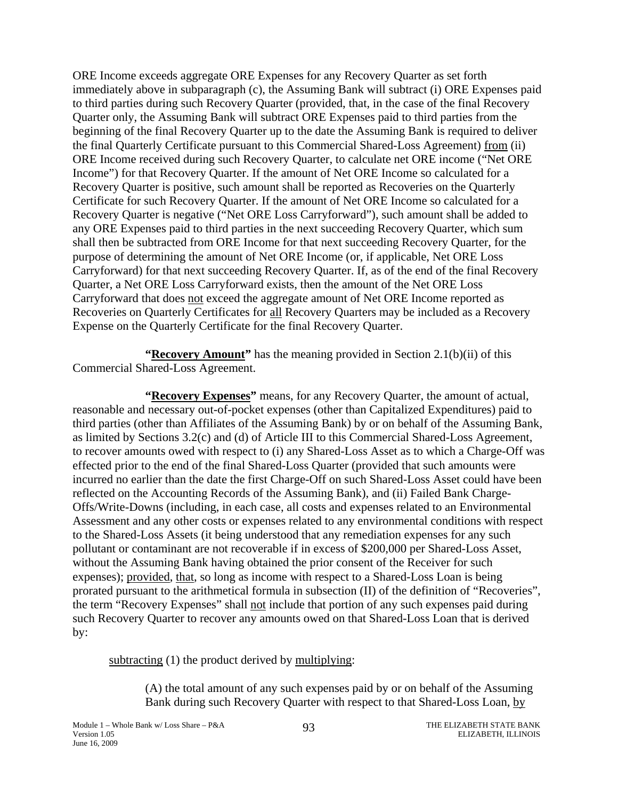ORE Income exceeds aggregate ORE Expenses for any Recovery Quarter as set forth immediately above in subparagraph (c), the Assuming Bank will subtract (i) ORE Expenses paid to third parties during such Recovery Quarter (provided, that, in the case of the final Recovery Quarter only, the Assuming Bank will subtract ORE Expenses paid to third parties from the beginning of the final Recovery Quarter up to the date the Assuming Bank is required to deliver the final Quarterly Certificate pursuant to this Commercial Shared-Loss Agreement) from (ii) ORE Income received during such Recovery Quarter, to calculate net ORE income ("Net ORE Income") for that Recovery Quarter. If the amount of Net ORE Income so calculated for a Recovery Quarter is positive, such amount shall be reported as Recoveries on the Quarterly Certificate for such Recovery Quarter. If the amount of Net ORE Income so calculated for a Recovery Quarter is negative ("Net ORE Loss Carryforward"), such amount shall be added to any ORE Expenses paid to third parties in the next succeeding Recovery Quarter, which sum shall then be subtracted from ORE Income for that next succeeding Recovery Quarter, for the purpose of determining the amount of Net ORE Income (or, if applicable, Net ORE Loss Carryforward) for that next succeeding Recovery Quarter. If, as of the end of the final Recovery Quarter, a Net ORE Loss Carryforward exists, then the amount of the Net ORE Loss Carryforward that does not exceed the aggregate amount of Net ORE Income reported as Recoveries on Quarterly Certificates for all Recovery Quarters may be included as a Recovery Expense on the Quarterly Certificate for the final Recovery Quarter.

**"Recovery Amount"** has the meaning provided in Section 2.1(b)(ii) of this Commercial Shared-Loss Agreement.

**"Recovery Expenses"** means, for any Recovery Quarter, the amount of actual, reasonable and necessary out-of-pocket expenses (other than Capitalized Expenditures) paid to third parties (other than Affiliates of the Assuming Bank) by or on behalf of the Assuming Bank, as limited by Sections 3.2(c) and (d) of Article III to this Commercial Shared-Loss Agreement, to recover amounts owed with respect to (i) any Shared-Loss Asset as to which a Charge-Off was effected prior to the end of the final Shared-Loss Quarter (provided that such amounts were incurred no earlier than the date the first Charge-Off on such Shared-Loss Asset could have been reflected on the Accounting Records of the Assuming Bank), and (ii) Failed Bank Charge-Offs/Write-Downs (including, in each case, all costs and expenses related to an Environmental Assessment and any other costs or expenses related to any environmental conditions with respect to the Shared-Loss Assets (it being understood that any remediation expenses for any such pollutant or contaminant are not recoverable if in excess of \$200,000 per Shared-Loss Asset, without the Assuming Bank having obtained the prior consent of the Receiver for such expenses); provided, that, so long as income with respect to a Shared-Loss Loan is being prorated pursuant to the arithmetical formula in subsection (II) of the definition of "Recoveries", the term "Recovery Expenses" shall not include that portion of any such expenses paid during such Recovery Quarter to recover any amounts owed on that Shared-Loss Loan that is derived by:

subtracting (1) the product derived by multiplying:

(A) the total amount of any such expenses paid by or on behalf of the Assuming Bank during such Recovery Quarter with respect to that Shared-Loss Loan, by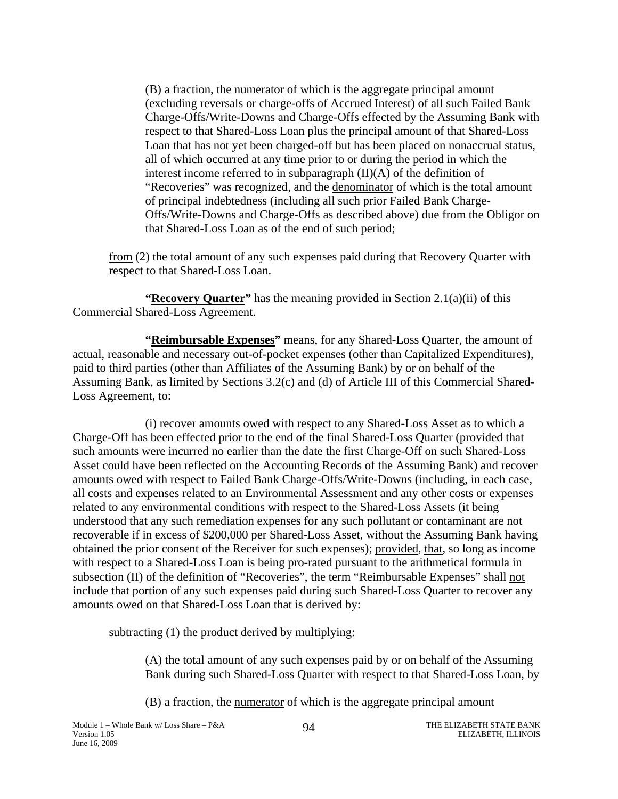(B) a fraction, the numerator of which is the aggregate principal amount (excluding reversals or charge-offs of Accrued Interest) of all such Failed Bank Charge-Offs/Write-Downs and Charge-Offs effected by the Assuming Bank with respect to that Shared-Loss Loan plus the principal amount of that Shared-Loss Loan that has not yet been charged-off but has been placed on nonaccrual status, all of which occurred at any time prior to or during the period in which the interest income referred to in subparagraph  $(II)(A)$  of the definition of "Recoveries" was recognized, and the denominator of which is the total amount of principal indebtedness (including all such prior Failed Bank Charge-Offs/Write-Downs and Charge-Offs as described above) due from the Obligor on that Shared-Loss Loan as of the end of such period;

from (2) the total amount of any such expenses paid during that Recovery Quarter with respect to that Shared-Loss Loan.

**"Recovery Quarter"** has the meaning provided in Section 2.1(a)(ii) of this Commercial Shared-Loss Agreement.

**"Reimbursable Expenses"** means, for any Shared-Loss Quarter, the amount of actual, reasonable and necessary out-of-pocket expenses (other than Capitalized Expenditures), paid to third parties (other than Affiliates of the Assuming Bank) by or on behalf of the Assuming Bank, as limited by Sections 3.2(c) and (d) of Article III of this Commercial Shared-Loss Agreement, to:

(i) recover amounts owed with respect to any Shared-Loss Asset as to which a Charge-Off has been effected prior to the end of the final Shared-Loss Quarter (provided that such amounts were incurred no earlier than the date the first Charge-Off on such Shared-Loss Asset could have been reflected on the Accounting Records of the Assuming Bank) and recover amounts owed with respect to Failed Bank Charge-Offs/Write-Downs (including, in each case, all costs and expenses related to an Environmental Assessment and any other costs or expenses related to any environmental conditions with respect to the Shared-Loss Assets (it being understood that any such remediation expenses for any such pollutant or contaminant are not recoverable if in excess of \$200,000 per Shared-Loss Asset, without the Assuming Bank having obtained the prior consent of the Receiver for such expenses); provided, that, so long as income with respect to a Shared-Loss Loan is being pro-rated pursuant to the arithmetical formula in subsection (II) of the definition of "Recoveries", the term "Reimbursable Expenses" shall not include that portion of any such expenses paid during such Shared-Loss Quarter to recover any amounts owed on that Shared-Loss Loan that is derived by:

subtracting (1) the product derived by multiplying:

(A) the total amount of any such expenses paid by or on behalf of the Assuming Bank during such Shared-Loss Quarter with respect to that Shared-Loss Loan, by

(B) a fraction, the numerator of which is the aggregate principal amount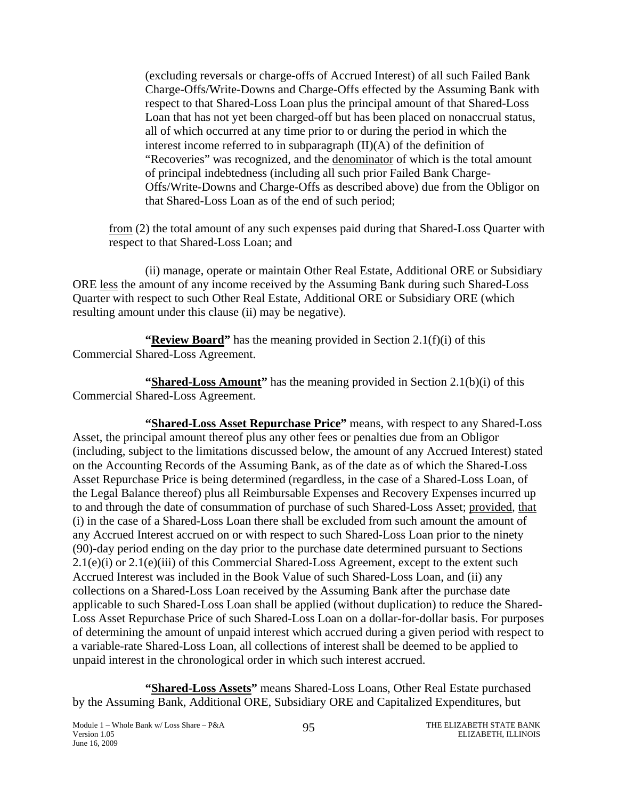(excluding reversals or charge-offs of Accrued Interest) of all such Failed Bank Charge-Offs/Write-Downs and Charge-Offs effected by the Assuming Bank with respect to that Shared-Loss Loan plus the principal amount of that Shared-Loss Loan that has not yet been charged-off but has been placed on nonaccrual status, all of which occurred at any time prior to or during the period in which the interest income referred to in subparagraph  $(II)(A)$  of the definition of "Recoveries" was recognized, and the denominator of which is the total amount of principal indebtedness (including all such prior Failed Bank Charge-Offs/Write-Downs and Charge-Offs as described above) due from the Obligor on that Shared-Loss Loan as of the end of such period;

from (2) the total amount of any such expenses paid during that Shared-Loss Quarter with respect to that Shared-Loss Loan; and

(ii) manage, operate or maintain Other Real Estate, Additional ORE or Subsidiary ORE less the amount of any income received by the Assuming Bank during such Shared-Loss Quarter with respect to such Other Real Estate, Additional ORE or Subsidiary ORE (which resulting amount under this clause (ii) may be negative).

**"Review Board"** has the meaning provided in Section 2.1(f)(i) of this Commercial Shared-Loss Agreement.

**"Shared-Loss Amount"** has the meaning provided in Section 2.1(b)(i) of this Commercial Shared-Loss Agreement.

**"Shared-Loss Asset Repurchase Price"** means, with respect to any Shared-Loss Asset, the principal amount thereof plus any other fees or penalties due from an Obligor (including, subject to the limitations discussed below, the amount of any Accrued Interest) stated on the Accounting Records of the Assuming Bank, as of the date as of which the Shared-Loss Asset Repurchase Price is being determined (regardless, in the case of a Shared-Loss Loan, of the Legal Balance thereof) plus all Reimbursable Expenses and Recovery Expenses incurred up to and through the date of consummation of purchase of such Shared-Loss Asset; provided, that (i) in the case of a Shared-Loss Loan there shall be excluded from such amount the amount of any Accrued Interest accrued on or with respect to such Shared-Loss Loan prior to the ninety (90)-day period ending on the day prior to the purchase date determined pursuant to Sections 2.1(e)(i) or 2.1(e)(iii) of this Commercial Shared-Loss Agreement, except to the extent such Accrued Interest was included in the Book Value of such Shared-Loss Loan, and (ii) any collections on a Shared-Loss Loan received by the Assuming Bank after the purchase date applicable to such Shared-Loss Loan shall be applied (without duplication) to reduce the Shared-Loss Asset Repurchase Price of such Shared-Loss Loan on a dollar-for-dollar basis. For purposes of determining the amount of unpaid interest which accrued during a given period with respect to a variable-rate Shared-Loss Loan, all collections of interest shall be deemed to be applied to unpaid interest in the chronological order in which such interest accrued.

**"Shared-Loss Assets"** means Shared-Loss Loans, Other Real Estate purchased by the Assuming Bank, Additional ORE, Subsidiary ORE and Capitalized Expenditures, but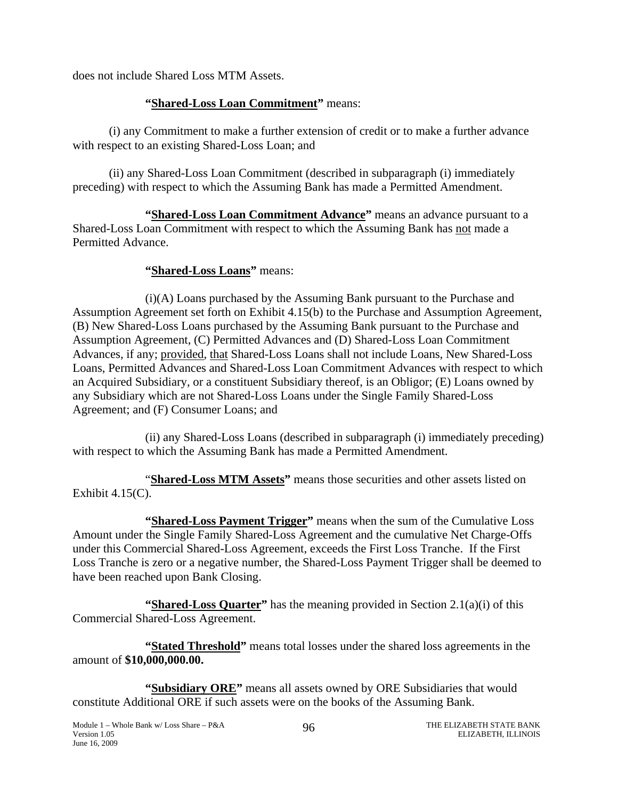does not include Shared Loss MTM Assets.

## **"Shared-Loss Loan Commitment"** means:

(i) any Commitment to make a further extension of credit or to make a further advance with respect to an existing Shared-Loss Loan; and

(ii) any Shared-Loss Loan Commitment (described in subparagraph (i) immediately preceding) with respect to which the Assuming Bank has made a Permitted Amendment.

**"Shared-Loss Loan Commitment Advance"** means an advance pursuant to a Shared-Loss Loan Commitment with respect to which the Assuming Bank has not made a Permitted Advance.

# **"Shared-Loss Loans"** means:

(i)(A) Loans purchased by the Assuming Bank pursuant to the Purchase and Assumption Agreement set forth on Exhibit 4.15(b) to the Purchase and Assumption Agreement, (B) New Shared-Loss Loans purchased by the Assuming Bank pursuant to the Purchase and Assumption Agreement, (C) Permitted Advances and (D) Shared-Loss Loan Commitment Advances, if any; provided, that Shared-Loss Loans shall not include Loans, New Shared-Loss Loans, Permitted Advances and Shared-Loss Loan Commitment Advances with respect to which an Acquired Subsidiary, or a constituent Subsidiary thereof, is an Obligor; (E) Loans owned by any Subsidiary which are not Shared-Loss Loans under the Single Family Shared-Loss Agreement; and (F) Consumer Loans; and

(ii) any Shared-Loss Loans (described in subparagraph (i) immediately preceding) with respect to which the Assuming Bank has made a Permitted Amendment.

"**Shared-Loss MTM Assets"** means those securities and other assets listed on Exhibit  $4.15(C)$ .

**"Shared-Loss Payment Trigger"** means when the sum of the Cumulative Loss Amount under the Single Family Shared-Loss Agreement and the cumulative Net Charge-Offs under this Commercial Shared-Loss Agreement, exceeds the First Loss Tranche. If the First Loss Tranche is zero or a negative number, the Shared-Loss Payment Trigger shall be deemed to have been reached upon Bank Closing.

**"Shared-Loss Quarter"** has the meaning provided in Section 2.1(a)(i) of this Commercial Shared-Loss Agreement.

**"Stated Threshold"** means total losses under the shared loss agreements in the amount of **\$10,000,000.00.** 

**"Subsidiary ORE"** means all assets owned by ORE Subsidiaries that would constitute Additional ORE if such assets were on the books of the Assuming Bank.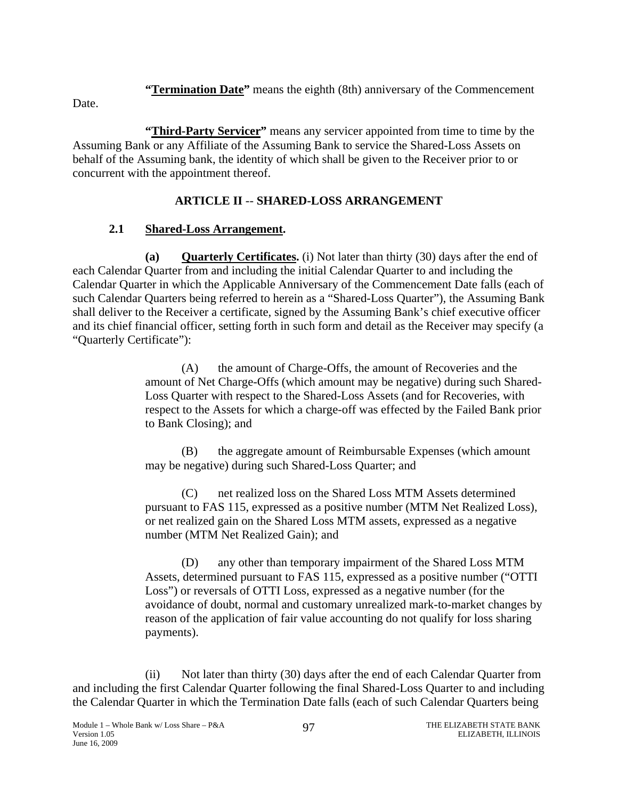**"Termination Date"** means the eighth (8th) anniversary of the Commencement

Date.

**"Third-Party Servicer"** means any servicer appointed from time to time by the Assuming Bank or any Affiliate of the Assuming Bank to service the Shared-Loss Assets on behalf of the Assuming bank, the identity of which shall be given to the Receiver prior to or concurrent with the appointment thereof.

# **ARTICLE II** -- **SHARED-LOSS ARRANGEMENT**

# **2.1 Shared-Loss Arrangement.**

**(a) Quarterly Certificates.** (i) Not later than thirty (30) days after the end of each Calendar Quarter from and including the initial Calendar Quarter to and including the Calendar Quarter in which the Applicable Anniversary of the Commencement Date falls (each of such Calendar Quarters being referred to herein as a "Shared-Loss Quarter"), the Assuming Bank shall deliver to the Receiver a certificate, signed by the Assuming Bank's chief executive officer and its chief financial officer, setting forth in such form and detail as the Receiver may specify (a "Quarterly Certificate"):

> (A) the amount of Charge-Offs, the amount of Recoveries and the amount of Net Charge-Offs (which amount may be negative) during such Shared-Loss Quarter with respect to the Shared-Loss Assets (and for Recoveries, with respect to the Assets for which a charge-off was effected by the Failed Bank prior to Bank Closing); and

(B) the aggregate amount of Reimbursable Expenses (which amount may be negative) during such Shared-Loss Quarter; and

(C) net realized loss on the Shared Loss MTM Assets determined pursuant to FAS 115, expressed as a positive number (MTM Net Realized Loss), or net realized gain on the Shared Loss MTM assets, expressed as a negative number (MTM Net Realized Gain); and

(D) any other than temporary impairment of the Shared Loss MTM Assets, determined pursuant to FAS 115, expressed as a positive number ("OTTI Loss") or reversals of OTTI Loss, expressed as a negative number (for the avoidance of doubt, normal and customary unrealized mark-to-market changes by reason of the application of fair value accounting do not qualify for loss sharing payments).

(ii) Not later than thirty (30) days after the end of each Calendar Quarter from and including the first Calendar Quarter following the final Shared-Loss Quarter to and including the Calendar Quarter in which the Termination Date falls (each of such Calendar Quarters being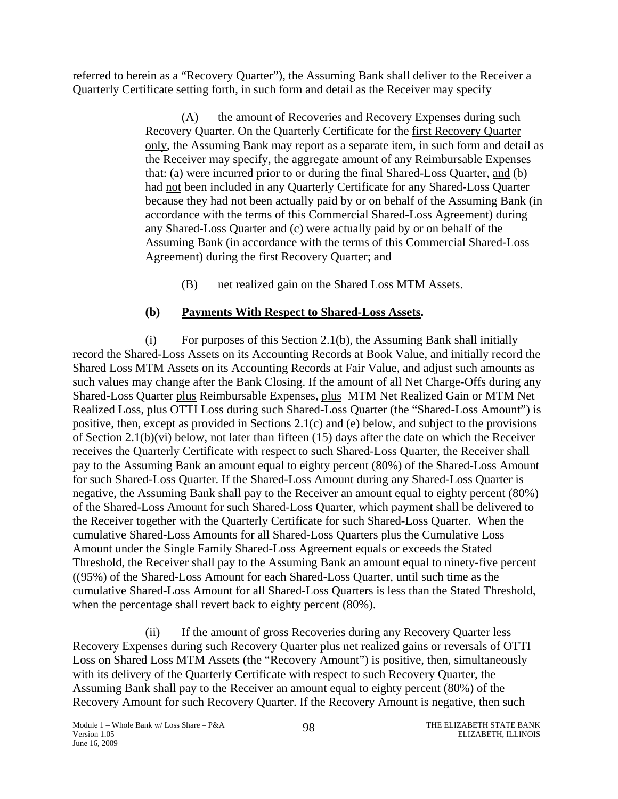referred to herein as a "Recovery Quarter"), the Assuming Bank shall deliver to the Receiver a Quarterly Certificate setting forth, in such form and detail as the Receiver may specify

> (A) the amount of Recoveries and Recovery Expenses during such Recovery Quarter. On the Quarterly Certificate for the first Recovery Quarter only, the Assuming Bank may report as a separate item, in such form and detail as the Receiver may specify, the aggregate amount of any Reimbursable Expenses that: (a) were incurred prior to or during the final Shared-Loss Quarter, and (b) had not been included in any Quarterly Certificate for any Shared-Loss Quarter because they had not been actually paid by or on behalf of the Assuming Bank (in accordance with the terms of this Commercial Shared-Loss Agreement) during any Shared-Loss Quarter and (c) were actually paid by or on behalf of the Assuming Bank (in accordance with the terms of this Commercial Shared-Loss Agreement) during the first Recovery Quarter; and

(B) net realized gain on the Shared Loss MTM Assets.

## **(b) Payments With Respect to Shared-Loss Assets.**

 $(i)$  For purposes of this Section 2.1(b), the Assuming Bank shall initially record the Shared-Loss Assets on its Accounting Records at Book Value, and initially record the Shared Loss MTM Assets on its Accounting Records at Fair Value, and adjust such amounts as such values may change after the Bank Closing. If the amount of all Net Charge-Offs during any Shared-Loss Quarter plus Reimbursable Expenses, plus MTM Net Realized Gain or MTM Net Realized Loss, plus OTTI Loss during such Shared-Loss Quarter (the "Shared-Loss Amount") is positive, then, except as provided in Sections 2.1(c) and (e) below, and subject to the provisions of Section 2.1(b)(vi) below, not later than fifteen (15) days after the date on which the Receiver receives the Quarterly Certificate with respect to such Shared-Loss Quarter, the Receiver shall pay to the Assuming Bank an amount equal to eighty percent (80%) of the Shared-Loss Amount for such Shared-Loss Quarter. If the Shared-Loss Amount during any Shared-Loss Quarter is negative, the Assuming Bank shall pay to the Receiver an amount equal to eighty percent (80%) of the Shared-Loss Amount for such Shared-Loss Quarter, which payment shall be delivered to the Receiver together with the Quarterly Certificate for such Shared-Loss Quarter. When the cumulative Shared-Loss Amounts for all Shared-Loss Quarters plus the Cumulative Loss Amount under the Single Family Shared-Loss Agreement equals or exceeds the Stated Threshold, the Receiver shall pay to the Assuming Bank an amount equal to ninety-five percent ((95%) of the Shared-Loss Amount for each Shared-Loss Quarter, until such time as the cumulative Shared-Loss Amount for all Shared-Loss Quarters is less than the Stated Threshold, when the percentage shall revert back to eighty percent (80%).

(ii) If the amount of gross Recoveries during any Recovery Quarter less Recovery Expenses during such Recovery Quarter plus net realized gains or reversals of OTTI Loss on Shared Loss MTM Assets (the "Recovery Amount") is positive, then, simultaneously with its delivery of the Quarterly Certificate with respect to such Recovery Quarter, the Assuming Bank shall pay to the Receiver an amount equal to eighty percent (80%) of the Recovery Amount for such Recovery Quarter. If the Recovery Amount is negative, then such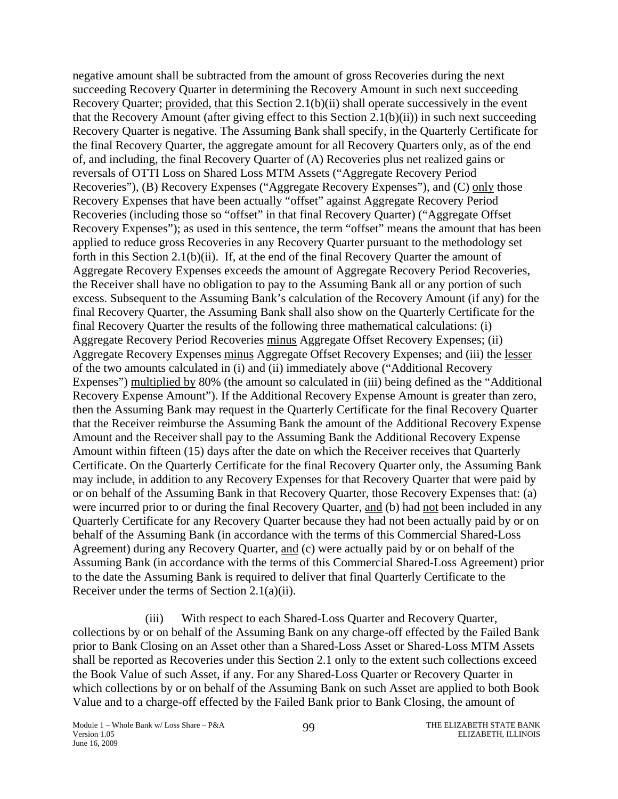negative amount shall be subtracted from the amount of gross Recoveries during the next succeeding Recovery Quarter in determining the Recovery Amount in such next succeeding Recovery Quarter; provided, that this Section 2.1(b)(ii) shall operate successively in the event that the Recovery Amount (after giving effect to this Section  $2.1(b)(ii)$ ) in such next succeeding Recovery Quarter is negative. The Assuming Bank shall specify, in the Quarterly Certificate for the final Recovery Quarter, the aggregate amount for all Recovery Quarters only, as of the end of, and including, the final Recovery Quarter of (A) Recoveries plus net realized gains or reversals of OTTI Loss on Shared Loss MTM Assets ("Aggregate Recovery Period Recoveries"), (B) Recovery Expenses ("Aggregate Recovery Expenses"), and (C) only those Recovery Expenses that have been actually "offset" against Aggregate Recovery Period Recoveries (including those so "offset" in that final Recovery Quarter) ("Aggregate Offset Recovery Expenses"); as used in this sentence, the term "offset" means the amount that has been applied to reduce gross Recoveries in any Recovery Quarter pursuant to the methodology set forth in this Section 2.1(b)(ii). If, at the end of the final Recovery Quarter the amount of Aggregate Recovery Expenses exceeds the amount of Aggregate Recovery Period Recoveries, the Receiver shall have no obligation to pay to the Assuming Bank all or any portion of such excess. Subsequent to the Assuming Bank's calculation of the Recovery Amount (if any) for the final Recovery Quarter, the Assuming Bank shall also show on the Quarterly Certificate for the final Recovery Quarter the results of the following three mathematical calculations: (i) Aggregate Recovery Period Recoveries minus Aggregate Offset Recovery Expenses; (ii) Aggregate Recovery Expenses minus Aggregate Offset Recovery Expenses; and (iii) the lesser of the two amounts calculated in (i) and (ii) immediately above ("Additional Recovery Expenses") multiplied by 80% (the amount so calculated in (iii) being defined as the "Additional Recovery Expense Amount"). If the Additional Recovery Expense Amount is greater than zero, then the Assuming Bank may request in the Quarterly Certificate for the final Recovery Quarter that the Receiver reimburse the Assuming Bank the amount of the Additional Recovery Expense Amount and the Receiver shall pay to the Assuming Bank the Additional Recovery Expense Amount within fifteen (15) days after the date on which the Receiver receives that Quarterly Certificate. On the Quarterly Certificate for the final Recovery Quarter only, the Assuming Bank may include, in addition to any Recovery Expenses for that Recovery Quarter that were paid by or on behalf of the Assuming Bank in that Recovery Quarter, those Recovery Expenses that: (a) were incurred prior to or during the final Recovery Quarter, and (b) had not been included in any Quarterly Certificate for any Recovery Quarter because they had not been actually paid by or on behalf of the Assuming Bank (in accordance with the terms of this Commercial Shared-Loss Agreement) during any Recovery Quarter, and (c) were actually paid by or on behalf of the Assuming Bank (in accordance with the terms of this Commercial Shared-Loss Agreement) prior to the date the Assuming Bank is required to deliver that final Quarterly Certificate to the Receiver under the terms of Section 2.1(a)(ii).

(iii) With respect to each Shared-Loss Quarter and Recovery Quarter, collections by or on behalf of the Assuming Bank on any charge-off effected by the Failed Bank prior to Bank Closing on an Asset other than a Shared-Loss Asset or Shared-Loss MTM Assets shall be reported as Recoveries under this Section 2.1 only to the extent such collections exceed the Book Value of such Asset, if any. For any Shared-Loss Quarter or Recovery Quarter in which collections by or on behalf of the Assuming Bank on such Asset are applied to both Book Value and to a charge-off effected by the Failed Bank prior to Bank Closing, the amount of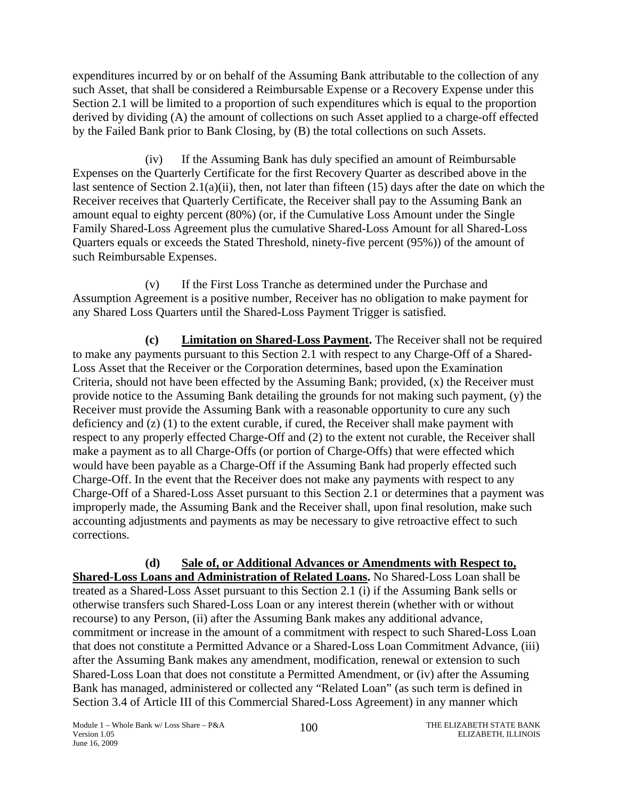expenditures incurred by or on behalf of the Assuming Bank attributable to the collection of any such Asset, that shall be considered a Reimbursable Expense or a Recovery Expense under this Section 2.1 will be limited to a proportion of such expenditures which is equal to the proportion derived by dividing (A) the amount of collections on such Asset applied to a charge-off effected by the Failed Bank prior to Bank Closing, by (B) the total collections on such Assets.

(iv) If the Assuming Bank has duly specified an amount of Reimbursable Expenses on the Quarterly Certificate for the first Recovery Quarter as described above in the last sentence of Section 2.1(a)(ii), then, not later than fifteen (15) days after the date on which the Receiver receives that Quarterly Certificate, the Receiver shall pay to the Assuming Bank an amount equal to eighty percent (80%) (or, if the Cumulative Loss Amount under the Single Family Shared-Loss Agreement plus the cumulative Shared-Loss Amount for all Shared-Loss Quarters equals or exceeds the Stated Threshold, ninety-five percent (95%)) of the amount of such Reimbursable Expenses.

(v) If the First Loss Tranche as determined under the Purchase and Assumption Agreement is a positive number, Receiver has no obligation to make payment for any Shared Loss Quarters until the Shared-Loss Payment Trigger is satisfied.

**(c) Limitation on Shared-Loss Payment.** The Receiver shall not be required to make any payments pursuant to this Section 2.1 with respect to any Charge-Off of a Shared-Loss Asset that the Receiver or the Corporation determines, based upon the Examination Criteria, should not have been effected by the Assuming Bank; provided, (x) the Receiver must provide notice to the Assuming Bank detailing the grounds for not making such payment, (y) the Receiver must provide the Assuming Bank with a reasonable opportunity to cure any such deficiency and (z) (1) to the extent curable, if cured, the Receiver shall make payment with respect to any properly effected Charge-Off and (2) to the extent not curable, the Receiver shall make a payment as to all Charge-Offs (or portion of Charge-Offs) that were effected which would have been payable as a Charge-Off if the Assuming Bank had properly effected such Charge-Off. In the event that the Receiver does not make any payments with respect to any Charge-Off of a Shared-Loss Asset pursuant to this Section 2.1 or determines that a payment was improperly made, the Assuming Bank and the Receiver shall, upon final resolution, make such accounting adjustments and payments as may be necessary to give retroactive effect to such corrections.

**(d) Sale of, or Additional Advances or Amendments with Respect to, Shared-Loss Loans and Administration of Related Loans.** No Shared-Loss Loan shall be treated as a Shared-Loss Asset pursuant to this Section 2.1 (i) if the Assuming Bank sells or otherwise transfers such Shared-Loss Loan or any interest therein (whether with or without recourse) to any Person, (ii) after the Assuming Bank makes any additional advance, commitment or increase in the amount of a commitment with respect to such Shared-Loss Loan that does not constitute a Permitted Advance or a Shared-Loss Loan Commitment Advance, (iii) after the Assuming Bank makes any amendment, modification, renewal or extension to such Shared-Loss Loan that does not constitute a Permitted Amendment, or (iv) after the Assuming Bank has managed, administered or collected any "Related Loan" (as such term is defined in Section 3.4 of Article III of this Commercial Shared-Loss Agreement) in any manner which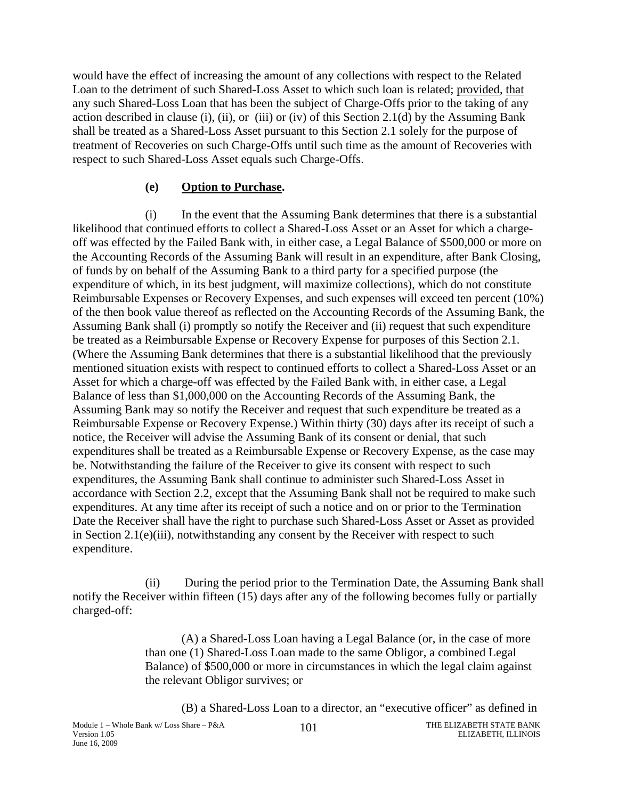Loan to the detriment of such Shared-Loss Asset to which such loan is related; provided, that would have the effect of increasing the amount of any collections with respect to the Related any such Shared-Loss Loan that has been the subject of Charge-Offs prior to the taking of any action described in clause (i), (ii), or (iii) or (iv) of this Section 2.1(d) by the Assuming Bank shall be treated as a Shared-Loss Asset pursuant to this Section 2.1 solely for the purpose of treatment of Recoveries on such Charge-Offs until such time as the amount of Recoveries with respect to such Shared-Loss Asset equals such Charge-Offs.

## **(e) Option to Purchase.**

(i) In the event that the Assuming Bank determines that there is a substantial likelihood that continued efforts to collect a Shared-Loss Asset or an Asset for which a chargeoff was effected by the Failed Bank with, in either case, a Legal Balance of \$500,000 or more on the Accounting Records of the Assuming Bank will result in an expenditure, after Bank Closing, of funds by on behalf of the Assuming Bank to a third party for a specified purpose (the expenditure of which, in its best judgment, will maximize collections), which do not constitute Reimbursable Expenses or Recovery Expenses, and such expenses will exceed ten percent (10%) of the then book value thereof as reflected on the Accounting Records of the Assuming Bank, the Assuming Bank shall (i) promptly so notify the Receiver and (ii) request that such expenditure be treated as a Reimbursable Expense or Recovery Expense for purposes of this Section 2.1. (Where the Assuming Bank determines that there is a substantial likelihood that the previously mentioned situation exists with respect to continued efforts to collect a Shared-Loss Asset or an Asset for which a charge-off was effected by the Failed Bank with, in either case, a Legal Balance of less than \$1,000,000 on the Accounting Records of the Assuming Bank, the Assuming Bank may so notify the Receiver and request that such expenditure be treated as a Reimbursable Expense or Recovery Expense.) Within thirty (30) days after its receipt of such a notice, the Receiver will advise the Assuming Bank of its consent or denial, that such expenditures shall be treated as a Reimbursable Expense or Recovery Expense, as the case may be. Notwithstanding the failure of the Receiver to give its consent with respect to such expenditures, the Assuming Bank shall continue to administer such Shared-Loss Asset in accordance with Section 2.2, except that the Assuming Bank shall not be required to make such expenditures. At any time after its receipt of such a notice and on or prior to the Termination Date the Receiver shall have the right to purchase such Shared-Loss Asset or Asset as provided in Section 2.1(e)(iii), notwithstanding any consent by the Receiver with respect to such expenditure.

(ii) During the period prior to the Termination Date, the Assuming Bank shall notify the Receiver within fifteen (15) days after any of the following becomes fully or partially charged-off:

> (A) a Shared-Loss Loan having a Legal Balance (or, in the case of more than one (1) Shared-Loss Loan made to the same Obligor, a combined Legal Balance) of \$500,000 or more in circumstances in which the legal claim against the relevant Obligor survives; or

(B) a Shared-Loss Loan to a director, an "executive officer" as defined in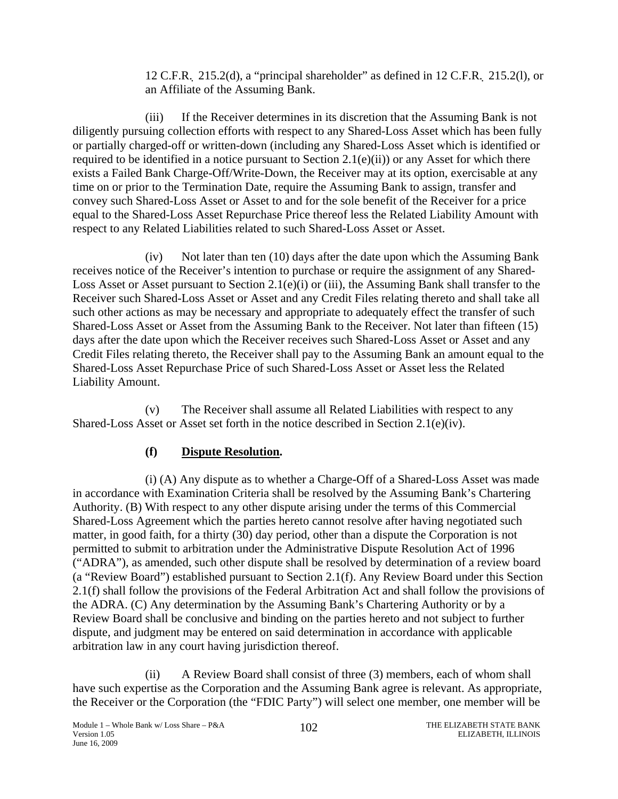12 C.F.R. 215.2(d), a "principal shareholder" as defined in 12 C.F.R. 215.2(l), or an Affiliate of the Assuming Bank.

(iii) If the Receiver determines in its discretion that the Assuming Bank is not diligently pursuing collection efforts with respect to any Shared-Loss Asset which has been fully or partially charged-off or written-down (including any Shared-Loss Asset which is identified or required to be identified in a notice pursuant to Section 2.1(e)(ii)) or any Asset for which there exists a Failed Bank Charge-Off/Write-Down, the Receiver may at its option, exercisable at any time on or prior to the Termination Date, require the Assuming Bank to assign, transfer and convey such Shared-Loss Asset or Asset to and for the sole benefit of the Receiver for a price equal to the Shared-Loss Asset Repurchase Price thereof less the Related Liability Amount with respect to any Related Liabilities related to such Shared-Loss Asset or Asset.

(iv) Not later than ten (10) days after the date upon which the Assuming Bank receives notice of the Receiver's intention to purchase or require the assignment of any Shared-Loss Asset or Asset pursuant to Section 2.1(e)(i) or (iii), the Assuming Bank shall transfer to the Receiver such Shared-Loss Asset or Asset and any Credit Files relating thereto and shall take all such other actions as may be necessary and appropriate to adequately effect the transfer of such Shared-Loss Asset or Asset from the Assuming Bank to the Receiver. Not later than fifteen (15) days after the date upon which the Receiver receives such Shared-Loss Asset or Asset and any Credit Files relating thereto, the Receiver shall pay to the Assuming Bank an amount equal to the Shared-Loss Asset Repurchase Price of such Shared-Loss Asset or Asset less the Related Liability Amount.

(v) The Receiver shall assume all Related Liabilities with respect to any Shared-Loss Asset or Asset set forth in the notice described in Section 2.1(e)(iv).

## **(f) Dispute Resolution.**

(i) (A) Any dispute as to whether a Charge-Off of a Shared-Loss Asset was made in accordance with Examination Criteria shall be resolved by the Assuming Bank's Chartering Authority. (B) With respect to any other dispute arising under the terms of this Commercial Shared-Loss Agreement which the parties hereto cannot resolve after having negotiated such matter, in good faith, for a thirty (30) day period, other than a dispute the Corporation is not permitted to submit to arbitration under the Administrative Dispute Resolution Act of 1996 ("ADRA"), as amended, such other dispute shall be resolved by determination of a review board (a "Review Board") established pursuant to Section 2.1(f). Any Review Board under this Section 2.1(f) shall follow the provisions of the Federal Arbitration Act and shall follow the provisions of the ADRA. (C) Any determination by the Assuming Bank's Chartering Authority or by a Review Board shall be conclusive and binding on the parties hereto and not subject to further dispute, and judgment may be entered on said determination in accordance with applicable arbitration law in any court having jurisdiction thereof.

(ii) A Review Board shall consist of three (3) members, each of whom shall have such expertise as the Corporation and the Assuming Bank agree is relevant. As appropriate, the Receiver or the Corporation (the "FDIC Party") will select one member, one member will be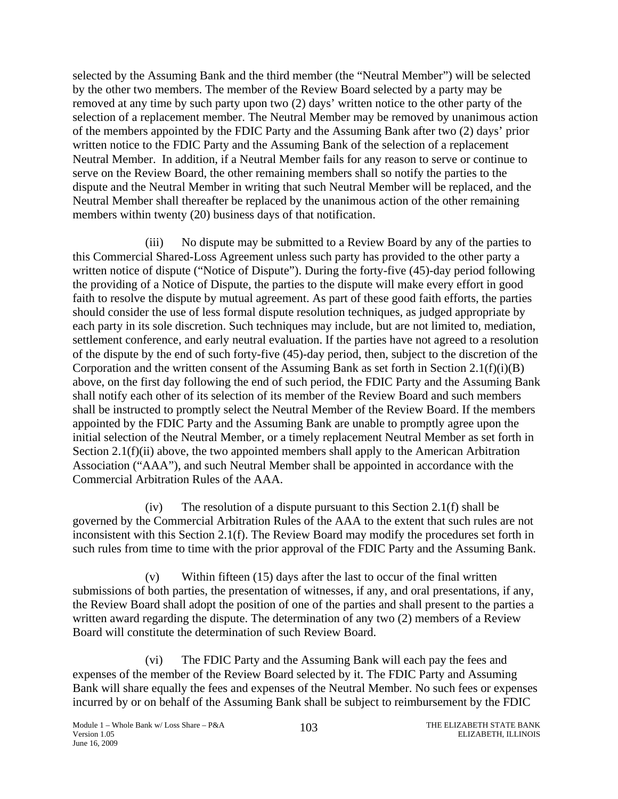selected by the Assuming Bank and the third member (the "Neutral Member") will be selected by the other two members. The member of the Review Board selected by a party may be removed at any time by such party upon two (2) days' written notice to the other party of the selection of a replacement member. The Neutral Member may be removed by unanimous action of the members appointed by the FDIC Party and the Assuming Bank after two (2) days' prior written notice to the FDIC Party and the Assuming Bank of the selection of a replacement Neutral Member. In addition, if a Neutral Member fails for any reason to serve or continue to serve on the Review Board, the other remaining members shall so notify the parties to the dispute and the Neutral Member in writing that such Neutral Member will be replaced, and the Neutral Member shall thereafter be replaced by the unanimous action of the other remaining members within twenty (20) business days of that notification.

(iii) No dispute may be submitted to a Review Board by any of the parties to this Commercial Shared-Loss Agreement unless such party has provided to the other party a written notice of dispute ("Notice of Dispute"). During the forty-five (45)-day period following the providing of a Notice of Dispute, the parties to the dispute will make every effort in good faith to resolve the dispute by mutual agreement. As part of these good faith efforts, the parties should consider the use of less formal dispute resolution techniques, as judged appropriate by each party in its sole discretion. Such techniques may include, but are not limited to, mediation, settlement conference, and early neutral evaluation. If the parties have not agreed to a resolution of the dispute by the end of such forty-five (45)-day period, then, subject to the discretion of the Corporation and the written consent of the Assuming Bank as set forth in Section  $2.1(f)(i)(B)$ above, on the first day following the end of such period, the FDIC Party and the Assuming Bank shall notify each other of its selection of its member of the Review Board and such members shall be instructed to promptly select the Neutral Member of the Review Board. If the members appointed by the FDIC Party and the Assuming Bank are unable to promptly agree upon the initial selection of the Neutral Member, or a timely replacement Neutral Member as set forth in Section 2.1(f)(ii) above, the two appointed members shall apply to the American Arbitration Association ("AAA"), and such Neutral Member shall be appointed in accordance with the Commercial Arbitration Rules of the AAA.

(iv) The resolution of a dispute pursuant to this Section 2.1(f) shall be governed by the Commercial Arbitration Rules of the AAA to the extent that such rules are not inconsistent with this Section 2.1(f). The Review Board may modify the procedures set forth in such rules from time to time with the prior approval of the FDIC Party and the Assuming Bank.

(v) Within fifteen (15) days after the last to occur of the final written submissions of both parties, the presentation of witnesses, if any, and oral presentations, if any, the Review Board shall adopt the position of one of the parties and shall present to the parties a written award regarding the dispute. The determination of any two (2) members of a Review Board will constitute the determination of such Review Board.

(vi) The FDIC Party and the Assuming Bank will each pay the fees and expenses of the member of the Review Board selected by it. The FDIC Party and Assuming Bank will share equally the fees and expenses of the Neutral Member. No such fees or expenses incurred by or on behalf of the Assuming Bank shall be subject to reimbursement by the FDIC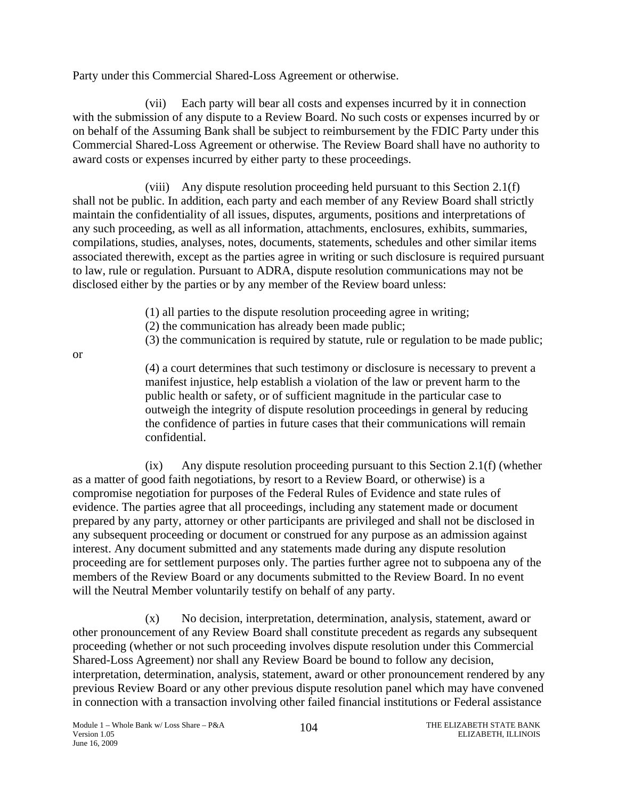Party under this Commercial Shared-Loss Agreement or otherwise.

(vii) Each party will bear all costs and expenses incurred by it in connection with the submission of any dispute to a Review Board. No such costs or expenses incurred by or on behalf of the Assuming Bank shall be subject to reimbursement by the FDIC Party under this Commercial Shared-Loss Agreement or otherwise. The Review Board shall have no authority to award costs or expenses incurred by either party to these proceedings.

(viii) Any dispute resolution proceeding held pursuant to this Section 2.1(f) shall not be public. In addition, each party and each member of any Review Board shall strictly maintain the confidentiality of all issues, disputes, arguments, positions and interpretations of any such proceeding, as well as all information, attachments, enclosures, exhibits, summaries, compilations, studies, analyses, notes, documents, statements, schedules and other similar items associated therewith, except as the parties agree in writing or such disclosure is required pursuant to law, rule or regulation. Pursuant to ADRA, dispute resolution communications may not be disclosed either by the parties or by any member of the Review board unless:

(1) all parties to the dispute resolution proceeding agree in writing;

(2) the communication has already been made public;

(3) the communication is required by statute, rule or regulation to be made public;

(4) a court determines that such testimony or disclosure is necessary to prevent a manifest injustice, help establish a violation of the law or prevent harm to the public health or safety, or of sufficient magnitude in the particular case to outweigh the integrity of dispute resolution proceedings in general by reducing the confidence of parties in future cases that their communications will remain confidential.

(ix) Any dispute resolution proceeding pursuant to this Section 2.1(f) (whether as a matter of good faith negotiations, by resort to a Review Board, or otherwise) is a compromise negotiation for purposes of the Federal Rules of Evidence and state rules of evidence. The parties agree that all proceedings, including any statement made or document prepared by any party, attorney or other participants are privileged and shall not be disclosed in any subsequent proceeding or document or construed for any purpose as an admission against interest. Any document submitted and any statements made during any dispute resolution proceeding are for settlement purposes only. The parties further agree not to subpoena any of the members of the Review Board or any documents submitted to the Review Board. In no event will the Neutral Member voluntarily testify on behalf of any party.

(x) No decision, interpretation, determination, analysis, statement, award or other pronouncement of any Review Board shall constitute precedent as regards any subsequent proceeding (whether or not such proceeding involves dispute resolution under this Commercial Shared-Loss Agreement) nor shall any Review Board be bound to follow any decision, interpretation, determination, analysis, statement, award or other pronouncement rendered by any previous Review Board or any other previous dispute resolution panel which may have convened in connection with a transaction involving other failed financial institutions or Federal assistance

or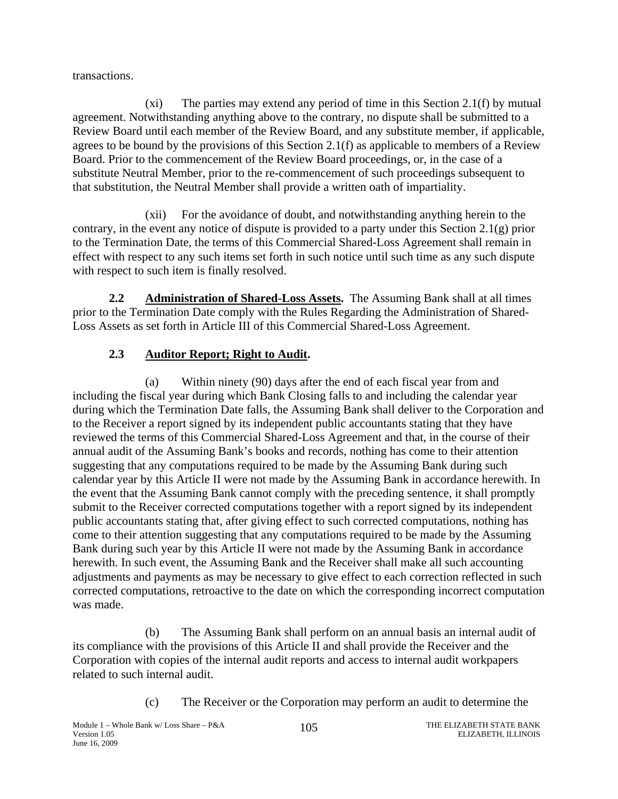transactions.

(xi) The parties may extend any period of time in this Section 2.1(f) by mutual agreement. Notwithstanding anything above to the contrary, no dispute shall be submitted to a Review Board until each member of the Review Board, and any substitute member, if applicable, agrees to be bound by the provisions of this Section 2.1(f) as applicable to members of a Review Board. Prior to the commencement of the Review Board proceedings, or, in the case of a substitute Neutral Member, prior to the re-commencement of such proceedings subsequent to that substitution, the Neutral Member shall provide a written oath of impartiality.

(xii) For the avoidance of doubt, and notwithstanding anything herein to the contrary, in the event any notice of dispute is provided to a party under this Section 2.1(g) prior to the Termination Date, the terms of this Commercial Shared-Loss Agreement shall remain in effect with respect to any such items set forth in such notice until such time as any such dispute with respect to such item is finally resolved.

**2.2 Administration of Shared-Loss Assets.** The Assuming Bank shall at all times prior to the Termination Date comply with the Rules Regarding the Administration of Shared-Loss Assets as set forth in Article III of this Commercial Shared-Loss Agreement.

# **2.3 Auditor Report; Right to Audit.**

(a) Within ninety (90) days after the end of each fiscal year from and including the fiscal year during which Bank Closing falls to and including the calendar year during which the Termination Date falls, the Assuming Bank shall deliver to the Corporation and to the Receiver a report signed by its independent public accountants stating that they have reviewed the terms of this Commercial Shared-Loss Agreement and that, in the course of their annual audit of the Assuming Bank's books and records, nothing has come to their attention suggesting that any computations required to be made by the Assuming Bank during such calendar year by this Article II were not made by the Assuming Bank in accordance herewith. In the event that the Assuming Bank cannot comply with the preceding sentence, it shall promptly submit to the Receiver corrected computations together with a report signed by its independent public accountants stating that, after giving effect to such corrected computations, nothing has come to their attention suggesting that any computations required to be made by the Assuming Bank during such year by this Article II were not made by the Assuming Bank in accordance herewith. In such event, the Assuming Bank and the Receiver shall make all such accounting adjustments and payments as may be necessary to give effect to each correction reflected in such corrected computations, retroactive to the date on which the corresponding incorrect computation was made.

(b) The Assuming Bank shall perform on an annual basis an internal audit of its compliance with the provisions of this Article II and shall provide the Receiver and the Corporation with copies of the internal audit reports and access to internal audit workpapers related to such internal audit.

(c) The Receiver or the Corporation may perform an audit to determine the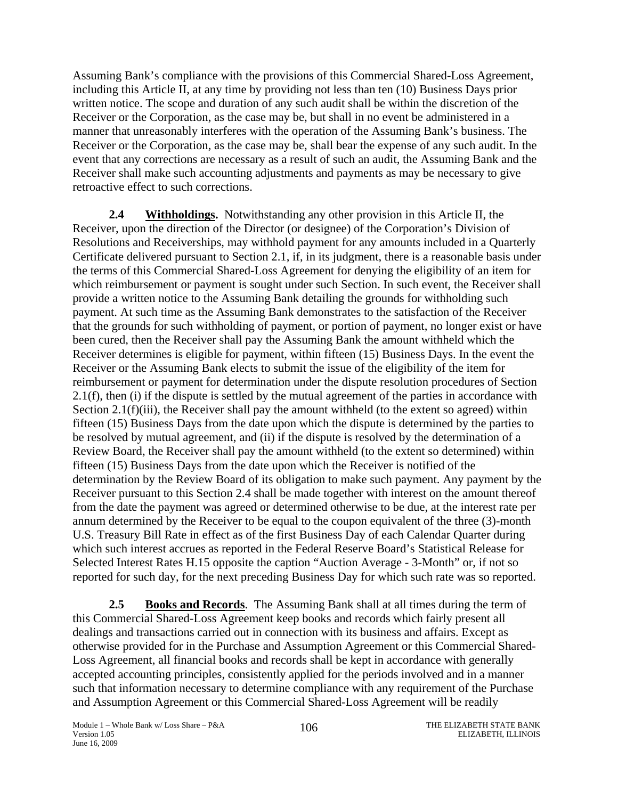Assuming Bank's compliance with the provisions of this Commercial Shared-Loss Agreement, including this Article II, at any time by providing not less than ten (10) Business Days prior written notice. The scope and duration of any such audit shall be within the discretion of the Receiver or the Corporation, as the case may be, but shall in no event be administered in a manner that unreasonably interferes with the operation of the Assuming Bank's business. The Receiver or the Corporation, as the case may be, shall bear the expense of any such audit. In the event that any corrections are necessary as a result of such an audit, the Assuming Bank and the Receiver shall make such accounting adjustments and payments as may be necessary to give retroactive effect to such corrections.

**2.4 Withholdings.** Notwithstanding any other provision in this Article II, the Receiver, upon the direction of the Director (or designee) of the Corporation's Division of Resolutions and Receiverships, may withhold payment for any amounts included in a Quarterly Certificate delivered pursuant to Section 2.1, if, in its judgment, there is a reasonable basis under the terms of this Commercial Shared-Loss Agreement for denying the eligibility of an item for which reimbursement or payment is sought under such Section. In such event, the Receiver shall provide a written notice to the Assuming Bank detailing the grounds for withholding such payment. At such time as the Assuming Bank demonstrates to the satisfaction of the Receiver that the grounds for such withholding of payment, or portion of payment, no longer exist or have been cured, then the Receiver shall pay the Assuming Bank the amount withheld which the Receiver determines is eligible for payment, within fifteen (15) Business Days. In the event the Receiver or the Assuming Bank elects to submit the issue of the eligibility of the item for reimbursement or payment for determination under the dispute resolution procedures of Section 2.1(f), then (i) if the dispute is settled by the mutual agreement of the parties in accordance with Section 2.1(f)(iii), the Receiver shall pay the amount withheld (to the extent so agreed) within fifteen (15) Business Days from the date upon which the dispute is determined by the parties to be resolved by mutual agreement, and (ii) if the dispute is resolved by the determination of a Review Board, the Receiver shall pay the amount withheld (to the extent so determined) within fifteen (15) Business Days from the date upon which the Receiver is notified of the determination by the Review Board of its obligation to make such payment. Any payment by the Receiver pursuant to this Section 2.4 shall be made together with interest on the amount thereof from the date the payment was agreed or determined otherwise to be due, at the interest rate per annum determined by the Receiver to be equal to the coupon equivalent of the three (3)-month U.S. Treasury Bill Rate in effect as of the first Business Day of each Calendar Quarter during which such interest accrues as reported in the Federal Reserve Board's Statistical Release for Selected Interest Rates H.15 opposite the caption "Auction Average - 3-Month" or, if not so reported for such day, for the next preceding Business Day for which such rate was so reported.

**2.5 Books and Records**. The Assuming Bank shall at all times during the term of this Commercial Shared-Loss Agreement keep books and records which fairly present all dealings and transactions carried out in connection with its business and affairs. Except as otherwise provided for in the Purchase and Assumption Agreement or this Commercial Shared-Loss Agreement, all financial books and records shall be kept in accordance with generally accepted accounting principles, consistently applied for the periods involved and in a manner such that information necessary to determine compliance with any requirement of the Purchase and Assumption Agreement or this Commercial Shared-Loss Agreement will be readily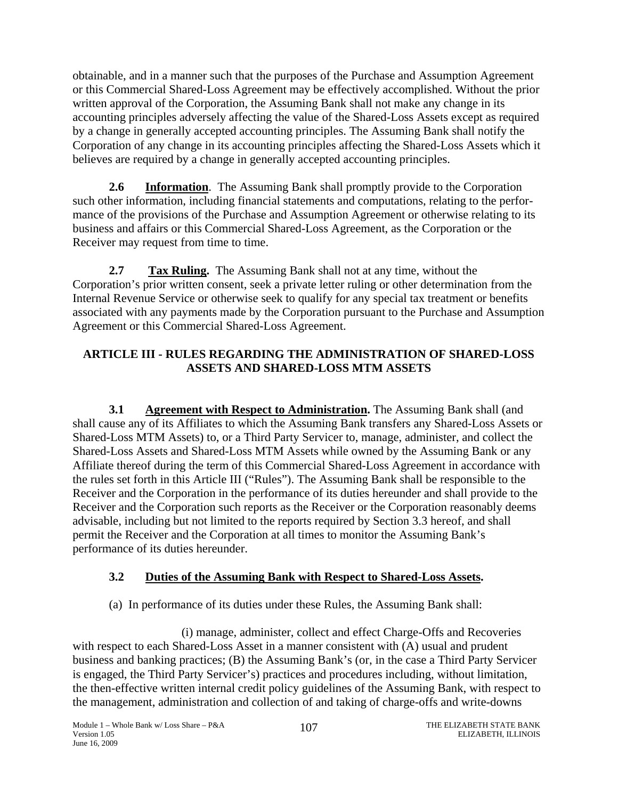obtainable, and in a manner such that the purposes of the Purchase and Assumption Agreement or this Commercial Shared-Loss Agreement may be effectively accomplished. Without the prior written approval of the Corporation, the Assuming Bank shall not make any change in its accounting principles adversely affecting the value of the Shared-Loss Assets except as required by a change in generally accepted accounting principles. The Assuming Bank shall notify the Corporation of any change in its accounting principles affecting the Shared-Loss Assets which it believes are required by a change in generally accepted accounting principles.

**2.6 Information**. The Assuming Bank shall promptly provide to the Corporation such other information, including financial statements and computations, relating to the performance of the provisions of the Purchase and Assumption Agreement or otherwise relating to its business and affairs or this Commercial Shared-Loss Agreement, as the Corporation or the Receiver may request from time to time.

**2.7 Tax Ruling.** The Assuming Bank shall not at any time, without the Corporation's prior written consent, seek a private letter ruling or other determination from the Internal Revenue Service or otherwise seek to qualify for any special tax treatment or benefits associated with any payments made by the Corporation pursuant to the Purchase and Assumption Agreement or this Commercial Shared-Loss Agreement.

## **ARTICLE III - RULES REGARDING THE ADMINISTRATION OF SHARED-LOSS ASSETS AND SHARED-LOSS MTM ASSETS**

**3.1** Agreement with Respect to Administration. The Assuming Bank shall (and shall cause any of its Affiliates to which the Assuming Bank transfers any Shared-Loss Assets or Shared-Loss MTM Assets) to, or a Third Party Servicer to, manage, administer, and collect the Shared-Loss Assets and Shared-Loss MTM Assets while owned by the Assuming Bank or any Affiliate thereof during the term of this Commercial Shared-Loss Agreement in accordance with the rules set forth in this Article III ("Rules"). The Assuming Bank shall be responsible to the Receiver and the Corporation in the performance of its duties hereunder and shall provide to the Receiver and the Corporation such reports as the Receiver or the Corporation reasonably deems advisable, including but not limited to the reports required by Section 3.3 hereof, and shall permit the Receiver and the Corporation at all times to monitor the Assuming Bank's performance of its duties hereunder.

## **3.2 Duties of the Assuming Bank with Respect to Shared-Loss Assets.**

## (a) In performance of its duties under these Rules, the Assuming Bank shall:

(i) manage, administer, collect and effect Charge-Offs and Recoveries with respect to each Shared-Loss Asset in a manner consistent with (A) usual and prudent business and banking practices; (B) the Assuming Bank's (or, in the case a Third Party Servicer is engaged, the Third Party Servicer's) practices and procedures including, without limitation, the then-effective written internal credit policy guidelines of the Assuming Bank, with respect to the management, administration and collection of and taking of charge-offs and write-downs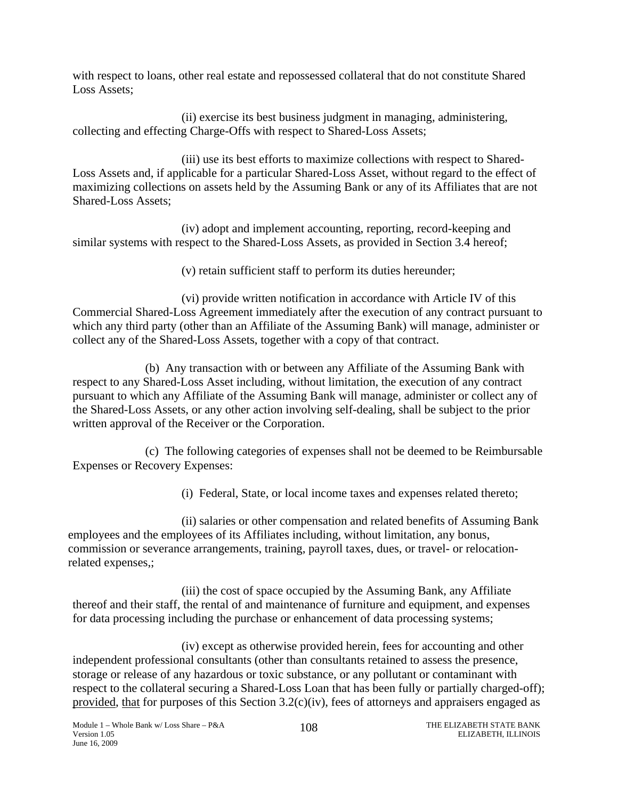with respect to loans, other real estate and repossessed collateral that do not constitute Shared Loss Assets;

(ii) exercise its best business judgment in managing, administering, collecting and effecting Charge-Offs with respect to Shared-Loss Assets;

(iii) use its best efforts to maximize collections with respect to Shared-Loss Assets and, if applicable for a particular Shared-Loss Asset, without regard to the effect of maximizing collections on assets held by the Assuming Bank or any of its Affiliates that are not Shared-Loss Assets;

(iv) adopt and implement accounting, reporting, record-keeping and similar systems with respect to the Shared-Loss Assets, as provided in Section 3.4 hereof;

(v) retain sufficient staff to perform its duties hereunder;

(vi) provide written notification in accordance with Article IV of this Commercial Shared-Loss Agreement immediately after the execution of any contract pursuant to which any third party (other than an Affiliate of the Assuming Bank) will manage, administer or collect any of the Shared-Loss Assets, together with a copy of that contract.

(b) Any transaction with or between any Affiliate of the Assuming Bank with respect to any Shared-Loss Asset including, without limitation, the execution of any contract pursuant to which any Affiliate of the Assuming Bank will manage, administer or collect any of the Shared-Loss Assets, or any other action involving self-dealing, shall be subject to the prior written approval of the Receiver or the Corporation.

(c) The following categories of expenses shall not be deemed to be Reimbursable Expenses or Recovery Expenses:

(i) Federal, State, or local income taxes and expenses related thereto;

(ii) salaries or other compensation and related benefits of Assuming Bank employees and the employees of its Affiliates including, without limitation, any bonus, commission or severance arrangements, training, payroll taxes, dues, or travel- or relocationrelated expenses,;

(iii) the cost of space occupied by the Assuming Bank, any Affiliate thereof and their staff, the rental of and maintenance of furniture and equipment, and expenses for data processing including the purchase or enhancement of data processing systems;

(iv) except as otherwise provided herein, fees for accounting and other independent professional consultants (other than consultants retained to assess the presence, storage or release of any hazardous or toxic substance, or any pollutant or contaminant with respect to the collateral securing a Shared-Loss Loan that has been fully or partially charged-off); provided, that for purposes of this Section 3.2(c)(iv), fees of attorneys and appraisers engaged as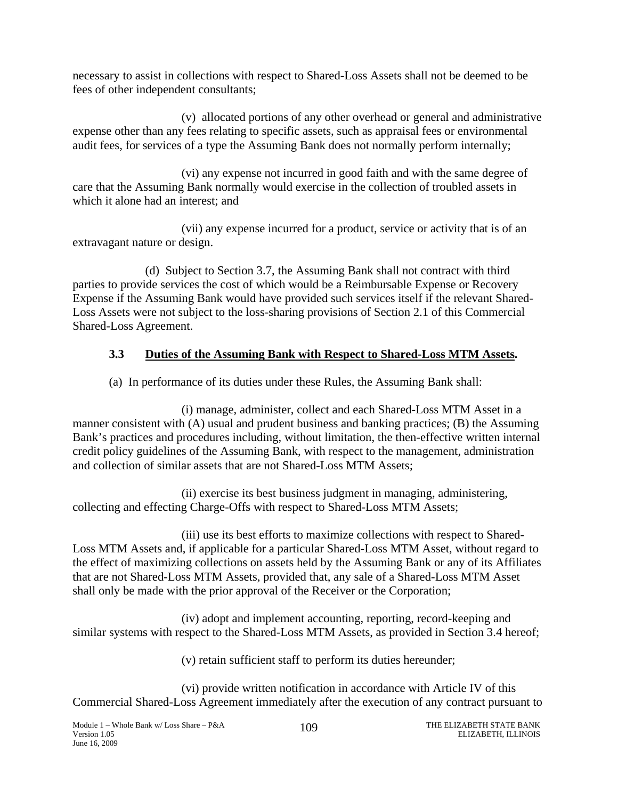necessary to assist in collections with respect to Shared-Loss Assets shall not be deemed to be fees of other independent consultants;

(v) allocated portions of any other overhead or general and administrative expense other than any fees relating to specific assets, such as appraisal fees or environmental audit fees, for services of a type the Assuming Bank does not normally perform internally;

(vi) any expense not incurred in good faith and with the same degree of care that the Assuming Bank normally would exercise in the collection of troubled assets in which it alone had an interest; and

(vii) any expense incurred for a product, service or activity that is of an extravagant nature or design.

(d) Subject to Section 3.7, the Assuming Bank shall not contract with third parties to provide services the cost of which would be a Reimbursable Expense or Recovery Expense if the Assuming Bank would have provided such services itself if the relevant Shared-Loss Assets were not subject to the loss-sharing provisions of Section 2.1 of this Commercial Shared-Loss Agreement.

### **3.3 Duties of the Assuming Bank with Respect to Shared-Loss MTM Assets.**

(a) In performance of its duties under these Rules, the Assuming Bank shall:

(i) manage, administer, collect and each Shared-Loss MTM Asset in a manner consistent with (A) usual and prudent business and banking practices; (B) the Assuming Bank's practices and procedures including, without limitation, the then-effective written internal credit policy guidelines of the Assuming Bank, with respect to the management, administration and collection of similar assets that are not Shared-Loss MTM Assets;

(ii) exercise its best business judgment in managing, administering, collecting and effecting Charge-Offs with respect to Shared-Loss MTM Assets;

(iii) use its best efforts to maximize collections with respect to Shared-Loss MTM Assets and, if applicable for a particular Shared-Loss MTM Asset, without regard to the effect of maximizing collections on assets held by the Assuming Bank or any of its Affiliates that are not Shared-Loss MTM Assets, provided that, any sale of a Shared-Loss MTM Asset shall only be made with the prior approval of the Receiver or the Corporation;

(iv) adopt and implement accounting, reporting, record-keeping and similar systems with respect to the Shared-Loss MTM Assets, as provided in Section 3.4 hereof;

(v) retain sufficient staff to perform its duties hereunder;

(vi) provide written notification in accordance with Article IV of this Commercial Shared-Loss Agreement immediately after the execution of any contract pursuant to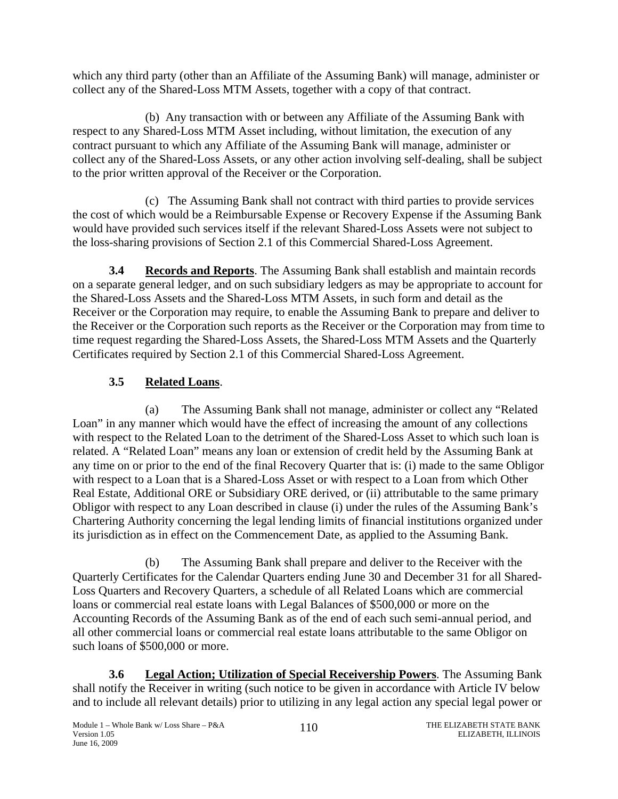which any third party (other than an Affiliate of the Assuming Bank) will manage, administer or collect any of the Shared-Loss MTM Assets, together with a copy of that contract.

(b) Any transaction with or between any Affiliate of the Assuming Bank with respect to any Shared-Loss MTM Asset including, without limitation, the execution of any contract pursuant to which any Affiliate of the Assuming Bank will manage, administer or collect any of the Shared-Loss Assets, or any other action involving self-dealing, shall be subject to the prior written approval of the Receiver or the Corporation.

(c) The Assuming Bank shall not contract with third parties to provide services the cost of which would be a Reimbursable Expense or Recovery Expense if the Assuming Bank would have provided such services itself if the relevant Shared-Loss Assets were not subject to the loss-sharing provisions of Section 2.1 of this Commercial Shared-Loss Agreement.

**3.4 Records and Reports**. The Assuming Bank shall establish and maintain records on a separate general ledger, and on such subsidiary ledgers as may be appropriate to account for the Shared-Loss Assets and the Shared-Loss MTM Assets, in such form and detail as the Receiver or the Corporation may require, to enable the Assuming Bank to prepare and deliver to the Receiver or the Corporation such reports as the Receiver or the Corporation may from time to time request regarding the Shared-Loss Assets, the Shared-Loss MTM Assets and the Quarterly Certificates required by Section 2.1 of this Commercial Shared-Loss Agreement.

## **3.5 Related Loans**.

(a) The Assuming Bank shall not manage, administer or collect any "Related Loan" in any manner which would have the effect of increasing the amount of any collections with respect to the Related Loan to the detriment of the Shared-Loss Asset to which such loan is related. A "Related Loan" means any loan or extension of credit held by the Assuming Bank at any time on or prior to the end of the final Recovery Quarter that is: (i) made to the same Obligor with respect to a Loan that is a Shared-Loss Asset or with respect to a Loan from which Other Real Estate, Additional ORE or Subsidiary ORE derived, or (ii) attributable to the same primary Obligor with respect to any Loan described in clause (i) under the rules of the Assuming Bank's Chartering Authority concerning the legal lending limits of financial institutions organized under its jurisdiction as in effect on the Commencement Date, as applied to the Assuming Bank.

(b) The Assuming Bank shall prepare and deliver to the Receiver with the Quarterly Certificates for the Calendar Quarters ending June 30 and December 31 for all Shared-Loss Quarters and Recovery Quarters, a schedule of all Related Loans which are commercial loans or commercial real estate loans with Legal Balances of \$500,000 or more on the Accounting Records of the Assuming Bank as of the end of each such semi-annual period, and all other commercial loans or commercial real estate loans attributable to the same Obligor on such loans of \$500,000 or more.

**3.6 Legal Action; Utilization of Special Receivership Powers**. The Assuming Bank shall notify the Receiver in writing (such notice to be given in accordance with Article IV below and to include all relevant details) prior to utilizing in any legal action any special legal power or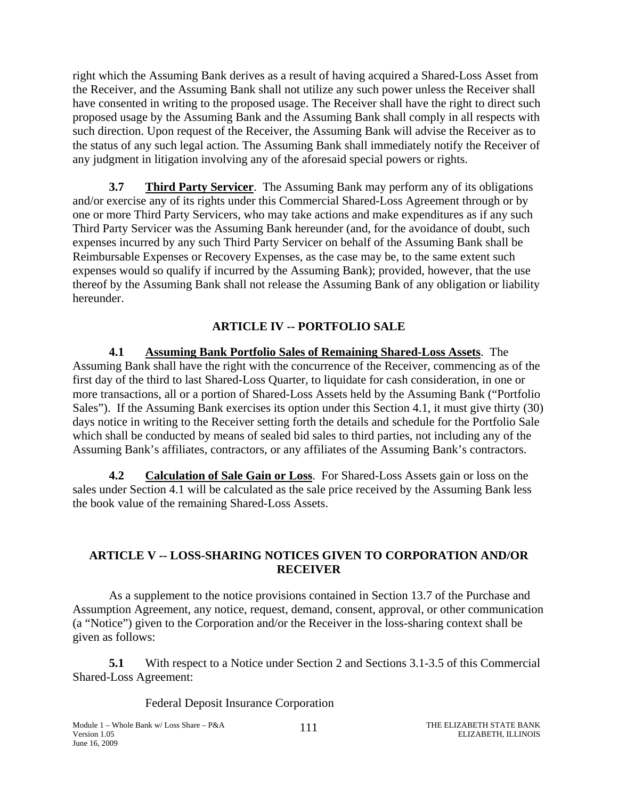right which the Assuming Bank derives as a result of having acquired a Shared-Loss Asset from the Receiver, and the Assuming Bank shall not utilize any such power unless the Receiver shall have consented in writing to the proposed usage. The Receiver shall have the right to direct such proposed usage by the Assuming Bank and the Assuming Bank shall comply in all respects with such direction. Upon request of the Receiver, the Assuming Bank will advise the Receiver as to the status of any such legal action. The Assuming Bank shall immediately notify the Receiver of any judgment in litigation involving any of the aforesaid special powers or rights.

**3.7 Third Party Servicer**. The Assuming Bank may perform any of its obligations and/or exercise any of its rights under this Commercial Shared-Loss Agreement through or by one or more Third Party Servicers, who may take actions and make expenditures as if any such Third Party Servicer was the Assuming Bank hereunder (and, for the avoidance of doubt, such expenses incurred by any such Third Party Servicer on behalf of the Assuming Bank shall be Reimbursable Expenses or Recovery Expenses, as the case may be, to the same extent such expenses would so qualify if incurred by the Assuming Bank); provided, however, that the use thereof by the Assuming Bank shall not release the Assuming Bank of any obligation or liability hereunder.

### **ARTICLE IV -- PORTFOLIO SALE**

**4.1 Assuming Bank Portfolio Sales of Remaining Shared-Loss Assets**. The Assuming Bank shall have the right with the concurrence of the Receiver, commencing as of the first day of the third to last Shared-Loss Quarter, to liquidate for cash consideration, in one or more transactions, all or a portion of Shared-Loss Assets held by the Assuming Bank ("Portfolio Sales"). If the Assuming Bank exercises its option under this Section 4.1, it must give thirty (30) days notice in writing to the Receiver setting forth the details and schedule for the Portfolio Sale which shall be conducted by means of sealed bid sales to third parties, not including any of the Assuming Bank's affiliates, contractors, or any affiliates of the Assuming Bank's contractors.

**4.2 Calculation of Sale Gain or Loss**. For Shared-Loss Assets gain or loss on the sales under Section 4.1 will be calculated as the sale price received by the Assuming Bank less the book value of the remaining Shared-Loss Assets.

#### **ARTICLE V -- LOSS-SHARING NOTICES GIVEN TO CORPORATION AND/OR RECEIVER**

As a supplement to the notice provisions contained in Section 13.7 of the Purchase and Assumption Agreement, any notice, request, demand, consent, approval, or other communication (a "Notice") given to the Corporation and/or the Receiver in the loss-sharing context shall be given as follows:

**5.1** With respect to a Notice under Section 2 and Sections 3.1-3.5 of this Commercial Shared-Loss Agreement: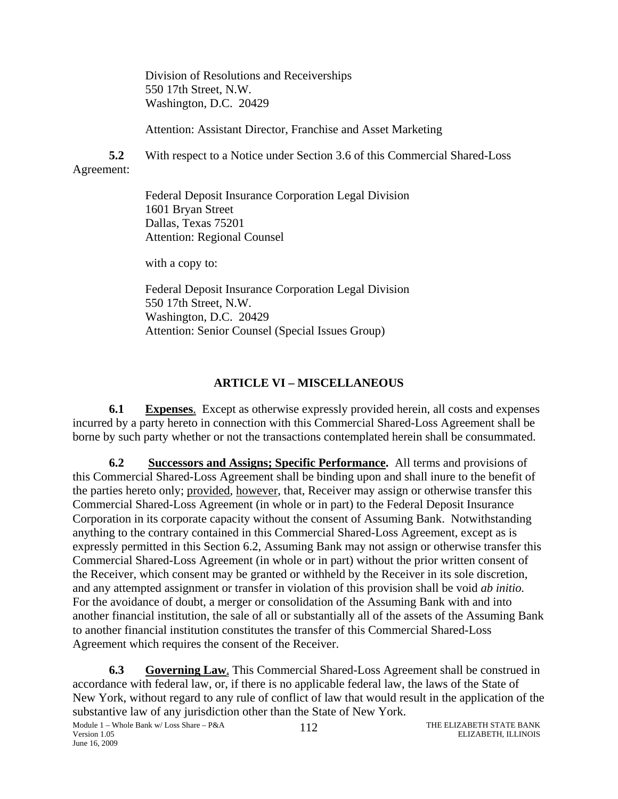Division of Resolutions and Receiverships 550 17th Street, N.W. Washington, D.C. 20429

Attention: Assistant Director, Franchise and Asset Marketing

**5.2** With respect to a Notice under Section 3.6 of this Commercial Shared-Loss Agreement:

> Federal Deposit Insurance Corporation Legal Division 1601 Bryan Street Dallas, Texas 75201 Attention: Regional Counsel

with a copy to:

Federal Deposit Insurance Corporation Legal Division 550 17th Street, N.W. Washington, D.C. 20429 Attention: Senior Counsel (Special Issues Group)

### **ARTICLE VI – MISCELLANEOUS**

**6.1 Expenses.** Except as otherwise expressly provided herein, all costs and expenses incurred by a party hereto in connection with this Commercial Shared-Loss Agreement shall be borne by such party whether or not the transactions contemplated herein shall be consummated.

**6.2 Successors and Assigns; Specific Performance.** All terms and provisions of this Commercial Shared-Loss Agreement shall be binding upon and shall inure to the benefit of the parties hereto only; provided, however, that, Receiver may assign or otherwise transfer this Commercial Shared-Loss Agreement (in whole or in part) to the Federal Deposit Insurance Corporation in its corporate capacity without the consent of Assuming Bank. Notwithstanding anything to the contrary contained in this Commercial Shared-Loss Agreement, except as is expressly permitted in this Section 6.2, Assuming Bank may not assign or otherwise transfer this Commercial Shared-Loss Agreement (in whole or in part) without the prior written consent of the Receiver, which consent may be granted or withheld by the Receiver in its sole discretion, and any attempted assignment or transfer in violation of this provision shall be void *ab initio.*  For the avoidance of doubt, a merger or consolidation of the Assuming Bank with and into another financial institution, the sale of all or substantially all of the assets of the Assuming Bank to another financial institution constitutes the transfer of this Commercial Shared-Loss Agreement which requires the consent of the Receiver.

**6.3** Governing Law. This Commercial Shared-Loss Agreement shall be construed in accordance with federal law, or, if there is no applicable federal law, the laws of the State of New York, without regard to any rule of conflict of law that would result in the application of the substantive law of any jurisdiction other than the State of New York.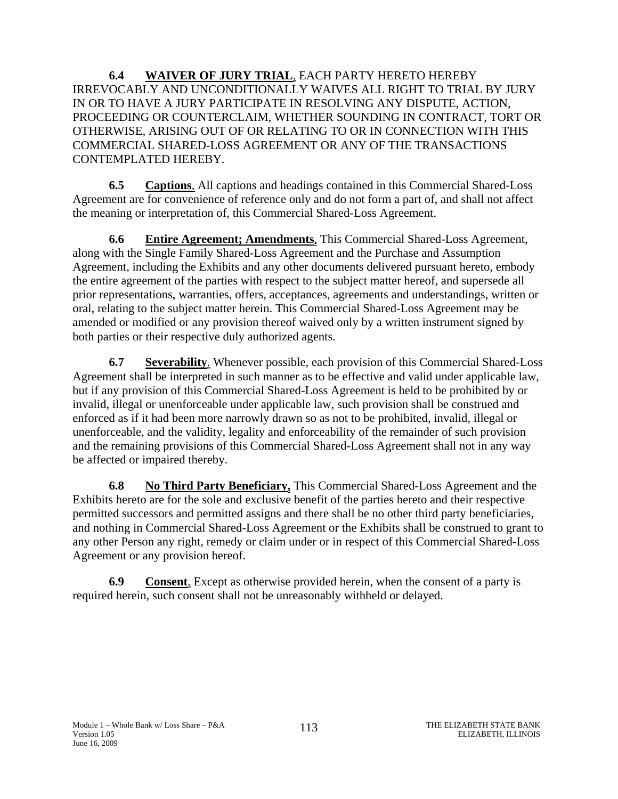**6.4 WAIVER OF JURY TRIAL**. EACH PARTY HERETO HEREBY IRREVOCABLY AND UNCONDITIONALLY WAIVES ALL RIGHT TO TRIAL BY JURY IN OR TO HAVE A JURY PARTICIPATE IN RESOLVING ANY DISPUTE, ACTION, PROCEEDING OR COUNTERCLAIM, WHETHER SOUNDING IN CONTRACT, TORT OR OTHERWISE, ARISING OUT OF OR RELATING TO OR IN CONNECTION WITH THIS COMMERCIAL SHARED-LOSS AGREEMENT OR ANY OF THE TRANSACTIONS CONTEMPLATED HEREBY.

**6.5 Captions**. All captions and headings contained in this Commercial Shared-Loss Agreement are for convenience of reference only and do not form a part of, and shall not affect the meaning or interpretation of, this Commercial Shared-Loss Agreement.

**6.6 Entire Agreement; Amendments**. This Commercial Shared-Loss Agreement, along with the Single Family Shared-Loss Agreement and the Purchase and Assumption Agreement, including the Exhibits and any other documents delivered pursuant hereto, embody the entire agreement of the parties with respect to the subject matter hereof, and supersede all prior representations, warranties, offers, acceptances, agreements and understandings, written or oral, relating to the subject matter herein. This Commercial Shared-Loss Agreement may be amended or modified or any provision thereof waived only by a written instrument signed by both parties or their respective duly authorized agents.

**6.7 Severability**. Whenever possible, each provision of this Commercial Shared-Loss Agreement shall be interpreted in such manner as to be effective and valid under applicable law, but if any provision of this Commercial Shared-Loss Agreement is held to be prohibited by or invalid, illegal or unenforceable under applicable law, such provision shall be construed and enforced as if it had been more narrowly drawn so as not to be prohibited, invalid, illegal or unenforceable, and the validity, legality and enforceability of the remainder of such provision and the remaining provisions of this Commercial Shared-Loss Agreement shall not in any way be affected or impaired thereby.

**6.8 No Third Party Beneficiary.** This Commercial Shared-Loss Agreement and the Exhibits hereto are for the sole and exclusive benefit of the parties hereto and their respective permitted successors and permitted assigns and there shall be no other third party beneficiaries, and nothing in Commercial Shared-Loss Agreement or the Exhibits shall be construed to grant to any other Person any right, remedy or claim under or in respect of this Commercial Shared-Loss Agreement or any provision hereof.

**6.9** Consent. Except as otherwise provided herein, when the consent of a party is required herein, such consent shall not be unreasonably withheld or delayed.